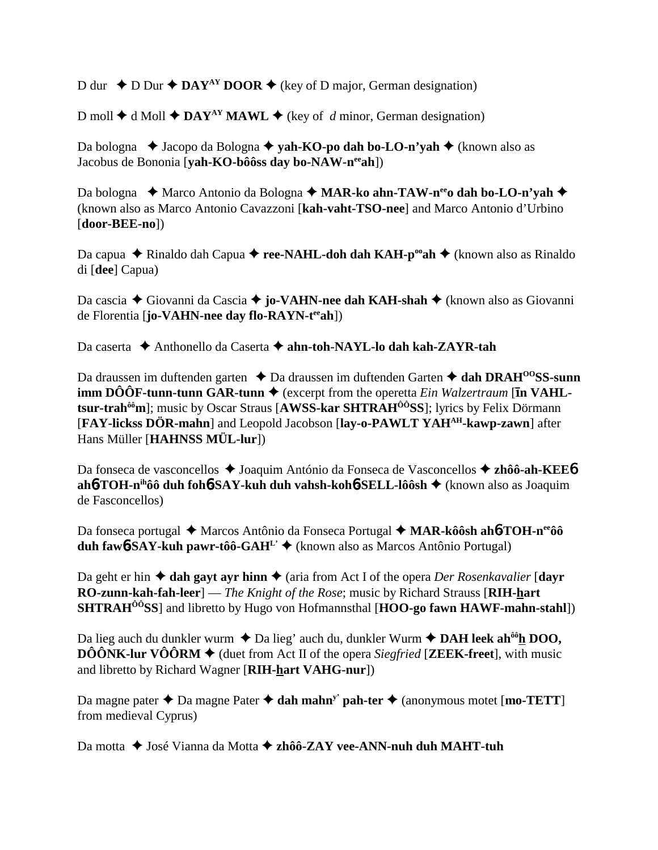D dur  $\triangle$  D Dur  $\triangle$  **DAY<sup>AY</sup> DOOR**  $\triangle$  (key of D major, German designation)

D moll  $\triangle$  d Moll  $\triangle$  DAY<sup>AY</sup> MAWL  $\triangle$  (key of *d* minor, German designation)

Da bologna **→** Jacopo da Bologna **→ yah-KO-po dah bo-LO-n'yah →** (known also as Jacobus de Bononia [**yah-KO-bôôss day bo-NAW-neeah**])

Da bologna ◆ Marco Antonio da Bologna ◆ MAR-ko ahn-TAW-n<sup>ee</sup>o dah bo-LO-n'yah ◆ (known also as Marco Antonio Cavazzoni [**kah-vaht-TSO-nee**] and Marco Antonio d'Urbino [**door-BEE-no**])

Da capua ◆ Rinaldo dah Capua ◆ **ree-NAHL-doh dah KAH-p<sup>oo</sup>ah** ◆ (known also as Rinaldo di [**dee**] Capua)

Da cascia ◆ Giovanni da Cascia ◆ **jo-VAHN-nee dah KAH-shah** ◆ (known also as Giovanni de Florentia [**jo-VAHN-nee day flo-RAYN-teeah**])

Da caserta  **↑** Anthonello da Caserta **↑ ahn-toh-NAYL-lo dah kah-ZAYR-tah** 

Da draussen im duftenden garten **↓** Da draussen im duftenden Garten **→ dah DRAH<sup>00</sup>SS-sunn imm DÔÔF-tunn-tunn GAR-tunn**  $\blacklozenge$  (excerpt from the operetta *Ein Walzertraum* [**in VAHLtsur-trahôôm**]; music by Oscar Straus [**AWSS-kar SHTRAHÔÔSS**]; lyrics by Felix Dörmann [**FAY-lickss DÖR-mahn**] and Leopold Jacobson [**lay-o-PAWLT YAHAH-kawp-zawn**] after Hans Müller [**HAHNSS MÜL-lur**])

Da fonseca de vasconcellos ◆ Joaquim António da Fonseca de Vasconcellos ◆ zhôô-ah-KEE6 **ah**6**-TOH-nihôô duh foh**6**-SAY-kuh duh vahsh-koh**6**-SELL-lôôsh** (known also as Joaquim de Fasconcellos)

Da fonseca portugal ◆ Marcos Antônio da Fonseca Portugal ◆ MAR-kôôsh ah**6**-TOH-n<sup>ee</sup>ôô **duh fawb-SAY-kuh pawr-tôô-GAH<sup>L'</sup>**  $\bullet$  (known also as Marcos Antônio Portugal)

Da geht er hin  $\triangle$  dah gayt ayr hinn  $\triangle$  (aria from Act I of the opera *Der Rosenkavalier* [dayr **RO-zunn-kah-fah-leer**] — *The Knight of the Rose*; music by Richard Strauss [**RIH-hart SHTRAHÔÔSS**] and libretto by Hugo von Hofmannsthal [**HOO-go fawn HAWF-mahn-stahl**])

Da lieg auch du dunkler wurm  $\triangle$  Da lieg' auch du, dunkler Wurm  $\triangle$  **DAH leek ah<sup>ôô</sup>h DOO, DÔÔNK-lur VÔÔRM**  $\blacklozenge$  (duet from Act II of the opera *Siegfried* [**ZEEK-freet**], with music and libretto by Richard Wagner [**RIH-hart VAHG-nur**])

Da magne pater  $\triangle$  Da magne Pater  $\triangle$  dah mahn<sup>y</sup> pah-ter  $\triangle$  (anonymous motet [mo-TETT] from medieval Cyprus)

Da motta **→** José Vianna da Motta **→ zhôô-ZAY vee-ANN-nuh duh MAHT-tuh**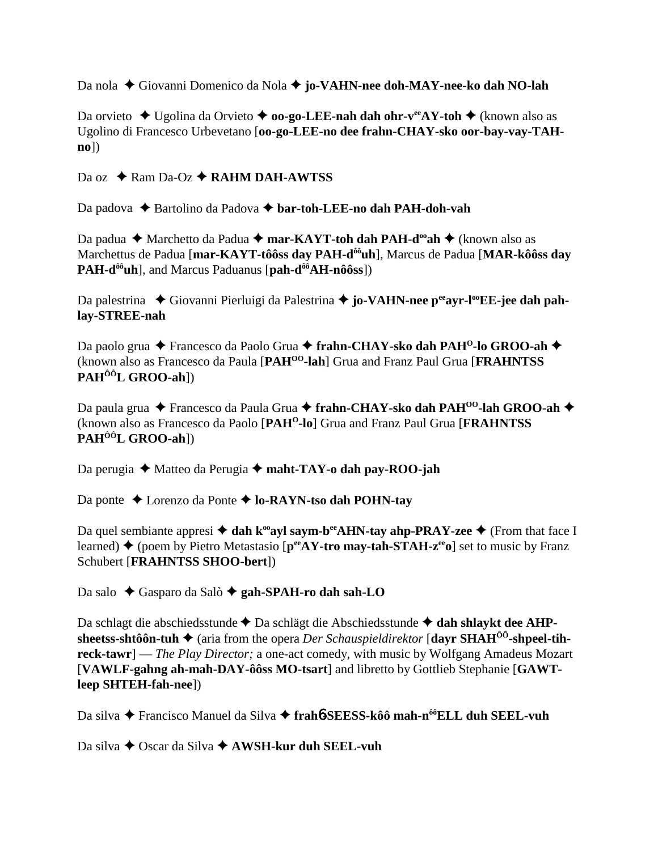Da nola Giovanni Domenico da Nola **jo-VAHN-nee doh-MAY-nee-ko dah NO-lah**

Da orvieto **→** Ugolina da Orvieto → **oo-go-LEE-nah dah ohr-v<sup>ee</sup>AY-toh →** (known also as Ugolino di Francesco Urbevetano [**oo-go-LEE-no dee frahn-CHAY-sko oor-bay-vay-TAHno**])

Da oz **→** Ram Da-Oz **→ RAHM DAH-AWTSS** 

Da padova **→** Bartolino da Padova → **bar-toh-LEE-no dah PAH-doh-vah** 

Da padua **→** Marchetto da Padua → mar-KAYT-toh dah PAH-d<sup>oo</sup>ah → (known also as Marchettus de Padua [**mar-KAYT-tôôss day PAH-dôôuh**], Marcus de Padua [**MAR-kôôss day PAH-d<sup>ôô</sup>uh**], and Marcus Paduanus [pah-d<sup>ôô</sup>AH-nôôss])

Da palestrina ◆ Giovanni Pierluigi da Palestrina ◆ jo-VAHN-nee p<sup>ee</sup>ayr-l<sup>oo</sup>EE-jee dah pah**lay-STREE-nah**

Da paolo grua ◆ Francesco da Paolo Grua ◆ frahn-CHAY-sko dah PAH<sup>O</sup>-lo GROO-ah ◆ (known also as Francesco da Paula [**PAHOO-lah**] Grua and Franz Paul Grua [**FRAHNTSS PAHÔÔL GROO-ah**])

Da paula grua ◆ Francesco da Paula Grua ◆ frahn-CHAY-sko dah PAH<sup>00</sup>-lah GROO-ah ◆ (known also as Francesco da Paolo [**PAHO-lo**] Grua and Franz Paul Grua [**FRAHNTSS PAHÔÔL GROO-ah**])

Da perugia ◆ Matteo da Perugia ◆ maht-TAY-o dah pay-ROO-jah

Da ponte Lorenzo da Ponte **lo-RAYN-tso dah POHN-tay**

Da quel sembiante appresi  $\triangleleft$  dah k<sup>oo</sup>ayl saym-b<sup>ee</sup>AHN-tay ahp-PRAY-zee  $\triangleleft$  (From that face I learned) **→** (poem by Pietro Metastasio [p<sup>ee</sup>AY-tro may-tah-STAH-z<sup>ee</sup>o] set to music by Franz Schubert [**FRAHNTSS SHOO-bert**])

Da salo Gasparo da Salò **gah-SPAH-ro dah sah-LO**

Da schlagt die abschiedsstunde ◆ Da schlägt die Abschiedsstunde ◆ dah shlaykt dee AHPsheetss-shtôôn-tuh ◆ (aria from the opera *Der Schauspieldirektor* [dayr SHAH<sup>ôô</sup>-shpeel-tih**reck-tawr**] — *The Play Director;* a one-act comedy, with music by Wolfgang Amadeus Mozart [**VAWLF-gahng ah-mah-DAY-ôôss MO-tsart**] and libretto by Gottlieb Stephanie [**GAWTleep SHTEH-fah-nee**])

Da silva Francisco Manuel da Silva **frah**6**-SEESS-kôô mah-nôôELL duh SEEL-vuh**

Da silva **→** Oscar da Silva **→ AWSH-kur duh SEEL-vuh**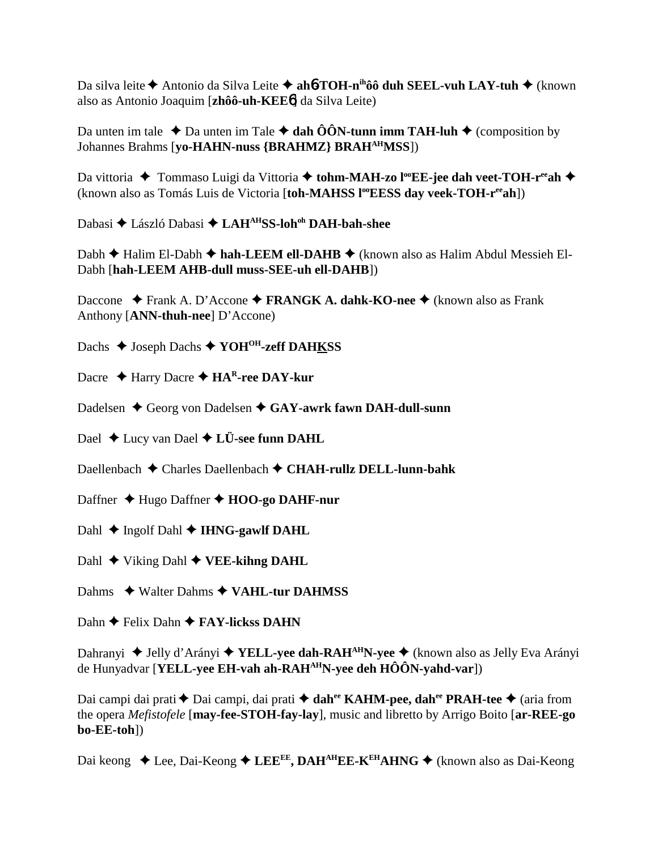Da silva leite **◆** Antonio da Silva Leite ◆ ah**6**-TOH-n<sup>ih</sup>ôô duh SEEL-vuh LAY-tuh ◆ (known also as Antonio Joaquim [**zhôô-uh-KEE**6] da Silva Leite)

Da unten im tale  $\triangle$  Da unten im Tale  $\triangle$  dah ÔÔN-tunn imm TAH-luh  $\triangle$  (composition by Johannes Brahms [**yo-HAHN-nuss {BRAHMZ} BRAHAHMSS**])

Da vittoria ◆ Tommaso Luigi da Vittoria ◆ tohm-MAH-zo l<sup>oo</sup>EE-jee dah veet-TOH-r<sup>ee</sup>ah ◆ (known also as Tomás Luis de Victoria [toh-MAHSS l<sup>oo</sup>EESS day veek-TOH-r<sup>ee</sup>ah])

Dabasi ◆ László Dabasi ◆ LAH<sup>AH</sup>SS-loh<sup>oh</sup> DAH-bah-shee

Dabh **←** Halim El-Dabh ← hah-LEEM ell-DAHB ← (known also as Halim Abdul Messieh El-Dabh [**hah-LEEM AHB-dull muss-SEE-uh ell-DAHB**])

Daccone **→** Frank A. D'Accone → FRANGK A. dahk-KO-nee → (known also as Frank Anthony [**ANN-thuh-nee**] D'Accone)

Dachs **→** Joseph Dachs **→ YOH<sup>OH</sup>-zeff DAHKSS** 

Dacre **↓ Harry Dacre ◆ HA<sup>R</sup>-ree DAY-kur** 

Dadelsen **→** Georg von Dadelsen ◆ GAY-awrk fawn DAH-dull-sunn

Dael **↓** Lucy van Dael **✦ LÜ-see funn DAHL** 

Daellenbach Charles Daellenbach **CHAH-rullz DELL-lunn-bahk**

Daffner Hugo Daffner **HOO-go DAHF-nur**

Dahl **←** Ingolf Dahl ← **IHNG-gawlf DAHL** 

Dahl **→** Viking Dahl **→ VEE-kihng DAHL** 

Dahms **→ Walter Dahms → VAHL-tur DAHMSS** 

Dahn **←** Felix Dahn ← FAY-lickss DAHN

Dahranyi ◆ Jelly d'Arányi ◆ **YELL-yee dah-RAH<sup>AH</sup>N-yee** ◆ (known also as Jelly Eva Arányi de Hunyadvar [**YELL-yee EH-vah ah-RAHAHN-yee deh HÔÔN-yahd-var**])

Dai campi dai prati ◆ Dai campi, dai prati ◆ dah<sup>ee</sup> KAHM-pee, dah<sup>ee</sup> PRAH-tee ◆ (aria from the opera *Mefistofele* [**may-fee-STOH-fay-lay**], music and libretto by Arrigo Boito [**ar-REE-go bo-EE-toh**])

Dai keong ◆ Lee, Dai-Keong ◆ LEE<sup>EE</sup>, DAH<sup>AH</sup>EE-K<sup>EH</sup>AHNG ◆ (known also as Dai-Keong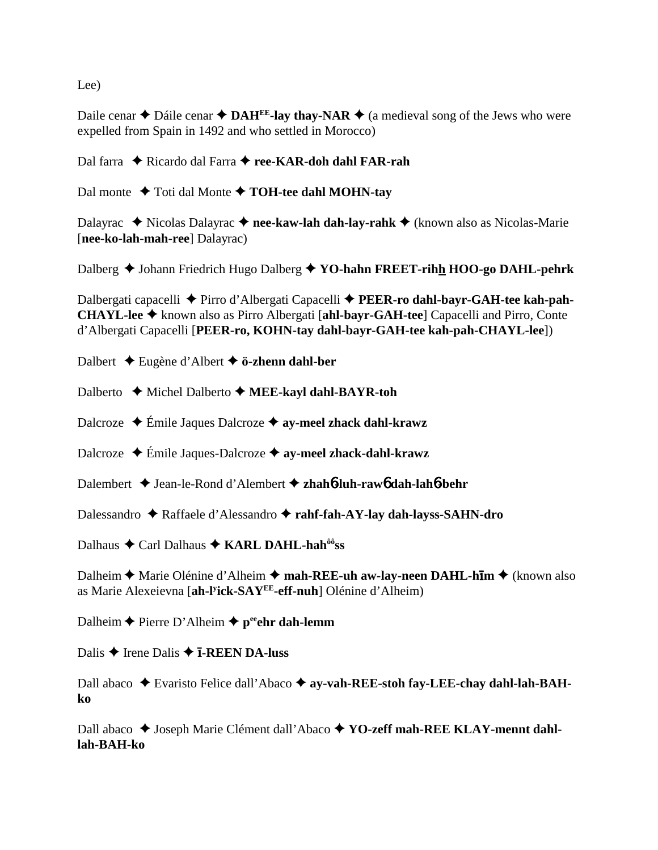Lee)

Daile cenar  $\triangle$  Dáile cenar  $\triangle$  **DAH<sup>EE</sup>-lay thay-NAR**  $\triangle$  (a medieval song of the Jews who were expelled from Spain in 1492 and who settled in Morocco)

Dal farra ◆ Ricardo dal Farra ◆ ree-KAR-doh dahl FAR-rah

Dal monte  $\blacklozenge$  Toti dal Monte  $\blacklozenge$  **TOH-tee dahl MOHN-tay** 

Dalayrac ◆ Nicolas Dalayrac ◆ nee-kaw-lah dah-lay-rahk ◆ (known also as Nicolas-Marie [**nee-ko-lah-mah-ree**] Dalayrac)

Dalberg ◆ Johann Friedrich Hugo Dalberg ◆ YO-hahn FREET-rihh HOO-go DAHL-pehrk

Dalbergati capacelli ◆ Pirro d'Albergati Capacelli ◆ PEER-ro dahl-bayr-GAH-tee kah-pah-**CHAYL-lee** known also as Pirro Albergati [**ahl-bayr-GAH-tee**] Capacelli and Pirro, Conte d'Albergati Capacelli [**PEER-ro, KOHN-tay dahl-bayr-GAH-tee kah-pah-CHAYL-lee**])

Dalbert Eugène d'Albert **ö-zhenn dahl-ber**

Dalberto **←** Michel Dalberto ← **MEE-kayl dahl-BAYR-toh** 

Dalcroze Émile Jaques Dalcroze **ay-meel zhack dahl-krawz**

Dalcroze Émile Jaques-Dalcroze **ay-meel zhack-dahl-krawz**

Dalembert Jean-le-Rond d'Alembert **zhah**6**-luh-raw**6 **dah-lah**6**-behr**

Dalessandro Raffaele d'Alessandro **rahf-fah-AY-lay dah-layss-SAHN-dro**

Dalhaus ◆ Carl Dalhaus ◆ KARL DAHL-hah<sup>ôô</sup>ss

Dalheim **→** Marie Olénine d'Alheim → mah-REE-uh aw-lay-neen DAHL-h**īm** → (known also as Marie Alexeievna [**ah-ly ick-SAYEE-eff-nuh**] Olénine d'Alheim)

Dalheim **←** Pierre D'Alheim ← peehr dah-lemm

Dalis **→** Irene Dalis **→ T-REEN DA-luss** 

Dall abaco ◆ Evaristo Felice dall'Abaco ◆ ay-vah-REE-stoh fay-LEE-chay dahl-lah-BAH**ko**

Dall abaco ◆ Joseph Marie Clément dall'Abaco ◆ YO-zeff mah-REE KLAY-mennt dahl**lah-BAH-ko**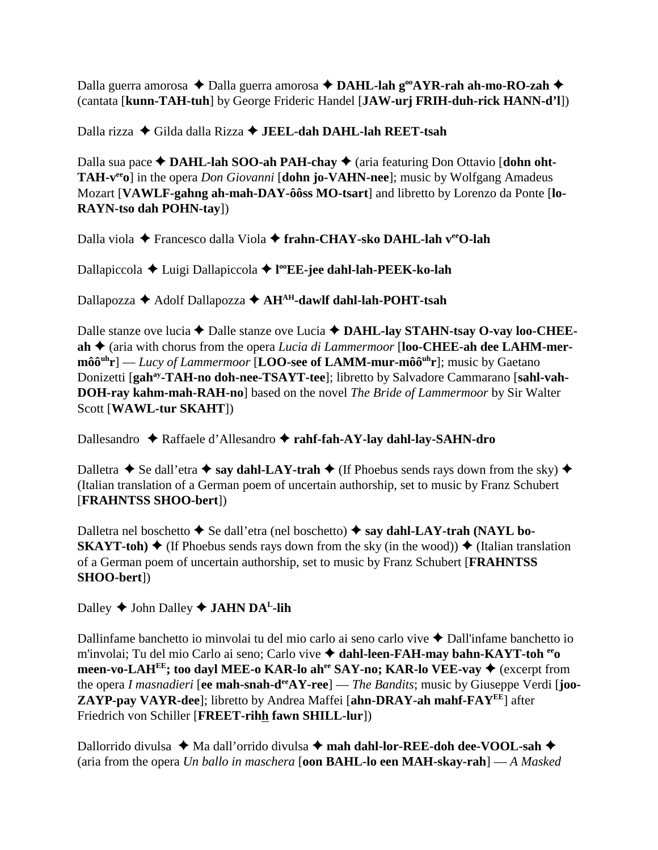Dalla guerra amorosa ◆ Dalla guerra amorosa ◆ DAHL-lah g<sup>oo</sup>AYR-rah ah-mo-RO-zah ◆ (cantata [**kunn-TAH-tuh**] by George Frideric Handel [**JAW-urj FRIH-duh-rick HANN-d'l**])

Dalla rizza Gilda dalla Rizza **JEEL-dah DAHL-lah REET-tsah**

Dalla sua pace ◆ DAHL-lah SOO-ah PAH-chay ◆ (aria featuring Don Ottavio [dohn oht-**TAH-v<sup>ee</sup>o**] in the opera *Don Giovanni* [dohn jo-VAHN-nee]; music by Wolfgang Amadeus Mozart [**VAWLF-gahng ah-mah-DAY-ôôss MO-tsart**] and libretto by Lorenzo da Ponte [**lo-RAYN-tso dah POHN-tay**])

Dalla viola Francesco dalla Viola **frahn-CHAY-sko DAHL-lah veeO-lah**

Dallapiccola Luigi Dallapiccola **l ooEE-jee dahl-lah-PEEK-ko-lah**

Dallapozza ◆ Adolf Dallapozza ◆ AH<sup>AH</sup>-dawlf dahl-lah-POHT-tsah

Dalle stanze ove lucia  $\blacklozenge$  Dalle stanze ove Lucia  $\blacklozenge$  DAHL-lay STAHN-tsay O-vay loo-CHEEah  $\triangle$  (aria with chorus from the opera *Lucia di Lammermoor* [loo-CHEE-ah dee LAHM-mer**môô**<sup>uh</sup>**r**] — *Lucy of Lammermoor* [**LOO-see of LAMM-mur-môô**<sup>uh</sup>**r**]; music by Gaetano Donizetti [gah<sup>ay</sup>-TAH-no doh-nee-TSAYT-tee]; libretto by Salvadore Cammarano [sahl-vah-**DOH-ray kahm-mah-RAH-no**] based on the novel *The Bride of Lammermoor* by Sir Walter Scott [**WAWL-tur SKAHT**])

Dallesandro Raffaele d'Allesandro **rahf-fah-AY-lay dahl-lay-SAHN-dro**

Dalletra  $\triangle$  Se dall'etra  $\triangle$  say dahl-LAY-trah  $\triangle$  (If Phoebus sends rays down from the sky)  $\triangle$ (Italian translation of a German poem of uncertain authorship, set to music by Franz Schubert [**FRAHNTSS SHOO-bert**])

Dalletra nel boschetto **→** Se dall'etra (nel boschetto) → say dahl-LAY-trah (NAYL bo-**SKAYT-toh)**  $\blacklozenge$  (If Phoebus sends rays down from the sky (in the wood))  $\blacklozenge$  (Italian translation of a German poem of uncertain authorship, set to music by Franz Schubert [**FRAHNTSS SHOO-bert**])

Dalley  $\triangle$  John Dalley  $\triangle$  **JAHN DA<sup>L</sup>-lih** 

Dallinfame banchetto io minvolai tu del mio carlo ai seno carlo vive  $\triangle$  Dall'infame banchetto io m'involai; Tu del mio Carlo ai seno; Carlo vive **dahl-leen-FAH-may bahn-KAYT-toh eeo meen-vo-LAH<sup>EE</sup>; too dayl MEE-o KAR-lo ah<sup>ee</sup> SAY-no; KAR-lo VEE-vay**  $\triangleq$  **(excerpt from** the opera *I masnadieri* [**ee mah-snah-deeAY-ree**] — *The Bandits*; music by Giuseppe Verdi [**joo-ZAYP-pay VAYR-dee**]; libretto by Andrea Maffei [**ahn-DRAY-ah mahf-FAYEE**] after Friedrich von Schiller [**FREET-rihh fawn SHILL-lur**])

Dallorrido divulsa **↓** Ma dall'orrido divulsa **↓ mah dahl-lor-REE-doh dee-VOOL-sah ◆** (aria from the opera *Un ballo in maschera* [**oon BAHL-lo een MAH-skay-rah**] — *A Masked*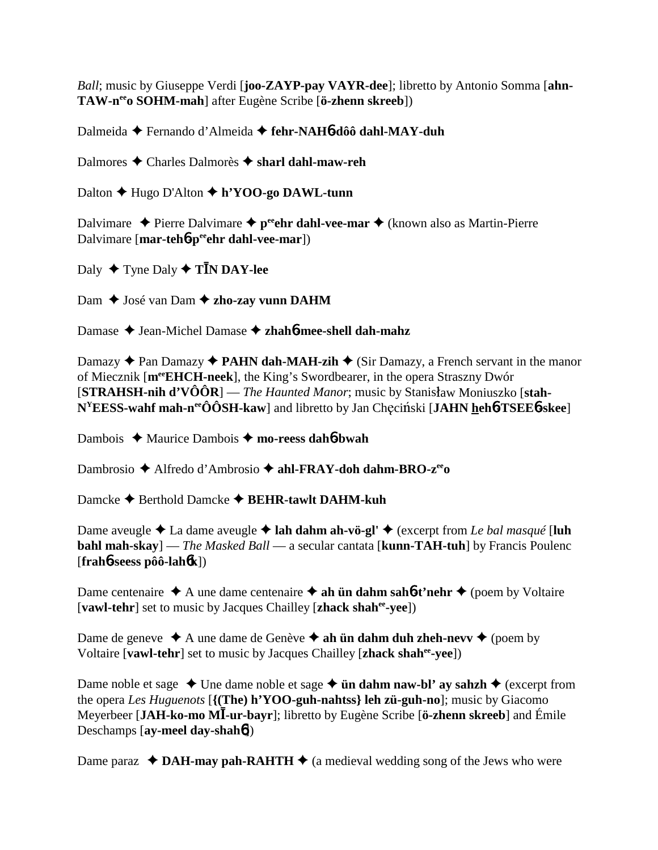*Ball*; music by Giuseppe Verdi [**joo-ZAYP-pay VAYR-dee**]; libretto by Antonio Somma [**ahn-TAW-neeo SOHM-mah**] after Eugène Scribe [**ö-zhenn skreeb**])

Dalmeida Fernando d'Almeida **fehr-NAH**6**-dôô dahl-MAY-duh**

Dalmores Charles Dalmorès **sharl dahl-maw-reh**

Dalton Hugo D'Alton **h'YOO-go DAWL-tunn**

Dalvimare  $\triangle$  Pierre Dalvimare  $\triangle$  p<sup>ee</sup> chr dahl-vee-mar  $\triangle$  (known also as Martin-Pierre Dalvimare [**mar-teh**6**-peeehr dahl-vee-mar**])

Daly ◆ Tyne Daly **◆ TĪN DAY-lee** 

Dam **→** José van Dam **→ zho-zay vunn DAHM** 

Damase Jean-Michel Damase **zhah**6**-mee-shell dah-mahz**

Damazy  $\triangle$  Pan Damazy  $\triangle$  **PAHN dah-MAH-zih**  $\triangle$  (Sir Damazy, a French servant in the manor of Miecznik [**meeEHCH-neek**], the King's Swordbearer, in the opera Straszny Dwór **[STRAHSH-nih d'VÔÔR**] — *The Haunted Manor*; music by Stanisław Moniuszko [stah- $N^{\text{Y}}$ **EESS-wahf mah-n<sup>ee</sup>ÔÔSH-kaw**] and libretto by Jan Chęciński [**JAHN <u>h</u>eh6-TSEE6-skee**]

Dambois ◆ Maurice Dambois ◆ mo-reess dah6-bwah

Dambrosio ◆ Alfredo d'Ambrosio ◆ a**hl-FRAY-doh dahm-BRO-z<sup>ee</sup>o** 

Damcke ◆ Berthold Damcke **◆ BEHR-tawlt DAHM-kuh** 

Dame aveugle  $\triangle$  La dame aveugle  $\triangle$  lah dahm ah-vö-gl'  $\triangle$  (excerpt from *Le bal masqué* [luh **bahl mah-skay**] — *The Masked Ball* — a secular cantata [**kunn-TAH-tuh**] by Francis Poulenc [**frah**6**-seess pôô-lah**6**k**])

Dame centenaire  $\triangle$  A une dame centenaire  $\triangle$  ah **ün dahm sah<sup>6</sup>-t'nehr**  $\triangle$  (poem by Voltaire [**vawl-tehr**] set to music by Jacques Chailley [**zhack shahee-yee**])

Dame de geneve  $\triangle$  A une dame de Genève  $\triangle$  ah **ün dahm duh zheh-nevv**  $\triangle$  (poem by Voltaire [**vawl-tehr**] set to music by Jacques Chailley [**zhack shahee-yee**])

Dame noble et sage  $\triangle$  Une dame noble et sage  $\triangle$  **ün dahm naw-bl' ay sahzh**  $\triangle$  (excerpt from the opera *Les Huguenots* [**{(The) h'YOO-guh-nahtss} leh zü-guh-no**]; music by Giacomo Meyerbeer [**JAH-ko-mo M**-**-ur-bayr**]; libretto by Eugène Scribe [**ö-zhenn skreeb**] and Émile Deschamps [**ay-meel day-shah**6])

Dame paraz  $\triangleleft$  DAH-may pah-RAHTH  $\triangleleft$  (a medieval wedding song of the Jews who were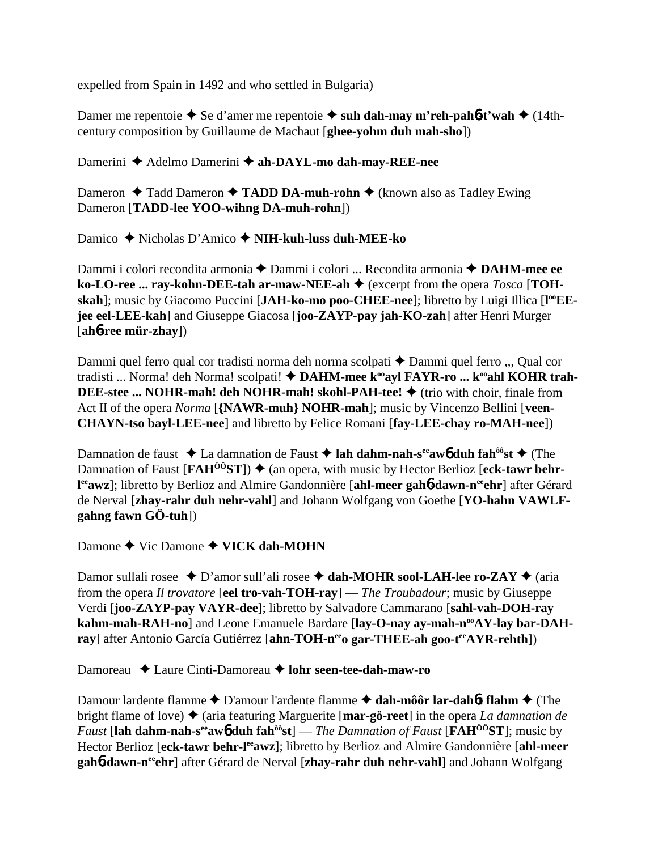expelled from Spain in 1492 and who settled in Bulgaria)

Damer me repentoie  $\blacklozenge$  Se d'amer me repentoie  $\blacklozenge$  suh dah-may m'reh-pah**6**-t'wah  $\blacklozenge$  (14thcentury composition by Guillaume de Machaut [**ghee-yohm duh mah-sho**])

Damerini ◆ Adelmo Damerini ◆ ah-DAYL-mo dah-may-REE-nee

Dameron **→** Tadd Dameron → TADD DA-muh-rohn → (known also as Tadley Ewing Dameron [**TADD-lee YOO-wihng DA-muh-rohn**])

Damico Nicholas D'Amico **NIH-kuh-luss duh-MEE-ko**

Dammi i colori recondita armonia Dammi i colori ... Recondita armonia **DAHM-mee ee ko-LO-ree ... ray-kohn-DEE-tah ar-maw-NEE-ah ♦** (excerpt from the opera *Tosca* [TOHskah]; music by Giacomo Puccini [JAH-ko-mo poo-CHEE-nee]; libretto by Luigi Illica [l<sup>oo</sup>EE**jee eel-LEE-kah**] and Giuseppe Giacosa [**joo-ZAYP-pay jah-KO-zah**] after Henri Murger [**ah**6**-ree mür-zhay**])

Dammi quel ferro qual cor tradisti norma deh norma scolpati  $\triangle$  Dammi quel ferro ... Qual cor tradisti ... Norma! deh Norma! scolpati! ◆ DAHM-mee k<sup>oo</sup>ayl FAYR-ro ... k<sup>oo</sup>ahl KOHR trah-**DEE-stee ... NOHR-mah! deh NOHR-mah! skohl-PAH-tee! ♦** (trio with choir, finale from Act II of the opera *Norma* [**{NAWR-muh} NOHR-mah**]; music by Vincenzo Bellini [**veen-CHAYN-tso bayl-LEE-nee**] and libretto by Felice Romani [**fay-LEE-chay ro-MAH-nee**])

Damnation de faust  $\triangle$  La damnation de Faust  $\triangle$  **lah dahm-nah-s<sup>ee</sup>aw6 duh fah<sup>ôô</sup>st**  $\triangle$  (The Damnation of Faust  $[FAH^{00}ST]$   $\blacklozenge$  (an opera, with music by Hector Berlioz [eck-tawr behrl<sup>ee</sup>awz]; libretto by Berlioz and Almire Gandonnière [**ahl-meer gah6-dawn-n<sup>ee</sup>ehr**] after Gérard de Nerval [**zhay-rahr duh nehr-vahl**] and Johann Wolfgang von Goethe [**YO-hahn VAWLFgahng fawn GÖ-tuh**])

Damone **→** Vic Damone **→ VICK dah-MOHN** 

Damor sullali rosee  $\triangle$  D'amor sull'ali rosee  $\triangle$  dah-MOHR sool-LAH-lee ro-ZAY  $\triangle$  (aria from the opera *Il trovatore* [**eel tro-vah-TOH-ray**] — *The Troubadour*; music by Giuseppe Verdi [**joo-ZAYP-pay VAYR-dee**]; libretto by Salvadore Cammarano [**sahl-vah-DOH-ray** kahm-mah-RAH-no] and Leone Emanuele Bardare [lay-O-nay ay-mah-n<sup>oo</sup>AY-lay bar-DAH**ray**] after Antonio García Gutiérrez [ahn-TOH-n<sup>ee</sup>o gar-THEE-ah goo-t<sup>ee</sup>AYR-rehth])

Damoreau **→** Laure Cinti-Damoreau → lohr seen-tee-dah-maw-ro

Damour lardente flamme **←** D'amour l'ardente flamme **← dah-môôr lar-dah6t flahm** ← (The bright flame of love) ♦ (aria featuring Marguerite [**mar-gö-reet**] in the opera *La damnation de Faust* [lah dahm-nah-s<sup>ee</sup>aw<sub>0</sub> duh fah<sup>ôô</sup>st] — *The Damnation of Faust* [**FAH**<sup>ôô</sup>ST]; music by Hector Berlioz [eck-tawr behr-l<sup>ee</sup>awz]; libretto by Berlioz and Almire Gandonnière [ahl-meer **gah<sup>6</sup>-dawn-n<sup>ee</sup>ehr**] after Gérard de Nerval [zhay-rahr duh nehr-vahl] and Johann Wolfgang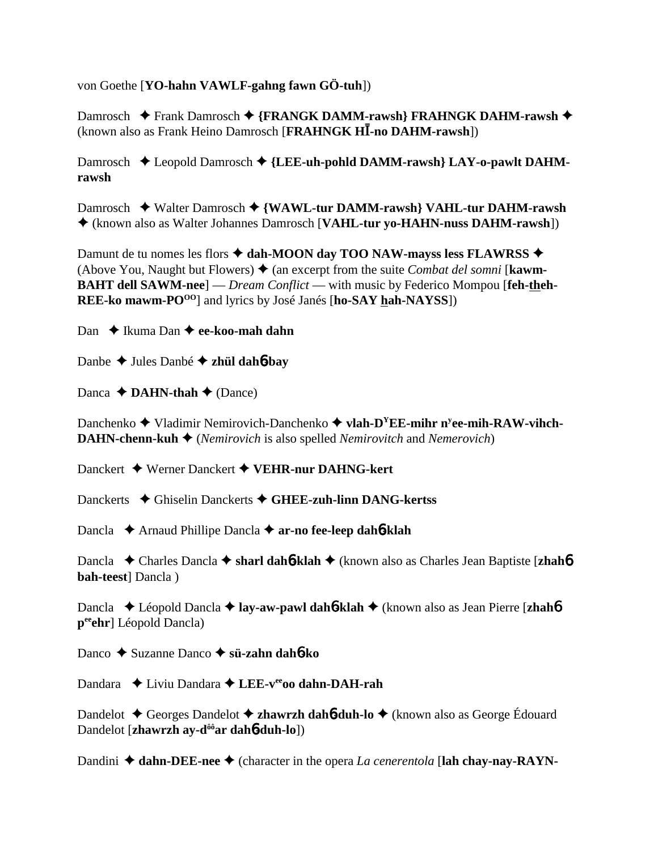von Goethe [**YO-hahn VAWLF-gahng fawn GÖ-tuh**])

Damrosch **←** Frank Damrosch ← {FRANGK DAMM-rawsh} FRAHNGK DAHM-rawsh ← (known also as Frank Heino Damrosch [FRAHNGK HI-no DAHM-rawsh])

Damrosch ◆ Leopold Damrosch ◆ {LEE-uh-pohld DAMM-rawsh} LAY-o-pawlt DAHM**rawsh**

Damrosch Walter Damrosch **{WAWL-tur DAMM-rawsh} VAHL-tur DAHM-rawsh** (known also as Walter Johannes Damrosch [**VAHL-tur yo-HAHN-nuss DAHM-rawsh**])

Damunt de tu nomes les flors **↑ dah-MOON day TOO NAW-mayss less FLAWRSS** ◆ (Above You, Naught but Flowers)  $\triangle$  (an excerpt from the suite *Combat del somni* [**kawm**-**BAHT dell SAWM-nee**] — *Dream Conflict* — with music by Federico Mompou [**feh-theh-REE-ko mawm-PO<sup>00</sup>**] and lyrics by José Janés [ho-SAY hah-NAYSS])

Dan **↓** Ikuma Dan **→ ee-koo-mah dahn** 

Danbe Jules Danbé **zhül dah**6**-bay**

Danca  $\triangle$  **DAHN-thah**  $\triangle$  (Dance)

Danchenko  $\blacklozenge$  Vladimir Nemirovich-Danchenko  $\blacklozenge$  vlah-D<sup>Y</sup>EE-mihr n<sup>y</sup>ee-mih-RAW-vihch-**DAHN-chenn-kuh**  $\triangleq$  *(Nemirovich* is also spelled *Nemirovitch* and *Nemerovich*)

Danckert Werner Danckert **VEHR-nur DAHNG-kert**

Danckerts **→** Ghiselin Danckerts → GHEE-zuh-linn DANG-kertss

Dancla Arnaud Phillipe Dancla **ar-no fee-leep dah**6**-klah**

Dancla Charles Dancla **sharl dah**6**-klah** (known also as Charles Jean Baptiste [**zhah**6 **bah-teest**] Dancla )

Dancla ◆ Léopold Dancla ◆ lay-aw-pawl dah6-klah ◆ (known also as Jean Pierre [zhah6 **peeehr**] Léopold Dancla)

Danco Suzanne Danco **sü-zahn dah**6**-ko**

Dandara ◆ Liviu Dandara ◆ LEE-veeoo dahn-DAH-rah

Dandelot **←** Georges Dandelot ← **zhawrzh dah6-duh-lo** ← (known also as George Édouard Dandelot [**zhawrzh ay-dôôar dah**6**-duh-lo**])

Dandini ◆ dahn-DEE-nee ◆ (character in the opera *La cenerentola* [lah chay-nay-RAYN-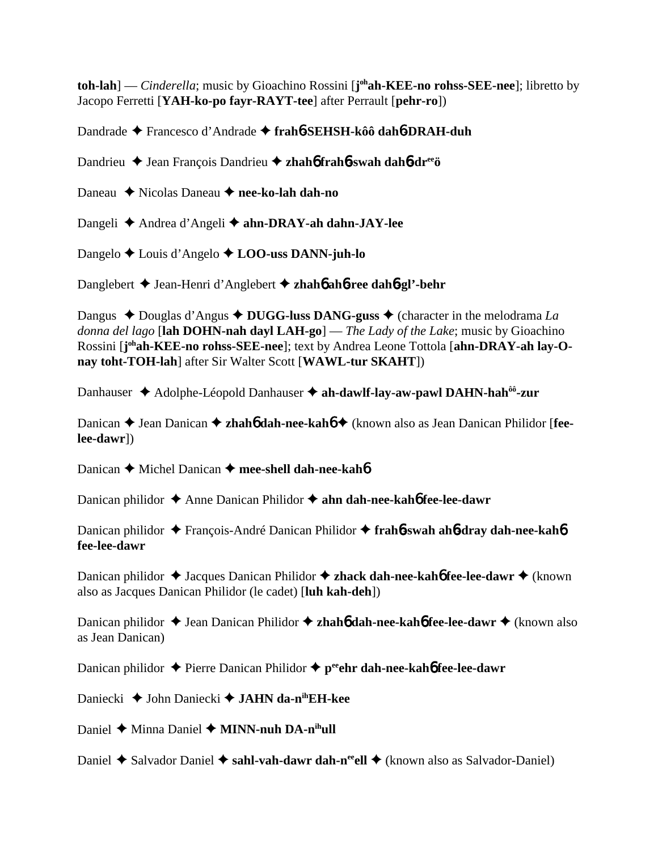**toh-lah**] — *Cinderella*; music by Gioachino Rossini [**j**<sup>oh</sup>**ah-KEE-no rohss-SEE-nee**]; libretto by Jacopo Ferretti [**YAH-ko-po fayr-RAYT-tee**] after Perrault [**pehr-ro**])

Dandrade Francesco d'Andrade **frah**6**-SEHSH-kôô dah**6**-DRAH-duh**

Dandrieu Jean François Dandrieu **zhah**6 **frah**6**-swah dah**6**-dreeö**

Daneau Nicolas Daneau **nee-ko-lah dah-no**

Dangeli Andrea d'Angeli **ahn-DRAY-ah dahn-JAY-lee**

Dangelo Louis d'Angelo **LOO-uss DANN-juh-lo**

Danglebert Jean-Henri d'Anglebert **zhah**6 **ah**6**-ree dah**6**-gl'-behr**

Dangus  $\triangle$  Douglas d'Angus  $\triangle$  **DUGG-luss DANG-guss**  $\triangle$  (character in the melodrama *La donna del lago* [**lah DOHN-nah dayl LAH-go**] — *The Lady of the Lake*; music by Gioachino Rossini [**j ohah-KEE-no rohss-SEE-nee**]; text by Andrea Leone Tottola [**ahn-DRAY-ah lay-Onay toht-TOH-lah**] after Sir Walter Scott [**WAWL-tur SKAHT**])

Danhauser **→** Adolphe-Léopold Danhauser → ah-dawlf-lay-aw-pawl DAHN-hah<sup>ôô</sup>-zur

Danican ◆ Jean Danican ◆ zhah**6** dah-nee-kah6 ◆ (known also as Jean Danican Philidor [fee**lee-dawr**])

Danican **←** Michel Danican ← mee-shell dah-nee-kah**6** 

Danican philidor ◆ Anne Danican Philidor ◆ ahn dah-nee-kah6 fee-lee-dawr

Danican philidor François-André Danican Philidor **frah**6**-swah ah**6**-dray dah-nee-kah**6 **fee-lee-dawr**

Danican philidor **→** Jacques Danican Philidor **→ zhack dah-nee-kah6 fee-lee-dawr** ◆ (known also as Jacques Danican Philidor (le cadet) [**luh kah-deh**])

Danican philidor ◆ Jean Danican Philidor ◆ zhah**6** dah-nee-kah6 fee-lee-dawr ◆ (known also as Jean Danican)

Danican philidor **→** Pierre Danican Philidor ◆ p<sup>ee</sup>ehr dah-nee-kah6 fee-lee-dawr

Daniecki **→** John Daniecki → **JAHN da-n<sup>ih</sup>EH-kee** 

Daniel **→** Minna Daniel **→ MINN-nuh DA-n<sup>ih</sup>ull** 

Daniel ◆ Salvador Daniel ◆ sahl-vah-dawr dah-n<sup>ee</sup>ell ◆ (known also as Salvador-Daniel)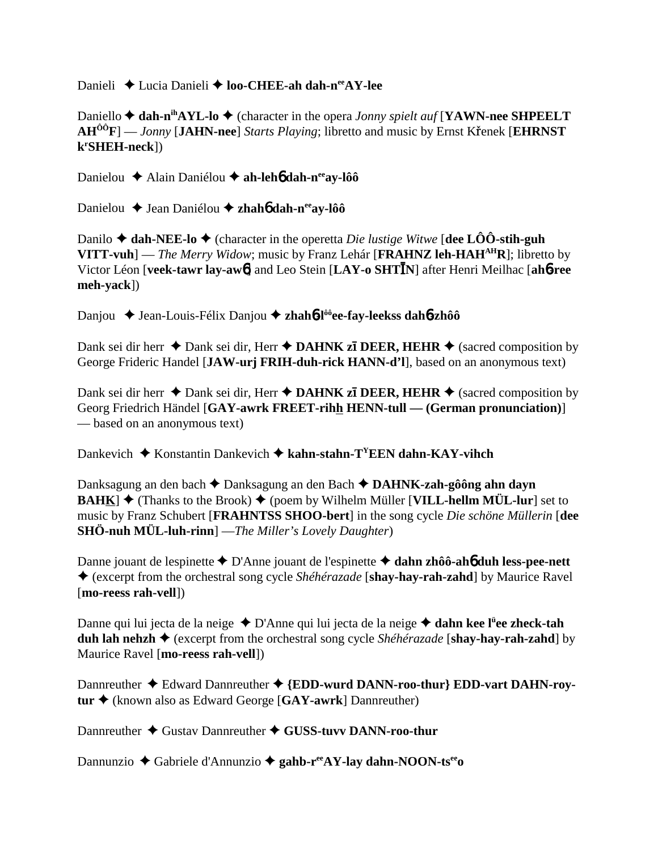Danieli **→** Lucia Danieli → **loo-CHEE-ah dah-n<sup>ee</sup>AY-lee** 

Daniello **→ dah-n<sup>ih</sup>AYL-lo →** (character in the opera *Jonny spielt auf* [**YAWN-nee SHPEELT AH<sup>ÔÔ</sup>F**] — *Jonny* [JAHN-nee] *Starts Playing*; libretto and music by Ernst Kr̃enek [EHRNST] **kr SHEH-neck**])

Danielou **←** Alain Daniélou ← ah-leh**6** dah-n<sup>ee</sup>ay-lôô

Danielou Jean Daniélou **zhah**6 **dah-neeay-lôô**

Danilo  $\blacklozenge$  **dah-NEE-lo**  $\blacklozenge$  (character in the operetta *Die lustige Witwe* [dee LÔO-stih-guh **VITT-vuh**] — *The Merry Widow*; music by Franz Lehár [**FRAHNZ** leh-HAH<sup>AH</sup>R]; libretto by Victor Léon [veek-tawr lay-awb] and Leo Stein [LAY-o SHTIN] after Henri Meilhac [ahb-ree **meh-yack**])

Danjou Jean-Louis-Félix Danjou **zhah**6**-lôôee-fay-leekss dah**6**-zhôô**

Dank sei dir herr  $\triangle$  Dank sei dir, Herr  $\triangle$  **DAHNK zī DEER, HEHR**  $\triangle$  (sacred composition by George Frideric Handel [**JAW-urj FRIH-duh-rick HANN-d'l**], based on an anonymous text)

Dank sei dir herr  $\triangle$  Dank sei dir, Herr  $\triangle$  **DAHNK zī DEER, HEHR**  $\triangle$  (sacred composition by Georg Friedrich Händel [**GAY-awrk FREET-rihh HENN-tull — (German pronunciation)**] — based on an anonymous text)

Dankevich Konstantin Dankevich **kahn-stahn-TYEEN dahn-KAY-vihch**

Danksagung an den bach **→** Danksagung an den Bach **→ DAHNK-zah-gôông ahn dayn BAHK**]  $\blacklozenge$  (Thanks to the Brook)  $\blacklozenge$  (poem by Wilhelm Müller [VILL-hellm MÜL-lur] set to music by Franz Schubert [**FRAHNTSS SHOO-bert**] in the song cycle *Die schöne Müllerin* [**dee SHÖ-nuh MÜL-luh-rinn**] —*The Miller's Lovely Daughter*)

Danne jouant de lespinette **→** D'Anne jouant de l'espinette **→ dahn zhôô-ah6** duh less-pee-nett (excerpt from the orchestral song cycle *Shéhérazade* [**shay-hay-rah-zahd**] by Maurice Ravel [**mo-reess rah-vell**])

Danne qui lui jecta de la neige ◆ D'Anne qui lui jecta de la neige **◆ dahn kee l<sup>ü</sup>ee zheck-tah duh lah nehzh** (excerpt from the orchestral song cycle *Shéhérazade* [**shay-hay-rah-zahd**] by Maurice Ravel [**mo-reess rah-vell**])

Dannreuther  $\triangle$  Edward Dannreuther  $\triangle$  {EDD-wurd DANN-roo-thur} EDD-vart DAHN-roy**tur** (known also as Edward George [**GAY-awrk**] Dannreuther)

Dannreuther ♦ Gustav Dannreuther ♦ GUSS-tuvv DANN-roo-thur

Dannunzio Gabriele d'Annunzio **gahb-reeAY-lay dahn-NOON-tseeo**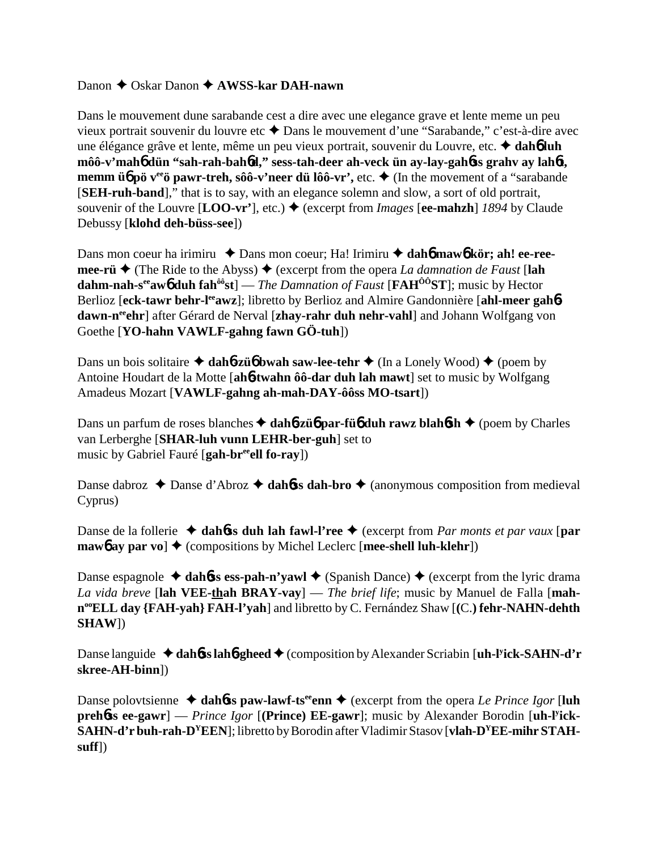## Danon **←** Oskar Danon ← **AWSS-kar DAH-nawn**

Dans le mouvement dune sarabande cest a dire avec une elegance grave et lente meme un peu vieux portrait souvenir du louvre etc ◆ Dans le mouvement d'une "Sarabande," c'est-à-dire avec une élégance grâve et lente, même un peu vieux portrait, souvenir du Louvre, etc.  **dah**6 **luh môô-v'mah**6 **dün "sah-rah-bah**6**d," sess-tah-deer ah-veck ün ay-lay-gah**6**ss grahv ay lah**6**t, memm üb pö v<sup>ee</sup> pawr-treh, sôô-v'neer dü lôô-vr',** etc.  $\triangleleft$  (In the movement of a "sarabande") [**SEH-ruh-band**]," that is to say, with an elegance solemn and slow, a sort of old portrait, souvenir of the Louvre  $[LOO-vr']$ , etc.)  $\blacklozenge$  (excerpt from *Images*  $[ee\text{-mahzh}]$  *1894* by Claude Debussy [**klohd deh-büss-see**])

Dans mon coeur ha irimiru  $\triangle$  Dans mon coeur; Ha! Irimiru  $\triangle$  dah**6** maw6 kör; ah! ee-ree**mee-rü**  $\triangle$  (The Ride to the Abyss)  $\triangle$  (excerpt from the opera *La damnation de Faust* [lah **dahm-nah-seeaw**6 **duh fahôôst**] — *The Damnation of Faust* [**FAHÔÔST**]; music by Hector Berlioz [eck-tawr behr-l<sup>ee</sup>awz]; libretto by Berlioz and Almire Gandonnière [ahl-meer gah**6**dawn-n<sup>ee</sup>chr] after Gérard de Nerval [zhay-rahr duh nehr-vahl] and Johann Wolfgang von Goethe [**YO-hahn VAWLF-gahng fawn GÖ-tuh**])

Dans un bois solitaire  $\triangle$  dah**6-zü<sub>0</sub>** bwah saw-lee-tehr  $\triangle$  (In a Lonely Wood)  $\triangle$  (poem by Antoine Houdart de la Motte [**ah**6**-twahn ôô-dar duh lah mawt**] set to music by Wolfgang Amadeus Mozart [**VAWLF-gahng ah-mah-DAY-ôôss MO-tsart**])

Dans un parfum de roses blanches **→ dah6-zü6 par-fü6 duh rawz blah6sh** ◆ (poem by Charles van Lerberghe [**SHAR-luh vunn LEHR-ber-guh**] set to music by Gabriel Fauré [**gah-breeell fo-ray**])

Danse dabroz  $\triangle$  Danse d'Abroz  $\triangle$  dah**6**ss dah-bro  $\triangle$  (anonymous composition from medieval Cyprus)

Danse de la follerie  $\triangleleft$  dah**6ss duh lah fawl-l'ree**  $\triangleleft$  (excerpt from *Par monts et par vaux* [par **maw<sub>6</sub>** ay par vo]  $\triangle$  (compositions by Michel Leclerc [mee-shell luh-klehr])

Danse espagnole  $\triangleleft$  dah6ss ess-pah-n'yawl  $\triangleleft$  (Spanish Dance)  $\triangleleft$  (excerpt from the lyric drama *La vida breve* [**lah VEE-thah BRAY-vay**] — *The brief life*; music by Manuel de Falla [**mahnooELL day {FAH-yah} FAH-l'yah**] and libretto by C. Fernández Shaw [**(**C.**) fehr-NAHN-dehth SHAW**])

Danse languide ◆ dah6**ss lah6-gheed** ◆ (composition by Alexander Scriabin [uh-l<sup>y</sup>ick-SAHN-d'r **skree-AH-binn**])

Danse polovtsienne  $\triangle$  dah**6**ss paw-lawf-ts<sup>ee</sup>enn  $\triangle$  (excerpt from the opera *Le Prince Igor* [luh **preh**6**ss ee-gawr**] — *Prince Igor* [**(Prince) EE-gawr**]; music by Alexander Borodin [**uh-ly ick-SAHN-d'r buh-rah-DYEEN**]; libretto by Borodin after Vladimir Stasov [**vlah-DYEE-mihr STAHsuff**])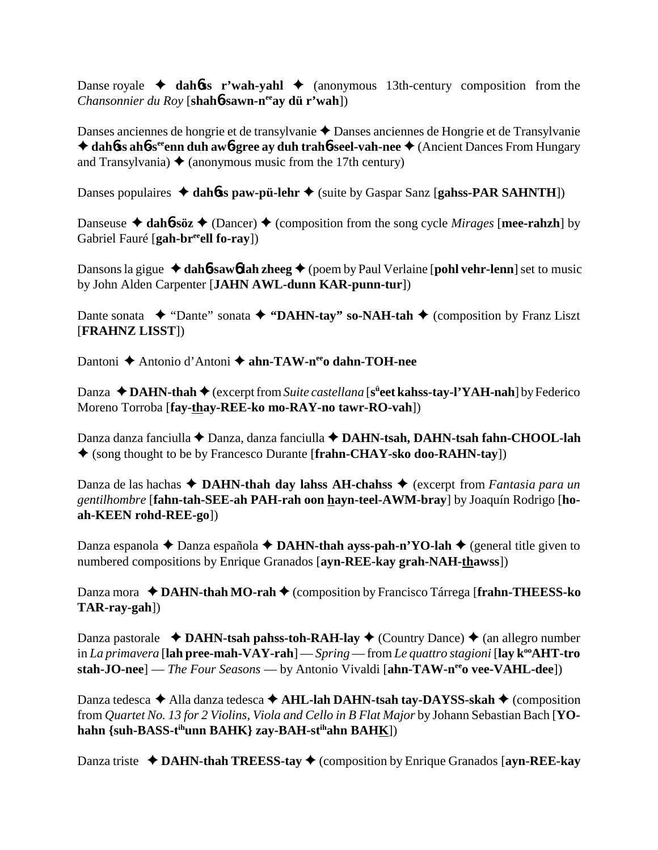Danse royale  $\rightarrow$  dahbs r'wah-yahl  $\rightarrow$  (anonymous 13th-century composition from the *Chansonnier du Roy* [**shah**6**-sawn-neeay dü r'wah**])

Danses anciennes de hongrie et de transylvanie ◆ Danses anciennes de Hongrie et de Transylvanie ◆ dah6**ss ah6**-s<sup>ee</sup>enn duh aw6-gree ay duh trah6-seel-vah-nee ◆ (Ancient Dances From Hungary and Transylvania)  $\triangle$  (anonymous music from the 17th century)

Danses populaires  $\triangleleft$  dah**6**ss paw-pü-lehr  $\triangleleft$  (suite by Gaspar Sanz [gahss-PAR SAHNTH])

Danseuse  $\triangleleft$  dah**6**-söz  $\triangleleft$  (Dancer)  $\triangleleft$  (composition from the song cycle *Mirages* [mee-rahzh] by Gabriel Fauré [gah-br<sup>ee</sup>ell fo-ray])

Dansons la gigue  $\triangleleft$  dah**6**-saw<sub>6</sub> lah zheeg  $\triangleleft$  (poem by Paul Verlaine [pohl vehr-lenn] set to music by John Alden Carpenter [**JAHN AWL-dunn KAR-punn-tur**])

Dante sonata  $\rightarrow$  "Dante" sonata  $\rightarrow$  "DAHN-tay" so-NAH-tah  $\rightarrow$  (composition by Franz Liszt) [**FRAHNZ LISST**])

Dantoni **→** Antonio d'Antoni → ahn-TAW-n<sup>ee</sup>o dahn-TOH-nee

Danza ◆ DAHN-thah ◆ (excerpt from *Suite castellana* [s<sup>ü</sup>eet kahss-tay-l'YAH-nah] by Federico Moreno Torroba [**fay-thay-REE-ko mo-RAY-no tawr-RO-vah**])

Danza danza fanciulla **←** Danza, danza fanciulla ← DAHN-tsah, DAHN-tsah fahn-CHOOL-lah (song thought to be by Francesco Durante [**frahn-CHAY-sko doo-RAHN-tay**])

Danza de las hachas **→ DAHN-thah day lahss AH-chahss** → (excerpt from *Fantasia para un gentilhombre* [**fahn-tah-SEE-ah PAH-rah oon hayn-teel-AWM-bray**] by Joaquín Rodrigo [**hoah-KEEN rohd-REE-go**])

Danza espanola ◆ Danza española ◆ DAHN-thah ayss-pah-n'YO-lah ◆ (general title given to numbered compositions by Enrique Granados [**ayn-REE-kay grah-NAH-thawss**])

Danza mora **→ DAHN-thah MO-rah →** (composition by Francisco Tárrega [frahn-THEESS-ko **TAR-ray-gah**])

Danza pastorale  $\triangleleft$  **DAHN-tsah pahss-toh-RAH-lay**  $\triangleleft$  (Country Dance)  $\triangleleft$  (an allegro number in *La primavera* [**lah pree-mah-VAY-rah**] — *Spring* — from *Le quattro stagioni* [**lay k<sup>°</sup>AHT-tro stah-JO-nee**] — *The Four Seasons* — by Antonio Vivaldi [**ahn-TAW-n<sup>ee</sup>o vee-VAHL-dee**])

Danza tedesca  $\triangle$  Alla danza tedesca  $\triangle$  AHL-lah DAHN-tsah tay-DAYSS-skah  $\triangle$  (composition from *Quartet No. 13 for 2 Violins, Viola and Cello in B Flat Major* by Johann Sebastian Bach [**YO**hahn {suh-BASS-tihunn BAHK} zay-BAH-stihahn BAHK])

Danza triste **→ DAHN-thah TREESS-tay →** (composition by Enrique Granados [ayn-REE-kay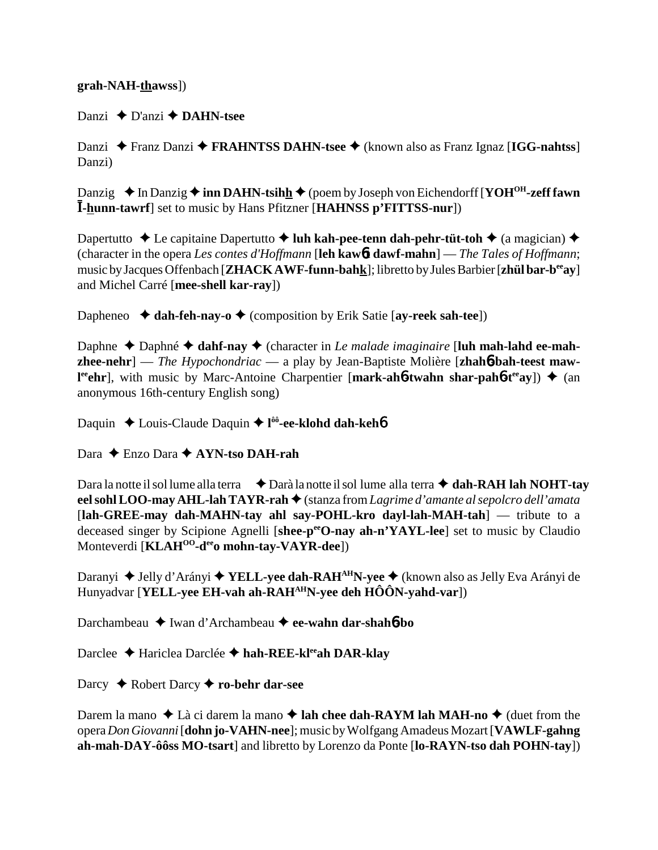## **grah-NAH-thawss**])

Danzi **←** D'anzi **← DAHN-tsee** 

Danzi Franz Danzi **FRAHNTSS DAHN-tsee** (known also as Franz Ignaz [**IGG-nahtss**] Danzi)

Danzig **→** In Danzig **→ inn DAHN-tsihh +** (poem by Joseph von Eichendorff [**YOH<sup>OH</sup>-zeff fawn I-hunn-tawrf**] set to music by Hans Pfitzner [HAHNSS p'FITTSS-nur])

Dapertutto **↓** Le capitaine Dapertutto **↓ luh kah-pee-tenn dah-pehr-tüt-toh ↓** (a magician) ◆ (character in the opera *Les contes d'Hoffmann* [**leh kaw**6**t dawf-mahn**] — *The Tales of Hoffmann*; music by Jacques Offenbach [**ZHACK AWF-funn-bahk**]; libretto by Jules Barbier [**zhül bar-beeay**] and Michel Carré [**mee-shell kar-ray**])

Dapheneo  $\blacklozenge$  **dah-feh-nay-o**  $\blacklozenge$  (composition by Erik Satie [ay-reek sah-tee])

Daphne  $\triangle$  Daphné  $\triangle$  dahf-nay  $\triangle$  (character in *Le malade imaginaire* [luh mah-lahd ee-mah**zhee-nehr**] — *The Hypochondriac* — a play by Jean-Baptiste Molière [**zhah**6**-bah-teest mawl**<sup>re</sup>ehr], with music by Marc-Antoine Charpentier [mark-ah6-twahn shar-pah6-t<sup>ee</sup>ay]) ◆ (an anonymous 16th-century English song)

Daquin Louis-Claude Daquin **l ôô-ee-klohd dah-keh**6

Dara Enzo Dara **AYN-tso DAH-rah**

Dara la notte il sol lume alla terra  $\bigoplus$  Darà la notte il sol lume alla terra **↑ dah-RAH lah NOHT-tay** eel sohl LOO-may AHL-lah TAYR-rah ◆ (stanza from *Lagrime d'amante al sepolcro dell'amata* [**lah-GREE-may dah-MAHN-tay ahl say-POHL-kro dayl-lah-MAH-tah**] — tribute to a deceased singer by Scipione Agnelli [shee-p<sup>ee</sup>O-nay ah-n'YAYL-lee] set to music by Claudio Monteverdi [**KLAHOO-deeo mohn-tay-VAYR-dee**])

Daranyi ◆ Jelly d'Arányi ◆ **YELL-yee dah-RAH<sup>AH</sup>N-yee** ◆ (known also as Jelly Eva Arányi de Hunyadvar [**YELL-yee EH-vah ah-RAHAHN-yee deh HÔÔN-yahd-var**])

Darchambeau Iwan d'Archambeau **ee-wahn dar-shah**6**-bo**

Darclee **→** Hariclea Darclée → hah-REE-kl<sup>ee</sup>ah DAR-klay

Darcy Robert Darcy **ro-behr dar-see**

Darem la mano ◆ Là ci darem la mano ◆ **lah chee dah-RAYM lah MAH-no** ◆ (duet from the opera *Don Giovanni* [**dohn jo-VAHN-nee**]; music by Wolfgang Amadeus Mozart [**VAWLF-gahng ah-mah-DAY-ôôss MO-tsart**] and libretto by Lorenzo da Ponte [**lo-RAYN-tso dah POHN-tay**])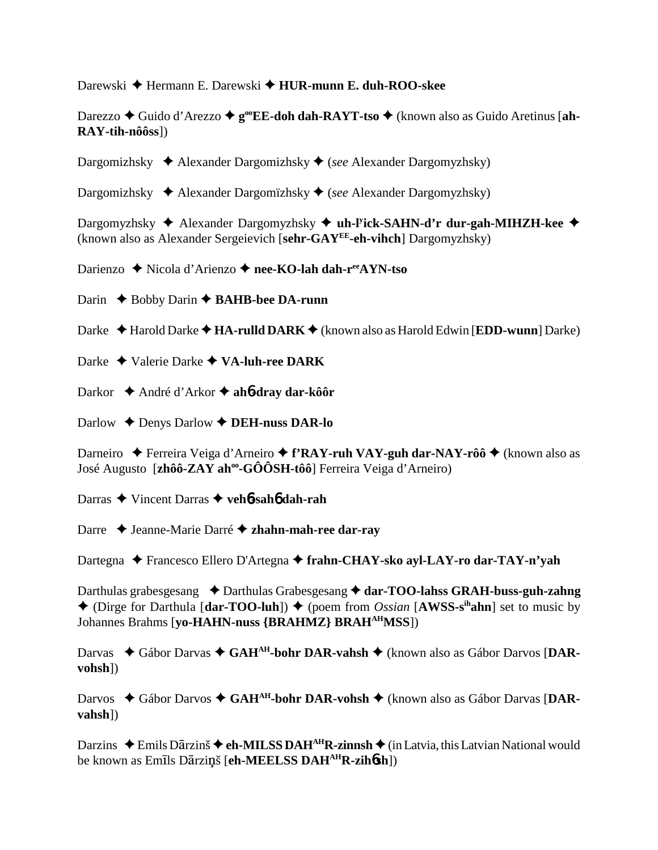Darewski Hermann E. Darewski **HUR-munn E. duh-ROO-skee**

Darezzo ◆ Guido d'Arezzo ◆ g<sup>oo</sup>EE-doh dah-RAYT-tso ◆ (known also as Guido Aretinus [ah-**RAY-tih-nôôss**])

Dargomizhsky Alexander Dargomizhsky (*see* Alexander Dargomyzhsky)

Dargomizhsky Alexander Dargomïzhsky (*see* Alexander Dargomyzhsky)

Dargomyzhsky Alexander Dargomyzhsky **uh-ly ick-SAHN-d'r dur-gah-MIHZH-kee** (known also as Alexander Sergeievich [**sehr-GAYEE-eh-vihch**] Dargomyzhsky)

Darienzo **→** Nicola d'Arienzo → nee-KO-lah dah-r<sup>ee</sup>AYN-tso

Darin **← Bobby Darin ← BAHB-bee DA-runn** 

Darke ◆ Harold Darke ◆ **HA-rulld DARK** ◆ (known also as Harold Edwin [**EDD-wunn**] Darke)

Darke Valerie Darke **VA-luh-ree DARK**

Darkor André d'Arkor **ah**6**-dray dar-kôôr**

Darlow Denys Darlow **DEH-nuss DAR-lo**

Darneiro ◆ Ferreira Veiga d'Arneiro ◆ f'RAY-ruh VAY-guh dar-NAY-rôô ◆ (known also as José Augusto [zhôô-ZAY ah<sup>oo</sup>-GÔÔSH-tôô] Ferreira Veiga d'Arneiro)

Darras Vincent Darras **veh**6**-sah**6 **dah-rah**

Darre Jeanne-Marie Darré **zhahn-mah-ree dar-ray**

Dartegna Francesco Ellero D'Artegna **frahn-CHAY-sko ayl-LAY-ro dar-TAY-n'yah**

Darthulas grabesgesang **→** Darthulas Grabesgesang → dar-TOO-lahss GRAH-buss-guh-zahng  $\triangle$  (Dirge for Darthula [dar-TOO-luh])  $\triangle$  (poem from *Ossian* [AWSS-s<sup>ih</sup>ahn] set to music by Johannes Brahms [**yo-HAHN-nuss {BRAHMZ} BRAHAHMSS**])

Darvas ◆ Gábor Darvas ◆ GAH<sup>AH</sup>-bohr DAR-vahsh ◆ (known also as Gábor Darvos [DAR**vohsh**])

Darvos ◆ Gábor Darvos ◆ GAH<sup>AH</sup>-bohr DAR-vohsh ◆ (known also as Gábor Darvas [DAR**vahsh**])

Darzins ◆ Emils Dārzinš ◆ eh-MILSS DAH<sup>AH</sup>R-zinnsh ◆ (in Latvia, this Latvian National would be known as Emīls Dārziņš [eh-MEELSS DAH<sup>AH</sup>R-zihosh])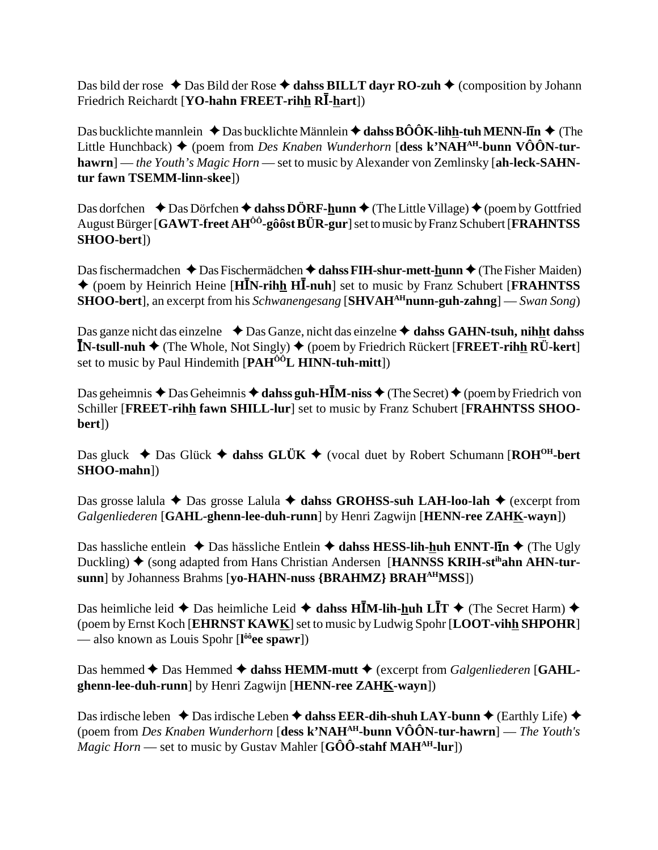Das bild der rose  $\triangle$  Das Bild der Rose  $\triangle$  dahss BILLT dayr RO-zuh  $\triangle$  (composition by Johann  $\mathbf{F}$ riedrich Reichardt [**YO-hahn FREET-rih<u>h</u> RĪ-<u>h</u>art**])

Das bucklichte mannlein  $\triangle$  Das bucklichte Männlein  $\triangle$  dahss  $\angle B\angle OK$ -lihh-tuh MENN-l**i**n  $\triangle$  (The Little Hunchback) ♦ (poem from *Des Knaben Wunderhorn* [dess k'NAH<sup>AH</sup>-bunn VÔÔN-tur**hawrn**] — *the Youth's Magic Horn* — set to music by Alexander von Zemlinsky [**ah-leck-SAHNtur fawn TSEMM-linn-skee**])

Das dorfchen  $\rightarrow$  Das Dörfchen  $\rightarrow$  dahss DÖRF-hunn  $\rightarrow$  (The Little Village)  $\rightarrow$  (poem by Gottfried August Bürger [**GAWT-freet AHÔÔ-gôôst BÜR-gur**] set to music by Franz Schubert [**FRAHNTSS SHOO-bert**])

Das fischermadchen ◆ Das Fischermädchen ◆ dahss FIH-shur-mett-hunn ◆ (The Fisher Maiden) ◆ (poem by Heinrich Heine [HIN-rihh HI-nuh] set to music by Franz Schubert [FRAHNTSS] **SHOO-bert**], an excerpt from his *Schwanengesang* [SHVAH<sup>AH</sup>nunn-guh-zahng] — *Swan Song*)

Das ganze nicht das einzelne **↓**Das Ganze, nicht das einzelne **→ dahss GAHN-tsuh, nihht dahss IN-tsull-nuh →** (The Whole, Not Singly) ◆ (poem by Friedrich Rückert [FREET-rihh RU-kert] set to music by Paul Hindemith [**PAHÔÔL HINN-tuh-mitt**])

Das geheimnis ◆ Das Geheimnis ◆ **dahss guh-HĪM-niss** ◆ (The Secret) ◆ (poem by Friedrich von Schiller [**FREET-rihh fawn SHILL-lur**] set to music by Franz Schubert [**FRAHNTSS SHOObert**])

Das gluck  $\blacklozenge$  Das Glück  $\blacklozenge$  dahss GLÜK  $\blacklozenge$  (vocal duet by Robert Schumann [ROH<sup>OH</sup>-bert **SHOO-mahn**])

Das grosse lalula ◆ Das grosse Lalula ◆ dahss GROHSS-suh LAH-loo-lah ◆ (excerpt from *Galgenliederen* [**GAHL-ghenn-lee-duh-runn**] by Henri Zagwijn [**HENN-ree ZAHK-wayn**])

Das hassliche entlein  $\triangle$  Das hässliche Entlein  $\triangle$  dahss HESS-lih-huh ENNT-l**In**  $\triangle$  (The Ugly Duckling) ♦ (song adapted from Hans Christian Andersen [**HANNSS KRIH-st<sup>ih</sup>ahn AHN-tursunn**] by Johanness Brahms [**yo-HAHN-nuss {BRAHMZ} BRAHAHMSS**])

Das heimliche leid ◆ Das heimliche Leid ◆ dahss H**IM-lih-huh LIT** ◆ (The Secret Harm) ◆ (poem by Ernst Koch [**EHRNST KAWK**] set to music by Ludwig Spohr [**LOOT-vihh SHPOHR**] — also known as Louis Spohr [**l ôôee spawr**])

Das hemmed ◆ Das Hemmed ◆ dahss HEMM-mutt ◆ (excerpt from *Galgenliederen* [GAHL**ghenn-lee-duh-runn**] by Henri Zagwijn [**HENN-ree ZAHK-wayn**])

Das irdische leben  $\triangle$  Das irdische Leben  $\triangle$  dahss EER-dih-shuh LAY-bunn  $\triangle$  (Earthly Life)  $\triangle$ (poem from *Des Knaben Wunderhorn* [**dess k'NAHAH-bunn VÔÔN-tur-hawrn**] — *The Youth's Magic Horn* — set to music by Gustav Mahler  $[G\hat{O}\hat{O}$ -stahf MAH<sup>AH</sup>-lur<sup>]</sup>)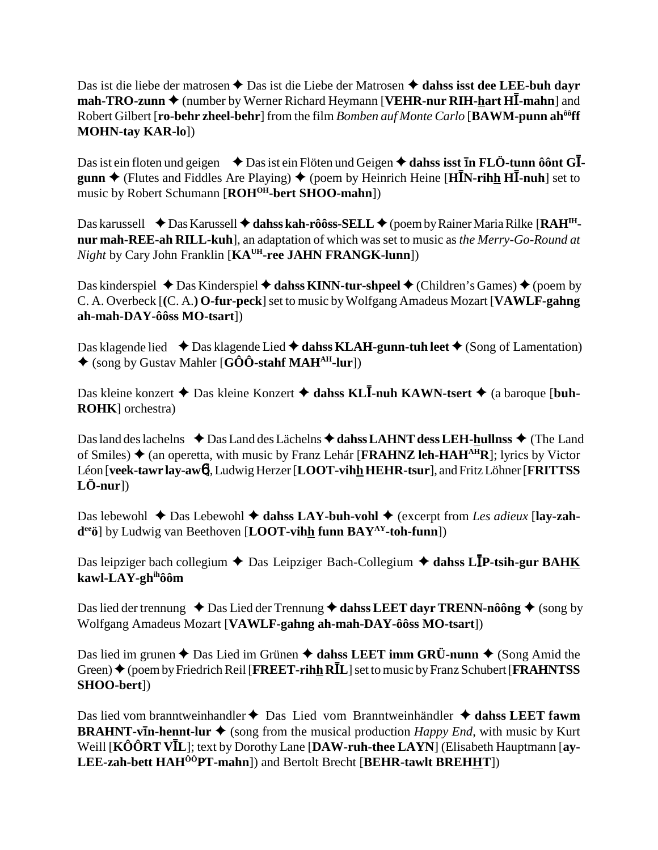Das ist die liebe der matrosen **←** Das ist die Liebe der Matrosen **← dahss isst dee LEE-buh dayr mah-TRO-zunn ♦** (number by Werner Richard Heymann [**VEHR-nur RIH-<u>h</u>art HĪ-mahn**] and Robert Gilbert [**ro-behr zheel-behr**] from the film *Bomben auf Monte Carlo* [**BAWM-punn ahôôff MOHN-tay KAR-lo**])

Das ist ein floten und geigen  $\rightarrow$  Das ist ein Flöten und Geigen  $\rightarrow$  dahss isst **in FLÖ-tunn ôônt GIgunn ♦** (Flutes and Fiddles Are Playing) ♦ (poem by Heinrich Heine [HIN-rihh HI-nuh] set to music by Robert Schumann [ROH<sup>OH</sup>-bert SHOO-mahn])

Das karussell **→** Das Karussell → dahss kah-rôôss-SELL → (poem by Rainer Maria Rilke [RAH<sup>IH</sup>**nur mah-REE-ah RILL-kuh**], an adaptation of which was set to music as *the Merry-Go-Round at Night* by Cary John Franklin [**KAUH-ree JAHN FRANGK-lunn**])

Das kinderspiel ◆ Das Kinderspiel ◆ dahss KINN-tur-shpeel ◆ (Children's Games) ◆ (poem by C. A. Overbeck [**(**C. A.**) O-fur-peck**] set to music by Wolfgang Amadeus Mozart [**VAWLF-gahng ah-mah-DAY-ôôss MO-tsart**])

Das klagende lied  $\triangle$  Das klagende Lied  $\triangle$  dahss KLAH-gunn-tuh leet  $\triangle$  (Song of Lamentation) (song by Gustav Mahler [**GÔÔ-stahf MAHAH-lur**])

Das kleine konzert ◆ Das kleine Konzert ◆ dahss KL**Ī-nuh KAWN-tsert ◆** (a baroque [buh-**ROHK**] orchestra)

Das land des lachelns  $\rightarrow$  Das Land des Lächelns  $\rightarrow$  dahss LAHNT dess LEH-hullnss  $\rightarrow$  (The Land of Smiles) (an operetta, with music by Franz Lehár [**FRAHNZ leh-HAHAHR**]; lyrics by Victor Léon [**veek-tawr lay-aw**6], Ludwig Herzer [**LOOT-vihh HEHR-tsur**], and Fritz Löhner [**FRITTSS LÖ-nur**])

Das lebewohl ◆ Das Lebewohl ◆ dahss LAY-buh-vohl ◆ (excerpt from *Les adieux* [lay-zah**deeö**] by Ludwig van Beethoven [**LOOT-vihh funn BAYAY-toh-funn**])

Das leipziger bach collegium ◆ Das Leipziger Bach-Collegium ◆ dahss LIP-tsih-gur BAHK **kawl-LAY-ghihôôm**

Das lied der trennung  $\triangle$  Das Lied der Trennung  $\triangle$  dahss LEET dayr TRENN-nôông  $\triangle$  (song by Wolfgang Amadeus Mozart [**VAWLF-gahng ah-mah-DAY-ôôss MO-tsart**])

Das lied im grunen  $\triangle$  Das Lied im Grünen  $\triangle$  dahss LEET imm GRÜ-nunn  $\triangle$  (Song Amid the Green) ◆ (poem by Friedrich Reil [FREET-rihh RIL] set to music by Franz Schubert [FRAHNTSS **SHOO-bert**])

Das lied vom branntweinhandler ◆ Das Lied vom Branntweinhändler ◆ dahss LEET fawm **BRAHNT-vIn-hennt-lur**  $\triangleq$  (song from the musical production *Happy End*, with music by Kurt Weill [KÔÔRT VĪL]; text by Dorothy Lane [DAW-ruh-thee LAYN] (Elisabeth Hauptmann [ay-**LEE-zah-bett HAHÔÔPT-mahn**]) and Bertolt Brecht [**BEHR-tawlt BREHHT**])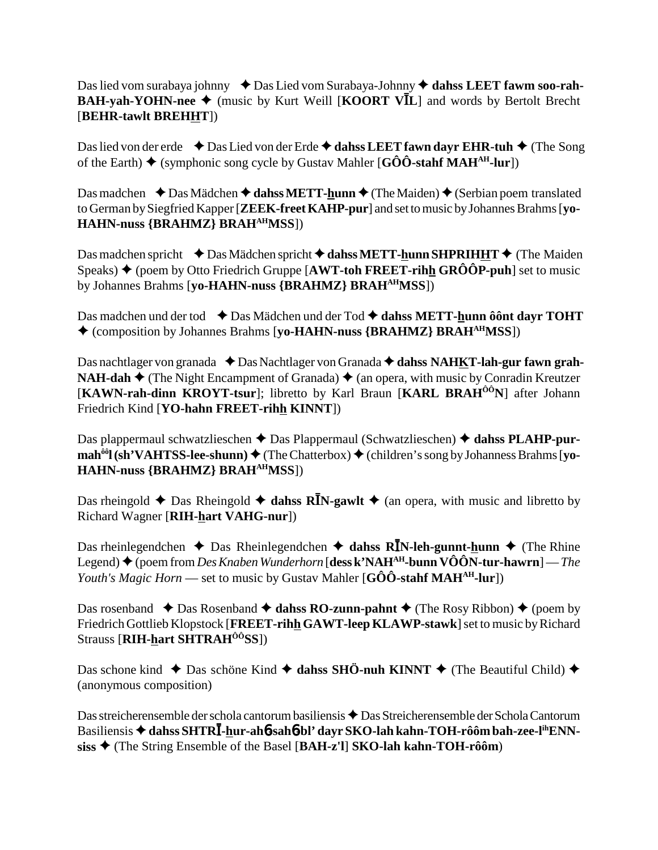# Das lied vom surabaya johnny ◆ Das Lied vom Surabaya-Johnny ◆ dahss LEET fawm soo-rah-**BAH-yah-YOHN-nee**  $\triangleq$  **(music by Kurt Weill [KOORT VIL] and words by Bertolt Brecht** [**BEHR-tawlt BREHHT**])

Das lied von der erde **↓**Das Lied von der Erde **↓ dahss LEET fawn dayr EHR-tuh ◆** (The Song of the Earth)  $\blacklozenge$  (symphonic song cycle by Gustav Mahler [G $\hat{O}\hat{O}$ -stahf MAH<sup>AH</sup>-lur])

Das madchen **→** Das Mädchen **→ dahss METT-hunn** → (The Maiden) → (Serbian poem translated to German by Siegfried Kapper [**ZEEK-freet KAHP-pur**] and set to music by Johannes Brahms [**yo-HAHN-nuss {BRAHMZ} BRAHAHMSS**])

Das madchen spricht  $\blacklozenge$  Das Mädchen spricht  $\blacklozenge$  dahss METT-hunn SHPRIHHT  $\blacklozenge$  (The Maiden Speaks)  $\triangle$  (poem by Otto Friedrich Gruppe [AWT-toh FREET-rihh GRÔÔP-puh] set to music by Johannes Brahms [**yo-HAHN-nuss {BRAHMZ} BRAHAHMSS**])

Das madchen und der tod **↓**Das Mädchen und der Tod **→ dahss METT-hunn ôônt dayr TOHT** (composition by Johannes Brahms [**yo-HAHN-nuss {BRAHMZ} BRAHAHMSS**])

Das nachtlager von granada ◆ Das Nachtlager von Granada **◆ dahss NAHKT-lah-gur fawn grah-NAH-dah**  $\blacklozenge$  (The Night Encampment of Granada)  $\blacklozenge$  (an opera, with music by Conradin Kreutzer [**KAWN-rah-dinn KROYT-tsur**]; libretto by Karl Braun [**KARL BRAHÔÔN**] after Johann Friedrich Kind [**YO-hahn FREET-rihh KINNT**])

Das plappermaul schwatzlieschen **→** Das Plappermaul (Schwatzlieschen) **→ dahss PLAHP-purmah<sup>ôô</sup>l (sh'VAHTSS-lee-shunn) ♦ (The Chatterbox) ♦ (children's song by Johanness Brahms [yo-HAHN-nuss {BRAHMZ} BRAHAHMSS**])

Das rheingold  $\triangle$  Das Rheingold  $\triangle$  dahss R**I**N-gawlt  $\triangle$  (an opera, with music and libretto by Richard Wagner [**RIH-hart VAHG-nur**])

Das rheinlegendchen ◆ Das Rheinlegendchen ◆ dahss R**IN-leh-gunnt-hunn** ◆ (The Rhine Legend) (poem from *Des Knaben Wunderhorn* [**dess k'NAHAH-bunn VÔÔN-tur-hawrn**] — *The Youth's Magic Horn* — set to music by Gustav Mahler [GÔÔ-stahf MAH<sup>AH</sup>-lur])

Das rosenband  $\triangle$  Das Rosenband  $\triangle$  dahss RO-zunn-pahnt  $\triangle$  (The Rosy Ribbon)  $\triangle$  (poem by Friedrich Gottlieb Klopstock [**FREET-rihh GAWT-leep KLAWP-stawk**] set to music by Richard Strauss [**RIH-hart SHTRAHÔÔSS**])

Das schone kind  $\triangle$  Das schöne Kind  $\triangle$  dahss SHÖ-nuh KINNT  $\triangle$  (The Beautiful Child)  $\triangle$ (anonymous composition)

Das streicherensemble der schola cantorum basiliensis  $\bigstar$  Das Streicherensemble der Schola Cantorum Basiliensis ◆ d<mark>ahss SHTRĪ-<u>h</u>ur-ah6-sah6-bl' dayr SKO-lah kahn-TOH-rôôm bah-zee-l<sup>ih</sup>ENN-</mark> **siss** (The String Ensemble of the Basel [**BAH-z'l**] **SKO-lah kahn-TOH-rôôm**)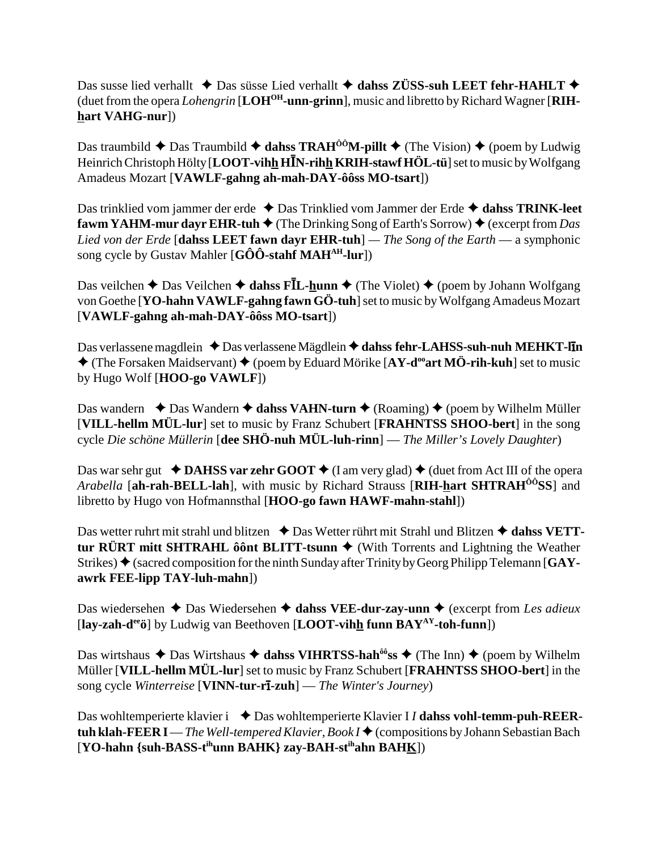Das susse lied verhallt  $\triangle$  Das süsse Lied verhallt  $\triangle$  dahss ZÜSS-suh LEET fehr-HAHLT  $\triangle$ (duet from the opera *Lohengrin* [**LOHOH-unn-grinn**], music and libretto by Richard Wagner [**RIHhart VAHG-nur**])

Das traumbild  $\triangle$  Das Traumbild  $\triangle$  dahss TRAH<sup>ôô</sup>M-pillt  $\triangle$  (The Vision)  $\triangle$  (poem by Ludwig Heinrich Christoph Hölty [LOOT-vihh HIN-rihh KRIH-stawf HÖL-tü] set to music by Wolfgang Amadeus Mozart [**VAWLF-gahng ah-mah-DAY-ôôss MO-tsart**])

Das trinklied vom jammer der erde ◆ Das Trinklied vom Jammer der Erde ◆ dahss TRINK-leet **fawm YAHM-mur dayr EHR-tuh**  $\blacklozenge$  (The Drinking Song of Earth's Sorrow)  $\blacklozenge$  (excerpt from *Das Lied von der Erde* [**dahss LEET fawn dayr EHR-tuh**] *— The Song of the Earth* — a symphonic song cycle by Gustav Mahler [**GÔÔ-stahf MAHAH-lur**])

Das veilchen ◆ Das Veilchen ◆ **dahss FĪL-<u>h</u>unn** ◆ (The Violet) ◆ (poem by Johann Wolfgang von Goethe [**YO-hahn VAWLF-gahng fawn GÖ-tuh**] set to music by Wolfgang Amadeus Mozart [**VAWLF-gahng ah-mah-DAY-ôôss MO-tsart**])

Das verlassene magdlein ◆ Das verlassene Mägdlein ◆ dahss fehr-LAHSS-suh-nuh MEHKT-l**ī**n  $\triangle$  (The Forsaken Maidservant)  $\triangle$  (poem by Eduard Mörike [AY-d<sup>oo</sup>art MÖ-rih-kuh] set to music by Hugo Wolf [**HOO-go VAWLF**])

Das wandern  $\triangle$  Das Wandern  $\triangle$  dahss VAHN-turn  $\triangle$  (Roaming)  $\triangle$  (poem by Wilhelm Müller [**VILL-hellm MÜL-lur**] set to music by Franz Schubert [**FRAHNTSS SHOO-bert**] in the song cycle *Die schöne Müllerin* [**dee SHÖ-nuh MÜL-luh-rinn**] — *The Miller's Lovely Daughter*)

Das war sehr gut  $\triangleleft$  **DAHSS var zehr GOOT**  $\triangleq$  (I am very glad)  $\triangleleft$  (duet from Act III of the opera *Arabella* [**ah-rah-BELL-lah**], with music by Richard Strauss [**RIH-hart SHTRAHÔÔSS**] and libretto by Hugo von Hofmannsthal [**HOO-go fawn HAWF-mahn-stahl**])

Das wetter ruhrt mit strahl und blitzen **↓** Das Wetter rührt mit Strahl und Blitzen **→ dahss VETTtur RÜRT mitt SHTRAHL ôônt BLITT-tsunn**  $\blacklozenge$  (With Torrents and Lightning the Weather Strikes) ◆ (sacred composition for the ninth Sunday after Trinity by Georg Philipp Telemann [GAY**awrk FEE-lipp TAY-luh-mahn**])

Das wiedersehen  $\triangle$  Das Wiedersehen  $\triangle$  dahss VEE-dur-zay-unn  $\triangle$  (excerpt from *Les adieux* [**lay-zah-deeö**] by Ludwig van Beethoven [**LOOT-vihh funn BAYAY-toh-funn**])

Das wirtshaus  $\triangle$  Das Wirtshaus  $\triangle$  dahss VIHRTSS-hah<sup>ôô</sup>ss  $\triangle$  (The Inn)  $\triangle$  (poem by Wilhelm Müller [**VILL-hellm MÜL-lur**] set to music by Franz Schubert [**FRAHNTSS SHOO-bert**] in the song cycle *Winterreise* [**VINN-tur-r-zuh**] — *The Winter's Journey*)

Das wohltemperierte klavier i **→** Das wohltemperierte Klavier I *I* dahss vohl-temm-puh-REER**tuh klah-FEER I**—*The Well-tempered Klavier, Book I* ♦ (compositions by Johann Sebastian Bach [**YO-hahn {suh-BASS-tihunn BAHK} zay-BAH-stihahn BAHK**])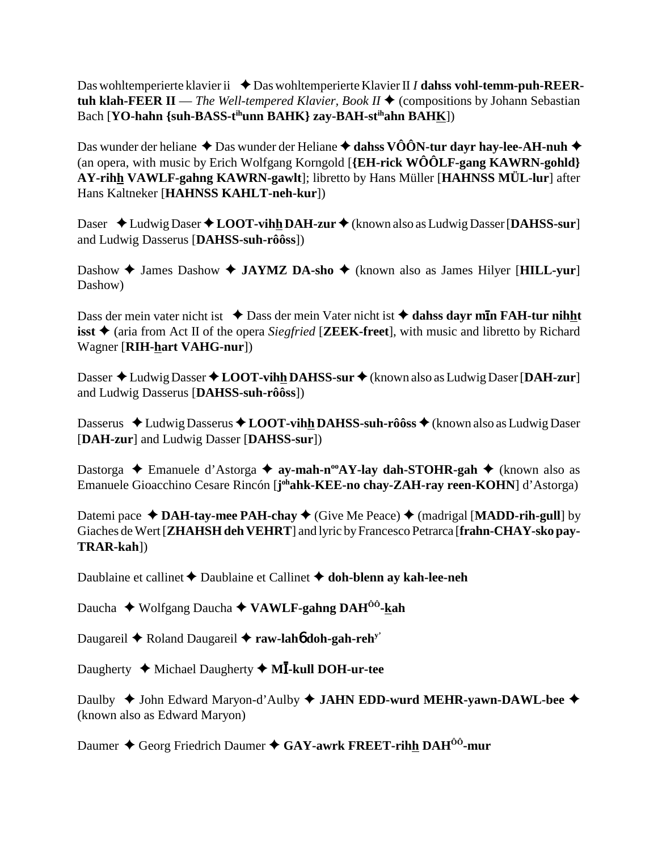Das wohltemperierte klavier ii ◆ Das wohltemperierte Klavier II *I* dahss vohl-temm-puh-REER**tuh klah-FEER II** — *The Well-tempered Klavier, Book II*  $\blacklozenge$  (compositions by Johann Sebastian Bach [**YO-hahn** {suh-BASS-t<sup>ih</sup>unn BAHK} zay-BAH-st<sup>ih</sup>ahn BAHK])

Das wunder der heliane  $\triangle$  Das wunder der Heliane  $\triangle$  dahss VÔÔN-tur dayr hay-lee-AH-nuh  $\triangle$ (an opera, with music by Erich Wolfgang Korngold [**{EH-rick WÔÔLF-gang KAWRN-gohld} AY-rihh VAWLF-gahng KAWRN-gawlt**]; libretto by Hans Müller [**HAHNSS MÜL-lur**] after Hans Kaltneker [**HAHNSS KAHLT-neh-kur**])

Daser ◆Ludwig Daser ◆LOOT-vihh DAH-zur ◆ (known also as Ludwig Dasser [DAHSS-sur] and Ludwig Dasserus [**DAHSS-suh-rôôss**])

Dashow **→** James Dashow **→ JAYMZ DA-sho** → (known also as James Hilyer [**HILL-yur**] Dashow)

Dass der mein vater nicht ist **↓** Dass der mein Vater nicht ist **→ dahss dayr mīn FAH-tur nihht isst ♦** (aria from Act II of the opera *Siegfried* [**ZEEK-freet**], with music and libretto by Richard Wagner [**RIH-hart VAHG-nur**])

Dasser ◆ Ludwig Dasser ◆ LOOT-vihh DAHSS-sur ◆ (known also as Ludwig Daser [DAH-zur] and Ludwig Dasserus [**DAHSS-suh-rôôss**])

Dasserus ◆ Ludwig Dasserus ◆ LOOT-vihh DAHSS-suh-rôôss ◆ (known also as Ludwig Daser [**DAH-zur**] and Ludwig Dasser [**DAHSS-sur**])

Dastorga **→** Emanuele d'Astorga → ay-mah-n<sup>oo</sup>AY-lay dah-STOHR-gah → (known also as Emanuele Gioacchino Cesare Rincón [**j**<sup>oh</sup>ahk-KEE-no chay-ZAH-ray reen-KOHN] d'Astorga)

Datemi pace  $\triangleleft$  **DAH-tay-mee PAH-chay**  $\triangleleft$  (Give Me Peace)  $\triangleleft$  (madrigal [**MADD-rih-gull**] by Giaches de Wert [**ZHAHSH deh VEHRT**] and lyric by Francesco Petrarca [**frahn-CHAY-sko pay-TRAR-kah**])

Daublaine et callinet Daublaine et Callinet **doh-blenn ay kah-lee-neh**

Daucha Wolfgang Daucha **VAWLF-gahng DAHÔÔ-kah**

Daugareil **←** Roland Daugareil ← raw-lah**6** doh-gah-reh<sup>y'</sup>

Daugherty ◆ Michael Daugherty ◆ M**I-kull DOH-ur-tee** 

Daulby ◆ John Edward Maryon-d'Aulby ◆ JAHN EDD-wurd MEHR-yawn-DAWL-bee ◆ (known also as Edward Maryon)

Daumer **→** Georg Friedrich Daumer ◆ GAY-awrk FREET-rihh DAH<sup>00</sup>-mur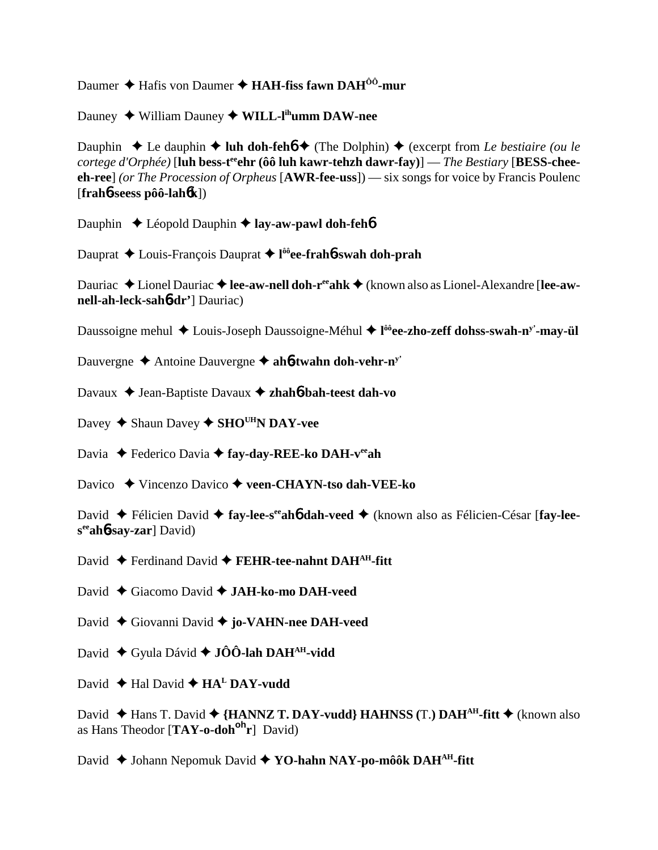Daumer Hafis von Daumer **HAH-fiss fawn DAHÔÔ-mur**

Dauney ◆ William Dauney ◆ WILL-l<sup>ih</sup>umm DAW-nee

Dauphin  $\triangle$  Le dauphin  $\triangle$  luh doh-feh**ó**  $\triangle$  (The Dolphin)  $\triangle$  (excerpt from *Le bestiaire (ou le cortege d'Orphée*) [luh bess-t<sup>ee</sup>ehr (ôô luh kawr-tehzh dawr-fay)] — *The Bestiary* [BESS-chee**eh-ree**] *(or The Procession of Orpheus* [**AWR-fee-uss**]) — six songs for voice by Francis Poulenc [**frah**6**-seess pôô-lah**6**k**])

Dauphin **↓** Léopold Dauphin **→ lay-aw-pawl doh-feh**<sup>6</sup>

Dauprat Louis-François Dauprat **l ôôee-frah**6**-swah doh-prah**

Dauriac ◆ Lionel Dauriac ◆ lee-aw-nell doh-r<sup>ee</sup>ahk ◆ (known also as Lionel-Alexandre [lee-aw**nell-ah-leck-sah**6**-dr'**] Dauriac)

Daussoigne mehul ◆ Louis-Joseph Daussoigne-Méhul ◆ l<sup>ôô</sup>ee-zho-zeff dohss-swah-n<sup>y'</sup>-may-ül

Dauvergne Antoine Dauvergne **ah**6**-twahn doh-vehr-ny'**

Davaux **→** Jean-Baptiste Davaux **→ zhah6-bah-teest dah-vo** 

Davey  $\triangle$  Shaun Davey  $\triangle$  SHO<sup>UH</sup>N DAY-vee

Davia ◆ Federico Davia ◆ fay-day-REE-ko DAH-v<sup>ee</sup>ah

Davico Vincenzo Davico **veen-CHAYN-tso dah-VEE-ko**

David ◆ Félicien David ◆ fay-lee-s<sup>ee</sup> ah**6** dah-veed ◆ (known also as Félicien-César [fay-lee**seeah**6**-say-zar**] David)

David ◆ Ferdinand David ◆ FEHR-tee-nahnt DAH<sup>AH</sup>-fitt

David Giacomo David **JAH-ko-mo DAH-veed**

David Giovanni David **jo-VAHN-nee DAH-veed**

David **→** Gyula Dávid ◆ **JÔÔ-lah DAH**<sup>AH</sup>-vidd

David  $\blacklozenge$  Hal David  $\blacklozenge$  HA<sup>L</sup> DAY-vudd

David  $\blacklozenge$  Hans T. David  $\blacklozenge$  {HANNZ T. DAY-vudd} HAHNSS (T.) DAH<sup>AH</sup>-fitt  $\blacklozenge$  (known also as Hans Theodor [**TAY-o-dohoh r**] David)

David ◆ Johann Nepomuk David ◆ YO-hahn NAY-po-môôk DAH<sup>AH</sup>-fitt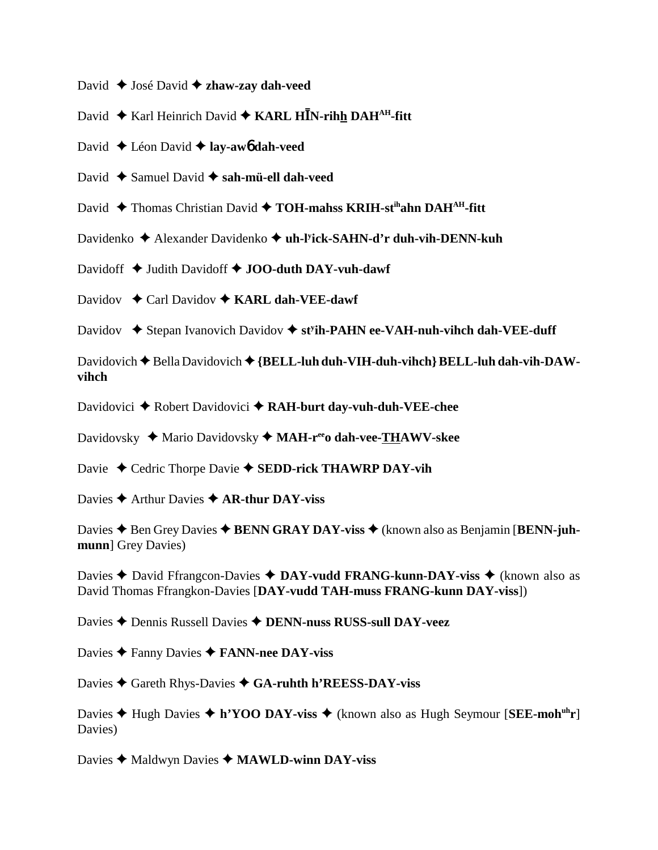- David **→** José David **→ zhaw-zay dah-veed**
- David ♦ Karl Heinrich David ♦ KARL HĪN-rihh DAH<sup>AH</sup>-fitt
- David Léon David **lay-aw**6 **dah-veed**
- David ◆ Samuel David **◆ sah-mü-ell dah-veed**
- David ◆ Thomas Christian David ◆ TOH-mahss KRIH-st<sup>ih</sup>ahn DAH<sup>AH</sup>-fitt
- Davidenko Alexander Davidenko **uh-ly ick-SAHN-d'r duh-vih-DENN-kuh**
- Davidoff **→** Judith Davidoff ◆ **JOO-duth DAY-vuh-dawf**
- Davidov **←** Carl Davidov ← **KARL dah-VEE-dawf**
- Davidov **→** Stepan Ivanovich Davidov → st<sup>y</sup>ih-PAHN ee-VAH-nuh-vihch dah-VEE-duff
- Davidovich  $\blacklozenge$  Bella Davidovich  $\blacklozenge$  {BELL-luh duh-VIH-duh-vihch} BELL-luh dah-vih-DAW**vihch**
- Davidovici ◆ Robert Davidovici ◆ RAH-burt day-vuh-duh-VEE-chee
- Davidovsky ◆ Mario Davidovsky ◆ MAH-r<sup>ee</sup>o dah-vee-THAWV-skee
- Davie ◆ Cedric Thorpe Davie ◆ **SEDD-rick THAWRP DAY-vih**
- Davies **→** Arthur Davies **→ AR-thur DAY-viss**
- Davies **→** Ben Grey Davies ◆ **BENN GRAY DAY-viss** ◆ (known also as Benjamin [**BENN-juhmunn**] Grey Davies)
- Davies **←** David Ffrangcon-Davies **← DAY-vudd FRANG-kunn-DAY-viss ←** (known also as David Thomas Ffrangkon-Davies [**DAY-vudd TAH-muss FRANG-kunn DAY-viss**])
- Davies Dennis Russell Davies **DENN-nuss RUSS-sull DAY-veez**
- Davies Fanny Davies **FANN-nee DAY-viss**
- Davies **→** Gareth Rhys-Davies → GA-ruhth h'REESS-DAY-viss
- Davies **→** Hugh Davies → h'YOO DAY-viss → (known also as Hugh Seymour [SEE-moh<sup>uh</sup>r] Davies)
- Davies ◆ Maldwyn Davies ◆ MAWLD-winn DAY-viss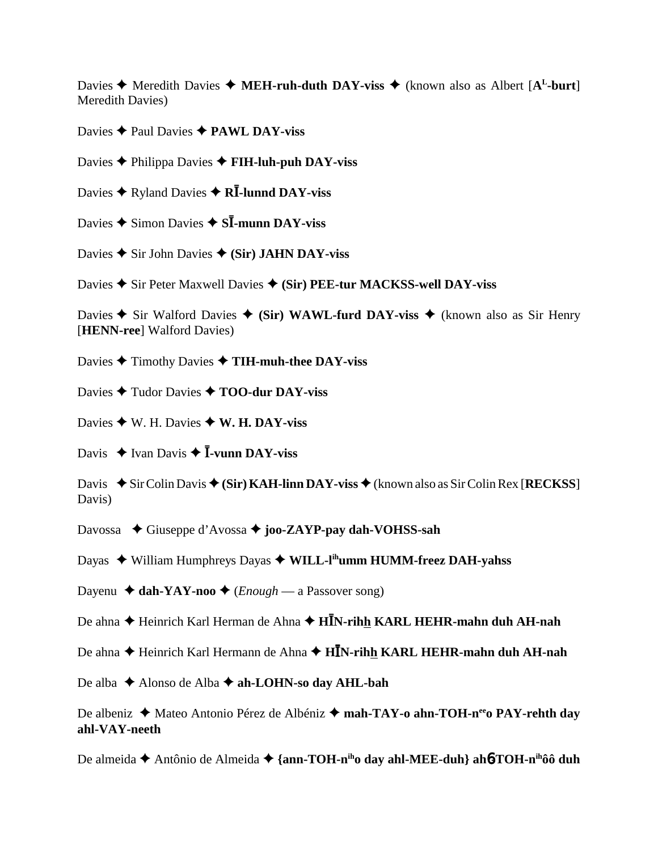Davies  $\triangle$  Meredith Davies  $\triangle$  **MEH-ruh-duth DAY-viss**  $\triangle$  (known also as Albert [A<sup>L</sup>-burt] Meredith Davies)

Davies **← Paul Davies ← PAWL DAY-viss** 

Davies Philippa Davies **FIH-luh-puh DAY-viss**

Davies ◆ Ryland Davies ◆ **RĪ-lunnd DAY-viss** 

Davies ◆ Simon Davies ◆ S**Ī-munn DAY-viss** 

Davies **◆** Sir John Davies ◆ (Sir) JAHN DAY-viss

Davies **→** Sir Peter Maxwell Davies ◆ (Sir) PEE-tur MACKSS-well DAY-viss

Davies  $\triangle$  Sir Walford Davies  $\triangle$  (Sir) WAWL-furd DAY-viss  $\triangle$  (known also as Sir Henry [**HENN-ree**] Walford Davies)

Davies Timothy Davies **TIH-muh-thee DAY-viss**

Davies **↑ Tudor Davies ↑ TOO-dur DAY-viss** 

Davies  $\triangleleft$  W. H. Davies  $\triangleleft$  W. H. DAY-viss

Davis  $\triangleq$  Ivan Davis  $\triangleq$  **I**-vunn DAY-viss

Davis  $\blacklozenge$  Sir Colin Davis  $\blacklozenge$  (Sir) KAH-linn DAY-viss  $\blacklozenge$  (known also as Sir Colin Rex [RECKSS] Davis)

Davossa  **←** Giuseppe d'Avossa ← **joo-ZAYP-pay dah-VOHSS-sah** 

Dayas ◆ William Humphreys Dayas ◆ WILL-l<sup>ih</sup>umm HUMM-freez DAH-yahss

Dayenu  $\triangleleft$  dah-YAY-noo  $\triangleleft$  *(Enough* — a Passover song)

De ahna ◆ Heinrich Karl Herman de Ahna ◆ H**ĪN-rih<u>h</u> KARL HEHR-mahn duh AH-nah** 

De ahna ◆ Heinrich Karl Hermann de Ahna ◆ H**ĪN-rih<u>h</u> KARL HEHR-mahn duh AH-nah** 

De alba ◆ Alonso de Alba **→ ah-LOHN-so day AHL-bah** 

De albeniz **→** Mateo Antonio Pérez de Albéniz → mah-TAY-o ahn-TOH-n<sup>ee</sup>o PAY-rehth day **ahl-VAY-neeth**

De almeida **→** Antônio de Almeida → {ann-TOH-n<sup>ih</sup>o day ahl-MEE-duh} ah**6**-TOH-n<sup>ih</sup>ôô duh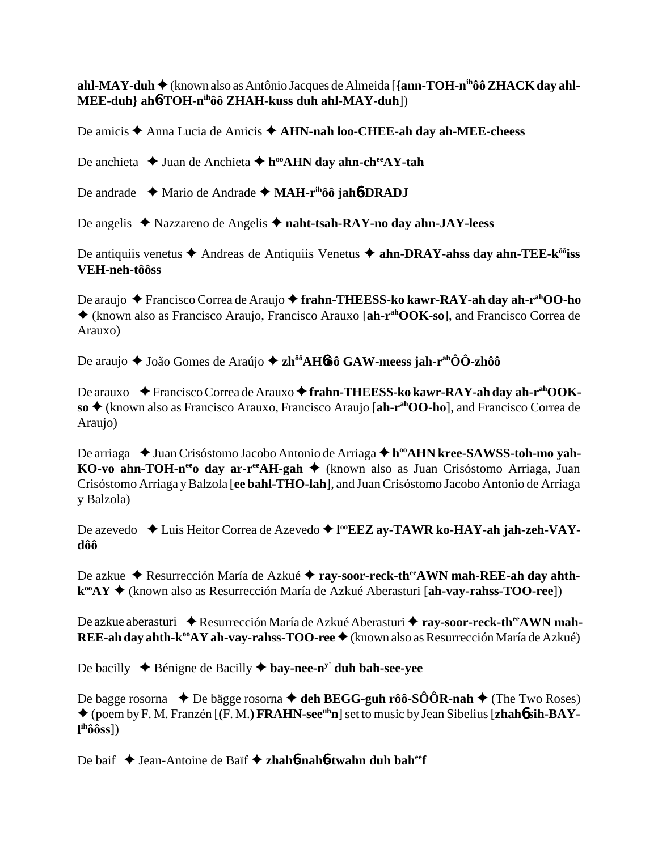## **ahl-MAY-duh ♦** (known also as Antônio Jacques de Almeida [**{ann-TOH-n<sup>ih</sup>ôô ZHACK day ahl-MEE-duh} ah**6**-TOH-nihôô ZHAH-kuss duh ahl-MAY-duh**])

De amicis **→** Anna Lucia de Amicis → **AHN-nah loo-CHEE-ah day ah-MEE-cheess** 

De anchieta **↓** Juan de Anchieta **✦ h<sup>oo</sup>AHN day ahn-ch<sup>ee</sup>AY-tah** 

De andrade Mario de Andrade **MAH-rihôô jah**6**-DRADJ**

De angelis Nazzareno de Angelis **naht-tsah-RAY-no day ahn-JAY-leess**

De antiquiis venetus  $\triangle$  Andreas de Antiquiis Venetus  $\triangle$  ahn-DRAY-ahss day ahn-TEE-k<sup> $\hat{\theta}$ oiss</sup> **VEH-neh-tôôss**

De araujo ◆ Francisco Correa de Araujo ◆ frahn-THEESS-ko kawr-RAY-ah day ah-r<sup>ah</sup>OO-ho (known also as Francisco Araujo, Francisco Arauxo [**ah-rahOOK-so**], and Francisco Correa de Arauxo)

De araujo ◆ João Gomes de Araújo ◆ zh<sup>ôô</sup>AH6ôô GAW-meess jah-r<sup>ah</sup>ÔÔ-zhôô

De arauxo **← Francisco Correa de Arauxo ← frahn-THEESS-ko kawr-RAY-ah day ah-r<sup>ah</sup>OOKso** (known also as Francisco Arauxo, Francisco Araujo [**ah-rahOO-ho**], and Francisco Correa de Araujo)

De arriaga ◆ Juan Crisóstomo Jacobo Antonio de Arriaga ◆ h<sup>oo</sup>AHN kree-SAWSS-toh-mo yah-**KO-vo ahn-TOH-n<sup>ee</sup>o day ar-r<sup>ee</sup>AH-gah →** (known also as Juan Crisóstomo Arriaga, Juan Crisóstomo Arriaga y Balzola [**ee bahl-THO-lah**], and Juan Crisóstomo Jacobo Antonio de Arriaga y Balzola)

De azevedo ◆ Luis Heitor Correa de Azevedo ◆ l<sup>oo</sup>**EEZ ay-TAWR ko-HAY-ah jah-zeh-VAYdôô**

De azkue ◆ Resurrección María de Azkué ◆ ray-soor-reck-th<sup>ee</sup>AWN mah-REE-ah day ahth**kooAY** (known also as Resurrección María de Azkué Aberasturi [**ah-vay-rahss-TOO-ree**])

De azkue aberasturi ◆ Resurrección María de Azkué Aberasturi ◆ ray-soor-reck-th<sup>ee</sup>AWN mah-**REE-ah day ahth-k<sup>oo</sup>AY ah-vay-rahss-TOO-ree ♦**(known also as Resurrección María de Azkué)

De bacilly  $\blacklozenge$  Bénigne de Bacilly  $\blacklozenge$  **bay-nee-n<sup>y'</sup> duh bah-see-yee** 

De bagge rosorna  $\rightarrow$  De bägge rosorna  $\rightarrow$  deh BEGG-guh rôô-SÔÔR-nah  $\rightarrow$  (The Two Roses) (poem by F. M. Franzén [**(**F. M.**) FRAHN-seeuhn**] set to music by Jean Sibelius [**zhah**6 **sih-BAYl ihôôss**])

De baif ◆ Jean-Antoine de Baïf ◆ zhah**6-nah6-twahn duh bah<sup>ee</sup>f**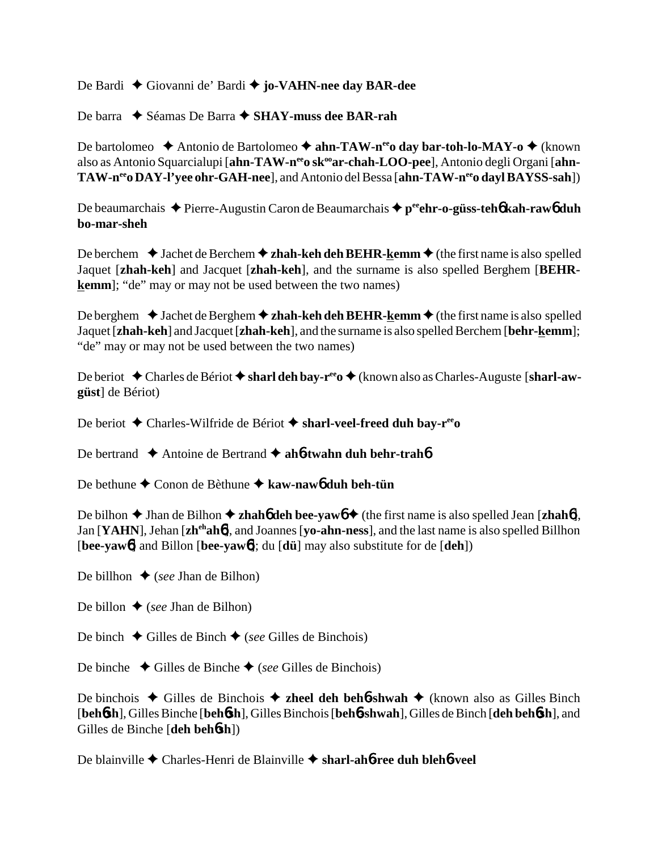De Bardi Giovanni de' Bardi **jo-VAHN-nee day BAR-dee**

De barra **→** Séamas De Barra **→ SHAY-muss dee BAR-rah** 

De bartolomeo ◆ Antonio de Bartolomeo ◆ ahn-TAW-n<sup>ee</sup>o day bar-toh-lo-MAY-o ◆ (known also as Antonio Squarcialupi [ahn-TAW-n<sup>ee</sup>o sk<sup>oo</sup>ar-chah-LOO-pee], Antonio degli Organi [ahn-TAW-n<sup>ee</sup> DAY-l'vee ohr-GAH-nee], and Antonio del Bessa [ahn-TAW-n<sup>ee</sup>o dayl BAYSS-sah])

De beaumarchais ◆ Pierre-Augustin Caron de Beaumarchais ◆ p<sup>ee</sup>ehr-o-güss-teh**6** kah-raw6 duh **bo-mar-sheh**

De berchem  $\triangle$  Jachet de Berchem  $\triangle$  **zhah-keh deh BEHR-kemm**  $\triangle$  (the first name is also spelled Jaquet [**zhah-keh**] and Jacquet [**zhah-keh**], and the surname is also spelled Berghem [**BEHRkemm**]; "de" may or may not be used between the two names)

De berghem  $\triangle$  Jachet de Berghem  $\triangle$  zhah-keh deh BEHR-kemm  $\triangle$  (the first name is also spelled Jaquet[**zhah-keh**] and Jacquet [**zhah-keh**], and the surname is also spelled Berchem [**behr-kemm**]; "de" may or may not be used between the two names)

De beriot ◆ Charles de Bériot ◆ sharl deh bay-r<sup>ee</sup>o ◆ (known also as Charles-Auguste [sharl-aw**güst**] de Bériot)

De beriot Charles-Wilfride de Bériot **sharl-veel-freed duh bay-reeo**

De bertrand **→** Antoine de Bertrand → ah**6-twahn duh behr-trah6** 

De bethune **→** Conon de Bèthune → kaw-naw6 duh beh-tün

De bilhon  $\blacklozenge$  Jhan de Bilhon  $\blacklozenge$  **zhahó deh bee-yawó**  $\blacklozenge$  (the first name is also spelled Jean [**zhahó**], Jan [**YAHN**], Jehan [**zhehah**6], and Joannes [**yo-ahn-ness**], and the last name is also spelled Billhon [**bee-yaw**6] and Billon [**bee-yaw**6]; du [**dü**] may also substitute for de [**deh**])

De billhon  $\triangle$  (*see* Jhan de Bilhon)

De billon  $\triangle$  (*see* Jhan de Bilhon)

De binch  $\blacklozenge$  Gilles de Binchois)

De binche  $\triangle$  Gilles de Binche  $\triangle$  (*see* Gilles de Binchois)

De binchois  $\triangle$  Gilles de Binchois  $\triangle$  **zheel deh beh6-shwah**  $\triangle$  (known also as Gilles Binch [**beh**6**sh**], Gilles Binche [**beh**6**sh**], Gilles Binchois [**beh**6**-shwah**], Gilles de Binch [**deh beh**6**sh**], and Gilles de Binche [**deh beh**6**sh**])

De blainville Charles-Henri de Blainville **sharl-ah**6**-ree duh bleh**6**-veel**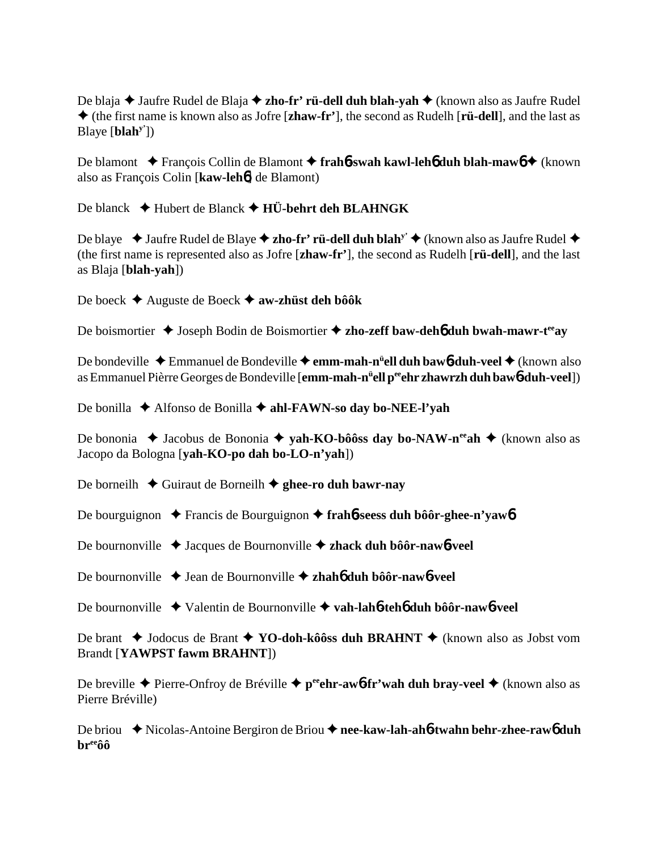De blaja ◆ Jaufre Rudel de Blaja ◆ zho-fr' rü-dell duh blah-yah ◆ (known also as Jaufre Rudel (the first name is known also as Jofre [**zhaw-fr'**], the second as Rudelh [**rü-dell**], and the last as Blaye [**blahy'**])

De blamont ◆ François Collin de Blamont ◆ frah**6**-swah kawl-leh**6** duh blah-maw6 ◆ (known also as François Colin [**kaw-leh**6] de Blamont)

De blanck **→** Hubert de Blanck → HÜ-behrt deh BLAHNGK

De blaye  $\blacklozenge$  Jaufre Rudel de Blaye  $\blacklozenge$  **zho-fr' rü-dell duh blah<sup>y'</sup>**  $\blacklozenge$  (known also as Jaufre Rudel  $\blacklozenge$ (the first name is represented also as Jofre [**zhaw-fr'**], the second as Rudelh [**rü-dell**], and the last as Blaja [**blah-yah**])

De boeck Auguste de Boeck **aw-zhüst deh bôôk**

De boismortier ◆ Joseph Bodin de Boismortier ◆ zho-zeff baw-deh6 duh bwah-mawr-t<sup>ee</sup>ay

De bondeville ◆ Emmanuel de Bondeville ◆ **emm-mah-n<sup>ü</sup>ell duh baw6-duh-veel ◆** (known also as Emmanuel Pièrre Georges de Bondeville [**emm-mah-nü ell peeehr zhawrzh duh baw**6**-duh-veel**])

De bonilla **→** Alfonso de Bonilla **→ ahl-FAWN-so day bo-NEE-l'yah** 

De bononia ◆ Jacobus de Bononia ◆ **yah-KO-bôôss day bo-NAW-n<sup>ee</sup>ah ◆** (known also as Jacopo da Bologna [**yah-KO-po dah bo-LO-n'yah**])

De borneilh **→** Guiraut de Borneilh **→ ghee-ro duh bawr-nav** 

De bourguignon ◆ Francis de Bourguignon ◆ frah**6**-seess duh bôôr-ghee-n'vaw6

De bournonville Jacques de Bournonville **zhack duh bôôr-naw**6**-veel**

De bournonville ◆ Jean de Bournonville ◆ zhah**6** duh bôôr-naw6-veel

De bournonville Valentin de Bournonville **vah-lah**6**-teh**6 **duh bôôr-naw**6**-veel**

De brant ◆ Jodocus de Brant ◆ YO-doh-kôôss duh BRAHNT ◆ (known also as Jobst vom Brandt [**YAWPST fawm BRAHNT**])

De breville **→** Pierre-Onfroy de Bréville **→ p<sup>ee</sup>ehr-aw6-fr'wah duh bray-veel** → (known also as Pierre Bréville)

De briou ◆ Nicolas-Antoine Bergiron de Briou ◆ nee-kaw-lah-ah**6**-twahn behr-zhee-raw6 duh **breeôô**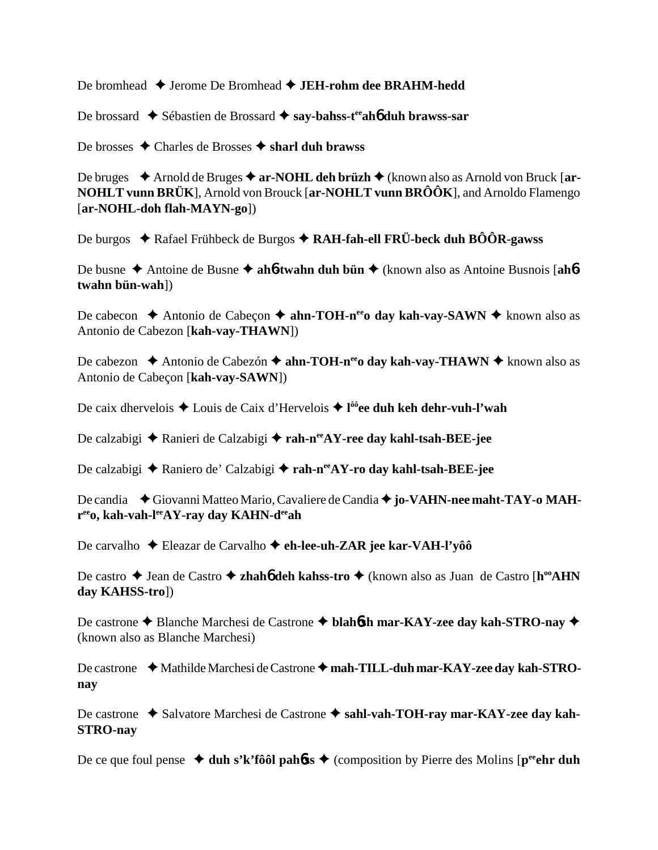De bromhead ◆ Jerome De Bromhead ◆ JEH-rohm dee BRAHM-hedd

De brossard ◆ Sébastien de Brossard ◆ say-bahss-t<sup>ee</sup>ah**6** duh brawss-sar

De brosses **→** Charles de Brosses → sharl duh brawss

De bruges ◆ Arnold de Bruges ◆ ar-NOHL deh brüzh ◆ (known also as Arnold von Bruck [ar-**NOHLT vunn BRÜK**], Arnold von Brouck [**ar-NOHLT vunn BRÔÔK**], and Arnoldo Flamengo [**ar-NOHL-doh flah-MAYN-go**])

De burgos ◆ Rafael Frühbeck de Burgos ◆ RAH-fah-ell FRÜ-beck duh BÔÔR-gawss

De busne ◆ Antoine de Busne ◆ ah**6-twahn duh bün** ◆ (known also as Antoine Busnois [ah**6twahn bün-wah**])

De cabecon  $\triangle$  Antonio de Cabeçon  $\triangle$  **ahn-TOH-n<sup>ee</sup>o day kah-vay-SAWN**  $\triangle$  known also as Antonio de Cabezon [**kah-vay-THAWN**])

De cabezon  $\triangle$  Antonio de Cabezón  $\triangle$  **ahn-TOH-n<sup>ee</sup>o day kah-vay-THAWN**  $\triangle$  known also as Antonio de Cabeçon [**kah-vay-SAWN**])

De caix dhervelois ◆ Louis de Caix d'Hervelois ◆ l<sup>ôô</sup>ee duh keh dehr-vuh-l'wah

De calzabigi **→** Ranieri de Calzabigi → rah-n<sup>ee</sup>AY-ree day kahl-tsah-BEE-jee

De calzabigi **→** Raniero de' Calzabigi → rah-n<sup>ee</sup>AY-ro day kahl-tsah-BEE-jee

De candia ◆ Giovanni Matteo Mario, Cavaliere de Candia ◆ jo-VAHN-nee maht-TAY-o MAH**reeo, kah-vah-leeAY-ray day KAHN-deeah**

De carvalho Eleazar de Carvalho **eh-lee-uh-ZAR jee kar-VAH-l'yôô**

De castro ◆ Jean de Castro ◆ zhah**6** deh kahss-tro ◆ (known also as Juan de Castro [h<sup>oo</sup>AHN **day KAHSS-tro**])

De castrone **→** Blanche Marchesi de Castrone → blah6sh mar-KAY-zee day kah-STRO-nay → (known also as Blanche Marchesi)

De castrone ◆ Mathilde Marchesi de Castrone ◆ mah-TILL-duh mar-KAY-zee day kah-STRO**nay**

De castrone ◆ Salvatore Marchesi de Castrone ◆ sahl-vah-TOH-ray mar-KAY-zee day kah-**STRO-nay**

De ce que foul pense  $\triangleleft$  duh s'k'fôôl pah**o**ss  $\triangleleft$  (composition by Pierre des Molins [p<sup>ee</sup>ehr duh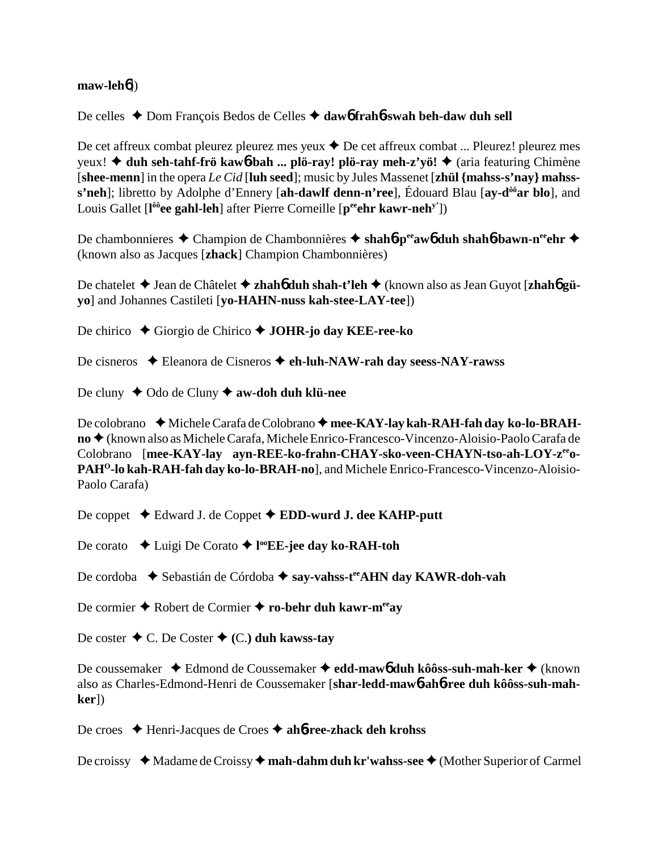#### **maw-leh**6])

### De celles ◆ Dom François Bedos de Celles ◆ daw6 frah6-swah beh-daw duh sell

De cet affreux combat pleurez pleurez mes yeux ◆ De cet affreux combat ... Pleurez! pleurez mes yeux! **→ duh seh-tahf-frö kaw6-bah ... plö-ray! plö-ray meh-z'yö! → (aria featuring Chimène** [**shee-menn**] in the opera *Le Cid* [**luh seed**]; music by Jules Massenet [**zhül {mahss-s'nay} mahsss'neh**]; libretto by Adolphe d'Ennery [**ah-dawlf denn-n'ree**], Édouard Blau [**ay-dôôar blo**], and Louis Gallet [l<sup>ôô</sup>ee gahl-leh] after Pierre Corneille [p<sup>ee</sup>ehr kawr-neh<sup>y'</sup>])

De chambonnieres **←** Champion de Chambonnières ← shah**6**-p<sup>ee</sup>aw**6** duh shah**6**-bawn-n<sup>ee</sup>ehr ← (known also as Jacques [**zhack**] Champion Chambonnières)

De chatelet Jean de Châtelet **zhah**6 **duh shah-t'leh** (known also as Jean Guyot [**zhah**6 **güyo**] and Johannes Castileti [**yo-HAHN-nuss kah-stee-LAY-tee**])

De chirico **→** Giorgio de Chirico → **JOHR-jo day KEE-ree-ko** 

De cisneros Eleanora de Cisneros **eh-luh-NAW-rah day seess-NAY-rawss**

De cluny **↓** Odo de Cluny **✦ aw-doh duh klü-nee** 

De colobrano **← Michele Carafa de Colobrano ← mee-KAY-lay kah-RAH-fah day ko-lo-BRAHno** (known also as Michele Carafa, Michele Enrico-Francesco-Vincenzo-Aloisio-Paolo Carafa de Colobrano [mee-KAY-lay ayn-REE-ko-frahn-CHAY-sko-veen-CHAYN-tso-ah-LOY-z<sup>ee</sup>o-PAH<sup>O</sup>-lo kah-RAH-fah day ko-lo-BRAH-nol, and Michele Enrico-Francesco-Vincenzo-Aloisio-Paolo Carafa)

De coppet **→** Edward J. de Coppet **→ EDD-wurd J. dee KAHP-putt** 

De corato **→** Luigi De Corato → l<sup>oo</sup>EE-jee day ko-RAH-toh

De cordoba  **◆ Sebastián de Córdoba ◆ say-vahss-t<sup>ee</sup>AHN day KAWR-doh-vah** 

De cormier **←** Robert de Cormier ← ro-behr duh kawr-meeay

De coster  $\triangle$  C. De Coster  $\triangle$  (C.) duh kawss-tay

De coussemaker ◆ Edmond de Coussemaker ◆ edd-mawb duh kôôss-suh-mah-ker ◆ (known also as Charles-Edmond-Henri de Coussemaker [**shar-ledd-maw**6**-ah**6**-ree duh kôôss-suh-mahker**])

De croes Henri-Jacques de Croes **ah**6**-ree-zhack deh krohss**

De croissy ◆ Madame de Croissy ◆ **mah-dahm duh kr'wahss-see** ◆ (Mother Superior of Carmel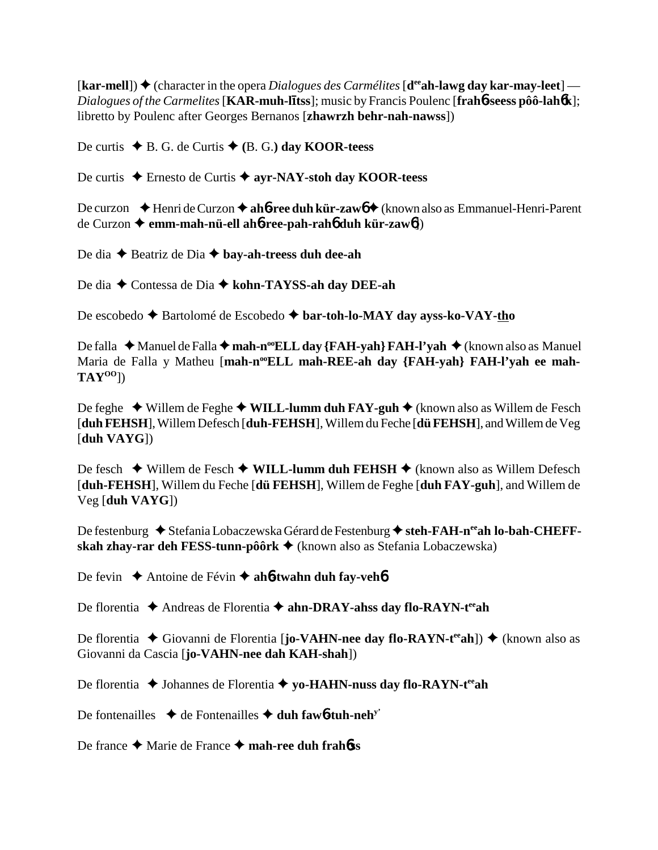$\textbf{[kar-mell]}$ )  $\blacklozenge$  (character in the opera *Dialogues des Carmélites*  $\textbf{[d}^{\text{ee}}\textbf{ah-lawg}\textbf{ day}\textbf{ kar-may-leet]}$  — *Dialogues of the Carmelites* [**KAR-muh-ltss**]; music by Francis Poulenc [**frah**6**-seess pôô-lah**6**k**]; libretto by Poulenc after Georges Bernanos [**zhawrzh behr-nah-nawss**])

De curtis  $\blacklozenge$  B. G. de Curtis  $\blacklozenge$  (B. G.) day **KOOR-teess** 

De curtis **→** Ernesto de Curtis → ayr-NAY-stoh day KOOR-teess

De curzon  $\blacklozenge$  Henri de Curzon  $\blacklozenge$  ah**6**-ree duh kür-zaw $\blacklozenge$  (known also as Emmanuel-Henri-Parent de Curzon **emm-mah-nü-ell ah**6**-ree-pah-rah**6 **duh kür-zaw**6])

De dia ◆ Beatriz de Dia ◆ **bay-ah-treess duh dee-ah** 

De dia ◆ Contessa de Dia ◆ kohn-TAYSS-ah day DEE-ah

De escobedo ◆ Bartolomé de Escobedo ◆ bar-toh-lo-MAY day ayss-ko-VAY-tho

De falla ◆ Manuel de Falla ◆ **mah-n<sup>oo</sup>ELL day {FAH-yah} FAH-l'yah** ◆ (known also as Manuel Maria de Falla y Matheu [mah-n<sup>oo</sup>ELL mah-REE-ah day {FAH-yah} FAH-l'yah ee mah-**TAYOO**])

De feghe **→** Willem de Feghe ◆ **WILL-lumm duh FAY-guh ◆** (known also as Willem de Fesch [**duh FEHSH**], Willem Defesch [**duh-FEHSH**], Willem du Feche [**dü FEHSH**], and Willem de Veg [**duh VAYG**])

De fesch ◆ Willem de Fesch ◆ WILL-lumm duh FEHSH ◆ (known also as Willem Defesch [**duh-FEHSH**], Willem du Feche [**dü FEHSH**], Willem de Feghe [**duh FAY-guh**], and Willem de Veg [**duh VAYG**])

De festenburg ◆ Stefania Lobaczewska Gérard de Festenburg ◆ steh-FAH-n<sup>ee</sup>ah lo-bah-CHEFF**skah zhay-rar deh FESS-tunn-pôôrk** (known also as Stefania Lobaczewska)

De fevin **→** Antoine de Févin → ah**6-twahn duh fay-veh6** 

De florentia ◆ Andreas de Florentia ◆ ahn-DRAY-ahss day flo-RAYN-t<sup>ee</sup>ah

De florentia ◆ Giovanni de Florentia [**jo-VAHN-nee day flo-RAYN-t<sup>ee</sup>ah**]) ◆ (known also as Giovanni da Cascia [**jo-VAHN-nee dah KAH-shah**])

De florentia ◆ Johannes de Florentia ◆ yo-HAHN-nuss day flo-RAYN-t<sup>ee</sup>ah

De fontenailles  $\triangleleft$  de Fontenailles  $\triangleleft$  duh faw**6-tuh-neh**<sup>y</sup>

De france **→** Marie de France **→ mah-ree duh frah<sup>6</sup>ss**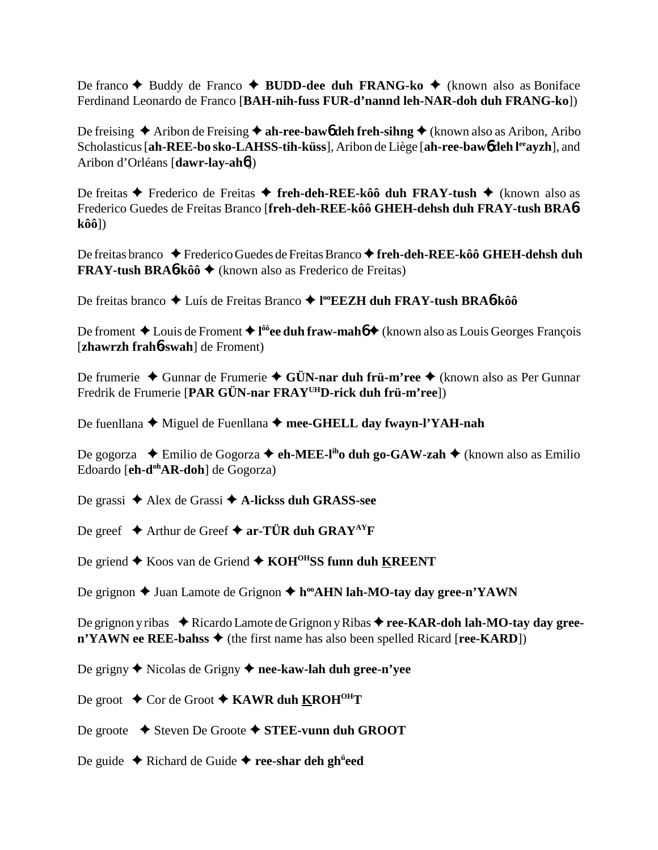De franco **◆** Buddy de Franco ◆ **BUDD-dee duh FRANG-ko** ◆ (known also as Boniface Ferdinand Leonardo de Franco [**BAH-nih-fuss FUR-d'nannd leh-NAR-doh duh FRANG-ko**])

De freising  $\triangle$  Aribon de Freising  $\triangle$  ah-ree-baw<sub>0</sub> deh freh-sihng  $\triangle$  (known also as Aribon, Aribo Scholasticus [**ah-REE-bo sko-LAHSS-tih-küss**], Aribon de Liège [**ah-ree-baw6** deh l<sup>ee</sup>ayzh], and Aribon d'Orléans [**dawr-lay-ah**6])

De freitas **←** Frederico de Freitas ← freh-deh-REE-kôô duh FRAY-tush ← (known also as Frederico Guedes de Freitas Branco [**freh-deh-REE-kôô GHEH-dehsh duh FRAY-tush BRA**6 **kôô**])

De freitas branco ◆ Frederico Guedes de Freitas Branco ◆ freh-deh-REE-kôô GHEH-dehsh duh **FRAY-tush BRA**6**-kôô** (known also as Frederico de Freitas)

De freitas branco ◆ Luís de Freitas Branco ◆ l<sup>oo</sup>**EEZH duh FRAY-tush BRA6-kôô** 

De froment ◆ Louis de Froment ◆ l<sup>ôô</sup>ee duh fraw-mahó ◆ (known also as Louis Georges François [**zhawrzh frah**6**-swah**] de Froment)

De frumerie ◆ Gunnar de Frumerie ◆ G**ÜN-nar duh frü-m'ree** ◆ (known also as Per Gunnar Fredrik de Frumerie [**PAR GÜN-nar FRAYUHD-rick duh frü-m'ree**])

De fuenllana ◆ Miguel de Fuenllana ◆ mee-GHELL day fwayn-l'YAH-nah

De gogorza  $\triangle$  Emilio de Gogorza **→ eh-MEE-l<sup>ih</sup>o duh go-GAW-zah →** (known also as Emilio Edoardo [**eh-d<sup>oh</sup>AR-doh**] de Gogorza)

De grassi Alex de Grassi **A-lickss duh GRASS-see**

De greef  $\blacklozenge$  Arthur de Greef  $\blacklozenge$  ar-TÜR duh GRAY<sup>AY</sup>F

De griend ◆ Koos van de Griend ◆ KOH<sup>OH</sup>SS funn duh KREENT

De grignon **→** Juan Lamote de Grignon → h<sup>oo</sup>AHN lah-MO-tay day gree-n'YAWN

De grignon y ribas ◆ Ricardo Lamote de Grignon y Ribas ◆ ree-KAR-doh lah-MO-tay day gree- $\mathbf{n'YAWN}$  ee REE-bahss  $\blacklozenge$  (the first name has also been spelled Ricard [**ree-KARD**])

De grigny Nicolas de Grigny **nee-kaw-lah duh gree-n'yee**

De groot **↓** Cor de Groot **◆ KAWR duh <u>K</u>ROH<sup>OH</sup>T** 

De groote **→** Steven De Groote ◆ STEE-vunn duh GROOT

De guide ◆ Richard de Guide ◆ ree-shar deh gh<sup>ü</sup>eed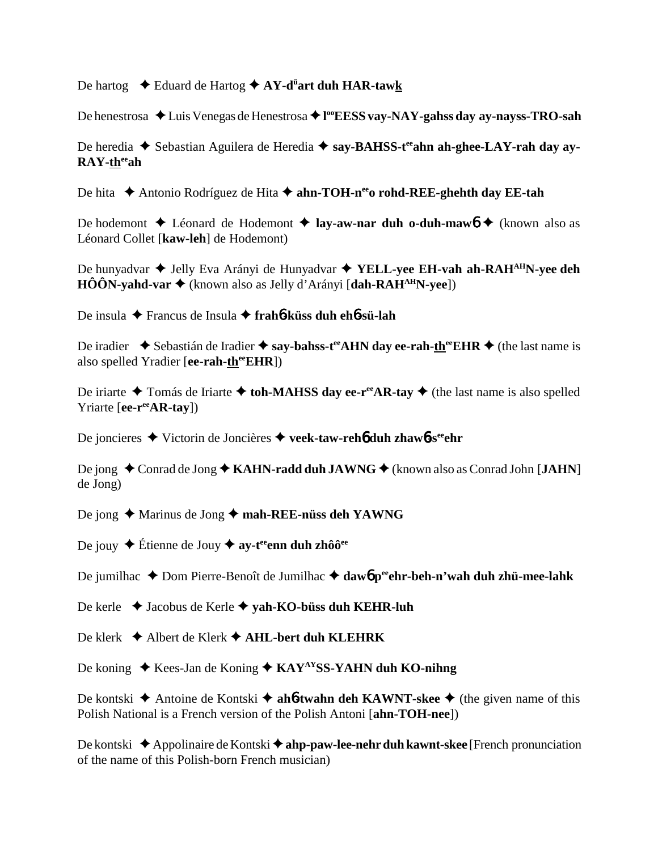De hartog Eduard de Hartog **AY-dü art duh HAR-tawk**

De henestrosa ◆ Luis Venegas de Henestrosa ◆ l<sup>oo</sup>**EESS vay-NAY-gahss day ay-nayss-TRO-sah** 

De heredia ◆ Sebastian Aguilera de Heredia ◆ say-BAHSS-t<sup>ee</sup>ahn ah-ghee-LAY-rah day ay-**RAY-theeah**

De hita **←** Antonio Rodríguez de Hita ← ahn-TOH-n<sup>ee</sup>o rohd-REE-ghehth day EE-tah

De hodemont **↓** Léonard de Hodemont **↓ lay-aw-nar duh o-duh-maw6 ◆** (known also as Léonard Collet [**kaw-leh**] de Hodemont)

De hunyadvar ◆ Jelly Eva Arányi de Hunyadvar ◆ **YELL-yee EH-vah ah-RAH<sup>AH</sup>N-yee deh HÔÔN-yahd-var ♦** (known also as Jelly d'Arányi [dah-RAH<sup>AH</sup>N-yee])

De insula Francus de Insula **frah**6**-küss duh eh**6**-sü-lah**

De iradier  $\blacklozenge$  Sebastián de Iradier  $\blacklozenge$  say-bahss-t<sup>ee</sup>AHN day ee-rah-there EHR  $\blacklozenge$  (the last name is also spelled Yradier [**ee-rah-th<sup>ee</sup>EHR**])

De iriarte  $\triangle$  Tomás de Iriarte  $\triangle$  toh-MAHSS day ee-r<sup>ee</sup>AR-tay  $\triangle$  (the last name is also spelled Yriarte [**ee-r<sup>ee</sup>AR-tay**])

De joncieres Victorin de Joncières **veek-taw-reh**6 **duh zhaw**6**-seeehr**

De jong ◆ Conrad de Jong ◆ KAHN-radd duh JAWNG ◆ (known also as Conrad John [JAHN] de Jong)

De jong ◆ Marinus de Jong ◆ mah-REE-nüss deh YAWNG

De jouy **←** Étienne de Jouy ← ay-t<sup>ee</sup>enn duh zhôô<sup>ee</sup>

De jumilhac ◆ Dom Pierre-Benoît de Jumilhac ◆ daw6 peehr-beh-n'wah duh zhü-mee-lahk

De kerle Jacobus de Kerle **yah-KO-büss duh KEHR-luh**

De klerk **→** Albert de Klerk → AHL-bert duh KLEHRK

De koning ◆ Kees-Jan de Koning ◆ KAY<sup>AY</sup>SS-YAHN duh KO-nihng

De kontski  $\triangle$  Antoine de Kontski  $\triangle$  ah**6**-twahn deh KAWNT-skee  $\triangle$  (the given name of this Polish National is a French version of the Polish Antoni [**ahn-TOH-nee**])

De kontski ◆ Appolinaire de Kontski ◆ ahp-paw-lee-nehr duh kawnt-skee [French pronunciation of the name of this Polish-born French musician)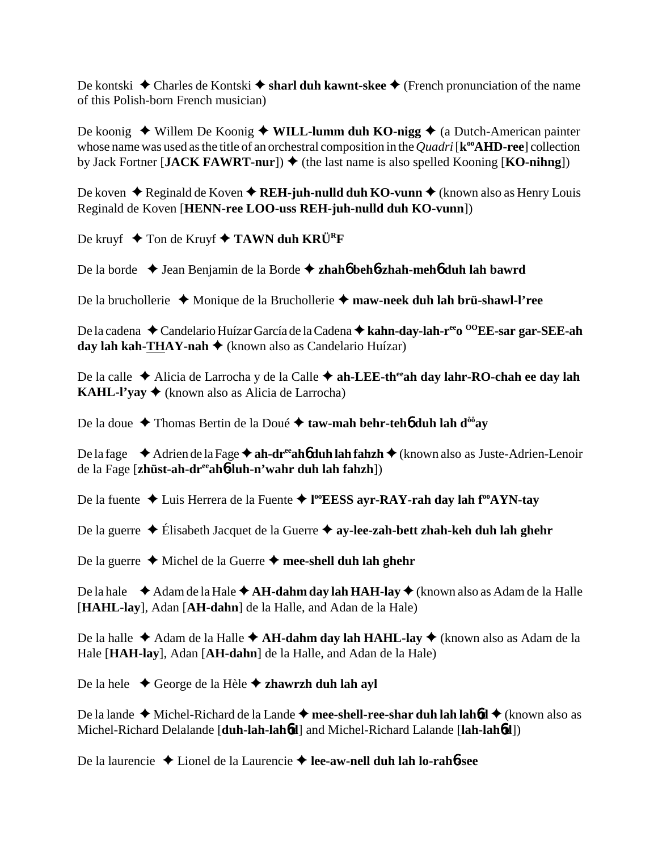De kontski ◆ Charles de Kontski ◆ sharl duh kawnt-skee ◆ (French pronunciation of the name of this Polish-born French musician)

De koonig ◆ Willem De Koonig ◆ WILL-lumm duh KO-nigg ◆ (a Dutch-American painter whose name was used as the title of an orchestral composition in the *Quadri* [ $\mathbf{k}^{\infty}$ **AHD-ree**] collection by Jack Fortner [JACK FAWRT-nur])  $\blacklozenge$  (the last name is also spelled Kooning [KO-nihng])

De koven ◆ Reginald de Koven ◆ REH-juh-nulld duh KO-vunn ◆ (known also as Henry Louis Reginald de Koven [**HENN-ree LOO-uss REH-juh-nulld duh KO-vunn**])

De kruyf **→** Ton de Kruyf ◆ **TAWN duh KRÜ<sup>R</sup>F** 

De la borde Jean Benjamin de la Borde **zhah**6 **beh**6**-zhah-meh**6 **duh lah bawrd**

De la bruchollerie Monique de la Bruchollerie **maw-neek duh lah brü-shawl-l'ree**

De la cadena ◆ Candelario Huízar García de la Cadena ◆ kahn-day-lah-r<sup>ee</sup>o <sup>OO</sup>EE-sar gar-SEE-ah **day lah kah-THAY-nah** (known also as Candelario Huízar)

De la calle ◆ Alicia de Larrocha y de la Calle ◆ ah-LEE-th<sup>ee</sup>ah day lahr-RO-chah ee day lah **KAHL-l'yay**  $\triangleleft$  (known also as Alicia de Larrocha)

De la doue ◆ Thomas Bertin de la Doué ◆ taw-mah behr-teh**6** duh lah d<sup>ôô</sup>ay

De la fage  $\triangle$  Adrien de la Fage  $\triangle$  ah-dr<sup>ee</sup>ah**6** duh lah fahzh  $\triangle$  (known also as Juste-Adrien-Lenoir de la Fage [**zhüst-ah-dreeah**6**-luh-n'wahr duh lah fahzh**])

De la fuente Luis Herrera de la Fuente **l ooEESS ayr-RAY-rah day lah fooAYN-tay**

De la guerre ◆ Élisabeth Jacquet de la Guerre ◆ a**y-lee-zah-bett zhah-keh duh lah ghehr** 

De la guerre **→** Michel de la Guerre **→ mee-shell duh lah ghehr** 

De la hale  $\triangle$  Adam de la Hale  $\triangle$  A**H-dahm day lah HAH-lay**  $\triangle$  (known also as Adam de la Halle [**HAHL-lay**], Adan [**AH-dahn**] de la Halle, and Adan de la Hale)

De la halle ◆ Adam de la Halle ◆ **AH-dahm day lah HAHL-lay** ◆ (known also as Adam de la Hale [**HAH-lay**], Adan [**AH-dahn**] de la Halle, and Adan de la Hale)

De la hele **→** George de la Hèle **→ zhawrzh duh lah ayl** 

De la lande ◆ Michel-Richard de la Lande ◆ mee-shell-ree-shar duh lah lah6d ◆ (known also as Michel-Richard Delalande [**duh-lah-lah**6**d**] and Michel-Richard Lalande [**lah-lah**6**d**])

De la laurencie Lionel de la Laurencie **lee-aw-nell duh lah lo-rah**6**-see**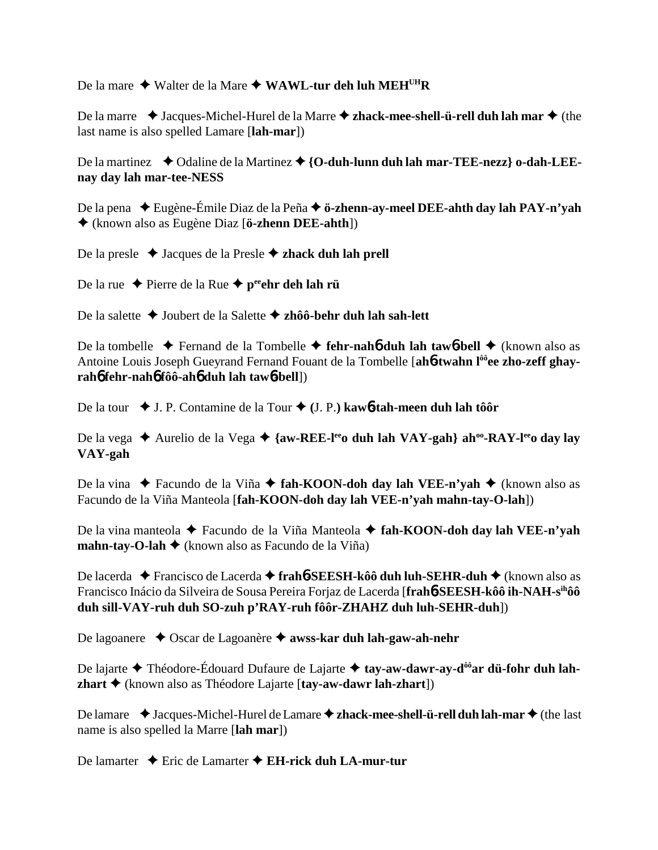De la mare ◆ Walter de la Mare ◆ WAWL-tur deh luh MEH<sup>UH</sup>R

De la marre  $\triangleleft$  Jacques-Michel-Hurel de la Marre  $\triangleleft$  **zhack-mee-shell-ü-rell duh lah mar**  $\triangleleft$  (the last name is also spelled Lamare [**lah-mar**])

De la martinez ◆ Odaline de la Martinez ◆ {**O-duh-lunn duh lah mar-TEE-nezz**} **o-dah-LEEnay day lah mar-tee-NESS**

De la pena Eugène-Émile Diaz de la Peña **ö-zhenn-ay-meel DEE-ahth day lah PAY-n'yah** (known also as Eugène Diaz [**ö-zhenn DEE-ahth**])

De la presle ◆ Jacques de la Presle ◆ zhack duh lah prell

De la rue ◆ Pierre de la Rue ◆ p<sup>ee</sup>ehr deh lah rü

De la salette Joubert de la Salette **zhôô-behr duh lah sah-lett**

De la tombelle  $\triangle$  Fernand de la Tombelle  $\triangle$  fehr-nah**6** duh lah taw**6**-bell  $\triangle$  (known also as Antoine Louis Joseph Gueyrand Fernand Fouant de la Tombelle [ah**6-twahn l<sup>ôô</sup>ee zho-zeff ghavrah**6 **fehr-nah**6 **fôô-ah**6 **duh lah taw**6**-bell**])

De la tour ◆ J. P. Contamine de la Tour ◆ (J. P.) kaw**6-tah-meen duh lah tôôr** 

De la vega **→** Aurelio de la Vega → {aw-REE-l<sup>ee</sup>o duh lah VAY-gah} ah<sup>oo</sup>-RAY-l<sup>ee</sup>o day lay **VAY-gah**

De la vina ◆ Facundo de la Viña ◆ **fah-KOON-doh day lah VEE-n'yah ◆** (known also as Facundo de la Viña Manteola [**fah-KOON-doh day lah VEE-n'yah mahn-tay-O-lah**])

De la vina manteola Facundo de la Viña Manteola **fah-KOON-doh day lah VEE-n'yah mahn-tay-O-lah ♦** (known also as Facundo de la Viña)

De lacerda Francisco de Lacerda **frah**6**-SEESH-kôô duh luh-SEHR-duh** (known also as Francisco Inácio da Silveira de Sousa Pereira Forjaz de Lacerda [**frah**6**-SEESH-kôô ih-NAH-sihôô duh sill-VAY-ruh duh SO-zuh p'RAY-ruh fôôr-ZHAHZ duh luh-SEHR-duh**])

De lagoanere ◆ Oscar de Lagoanère ◆ awss-kar duh lah-gaw-ah-nehr

De lajarte **→** Théodore-Édouard Dufaure de Lajarte → tay-aw-dawr-ay-d<sup>ôô</sup>ar dü-fohr duh lah**zhart** (known also as Théodore Lajarte [**tay-aw-dawr lah-zhart**])

De lamare  $\triangle$  Jacques-Michel-Hurel de Lamare **→ zhack-mee-shell-ü-rell duh lah-mar** ◆ (the last name is also spelled la Marre [**lah mar**])

De lamarter **→** Eric de Lamarter **→ EH-rick duh LA-mur-tur**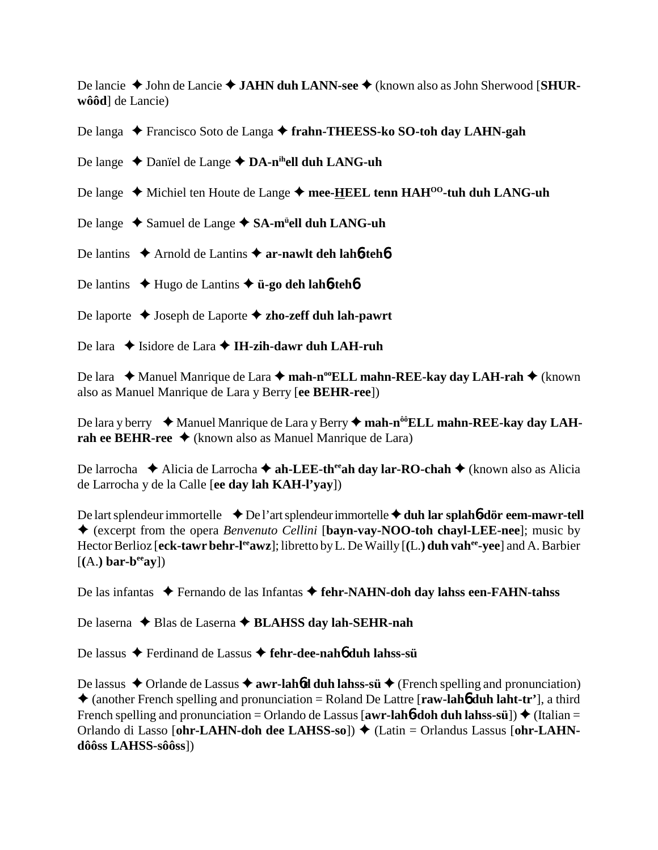De lancie ◆ John de Lancie ◆ **JAHN duh LANN-see** ◆ (known also as John Sherwood [**SHURwôôd**] de Lancie)

De langa ◆ Francisco Soto de Langa ◆ frahn-THEESS-ko SO-toh day LAHN-gah

De lange ◆ Danïel de Lange ◆ DA-n<sup>ih</sup>ell duh LANG-uh

- De lange ◆ Michiel ten Houte de Lange ◆ mee-HEEL tenn HAH<sup>00</sup>-tuh duh LANG-uh
- De lange ◆ Samuel de Lange ◆ SA-m<sup>ü</sup>ell duh LANG-uh
- De lantins **→** Arnold de Lantins → **ar-nawlt deh lah<sup>6-teh6</sup>**
- De lantins **→** Hugo de Lantins → **ü-go deh lah<sup>6-tehb</sup>**
- De laporte Joseph de Laporte **zho-zeff duh lah-pawrt**
- De lara ◆ Isidore de Lara ◆ I**H-zih-dawr duh LAH-ruh**

De lara ◆ Manuel Manrique de Lara ◆ mah-n<sup>oo</sup>ELL mahn-REE-kay day LAH-rah ◆ (known also as Manuel Manrique de Lara y Berry [**ee BEHR-ree**])

De lara y berry **→** Manuel Manrique de Lara y Berry → mah-n<sup>ôô</sup>ELL mahn-REE-kay day LAH**rah ee BEHR-ree ♦** (known also as Manuel Manrique de Lara)

De larrocha **→** Alicia de Larrocha → ah-LEE-th<sup>ee</sup>ah day lar-RO-chah → (known also as Alicia de Larrocha y de la Calle [**ee day lah KAH-l'yay**])

De lart splendeur immortelle **↓De l'art splendeur immortelle ◆ duh lar splah6-dör eem-mawr-tell**  (excerpt from the opera *Benvenuto Cellini* [**bayn-vay-NOO-toh chayl-LEE-nee**]; music by Hector Berlioz [eck-tawr behr-l<sup>ee</sup>awz]; libretto by L. De Wailly [(L.) duh vah<sup>ee</sup>-yee] and A. Barbier  $[(A.)$  bar-b<sup>ee</sup>ay])

De las infantas ◆ Fernando de las Infantas ◆ fehr-NAHN-doh day lahss een-FAHN-tahss

De laserna **→** Blas de Laserna → BLAHSS day lah-SEHR-nah

De lassus Ferdinand de Lassus **fehr-dee-nah**6 **duh lahss-sü**

De lassus  $\triangle$  Orlande de Lassus  $\triangle$  **awr-lah6d duh lahss-sü**  $\triangle$  (French spelling and pronunciation) (another French spelling and pronunciation = Roland De Lattre [**raw-lah**6 **duh laht-tr'**], a third French spelling and pronunciation = Orlando de Lassus  $[awr-lahb-doh duh lahss-sii]$   $\blacklozenge$  (Italian = Orlando di Lasso [ohr-LAHN-doh dee LAHSS-so]) ♦ (Latin = Orlandus Lassus [ohr-LAHN**dôôss LAHSS-sôôss**])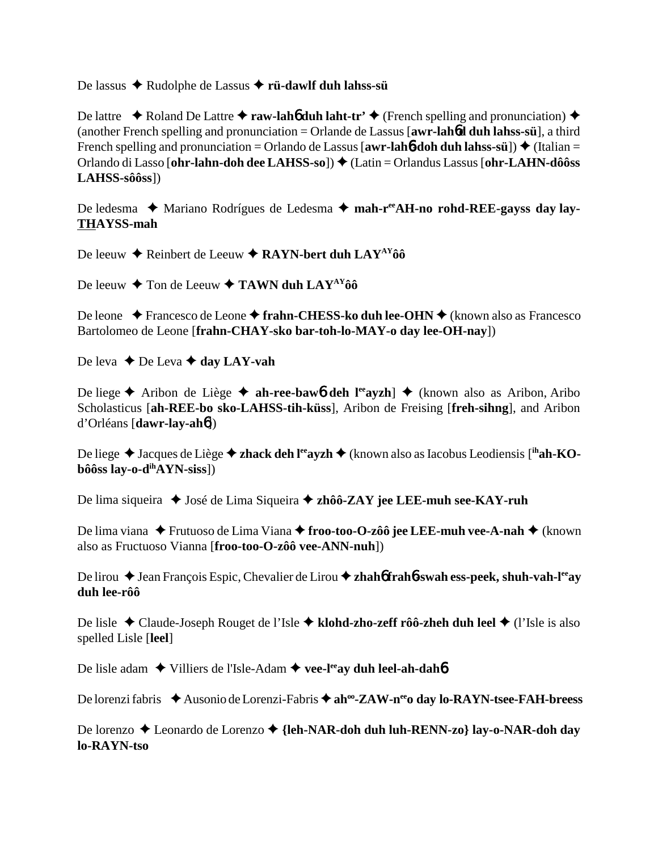De lassus Rudolphe de Lassus **rü-dawlf duh lahss-sü**

De lattre  $\triangle$  Roland De Lattre  $\triangle$  **raw-lah<sup>6</sup> duh laht-tr'**  $\triangle$  (French spelling and pronunciation)  $\triangle$ (another French spelling and pronunciation = Orlande de Lassus [**awr-lah**6**d duh lahss-sü**], a third French spelling and pronunciation = Orlando de Lassus  $[awr-lahb-doh duh lahss-sii]$   $\blacklozenge$  (Italian = Orlando di Lasso [**ohr-lahn-doh dee LAHSS-so**]) (Latin = Orlandus Lassus [**ohr-LAHN-dôôss LAHSS-sôôss**])

De ledesma ◆ Mariano Rodrígues de Ledesma ◆ mah-r<sup>ee</sup>AH-no rohd-REE-gayss day lay-**THAYSS-mah**

De leeuw  $\triangle$  Reinbert de Leeuw  $\triangle$  RAYN-bert duh LAY<sup>AY</sup>ôô

De leeuw  $\triangle$  Ton de Leeuw  $\triangle$  **TAWN duh LAY<sup>AY</sup>ôô** 

De leone **→** Francesco de Leone → frahn-CHESS-ko duh lee-OHN → (known also as Francesco Bartolomeo de Leone [**frahn-CHAY-sko bar-toh-lo-MAY-o day lee-OH-nay**])

De leva **→** De Leva **→ day LAY-vah** 

De liege **★** Aribon de Liège **★ ah-ree-baw6 deh l<sup>ee</sup>ayzh**] **◆** (known also as Aribon, Aribo Scholasticus [**ah-REE-bo sko-LAHSS-tih-küss**], Aribon de Freising [**freh-sihng**], and Aribon d'Orléans [**dawr-lay-ah**6])

De liege ◆ Jacques de Liège ◆ **zhack deh l<sup>ee</sup>ayzh ◆** (known also as Iacobus Leodiensis [<sup>ih</sup>**ah-KObôôss lay-o-dihAYN-siss**])

De lima siqueira ◆ José de Lima Siqueira ◆ zhôô-ZAY jee LEE-muh see-KAY-ruh

De lima viana ◆ Frutuoso de Lima Viana ◆ froo-too-O-zôô jee LEE-muh vee-A-nah ◆ (known also as Fructuoso Vianna [**froo-too-O-zôô vee-ANN-nuh**])

De lirou ◆ Jean François Espic, Chevalier de Lirou ◆ zhah**6** frah**6**-swah ess-peek, shuh-vah-l<sup>ee</sup>ay **duh lee-rôô**

De lisle ◆ Claude-Joseph Rouget de l'Isle ◆ klohd-zho-zeff rôô-zheh duh leel ◆ (l'Isle is also spelled Lisle [**leel**]

De lisle adam ◆ Villiers de l'Isle-Adam ◆ vee-l<sup>ee</sup>ay duh leel-ah-dah**6** 

De lorenzi fabris ◆ Ausonio de Lorenzi-Fabris ◆ ah<sup>oo</sup>-ZAW-n<sup>ee</sup>o day lo-RAYN-tsee-FAH-breess

De lorenzo **→** Leonardo de Lorenzo → {leh-NAR-doh duh luh-RENN-zo} lay-o-NAR-doh day **lo-RAYN-tso**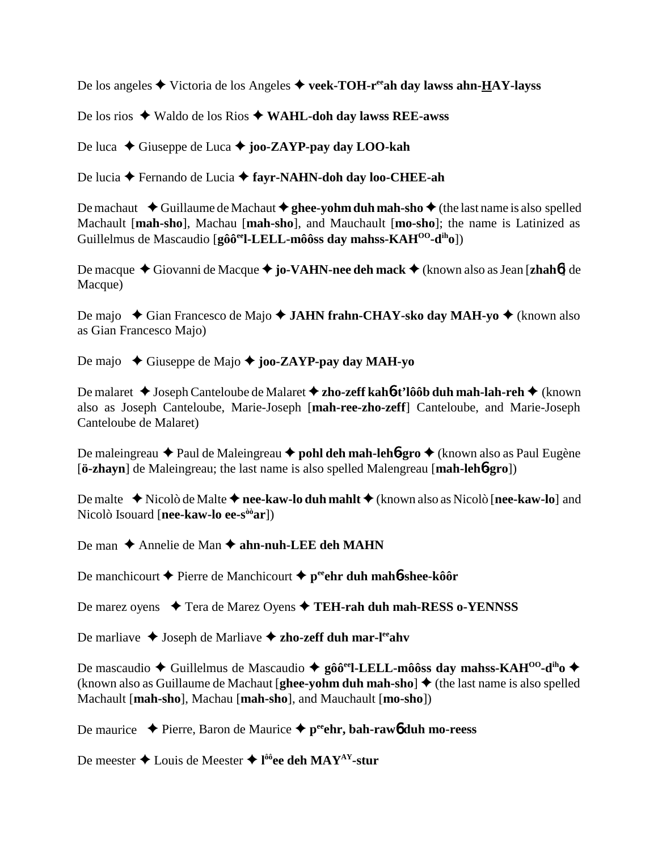De los angeles Victoria de los Angeles **veek-TOH-reeah day lawss ahn-HAY-layss**

De los rios Waldo de los Rios **WAHL-doh day lawss REE-awss**

De luca ◆ Giuseppe de Luca ◆ **joo-ZAYP-pay day LOO-kah** 

De lucia **←** Fernando de Lucia ← fayr-NAHN-doh day loo-CHEE-ah

De machaut  $\triangle$  Guillaume de Machaut  $\triangle$  ghee-yohm duh mah-sho  $\triangle$  (the last name is also spelled Machault [**mah-sho**], Machau [**mah-sho**], and Mauchault [**mo-sho**]; the name is Latinized as Guillelmus de Mascaudio [**gôôeel-LELL-môôss day mahss-KAHOO-diho**])

De macque ◆ Giovanni de Macque ◆ jo-VA**HN-nee deh mack** ◆ (known also as Jean [**zhah**6] de Macque)

De majo ◆ Gian Francesco de Majo ◆ **JAHN frahn-CHAY-sko day MAH-yo ◆** (known also as Gian Francesco Majo)

De majo ◆ Giuseppe de Majo ◆ **joo-ZAYP-pay day MAH-yo** 

De malaret **→** Joseph Canteloube de Malaret **→ zho-zeff kahó-t'lôôb duh mah-lah-reh →** (known also as Joseph Canteloube, Marie-Joseph [**mah-ree-zho-zeff**] Canteloube, and Marie-Joseph Canteloube de Malaret)

De maleingreau ◆ Paul de Maleingreau ◆ **pohl deh mah-leh6-gro** ◆ (known also as Paul Eugène [**ö-zhayn**] de Maleingreau; the last name is also spelled Malengreau [**mah-leh**6**-gro**])

De malte **→** Nicolò de Malte → nee-kaw-lo duh mahlt → (known also as Nicolò [nee-kaw-lo] and Nicolò Isouard [**nee-kaw-lo ee-sòòar**])

De man **→** Annelie de Man → ahn-nuh-LEE deh MAHN

De manchicourt **←** Pierre de Manchicourt ← p<sup>ee</sup>ehr duh mah**6**-shee-kôôr

De marez oyens **→** Tera de Marez Oyens → TEH-rah duh mah-RESS o-YENNSS

De marliave **↓** Joseph de Marliave **→ zho-zeff duh mar-l<sup>ee</sup>ahv** 

De mascaudio ◆ Guillelmus de Mascaudio ◆ gôô<sup>ee</sup>l-LELL-môôss day mahss-KAH<sup>OO</sup>-d<sup>ih</sup>o ◆ (known also as Guillaume de Machaut [**ghee-yohm duh mah-sho**]  $\blacklozenge$  (the last name is also spelled Machault [**mah-sho**], Machau [**mah-sho**], and Mauchault [**mo-sho**])

De maurice Pierre, Baron de Maurice **peeehr, bah-raw**6 **duh mo-reess**

De meester ◆ Louis de Meester ◆ l<sup>ôô</sup>ee deh MAY<sup>AY</sup>-stur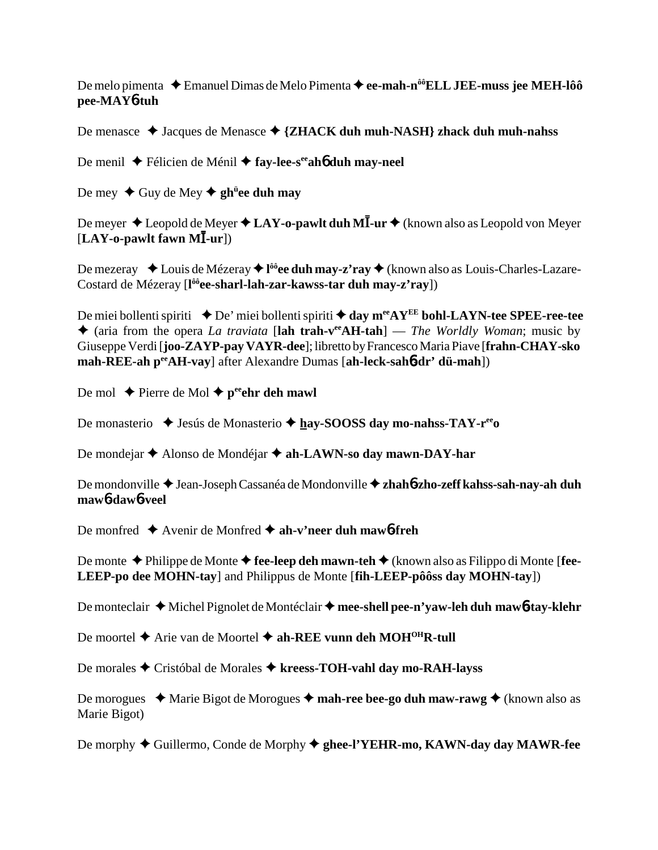De melo pimenta ◆ Emanuel Dimas de Melo Pimenta ◆ ee-mah-n<sup>ôô</sup>ELL JEE-muss jee MEH-lôô **pee-MAY**6**-tuh**

De menasce ◆ Jacques de Menasce ◆ {ZHACK duh muh-NASH} zhack duh muh-nahss

De menil ◆ Félicien de Ménil ◆ fay-lee-s<sup>ee</sup>ah**6** duh may-neel

De mey ◆ Guy de Mey ◆ gh<sup>ü</sup>ee duh may

De meyer ◆ Leopold de Meyer ◆ LAY-o-pawlt duh MĪ-ur ◆ (known also as Leopold von Meyer [LAY-o-pawlt fawn MI-ur])

De mezeray ◆ Louis de Mézeray ◆ l<sup>ôô</sup>ee duh may-z'ray ◆ (known also as Louis-Charles-Lazare-Costard de Mézeray [**l ôôee-sharl-lah-zar-kawss-tar duh may-z'ray**])

De miei bollenti spiriti  $\triangle$  De' miei bollenti spiriti  $\triangle$  day m<sup>ee</sup>AY<sup>EE</sup> bohl-LAYN-tee SPEE-ree-tee (aria from the opera *La traviata* [**lah trah-veeAH-tah**] — *The Worldly Woman*; music by Giuseppe Verdi [**joo-ZAYP-pay VAYR-dee**]; libretto by Francesco Maria Piave [**frahn-CHAY-sko mah-REE-ah peeAH-vay**] after Alexandre Dumas [**ah-leck-sah**6**-dr' dü-mah**])

De mol  $\triangle$  Pierre de Mol  $\triangle$  p<sup>ee</sup>ehr deh mawl

De monasterio ◆ Jesús de Monasterio ◆ <u>h</u>ay-SOOSS day mo-nahss-TAY-r<sup>ee</sup>o

De mondejar ◆ Alonso de Mondéjar ◆ ah-LAWN-so day mawn-DAY-har

De mondonville Jean-Joseph Cassanéa de Mondonville **zhah**6**-zho-zeff kahss-sah-nay-ah duh maw**6**-daw**6**-veel**

De monfred  $\triangle$  Avenir de Monfred  $\triangle$  ah-v'neer duh mawb-freh

De monte ◆ Philippe de Monte ◆ fee-leep deh mawn-teh ◆ (known also as Filippo di Monte [fee-**LEEP-po dee MOHN-tay**] and Philippus de Monte [**fih-LEEP-pôôss day MOHN-tay**])

De monteclair ◆ Michel Pignolet de Montéclair ◆ mee-shell pee-n'yaw-leh duh maw6-tay-klehr

De moortel ◆ Arie van de Moortel ◆ ah-REE vunn deh MOH<sup>OH</sup>R-tull

De morales Cristóbal de Morales **kreess-TOH-vahl day mo-RAH-layss**

De morogues **→** Marie Bigot de Morogues → mah-ree bee-go duh maw-rawg → (known also as Marie Bigot)

De morphy ◆ Guillermo, Conde de Morphy ◆ ghee-l'YEHR-mo, KAWN-day day MAWR-fee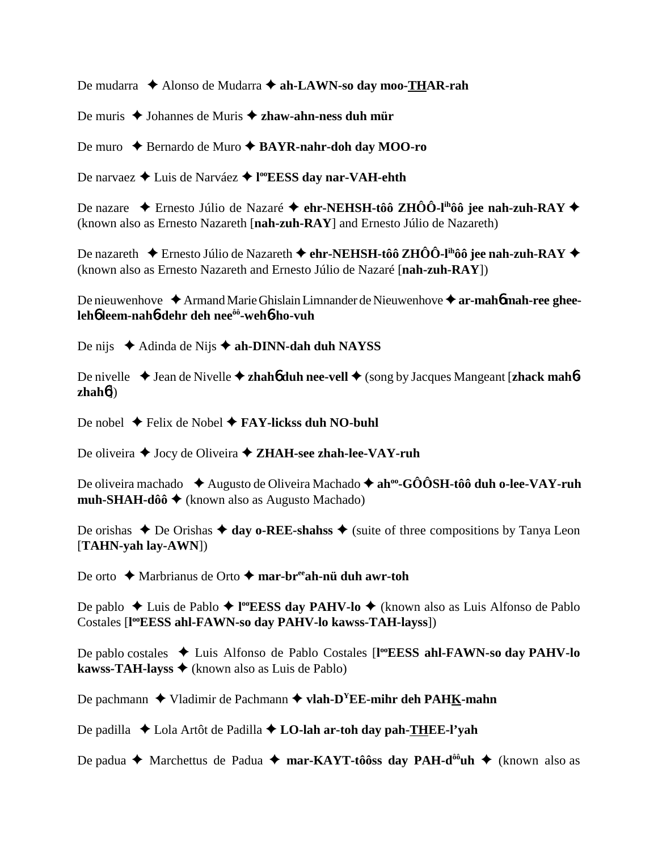De mudarra ◆ Alonso de Mudarra ◆ ah-LAWN-so day moo-THAR-rah

De muris ◆ Johannes de Muris ◆ zhaw-ahn-ness duh mür

De muro ◆ Bernardo de Muro ◆ **BAYR-nahr-doh day MOO-ro** 

De narvaez Luis de Narváez **l ooEESS day nar-VAH-ehth**

De nazare  $\triangle$  Ernesto Júlio de Nazaré **← ehr-NEHSH-tôô ZHÔÔ-l<sup>ih</sup>ôô jee nah-zuh-RAY ←** (known also as Ernesto Nazareth [**nah-zuh-RAY**] and Ernesto Júlio de Nazareth)

De nazareth  $\blacklozenge$  Ernesto Júlio de Nazareth  $\blacklozenge$  ehr-NEHSH-tôô ZHÔÔ-l<sup>ih</sup>ôô jee nah-zuh-RAY  $\blacklozenge$ (known also as Ernesto Nazareth and Ernesto Júlio de Nazaré [**nah-zuh-RAY**])

De nieuwenhove ◆ Armand Marie Ghislain Limnander de Nieuwenhove ◆ a**r-mah6 mah-ree gheeleh**6 **leem-nah**6**-dehr deh neeôô-weh**6**-ho-vuh**

De nijs **→** Adinda de Nijs **→ ah-DINN-dah duh NAYSS** 

De nivelle ◆ Jean de Nivelle ◆ zhah**6** duh nee-vell ◆ (song by Jacques Mangeant [zhack mah6**zhah**6])

De nobel ◆ Felix de Nobel ◆ **FAY-lickss duh NO-buhl** 

De oliveira **◆** Jocy de Oliveira ◆ **ZHAH-see zhah-lee-VAY-ruh** 

De oliveira machado ◆ Augusto de Oliveira Machado ◆ ah<sup>oo</sup>-GÔÔSH-tôô duh o-lee-VAY-ruh **muh-SHAH-dôô ♦** (known also as Augusto Machado)

De orishas  $\triangle$  De Orishas  $\triangle$  day o-REE-shahss  $\triangle$  (suite of three compositions by Tanya Leon [**TAHN-yah lay-AWN**])

De orto ◆ Marbrianus de Orto ◆ mar-br<sup>ee</sup>ah-nü duh awr-toh

De pablo ◆ Luis de Pablo ◆ l<sup>oo</sup>EESS day PAHV-lo ◆ (known also as Luis Alfonso de Pablo Costales [**l ooEESS ahl-FAWN-so day PAHV-lo kawss-TAH-layss**])

De pablo costales ◆ Luis Alfonso de Pablo Costales [l<sup>oo</sup>**EESS ahl-FAWN-so day PAHV-lo kawss-TAH-layss ♦** (known also as Luis de Pablo)

De pachmann **→** Vladimir de Pachmann → vlah-D<sup>Y</sup>EE-mihr deh PAH<u>K</u>-mahn

De padilla ◆ Lola Artôt de Padilla ◆ LO-lah ar-toh day pah-THEE-l'yah

De padua **←** Marchettus de Padua ← mar-KAYT-tôôss day PAH-d<sup>ôô</sup>uh ← (known also as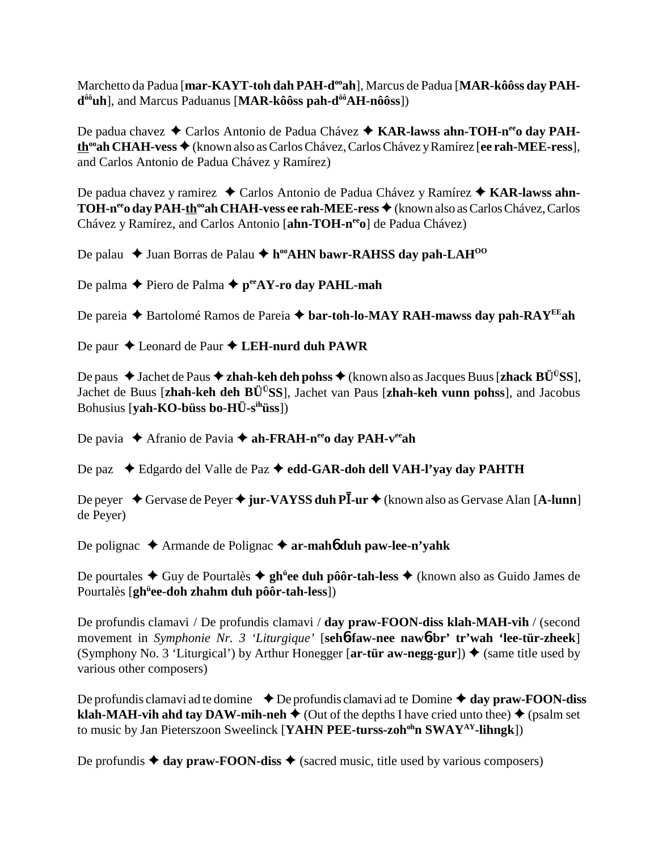Marchetto da Padua [mar-KAYT-toh dah PAH-d<sup>oo</sup>ah], Marcus de Padua [MAR-kôôss day PAH**d<sup>ôô</sup>uh**], and Marcus Paduanus [MAR-kôôss pah-d<sup>ôô</sup>AH-nôôss])

De padua chavez ◆ Carlos Antonio de Padua Chávez ◆ KAR-lawss ahn-TOH-n<sup>ee</sup>o day PAHth<sup>∞</sup>ah CHAH-vess ◆ (known also as Carlos Chávez, Carlos Chávez y Ramírez [ee rah-MEE-ress], and Carlos Antonio de Padua Chávez y Ramírez)

De padua chavez y ramirez ◆ Carlos Antonio de Padua Chávez y Ramírez ◆ KAR-lawss ahn-**TOH-n<sup>ee</sup>o day PAH-th<sup>oo</sup>ah CHAH-vess ee rah-MEE-ress ♦ (known also as Carlos Chávez, Carlos** Chávez y Ramírez, and Carlos Antonio [**ahn-TOH-n<sup>ee</sup>o**] de Padua Chávez)

De palau **→** Juan Borras de Palau ◆ h<sup>oo</sup>AHN bawr-RAHSS day pah-LAH<sup>00</sup>

De palma **←** Piero de Palma ← p<sup>ee</sup>AY-ro day PAHL-mah

De pareia ◆ Bartolomé Ramos de Pareia ◆ b**ar-toh-lo-MAY RAH-mawss day pah-RAY<sup>EE</sup>ah** 

De paur ◆ Leonard de Paur ◆ LEH-nurd duh PAWR

De paus ◆ Jachet de Paus ◆ zhah-keh deh pohss ◆ (known also as Jacques Buus [zhack BÜ<sup>Ü</sup>SS], Jachet de Buus [**zhah-keh deh BÜÜSS**], Jachet van Paus [**zhah-keh vunn pohss**], and Jacobus Bohusius [**yah-KO-büss bo-HÜ-sihüss**])

De pavia ◆ Afranio de Pavia **→ ah-FRAH-n<sup>ee</sup>o day PAH-v<sup>ee</sup>ah** 

De paz  **←** Edgardo del Valle de Paz ← edd-GAR-doh dell VAH-l'yay day PAHTH

De peyer ◆ Gervase de Peyer ◆ jur-VAYSS duh PĪ-ur ◆ (known also as Gervase Alan [A-lunn] de Peyer)

De polignac ◆ Armande de Polignac ◆ ar-mah**6** duh paw-lee-n'yahk

De pourtales ◆ Guy de Pourtalès ◆ gh<sup>ü</sup>ee duh pôôr-tah-less ◆ (known also as Guido James de Pourtalès [**ghü ee-doh zhahm duh pôôr-tah-less**])

De profundis clamavi / De profundis clamavi / **day praw-FOON-diss klah-MAH-vih** / (second movement in *Symphonie Nr. 3 'Liturgique'* [**seh**6**-faw-nee naw**6**-br' tr'wah 'lee-tür-zheek**] (Symphony No. 3 'Liturgical') by Arthur Honegger  $[\ar\text{-}\text{tür aw-negg-gur}]\blacklozenge$  (same title used by various other composers)

De profundis clamavi ad te domine  $\rightarrow$  De profundis clamavi ad te Domine  $\rightarrow$  day praw-FOON-diss **klah-MAH-vih ahd tay DAW-mih-neh**  $\triangle$  (Out of the depths I have cried unto thee)  $\triangle$  (psalm set to music by Jan Pieterszoon Sweelinck [**YAHN PEE-turss-zoh<sup>oh</sup>n SWAY<sup>AY</sup>-lihngk**])

De profundis  $\triangleq$  day praw-FOON-diss  $\triangleq$  (sacred music, title used by various composers)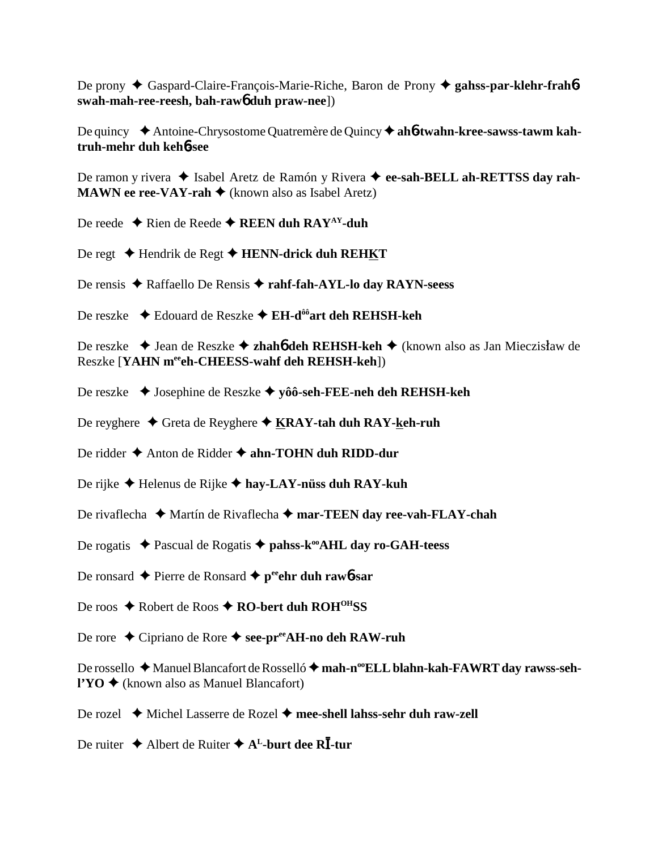De prony  $\triangle$  Gaspard-Claire-François-Marie-Riche, Baron de Prony  $\triangle$  gahss-par-klehr-frahbswah-mah-ree-reesh, bah-rawo duh praw-nee])

De quincy  $\triangle$  Antoine-Chrysostome Quatremère de Quincy  $\triangle$  ah**6-twahn-kree-sawss-tawm kah**truh-mehr duh keh6-see

De ramon y rivera → Isabel Aretz de Ramón y Rivera → ee-sah-BELL ah-RETTSS day rah-**MAWN** ee ree-VAY-rah  $\triangle$  (known also as Isabel Aretz)

De reede  $\triangle$  Rien de Reede  $\triangle$  REEN duh RAY<sup>AY</sup>-duh

- De regt  $\triangle$  Hendrik de Regt  $\triangle$  HENN-drick duh REHKT
- De rensis ◆ Raffaello De Rensis ◆ rahf-fah-AYL-lo day RAYN-seess
- De reszke → Edouard de Reszke → EH-d<sup>ôô</sup>art deh REHSH-keh

De reszke → Jean de Reszke → zhah**ó deh REHSH-keh** → (known also as Jan Mieczisław de Reszke [YAHN merech-CHEESS-wahf deh REHSH-keh])

- De reszke → Josephine de Reszke → vôô-seh-FEE-neh deh REHSH-keh
- De reyghere ◆ Greta de Reyghere ◆  $KRAY$ -tah duh RAY-keh-ruh

De ridder  $\triangle$  Anton de Ridder  $\triangle$  ahn-TOHN duh RIDD-dur

- De rijke  $\blacklozenge$  Helenus de Rijke  $\blacklozenge$  hay-LAY-nüss duh RAY-kuh
- De rivaflecha  $\triangle$  Martín de Rivaflecha  $\triangle$  mar-TEEN day ree-vah-FLAY-chah
- De rogatis  $\triangle$  Pascual de Rogatis  $\triangle$  pahss-k<sup>oo</sup>AHL day ro-GAH-teess
- De ronsard  $\triangle$  Pierre de Ronsard  $\triangle$  p<sup>ee</sup>ehr duh rawb-sar
- De roos ◆ Robert de Roos ◆ RO-bert duh ROH<sup>OH</sup>SS
- De rore ◆ Cipriano de Rore ◆ see-pr<sup>ee</sup>AH-no deh RAW-ruh

De rossello ◆ Manuel Blancafort de Rosselló ◆ mah-n<sup>oo</sup>ELL blahn-kah-FAWRT day rawss-seh- $\mathbf{P} \times \mathbf{O}$  (known also as Manuel Blancafort)

- De rozel  $\triangleq$  Michel Lasserre de Rozel  $\triangleq$  mee-shell lahss-sehr duh raw-zell
- De ruiter ♦ Albert de Ruiter ♦  $A<sup>L</sup>$ -burt dee R $\overline{I}$ -tur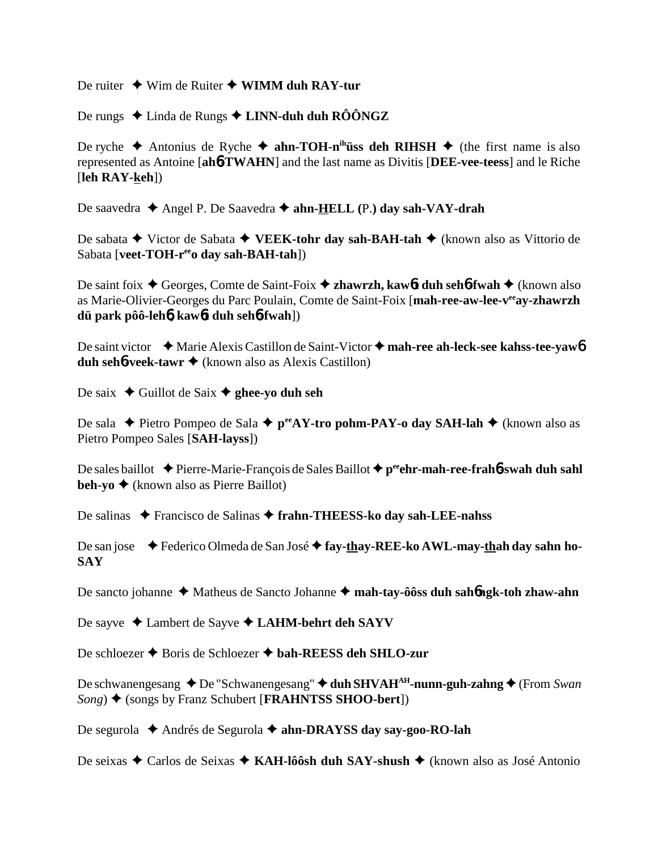De ruiter **→** Wim de Ruiter ◆ WIMM duh RAY-tur

De rungs **→** Linda de Rungs **→ LINN-duh duh RÔÔNGZ** 

De ryche  $\triangle$  Antonius de Ryche  $\triangle$  ahn-TOH-n<sup>ih</sup>üss deh RIHSH  $\triangle$  (the first name is also represented as Antoine [**ah**6**-TWAHN**] and the last name as Divitis [**DEE-vee-teess**] and le Riche [**leh RAY-keh**])

De saavedra ◆ Angel P. De Saavedra ◆ ahn-HELL (P.) day sah-VAY-drah

De sabata **→** Victor de Sabata **→ VEEK-tohr day sah-BAH-tah** → (known also as Vittorio de Sabata [**veet-TOH-r<sup>ee</sup>o day sah-BAH-tah**])

De saint foix ◆ Georges, Comte de Saint-Foix ◆ zhawrzh, kaw6**t duh seh6-fwah** ◆ (known also as Marie-Olivier-Georges du Parc Poulain, Comte de Saint-Foix [**mah-ree-aw-lee-veeay-zhawrzh dü park pôô-leh**6**, kaw**6**t duh seh**6**-fwah**])

De saint victor ◆ Marie Alexis Castillon de Saint-Victor ◆ mah-ree ah-leck-see kahss-tee-yaw**6 duh seh<sup>6</sup>-veek-tawr ◆** (known also as Alexis Castillon)

De saix  $\triangle$  Guillot de Saix  $\triangle$  ghee-yo duh seh

De sala ◆ Pietro Pompeo de Sala ◆ p<sup>ee</sup>AY-tro pohm-PAY-o day SAH-lah ◆ (known also as Pietro Pompeo Sales [**SAH-layss**])

De sales baillot ◆ Pierre-Marie-François de Sales Baillot ◆ p<sup>ee</sup>ehr-mah-ree-frah6-swah duh sahl **beh-yo ♦** (known also as Pierre Baillot)

De salinas ◆ Francisco de Salinas ◆ frahn-THEESS-ko day sah-LEE-nahss

De san jose ◆ Federico Olmeda de San José ◆ fay-thay-REE-ko AWL-may-thah day sahn ho-**SAY**

De sancto johanne ◆ Matheus de Sancto Johanne ◆ mah-tay-ôôss duh sah**6ngk-toh zhaw-ahn** 

De sayve ◆ Lambert de Sayve ◆ LAHM-behrt deh SAYV

De schloezer **→** Boris de Schloezer **→ bah-REESS deh SHLO-zur** 

De schwanengesang ◆ De "Schwanengesang" ◆ duh SHVAH<sup>AH</sup>-nunn-guh-zahng ◆ (From *Swan Song*) ◆ (songs by Franz Schubert [**FRAHNTSS SHOO-bert**])

De segurola ◆ Andrés de Segurola ◆ ahn-DRAYSS day say-goo-RO-lah

De seixas ◆ Carlos de Seixas ◆ KAH-lôôsh duh SAY-shush ◆ (known also as José Antonio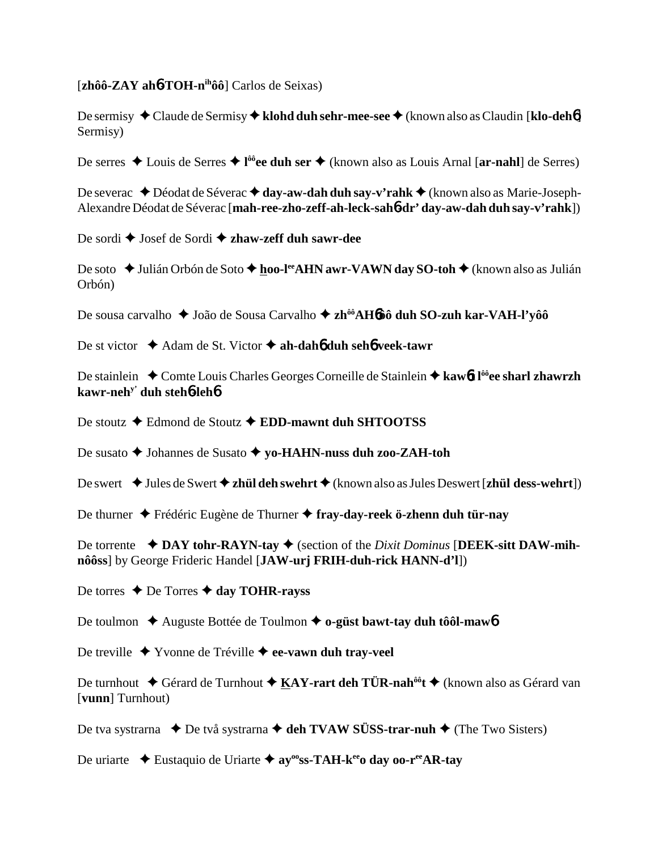[**zhôô-ZAY ah**6**-TOH-nihôô**] Carlos de Seixas)

De sermisy ◆ Claude de Sermisy ◆ **klohd duh sehr-mee-see** ◆ (known also as Claudin [**klo-deh**<sup>6</sup>] Sermisy)

De serres ◆ Louis de Serres ◆ l<sup>ôô</sup>ee duh ser ◆ (known also as Louis Arnal [ar-nahl] de Serres)

De severac ◆ Déodat de Séverac ◆ day-aw-dah duh say-v'rahk ◆ (known also as Marie-Joseph-Alexandre Déodat de Séverac [**mah-ree-zho-zeff-ah-leck-sah**6**-dr' day-aw-dah duh say-v'rahk**])

De sordi ◆ Josef de Sordi ◆ zhaw-zeff duh sawr-dee

De soto ◆ Julián Orbón de Soto ◆ hoo-l<sup>ee</sup>AHN awr-VAWN day SO-toh ◆ (known also as Julián Orbón)

De sousa carvalho ◆ João de Sousa Carvalho ◆ zh<sup>ôô</sup>AH6ôô duh SO-zuh kar-VAH-l'yôô

De st victor **→** Adam de St. Victor → ah-dah6 duh seh6 veek-tawr

De stainlein ◆ Comte Louis Charles Georges Corneille de Stainlein ◆ kaw6**t** l<sup>ôô</sup>ee sharl zhawrzh **kawr-nehy' duh steh**6**-leh**6

De stoutz Edmond de Stoutz **EDD-mawnt duh SHTOOTSS**

De susato **→** Johannes de Susato ◆ yo-HAHN-nuss duh zoo-ZAH-toh

De swert **→** Jules de Swert ◆ **zhül deh swehrt ◆** (known also as Jules Deswert [**zhül dess-wehrt**])

De thurner Frédéric Eugène de Thurner **fray-day-reek ö-zhenn duh tür-nay**

De torrente **◆ DAY tohr-RAYN-tay ◆** (section of the *Dixit Dominus* [DEEK-sitt DAW-mih**nôôss**] by George Frideric Handel [**JAW-urj FRIH-duh-rick HANN-d'l**])

De torres **→** De Torres **→ day TOHR-rayss** 

De toulmon ◆ Auguste Bottée de Toulmon **← o-güst bawt-tay duh tôôl-maw6** 

De treville Yvonne de Tréville **ee-vawn duh tray-veel**

De turnhout ◆ Gérard de Turnhout ◆ KAY-rart deh TÜR-nah<sup>ôô</sup>t ◆ (known also as Gérard van [**vunn**] Turnhout)

De tva systrarna **↓** De två systrarna **→ deh TVAW SÜSS-trar-nuh ◆** (The Two Sisters)

De uriarte  **E**ustaquio de Uriarte **✦ ay<sup>oo</sup>ss-TAH-k<sup>ee</sup>o day oo-r<sup>ee</sup>AR-tay**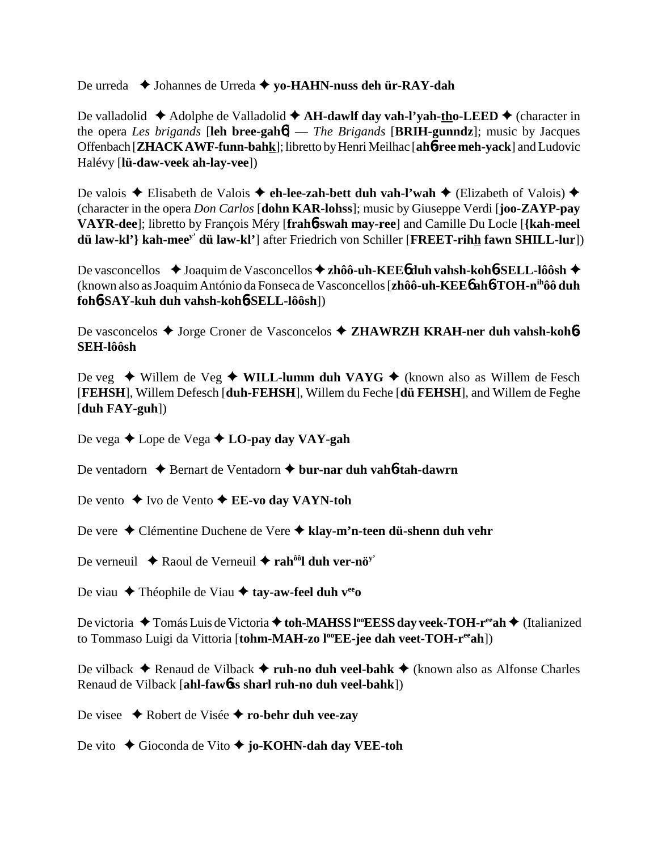De urreda ◆ Johannes de Urreda ◆ yo-HAHN-nuss deh ür-RAY-dah

De valladolid ◆ Adolphe de Valladolid ◆ A**H-dawlf day vah-l'yah-tho-LEED** ◆ (character in the opera *Les brigands* [**leh bree-gah**6] — *The Brigands* [**BRIH-gunndz**]; music by Jacques Offenbach [**ZHACK AWF-funn-bahk**]; libretto by Henri Meilhac [**ah**6**-ree meh-yack**] and Ludovic Halévy [**lü-daw-veek ah-lay-vee**])

De valois **→** Elisabeth de Valois **→ eh-lee-zah-bett duh vah-l'wah** → (Elizabeth of Valois) → (character in the opera *Don Carlos* [**dohn KAR-lohss**]; music by Giuseppe Verdi [**joo-ZAYP-pay VAYR-dee**]; libretto by François Méry [**frah**6**-swah may-ree**] and Camille Du Locle [**{kah-meel dü law-kl'} kah-meey' dü law-kl'**] after Friedrich von Schiller [**FREET-rihh fawn SHILL-lur**])

De vasconcellos ◆ Joaquim de Vasconcellos ◆ zhôô-uh-KEE6 duh vahsh-koh6-SELL-lôôsh ◆ (known also as Joaquim António da Fonseca de Vasconcellos [**zhôô-uh-KEE**6 **ah**6**-TOH-nihôô duh foh**6**-SAY-kuh duh vahsh-koh**6**-SELL-lôôsh**])

De vasconcelos ◆ Jorge Croner de Vasconcelos ◆ **ZHAWRZH KRAH-ner duh vahsh-koh6 SEH-lôôsh**

De veg ◆ Willem de Veg ◆ **WILL-lumm duh VAYG** ◆ (known also as Willem de Fesch [**FEHSH**], Willem Defesch [**duh-FEHSH**], Willem du Feche [**dü FEHSH**], and Willem de Feghe [**duh FAY-guh**])

De vega **→** Lope de Vega **→ LO-pay day VAY-gah** 

De ventadorn **→** Bernart de Ventadorn **→ bur-nar duh vah<sup>6</sup>-tah-dawrn** 

- De vento **→** Ivo de Vento **→ EE-vo day VAYN-toh**
- De vere Clémentine Duchene de Vere **klay-m'n-teen dü-shenn duh vehr**
- De verneuil  $\triangle$  Raoul de Verneuil  $\triangle$  rah<sup>ôô</sup>l duh ver-nö<sup>y'</sup>
- De viau **←** Théophile de Viau **← tay-aw-feel duh v<sup>ee</sup>o**

De victoria ◆ Tomás Luis de Victoria ◆ toh-MAHSS l<sup>oo</sup>EESS day veek-TOH-r<sup>ee</sup>ah ◆ (Italianized to Tommaso Luigi da Vittoria [tohm-MAH-zo l<sup>oo</sup>EE-jee dah veet-TOH-r<sup>ee</sup>ah])

De vilback **→** Renaud de Vilback **→ ruh-no duh veel-bahk** → (known also as Alfonse Charles Renaud de Vilback [**ahl-faw**6**ss sharl ruh-no duh veel-bahk**])

- De visee Robert de Visée **ro-behr duh vee-zay**
- De vito **→** Gioconda de Vito → **jo-KOHN-dah day VEE-toh**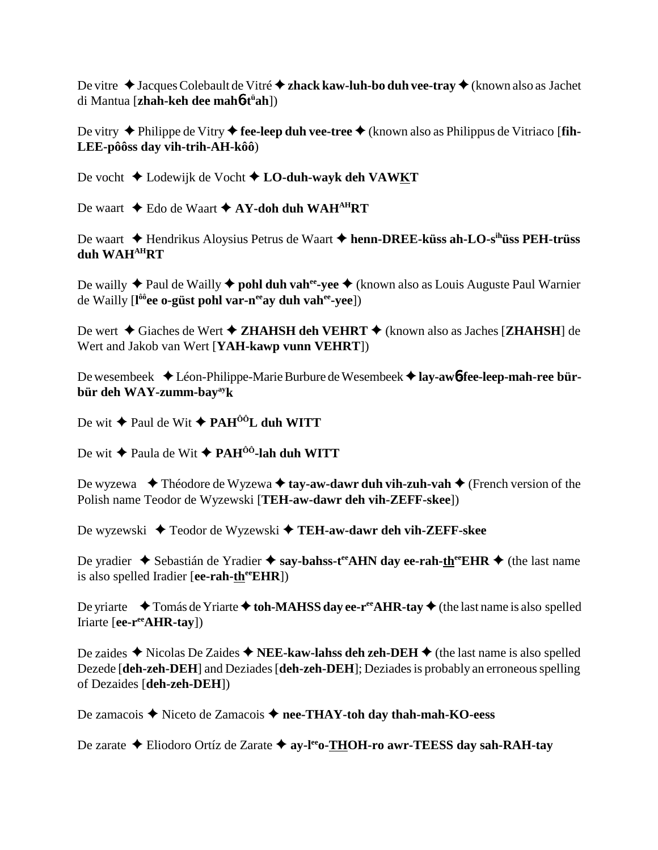De vitre  $\triangle$  Jacques Colebault de Vitré  $\triangle$  zhack kaw-luh-bo duh vee-tray  $\triangle$  (known also as Jachet di Mantua [zhah-keh dee mahô-tüah])

De vitry  $\triangle$  Philippe de Vitry  $\triangle$  fee-leep duh vee-tree  $\triangle$  (known also as Philippus de Vitriaco [fin-LEE-pôôss day vih-trih-AH-kôô)

De vocht  $\triangle$  Lodewijk de Vocht  $\triangle$  LO-duh-wayk deh VAWKT

De waart  $\triangle$  Edo de Waart  $\triangle$  AY-doh duh WAH<sup>AH</sup>RT

De waart  $\triangle$  Hendrikus Aloysius Petrus de Waart  $\triangle$  henn-DREE-küss ah-LO-s<sup>ih</sup>uss PEH-trüss duh WAH<sup>AH</sup>RT

De wailly  $\triangle$  Paul de Wailly  $\triangle$  pohl duh vah<sup>ee</sup>-vee  $\triangle$  (known also as Louis Auguste Paul Warnier de Wailly [l<sup>ôô</sup>ee o-güst pohl var-n<sup>ee</sup>ay duh vah<sup>ee</sup>-yee])

De wert  $\triangle$  Giaches de Wert  $\triangle$  ZHAHSH deh VEHRT  $\triangle$  (known also as Jaches [ZHAHSH] de Wert and Jakob van Wert [YAH-kawp vunn VEHRT])

De wesembeek ◆ Léon-Philippe-Marie Burbure de Wesembeek ◆ lay-aw6-fee-leep-mah-ree bürbür deh WAY-zumm-bay<sup>ay</sup>k

De wit  $\triangle$  Paul de Wit  $\triangle$  PAH<sup> $00$ </sup>L duh WITT

De wit  $\triangle$  Paula de Wit  $\triangle$  PAH<sup>ôô</sup>-lah duh WITT

De wyzewa  $\bullet$  Théodore de Wyzewa  $\bullet$  tay-aw-dawr duh vih-zuh-vah  $\bullet$  (French version of the Polish name Teodor de Wyzewski [TEH-aw-dawr deh vih-ZEFF-skee])

De wyzewski  $\blacklozenge$  Teodor de Wyzewski  $\blacklozenge$  TEH-aw-dawr deh vih-ZEFF-skee

De yradier  $\triangle$  Sebastián de Yradier  $\triangle$  say-bahss-t<sup>ee</sup> AHN day ee-rah-th<sup>ee</sup> EHR  $\triangle$  (the last name is also spelled Iradier [ee-rah- $th^{\text{ee}}EHR$ ])

De yriarte  $\bullet$  Tomás de Yriarte  $\bullet$  toh-MAHSS day ee-r<sup>ee</sup> AHR-tay  $\bullet$  (the last name is also spelled Iriarte [ee-r<sup>ee</sup>AHR-tay])

De zaides  $\triangle$  Nicolas De Zaides  $\triangle$  NEE-kaw-lahss deh zeh-DEH  $\triangle$  (the last name is also spelled Dezede [deh-zeh-DEH] and Deziades [deh-zeh-DEH]; Deziades is probably an erroneous spelling of Dezaides [deh-zeh-DEH])

De zamacois  $\triangle$  Niceto de Zamacois  $\triangle$  nee-THAY-toh day thah-mah-KO-eess

De zarate  $\triangle$  Eliodoro Ortíz de Zarate  $\triangle$  ay-l<sup>ee</sup>o-THOH-ro awr-TEESS day sah-RAH-tay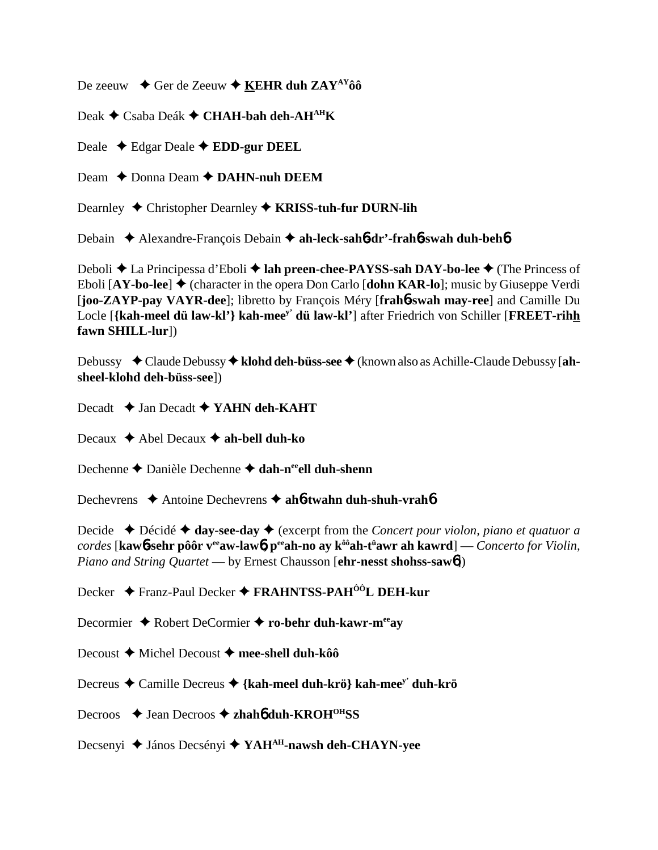De zeeuw  $\rightarrow$  Ger de Zeeuw  $\rightarrow$  **KEHR duh ZAY**<sup>AY</sup>**ôô** 

Deak **←** Csaba Deák ← CHAH-bah deh-AH<sup>AH</sup>K

Deale Edgar Deale **EDD-gur DEEL**

Deam  $\rightarrow$  Donna Deam  $\rightarrow$  **DAHN-nuh DEEM** 

Dearnley ◆ Christopher Dearnley ◆ **KRISS-tuh-fur DURN-lih** 

Debain Alexandre-François Debain **ah-leck-sah**6**-dr'-frah**6**-swah duh-beh**6

Deboli **→** La Principessa d'Eboli → lah preen-chee-PAYSS-sah DAY-bo-lee → (The Princess of Eboli  $[AY-bo-lee]$   $\blacklozenge$  (character in the opera Don Carlo  $[dbhn$  KAR-lo<sup> $]$ </sup>; music by Giuseppe Verdi [**joo-ZAYP-pay VAYR-dee**]; libretto by François Méry [**frah**6**-swah may-ree**] and Camille Du Locle [**{kah-meel dü law-kl'} kah-meey' dü law-kl'**] after Friedrich von Schiller [**FREET-rihh fawn SHILL-lur**])

Debussy ◆ Claude Debussy ◆ klohd deh-büss-see ◆ (known also as Achille-Claude Debussy [ah**sheel-klohd deh-büss-see**])

Decadt **→ Jan Decadt → YAHN deh-KAHT** 

Decaux **→** Abel Decaux **→ ah-bell duh-ko** 

Dechenne **←** Danièle Dechenne ← dah-n<sup>ee</sup>ell duh-shenn

Dechevrens **→** Antoine Dechevrens → ah**6-twahn duh-shuh-vrah6** 

Decide  $\triangle$  Décidé  $\triangle$  day-see-day  $\triangle$  (excerpt from the *Concert pour violon, piano et quatuor a cordes* [**kaw**6**-sehr pôôr veeaw-law**6**, peeah-no ay kôôah-tü awr ah kawrd**] — *Concerto for Violin, Piano and String Quartet* — by Ernest Chausson [**ehr-nesst shohss-saw**6])

Decker Franz-Paul Decker **FRAHNTSS-PAHÔÔL DEH-kur**

Decormier ◆ Robert DeCormier ◆ ro-behr duh-kawr-m<sup>ee</sup>ay

Decoust **→** Michel Decoust → mee-shell duh-kôô

Decreus Camille Decreus **{kah-meel duh-krö} kah-meey' duh-krö**

Decroos **→** Jean Decroos → zhah**6** duh-KROH<sup>OH</sup>SS

Decsenyi **→** János Decsényi → YAH<sup>AH</sup>-nawsh deh-CHAYN-yee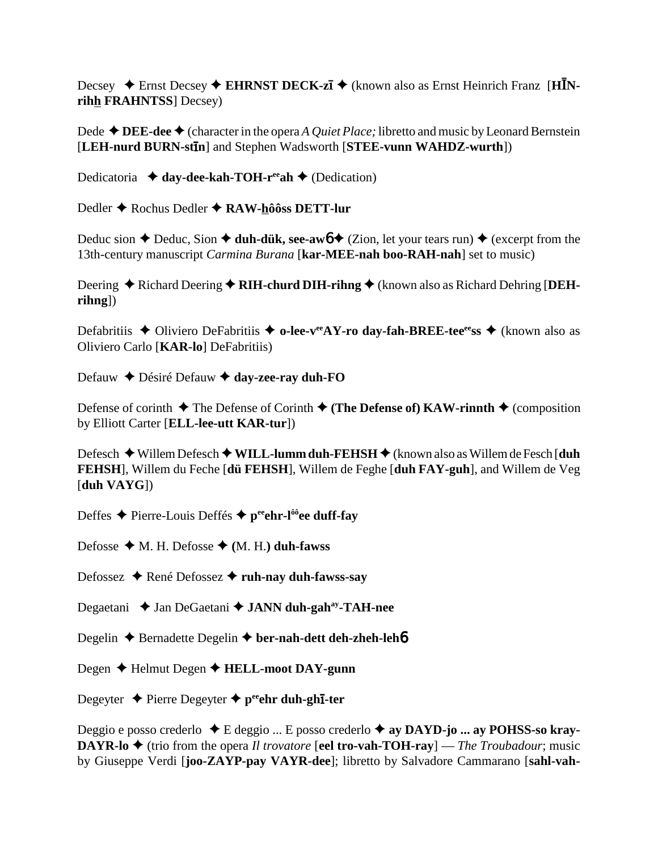Decsey  $\triangle$  Ernst Decsey  $\triangle$  EHRNST DECK-zī  $\triangle$  (known also as Ernst Heinrich Franz [HINrihh FRAHNTSS] Decsey)

Dede  $\triangle$  DEE-dee  $\triangle$  (character in the opera A Quiet Place; libretto and music by Leonard Bernstein [LEH-nurd BURN-stin] and Stephen Wadsworth [STEE-vunn WAHDZ-wurth])

Dedicatoria  $\triangleleft$  day-dee-kah-TOH-r<sup>ee</sup>ah  $\triangleleft$  (Dedication)

Dedler  $\triangle$  Rochus Dedler  $\triangle$  RAW-hôôss DETT-lur

Deduc sion  $\triangle$  Deduc, Sion  $\triangle$  duh-dük, see-aw  $\triangle$  (Zion, let your tears run)  $\triangle$  (excerpt from the 13th-century manuscript *Carmina Burana* [kar-MEE-nah boo-RAH-nah] set to music)

Deering  $\triangle$  Richard Deering  $\triangle$  RIH-churd DIH-rihng  $\triangle$  (known also as Richard Dehring [DEH $rihng$ ])

Defabritiis ◆ Oliviero DeFabritiis ◆ o-lee-vee AY-ro day-fah-BREE-tee ess ◆ (known also as Oliviero Carlo [KAR-lo] DeFabritiis)

Defauw  $\blacklozenge$  Désiré Defauw  $\blacklozenge$  day-zee-ray duh-FO

Defense of corinth  $\triangle$  The Defense of Corinth  $\triangle$  (The Defense of) KAW-rinnth  $\triangle$  (composition by Elliott Carter [ELL-lee-utt KAR-tur])

Defesch ◆ Willem Defesch ◆ WILL-lumm duh-FEHSH ◆ (known also as Willem de Fesch [duh FEHSH], Willem du Feche [dü FEHSH], Willem de Feghe [duh FAY-guh], and Willem de Veg  $[duh$  VAYG $]$ )

Deffes ← Pierre-Louis Deffés ← peehr-l<sup>ôô</sup>ee duff-fay

Defosse  $\blacklozenge$  M. H. Defosse  $\blacklozenge$  (M. H.) duh-fawss

Defossez ♦ René Defossez ♦ ruh-nay duh-fawss-say

Degaetani  $\triangle$  Jan DeGaetani  $\triangle$  JANN duh-gah<sup>ay</sup>-TAH-nee

Degelin  $\triangle$  Bernadette Degelin  $\triangle$  ber-nah-dett deh-zheh-leh $\phi$ 

Degen  $\triangle$  Helmut Degen  $\triangle$  HELL-moot DAY-gunn

Degeyter  $\triangle$  Pierre Degeyter  $\triangle$  p<sup>ee</sup>ehr duh-ghi-ter

Deggio e posso crederlo  $\triangle$  E deggio ... E posso crederlo  $\triangle$  ay DAYD-jo ... ay POHSS-so kray-**DAYR-lo**  $\triangle$  (trio from the opera *Il trovatore* [eel tro-vah-TOH-ray] — *The Troubadour*; music by Giuseppe Verdi [joo-ZAYP-pay VAYR-dee]; libretto by Salvadore Cammarano [sahl-vah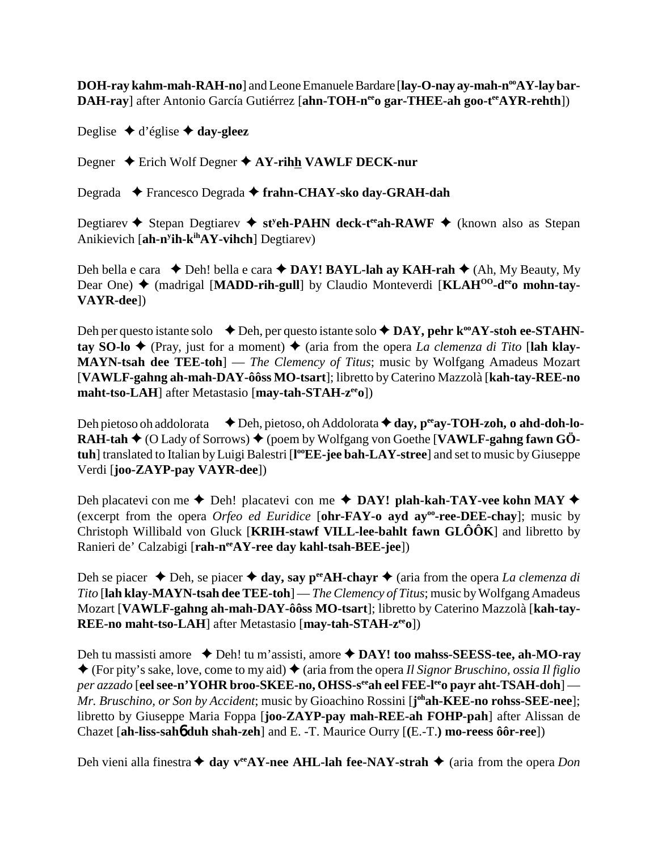DOH-ray kahm-mah-RAH-no] and Leone Emanuele Bardare [lay-O-nay ay-mah-n<sup>oo</sup>AY-lay bar-**DAH-ray**] after Antonio García Gutiérrez [ahn-TOH-n<sup>ee</sup>o gar-THEE-ah goo-t<sup>ee</sup>AYR-rehth])

Deglise  $\triangleleft$  d'église  $\triangleleft$  day-gleez

Degner ◆ Erich Wolf Degner ◆ AY-rihh VAWLF DECK-nur

Degrada Francesco Degrada **frahn-CHAY-sko day-GRAH-dah**

Degtiarev **→** Stepan Degtiarev → st<sup>y</sup>eh-PAHN deck-t<sup>ee</sup>ah-RAWF → (known also as Stepan Anikievich [**ah-ny ih-kihAY-vihch**] Degtiarev)

Deh bella e cara ◆ Deh! bella e cara ◆ DAY! BAYL-lah ay KAH-rah ◆ (Ah, My Beauty, My Dear One) ♦ (madrigal [MADD-rih-gull] by Claudio Monteverdi [KLAH<sup>00</sup>-d<sup>ee</sup>o mohn-tay-**VAYR-dee**])

Deh per questo istante solo **→** Deh, per questo istante solo ◆ DAY, pehr k<sup>oo</sup>AY-stoh ee-STAHN**tay SO-lo**  $\blacklozenge$  (Pray, just for a moment)  $\blacklozenge$  (aria from the opera *La clemenza di Tito* [lah klay-**MAYN-tsah dee TEE-toh**] — *The Clemency of Titus*; music by Wolfgang Amadeus Mozart [**VAWLF-gahng ah-mah-DAY-ôôss MO-tsart**]; libretto by Caterino Mazzolà [**kah-tay-REE-no maht-tso-LAH**] after Metastasio [**may-tah-STAH-z<sup>ee</sup>o**])

Deh pietoso oh addolorata **↓** Deh, pietoso, oh Addolorata ♦ day, p<sup>ee</sup>ay-TOH-zoh, o ahd-doh-lo-**RAH-tah ♦** (O Lady of Sorrows) ♦ (poem by Wolfgang von Goethe [VAWLF-gahng fawn GÖ**tuh**] translated to Italian by Luigi Balestri [**l ooEE-jee bah-LAY-stree**] and set to music by Giuseppe Verdi [**joo-ZAYP-pay VAYR-dee**])

Deh placatevi con me  $\triangle$  Deh! placatevi con me  $\triangle$  **DAY! plah-kah-TAY-vee kohn MAY**  $\triangle$ (excerpt from the opera *Orfeo ed Euridice* [**ohr-FAY-o ayd ayoo-ree-DEE-chay**]; music by Christoph Willibald von Gluck [**KRIH-stawf VILL-lee-bahlt fawn GLÔÔK**] and libretto by Ranieri de' Calzabigi [rah-n<sup>ee</sup>AY-ree day kahl-tsah-BEE-jee])

Deh se piacer  $\triangle$  Deh, se piacer  $\triangle$  day, say p<sup>ee</sup>AH-chayr  $\triangle$  (aria from the opera *La clemenza di Tito* [**lah klay-MAYN-tsah dee TEE-toh**] — *The Clemency of Titus*; music by Wolfgang Amadeus Mozart [**VAWLF-gahng ah-mah-DAY-ôôss MO-tsart**]; libretto by Caterino Mazzolà [**kah-tay-REE-no maht-tso-LAH**] after Metastasio [**may-tah-STAH-zeeo**])

Deh tu massisti amore ◆ Deh! tu m'assisti, amore ◆ DAY! too mahss-SEESS-tee, ah-MO-ray  $\triangle$  (For pity's sake, love, come to my aid)  $\triangle$  (aria from the opera *Il Signor Bruschino, ossia Il figlio per azzado* [**eel see-n'YOHR broo-SKEE-no, OHSS-s<sup>ee</sup>ah eel FEE-l<sup>ee</sup>o payr aht-TSAH-doh**] — *Mr. Bruschino, or Son by Accident*; music by Gioachino Rossini [**j ohah-KEE-no rohss-SEE-nee**]; libretto by Giuseppe Maria Foppa [**joo-ZAYP-pay mah-REE-ah FOHP-pah**] after Alissan de Chazet [**ah-liss-sah**6 **duh shah-zeh**] and E. -T. Maurice Ourry [**(**E.-T.**) mo-reess ôôr-ree**])

Deh vieni alla finestra  $\triangleq$  day v<sup>ee</sup>AY-nee AHL-lah fee-NAY-strah  $\triangleq$  (aria from the opera *Don*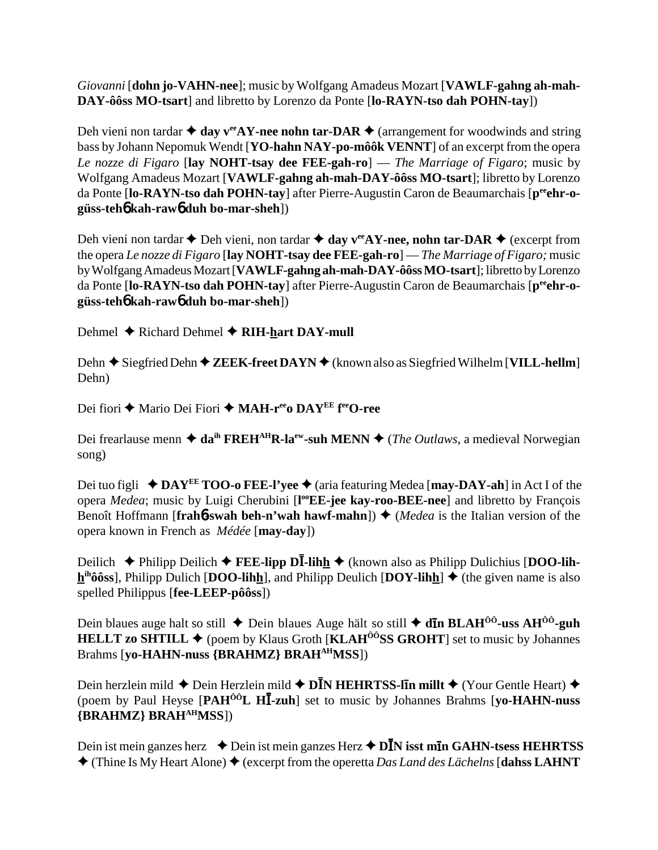*Giovanni* [**dohn jo-VAHN-nee**]; music by Wolfgang Amadeus Mozart [**VAWLF-gahng ah-mah-DAY-ôôss MO-tsart**] and libretto by Lorenzo da Ponte [**lo-RAYN-tso dah POHN-tay**])

Deh vieni non tardar  $\triangleq$  day v<sup>ee</sup>AY-nee nohn tar-DAR  $\triangleq$  (arrangement for woodwinds and string bass by Johann Nepomuk Wendt [**YO-hahn NAY-po-môôk VENNT**] of an excerpt from the opera *Le nozze di Figaro* [**lay NOHT-tsay dee FEE-gah-ro**] — *The Marriage of Figaro*; music by Wolfgang Amadeus Mozart [**VAWLF-gahng ah-mah-DAY-ôôss MO-tsart**]; libretto by Lorenzo da Ponte [lo-RAYN-tso dah POHN-tay] after Pierre-Augustin Caron de Beaumarchais [p<sup>ee</sup>ehr-o**güss-teh**6 **kah-raw**6 **duh bo-mar-sheh**])

Deh vieni non tardar  $\triangle$  Deh vieni, non tardar  $\triangle$  day  $v^{ee}AY$ -nee, nohn tar-DAR  $\triangle$  (excerpt from the opera *Le nozze di Figaro* [**lay NOHT-tsay dee FEE-gah-ro**] — *The Marriage of Figaro;* music by Wolfgang Amadeus Mozart [**VAWLF-gahng ah-mah-DAY-ôôss MO-tsart**]; libretto by Lorenzo da Ponte [**lo-RAYN-tso dah POHN-tay**] after Pierre-Augustin Caron de Beaumarchais [**peeehr-ogüss-teh**6 **kah-raw**6 **duh bo-mar-sheh**])

Dehmel **→** Richard Dehmel **→ RIH-hart DAY-mull** 

Dehn **→** Siegfried Dehn ◆ **ZEEK-freet DAYN** ◆ (known also as Siegfried Wilhelm [**VILL-hellm**] Dehn)

Dei fiori ◆ Mario Dei Fiori ◆ MAH-r<sup>ee</sup>o DAY<sup>EE</sup> f<sup>ee</sup>O-ree

Dei frearlause menn  $\triangleq da^{ih} \text{ FREH}^{AH} \text{R-l}a^{ev}$ -suh MENN  $\triangleq$  (*The Outlaws*, a medieval Norwegian song)

Dei tuo figli ◆ DAY<sup>EE</sup> TOO-o FEE-l'yee ◆ (aria featuring Medea [**may-DAY-ah**] in Act I of the opera *Medea*; music by Luigi Cherubini [l<sup>oo</sup>EE-jee kay-roo-BEE-nee] and libretto by François Benoît Hoffmann [**frah6**-swah beh-n'wah hawf-mahn])  $\triangle$  (*Medea* is the Italian version of the opera known in French as *Médée* [**may-day**])

**Deilich ◆ Philipp Deilich ◆ FEE-lipp DĪ-lihh ◆** (known also as Philipp Dulichius [DOO-lih $h^{ih}\hat{o}$ **6ss**, Philipp Dulich [**DOO-lihh**], and Philipp Deulich [**DOY-lihh**]  $\blacklozenge$  (the given name is also spelled Philippus [**fee-LEEP-pôôss**])

Dein blaues auge halt so still ◆ Dein blaues Auge hält so still ◆ **dn** BLAH<sup>ôô</sup>-uss AH<sup>ôô</sup>-guh **HELLT zo SHTILL**  $\blacklozenge$  (poem by Klaus Groth [**KLAH<sup>** $\hat{O}$ **ÔSS GROHT**] set to music by Johannes</sup> Brahms [**yo-HAHN-nuss {BRAHMZ} BRAHAHMSS**])

Dein herzlein mild ◆ Dein Herzlein mild ◆ D**ĪN HEHRTSS-līn millt** ◆ (Your Gentle Heart) ◆ (poem by Paul Heyse [PAH<sup>ÔÔ</sup>L HI-zuh] set to music by Johannes Brahms [yo-HAHN-nuss **{BRAHMZ} BRAHAHMSS**])

Dein ist mein ganzes herz ◆ Dein ist mein ganzes Herz ◆ D**ĪN isst mīn GAHN-tsess HEHRTSS**  $\triangle$  (Thine Is My Heart Alone)  $\triangle$  (excerpt from the operetta *Das Land des Lächelns* [**dahss LAHNT**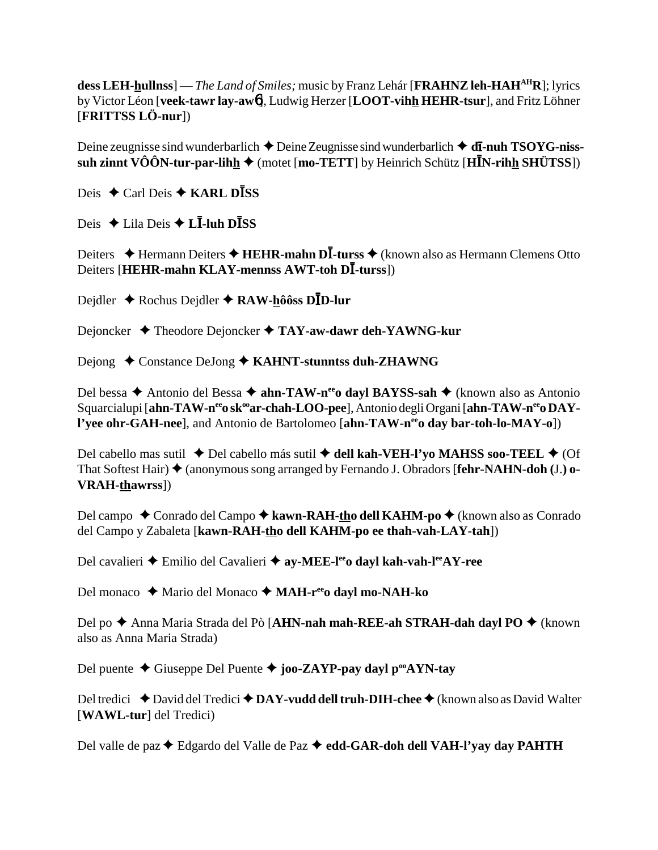dess LEH-hullnss] — The Land of Smiles; music by Franz Lehár [FRAHNZ leh-HAH<sup>AH</sup>R]; lyrics by Victor Léon [veek-tawr lay-awo], Ludwig Herzer [LOOT-vihh HEHR-tsur], and Fritz Löhner [FRITTSS LÖ-nur])

Deine zeugnisse sind wunderbarlich  $\triangle$  Deine Zeugnisse sind wunderbarlich  $\triangle$  dI-nuh TSOYG-nisssuh zinnt VÔÔN-tur-par-lihh  $\blacklozenge$  (motet [mo-TETT] by Heinrich Schütz [HIN-rihh SHÜTSS])

Deis **←** Carl Deis ← **KARL DISS** 

Deis  $\triangle$  Lila Deis  $\triangle$  L**I**-luh D**ISS** 

Deiters  $\triangle$  Hermann Deiters  $\triangle$  HEHR-mahn DI-turss  $\triangle$  (known also as Hermann Clemens Otto Deiters [HEHR-mahn KLAY-mennss AWT-toh DI-turss])

Dejdler  $\triangle$  Rochus Dejdler  $\triangle$  RAW-hôôss D $\overline{D}$ -lur

Dejoncker  $\triangleleft$  Theodore Dejoncker  $\triangleleft$  TAY-aw-dawr deh-YAWNG-kur

Dejong  $\triangle$  Constance DeJong  $\triangle$  KAHNT-stunntss duh-ZHAWNG

Del bessa  $\triangle$  Antonio del Bessa  $\triangle$  ahn-TAW-n<sup>ee</sup> dayl BAYSS-sah  $\triangle$  (known also as Antonio Squarcialupi [ahn-TAW-n<sup>ee</sup>o sk<sup>oo</sup>ar-chah-LOO-pee], Antonio degli Organi [ahn-TAW-n<sup>ee</sup>o DAYl'yee ohr-GAH-nee], and Antonio de Bartolomeo [ahn-TAW-n<sup>ee</sup>o day bar-toh-lo-MAY-o])

Del cabello mas sutil  $\triangle$  Del cabello más sutil  $\triangle$  dell kah-VEH-l'yo MAHSS soo-TEEL  $\triangle$  (Of That Softest Hair)  $\triangle$  (anonymous song arranged by Fernando J. Obradors [fehr-NAHN-doh (J.) o-**VRAH-thawrss**])

Del campo  $\triangle$  Conrado del Campo  $\triangle$  kawn-RAH-tho dell KAHM-po  $\triangle$  (known also as Conrado del Campo y Zabaleta [kawn-RAH-tho dell KAHM-po ee thah-vah-LAY-tah])

Del cavalieri  $\triangle$  Emilio del Cavalieri  $\triangle$  ay-MEE-l<sup>ee</sup> dayl kah-vah-l<sup>ee</sup>AY-ree

Del monaco  $\triangle$  Mario del Monaco  $\triangle$  MAH-r<sup>ee</sup> dayl mo-NAH-ko

Del po ◆ Anna Maria Strada del Pò [AHN-nah mah-REE-ah STRAH-dah dayl PO ◆ (known also as Anna Maria Strada)

Del puente  $\triangle$  Giuseppe Del Puente  $\triangle$  joo-ZAYP-pay dayl p<sup>oo</sup>AYN-tay

Del tredici  $\triangle$  David del Tredici  $\triangle$  DAY-vudd dell truh-DIH-chee  $\triangle$  (known also as David Walter [WAWL-tur] del Tredici)

Del valle de paz ◆ Edgardo del Valle de Paz ◆ edd-GAR-doh dell VAH-l'yay day PAHTH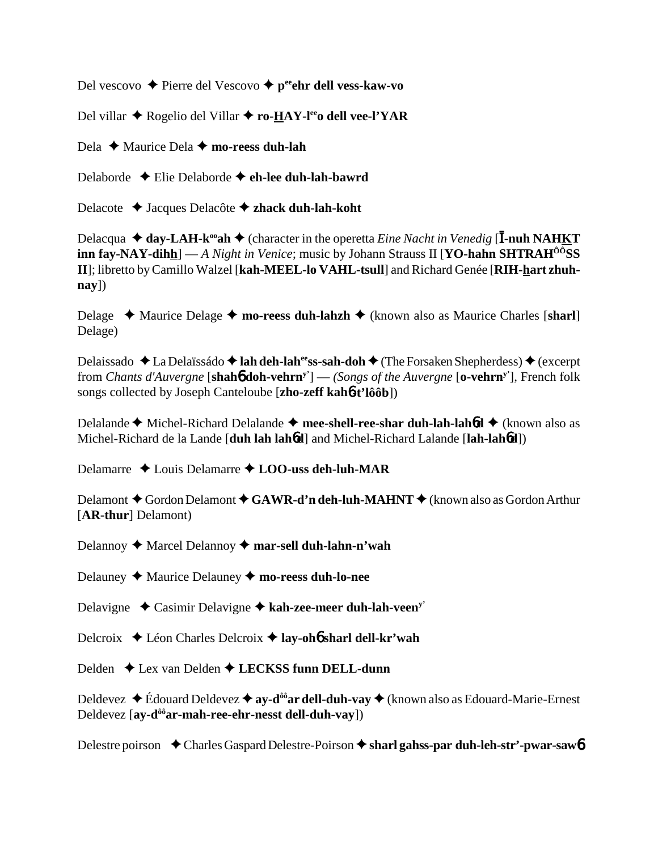Del vescovo → Pierre del Vescovo → p<sup>ee</sup>ehr dell vess-kaw-vo

Del villar ◆ Rogelio del Villar ◆ ro-HAY-l<sup>ee</sup>o dell vee-l'YAR

Dela  $\triangle$  Maurice Dela  $\triangle$  mo-reess duh-lah

Delaborde  $\triangle$  Elie Delaborde  $\triangle$  eh-lee duh-lah-bawrd

Delacote  $\triangleleft$  Jacques Delacôte  $\triangleleft$  zhack duh-lah-koht

Delacqua  $\triangleq$  day-LAH-k<sup>oo</sup>ah  $\triangleq$  (character in the operetta *Eine Nacht in Venedig* [I-nuh NAHKT] **inn fay-NAY-dihh**] — A Night in Venice; music by Johann Strauss II [**YO-hahn SHTRAH<sup>00</sup>SS** II]; libretto by Camillo Walzel [kah-MEEL-lo VAHL-tsull] and Richard Genée [RIH-hart zhuh- $\bf{nav}$ ]

Delage  $\rightarrow$  Maurice Delage  $\rightarrow$  mo-reess duh-lahzh  $\rightarrow$  (known also as Maurice Charles [sharl] Delage)

Delaissado  $\triangle$  La Delaïssádo  $\triangle$  lah deh-lah<sup>ee</sup>ss-sah-doh  $\triangle$  (The Forsaken Shepherdess)  $\triangle$  (excerpt from *Chants d'Auvergne* [shah**ó doh-vehrn**<sup>y'</sup>] — *(Songs of the Auvergne* [o-vehrn<sup>y'</sup>], French folk songs collected by Joseph Canteloube [zho-zeff kaho-t'lôôb])

Delalande  $\blacklozenge$  Michel-Richard Delalande  $\blacklozenge$  mee-shell-ree-shar duh-lah-lahbd  $\blacklozenge$  (known also as Michel-Richard de la Lande [duh lah lahod] and Michel-Richard Lalande [lah-lahod])

Delamarre  $\triangle$  Louis Delamarre  $\triangle$  LOO-uss deh-luh-MAR

Delamont  $\blacklozenge$  Gordon Delamont  $\blacklozenge$  GAWR-d'n deh-luh-MAHNT  $\blacklozenge$  (known also as Gordon Arthur [AR-thur] Delamont)

Delannoy ♦ Marcel Delannoy ♦ mar-sell duh-lahn-n'wah

Delauney  $\blacklozenge$  Maurice Delauney  $\blacklozenge$  mo-reess duh-lo-nee

Delavigne  $\triangleleft$  Casimir Delavigne  $\triangleleft$  kah-zee-meer duh-lah-veen<sup>y'</sup>

Delcroix  $\triangleleft$  Léon Charles Delcroix  $\triangleleft$  lay-oho sharl dell-kr'wah

Delden  $\triangle$  Lex van Delden  $\triangle$  LECKSS funn DELL-dunn

Deldevez  $\triangle$  Édouard Deldevez  $\triangleq$  ay-d<sup>ôô</sup> ar dell-duh-vay  $\triangleq$  (known also as Edouard-Marie-Ernest Deldevez [ay-d<sup>ôô</sup>ar-mah-ree-ehr-nesst dell-duh-vay])

Delestre poirson  $\triangle$  Charles Gaspard Delestre-Poirson  $\triangle$  sharl gahss-par duh-leh-str'-pwar-saw 6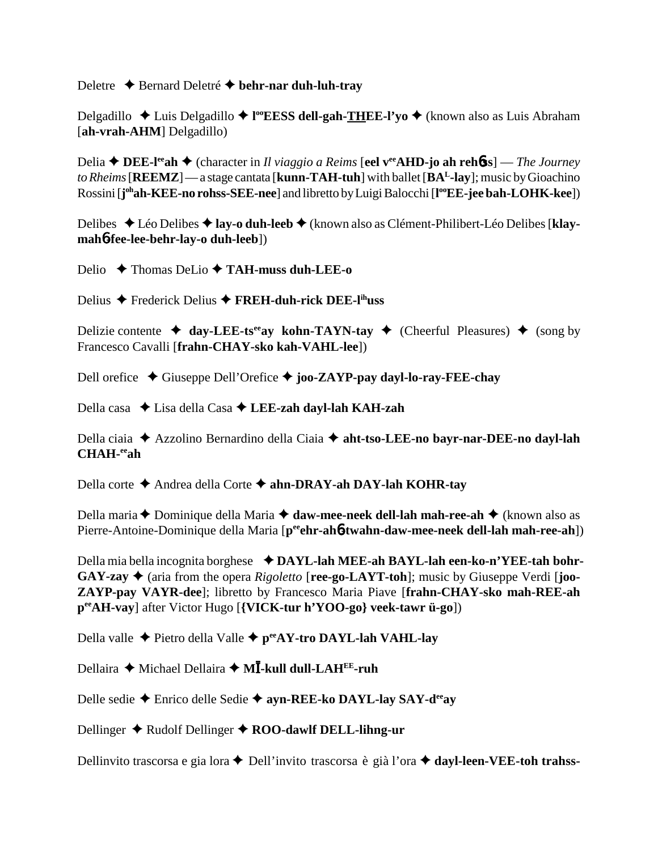Deletre **←** Bernard Deletré ← behr-nar duh-luh-tray

Delgadillo ◆ Luis Delgadillo ◆ l<sup>oo</sup>EESS dell-gah-THEE-l'yo ◆ (known also as Luis Abraham [**ah-vrah-AHM**] Delgadillo)

Delia **DEE-leeah** (character in *Il viaggio a Reims* [**eel veeAHD-jo ah reh**6**ss**] — *The Journey to Rheims* [**REEMZ**] — a stage cantata [**kunn-TAH-tuh**] with ballet [**BAL-lay**]; music by Gioachino Rossini [**j ohah-KEE-no rohss-SEE-nee**] and libretto by Luigi Balocchi [**l ooEE-jee bah-LOHK-kee**])

Delibes Léo Delibes **lay-o duh-leeb** (known also as Clément-Philibert-Léo Delibes [**klaymah**6**-fee-lee-behr-lay-o duh-leeb**])

Delio Thomas DeLio **TAH-muss duh-LEE-o**

Delius Frederick Delius **FREH-duh-rick DEE-lihuss**

Delizie contente  $\triangleleft$  day-LEE-ts<sup>ee</sup>ay kohn-TAYN-tay  $\triangleleft$  (Cheerful Pleasures)  $\triangleleft$  (song by Francesco Cavalli [**frahn-CHAY-sko kah-VAHL-lee**])

Dell orefice Giuseppe Dell'Orefice **joo-ZAYP-pay dayl-lo-ray-FEE-chay**

Della casa Lisa della Casa **LEE-zah dayl-lah KAH-zah**

Della ciaia ◆ Azzolino Bernardino della Ciaia ◆ aht-tso-LEE-no bayr-nar-DEE-no dayl-lah **CHAH-eeah**

Della corte Andrea della Corte **ahn-DRAY-ah DAY-lah KOHR-tay**

Della maria **←** Dominique della Maria **← daw-mee-neek dell-lah mah-ree-ah** ← (known also as Pierre-Antoine-Dominique della Maria [p<sup>ee</sup>ehr-ah**6-twahn-daw-mee-neek dell-lah mah-ree-ah**])

Della mia bella incognita borghese **→ DAYL-lah MEE-ah BAYL-lah een-ko-n'YEE-tah bohr-** $GAY-zay \triangleq$  (aria from the opera *Rigoletto* [ree-go-LAYT-toh]; music by Giuseppe Verdi [**joo-ZAYP-pay VAYR-dee**]; libretto by Francesco Maria Piave [**frahn-CHAY-sko mah-REE-ah peeAH-vay**] after Victor Hugo [**{VICK-tur h'YOO-go} veek-tawr ü-go**])

Della valle Pietro della Valle **peeAY-tro DAYL-lah VAHL-lay**

Dellaira ◆ Michael Dellaira ◆ M**Ī-kull dull-LAH<sup>EE</sup>-ruh** 

Delle sedie Enrico delle Sedie **ayn-REE-ko DAYL-lay SAY-deeay**

Dellinger **→** Rudolf Dellinger ◆ **ROO-dawlf DELL-lihng-ur** 

Dellinvito trascorsa e gia lora **←** Dell'invito trascorsa è già l'ora **← dayl-leen-VEE-toh trahss-**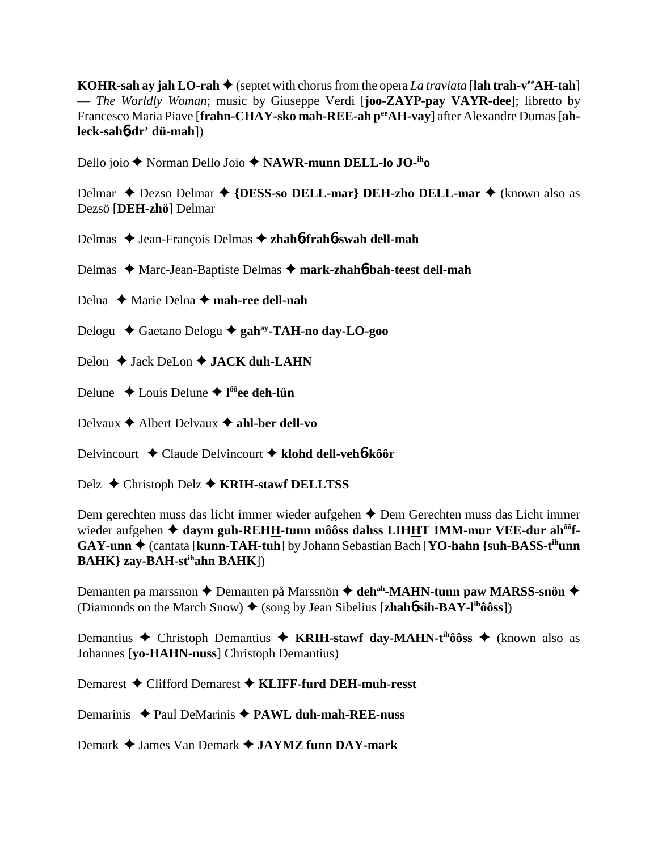KOHR-sah ay jah LO-rah  $\triangle$  (septet with chorus from the opera *La traviata* [lah trah-v<sup>ee</sup>AH-tah] — The Worldly Woman; music by Giuseppe Verdi [joo-ZAYP-pay VAYR-dee]; libretto by Francesco Maria Piave [frahn-CHAY-sko mah-REE-ah pe AH-vay] after Alexandre Dumas [ah $leck-sah6-dr' di-mah$ ])

Dello joio ◆ Norman Dello Joio ◆ NAWR-munn DELL-lo JO-<sup>ih</sup>o

Delmar ◆ Dezso Delmar ◆ {DESS-so DELL-mar} DEH-zho DELL-mar ◆ (known also as Dezsö [DEH-zhö] Delmar

Delmas  $\triangle$  Jean-François Delmas  $\triangle$  zhahó-frahó-swah dell-mah

Delmas ◆ Marc-Jean-Baptiste Delmas ◆ mark-zhah6-bah-teest dell-mah

Delna  $\triangle$  Marie Delna  $\triangle$  mah-ree dell-nah

Delogu  $\triangle$  Gaetano Delogu  $\triangle$  gah<sup>ay</sup>-TAH-no day-LO-goo

Delon  $\triangle$  Jack DeLon  $\triangle$  JACK duh-LAHN

Delune  $\triangle$  Louis Delune  $\triangle$  l<sup>ôô</sup>ee deh-lün

Delvaux  $\triangle$  Albert Delvaux  $\triangle$  ahl-ber dell-vo

Delvincourt  $\triangle$  Claude Delvincourt  $\triangle$  klohd dell-veho-kôor

Delz  $\triangle$  Christoph Delz  $\triangle$  KRIH-stawf DELLTSS

Dem gerechten muss das licht immer wieder aufgehen  $\triangle$  Dem Gerechten muss das Licht immer wieder aufgehen  $\triangleq$  daym guh-REHH-tunn môôss dahss LIHHT IMM-mur VEE-dur ah<sup>ôô</sup>f- $GAY-unn \rightarrow$  (cantata [kunn-TAH-tuh] by Johann Sebastian Bach [YO-hahn {suh-BASS-t<sup>ih</sup>unn **BAHK**} zay-BAH-st<sup>ih</sup>ahn BAHK])

Demanten pa marssnon ◆ Demanten på Marssnön ◆ deh<sup>ah</sup>-MAHN-tunn paw MARSS-snön ◆ (Diamonds on the March Snow)  $\blacklozenge$  (song by Jean Sibelius [zhaho sih-BAY-l<sup>ih</sup>ôôss])

Demantius  $\triangle$  Christoph Demantius  $\triangle$  KRIH-stawf day-MAHN-t<sup>ih</sup>ôôss  $\triangle$  (known also as Johannes [yo-HAHN-nuss] Christoph Demantius)

Demarest  $\bigstar$  Clifford Demarest  $\bigstar$  KLIFF-furd DEH-muh-resst

Demarinis  $\triangle$  Paul DeMarinis  $\triangle$  PAWL duh-mah-REE-nuss

Demark  $\triangle$  James Van Demark  $\triangle$  JAYMZ funn DAY-mark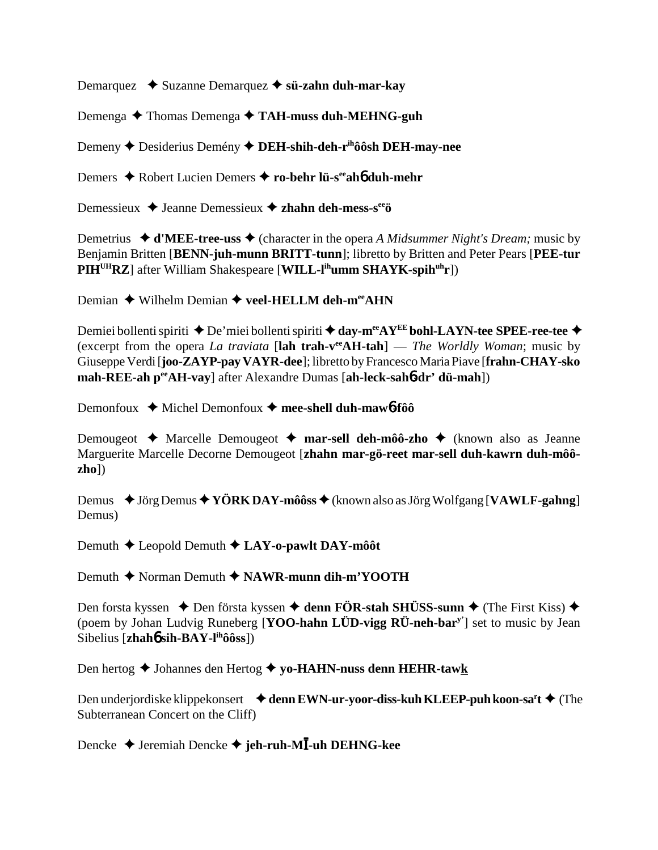Demarquez  **◆** Suzanne Demarquez ◆ s**ü-zahn duh-mar-kay** 

Demenga **→** Thomas Demenga → TAH-muss duh-MEHNG-guh

Demeny **←** Desiderius Demény ← DEH-shih-deh-r<sup>ih</sup>ôôsh DEH-may-nee

Demers ◆ Robert Lucien Demers ◆ ro-behr lü-s<sup>ee</sup>ah**6** duh-mehr

Demessieux **→** Jeanne Demessieux **→ zhahn deh-mess-s<sup>ee</sup>ö** 

Demetrius  $\triangleleft d'MEE-tree-uss \triangleleft (character\ in\ the\ opera\ A\ Mid summer\ Night's\ Dream; music\ by$ Benjamin Britten [**BENN-juh-munn BRITT-tunn**]; libretto by Britten and Peter Pears [**PEE-tur PIHUHRZ**] after William Shakespeare [**WILL-lihumm SHAYK-spihuhr**])

Demian **→** Wilhelm Demian → veel-HELLM deh-m<sup>ee</sup>AHN

Demiei bollenti spiriti  $\triangle$  De'miei bollenti spiriti  $\triangle$  day-m<sup>ee</sup>AY<sup>EE</sup> bohl-LAYN-tee SPEE-ree-tee  $\triangle$ (excerpt from the opera *La traviata* [**lah trah-veeAH-tah**] — *The Worldly Woman*; music by Giuseppe Verdi [**joo-ZAYP-pay VAYR-dee**]; libretto by Francesco Maria Piave [**frahn-CHAY-sko mah-REE-ah peeAH-vay**] after Alexandre Dumas [**ah-leck-sah**6**-dr' dü-mah**])

Demonfoux **→** Michel Demonfoux → mee-shell duh-maw<sup>6</sup>-fôô

Demougeot Marcelle Demougeot **mar-sell deh-môô-zho** (known also as Jeanne Marguerite Marcelle Decorne Demougeot [**zhahn mar-gö-reet mar-sell duh-kawrn duh-môôzho**])

Demus  $\blacklozenge$  Jörg Demus  $\blacklozenge$  **YÖRK DAY-môôss**  $\blacklozenge$  (known also as Jörg Wolfgang [**VAWLF-gahng**] Demus)

Demuth Leopold Demuth **LAY-o-pawlt DAY-môôt**

Demuth **→** Norman Demuth **→ NAWR-munn dih-m'YOOTH** 

Den forsta kyssen  $\triangle$  Den första kyssen  $\triangle$  denn FÖR-stah SHÜSS-sunn  $\triangle$  (The First Kiss)  $\triangle$ (poem by Johan Ludvig Runeberg [**YOO-hahn LÜD-vigg RÜ-neh-bary'**] set to music by Jean Sibelius [**zhah**6 **sih-BAY-lihôôss**])

Den hertog ◆ Johannes den Hertog ◆ yo-HAHN-nuss denn HEHR-tawk

Den underjordiske klippekonsert **↓ denn EWN-ur-yoor-diss-kuh KLEEP-puh koon-sa<sup>r</sup>t ◆** (The Subterranean Concert on the Cliff)

**Dencke ◆ Jeremiah Dencke ◆ jeh-ruh-MĪ-uh DEHNG-kee**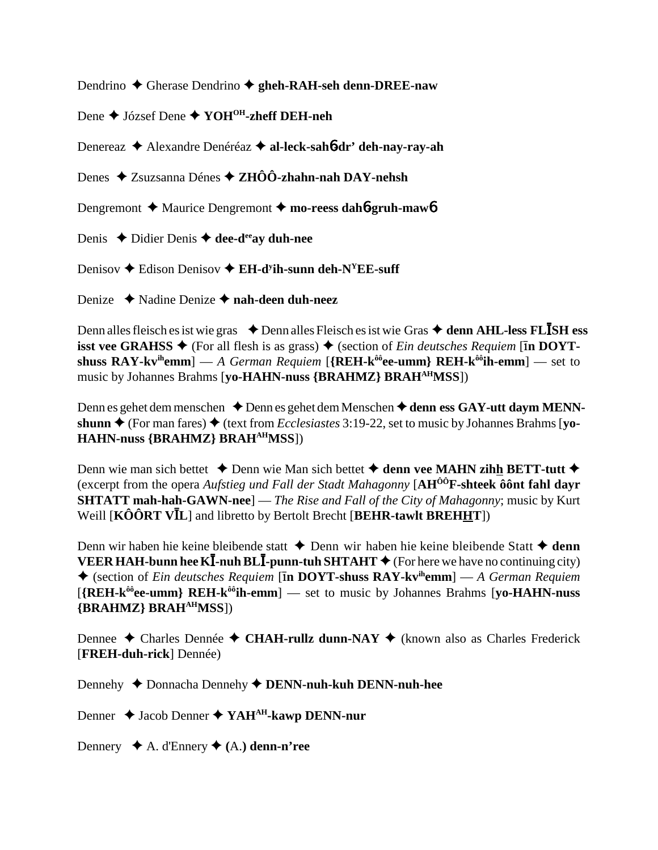Dendrino  $\triangle$  Gherase Dendrino  $\triangle$  gheh-RAH-seh denn-DREE-naw

Dene  $\triangle$  József Dene  $\triangle$  YOH<sup>OH</sup>-zheff DEH-neh

Denereaz ◆ Alexandre Denéréaz ◆ al-leck-sahó-dr' deh-nay-ray-ah

Denes  $\triangle$  Zsuzsanna Dénes  $\triangle$  ZHÔÔ-zhahn-nah DAY-nehsh

Dengremont  $\triangle$  Maurice Dengremont  $\triangle$  mo-reess daho-gruh-mawo

Denis  $\triangle$  Didier Denis  $\triangle$  dee-d<sup>ee</sup>ay duh-nee

Denisov  $\triangle$  Edison Denisov  $\triangle$  EH-d<sup>y</sup>ih-sunn deh-N<sup>Y</sup>EE-suff

Denize  $\rightarrow$  Nadine Denize  $\rightarrow$  nah-deen duh-neez

Denn alles fleisch es ist wie gras  $\triangle$  Denn alles Fleisch es ist wie Gras  $\triangle$  denn AHL-less FLISH ess **isst vee GRAHSS ♦** (For all flesh is as grass) ♦ (section of *Ein deutsches Requiem* [In DOYTshuss  $\mathbf{RAY}$ -kv<sup>ih</sup>emm] — A German Requiem [{ $\mathbf{REH}$ -k<sup>ôô</sup>ee-umm}  $\mathbf{REH}$ -k<sup>ôô</sup>ih-emm] — set to music by Johannes Brahms [yo-HAHN-nuss {BRAHMZ} BRAH<sup>AH</sup>MSS])

Denn es gehet dem menschen  $\triangle$  Denn es gehet dem Menschen  $\triangle$  denn ess GAY-utt daym MENNshunn  $\triangle$  (For man fares)  $\triangle$  (text from *Ecclesiastes* 3:19-22, set to music by Johannes Brahms [vo-**HAHN-nuss {BRAHMZ} BRAH<sup>AH</sup>MSS**])

Denn wie man sich bettet  $\triangle$  Denn wie Man sich bettet  $\triangle$  denn vee MAHN zihh BETT-tutt  $\triangle$ (excerpt from the opera Aufstieg und Fall der Stadt Mahagonny [AH<sup>00</sup>F-shteek ôont fahl davr **SHTATT mah-hah-GAWN-nee**] — The Rise and Fall of the City of Mahagonny; music by Kurt Weill  $[K\hat{O} \hat{O} R T V\bar{I}L]$  and libretto by Bertolt Brecht [BEHR-tawlt BREHHT])

Denn wir haben hie keine bleibende statt  $\triangle$  Denn wir haben hie keine bleibende Statt  $\triangle$  denn **VEER HAH-bunn hee KI-nuh BLI-punn-tuh SHTAHT**  $\blacklozenge$  (For here we have no continuing city)  $\blacklozenge$  (section of *Ein deutsches Requiem* [In DOYT-shuss RAY-kv<sup>ih</sup>emm] — A German Requiem  $[{REH-k^{\hat{o}\hat{o}}}ee-umm]$   ${REH-k^{\hat{o}\hat{o}}}$  ih-emm $]$  — set to music by Johannes Brahms [vo-HAHN-nuss] {BRAHMZ} BRAH<sup>AH</sup>MSS])

Dennee  $\triangle$  Charles Dennée  $\triangle$  CHAH-rullz dunn-NAY  $\triangle$  (known also as Charles Frederick [FREH-duh-rick] Dennée)

Dennehy ♦ Donnacha Dennehy ♦ DENN-nuh-kuh DENN-nuh-hee

Denner  $\triangle$  Jacob Denner  $\triangle$  YAH<sup>AH</sup>-kawp DENN-nur

Dennery  $\blacklozenge$  A. d'Ennery  $\blacklozenge$  (A.) denn-n'ree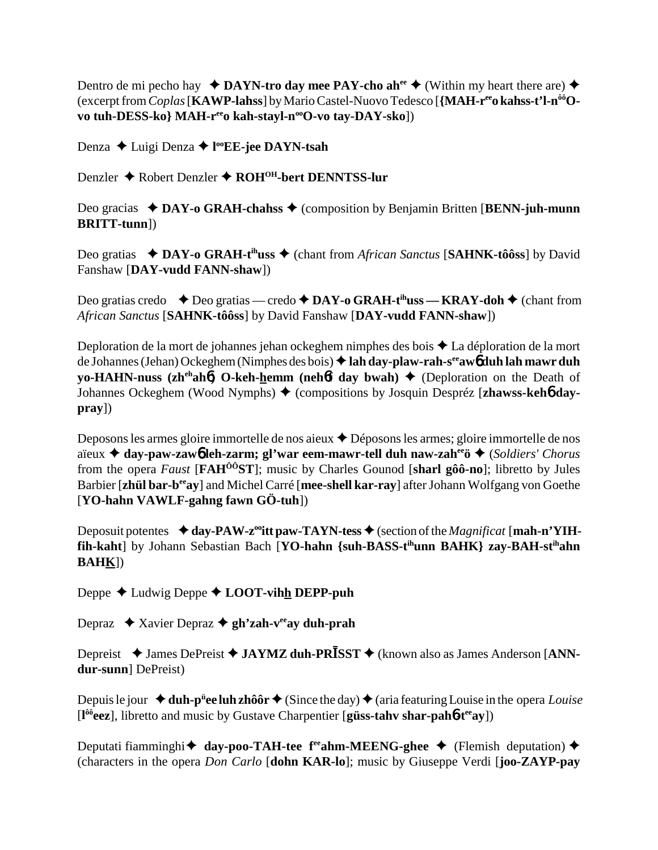Dentro de mi pecho hay  $\triangleleft$  **DAYN-tro day mee PAY-cho ah**<sup>ee</sup>  $\triangleq$  (Within my heart there are)  $\triangleq$ (excerpt from *Coplas* [**KAWP-lahss**] by Mario Castel-Nuovo Tedesco [**{MAH-reeo kahss-t'l-nôôOvo tuh-DESS-ko} MAH-r<sup>ee</sup>o kah-stayl-n<sup>oo</sup>O-vo tay-DAY-sko**])

Denza Luigi Denza **l ooEE-jee DAYN-tsah**

Denzler Robert Denzler **ROHOH-bert DENNTSS-lur**

Deo gracias ◆ DAY-o GRAH-chahss ◆ (composition by Benjamin Britten [BENN-juh-munn **BRITT-tunn**])

Deo gratias ◆ DAY-o GRAH-t<sup>ih</sup>uss ◆ (chant from *African Sanctus* [SAHNK-tôôss] by David Fanshaw [**DAY-vudd FANN-shaw**])

Deo gratias credo **→** Deo gratias — credo ◆ DAY-o GRAH-t<sup>ih</sup>uss — KRAY-doh ◆ (chant from *African Sanctus* [**SAHNK-tôôss**] by David Fanshaw [**DAY-vudd FANN-shaw**])

Deploration de la mort de johannes jehan ockeghem nimphes des bois ♦ La déploration de la mort de Johannes (Jehan) Ockeghem (Nimphes des bois) **lah day-plaw-rah-seeaw**6 **duh lah mawr duh yo-HAHN-nuss (zh<sup>eh</sup>ahb) O-keh-hemm (nehbt day bwah) ♦ (Deploration on the Death of** Johannes Ockeghem (Wood Nymphs) (compositions by Josquin Despréz [**zhawss-keh**6 **daypray**])

Deposons les armes gloire immortelle de nos aieux ◆ Déposons les armes; gloire immortelle de nos aïeux **day-paw-zaw**6 **leh-zarm; gl'war eem-mawr-tell duh naw-zaheeö** (*Soldiers' Chorus* from the opera *Faust* [**FAHÔÔST**]; music by Charles Gounod [**sharl gôô-no**]; libretto by Jules Barbier [**zhül bar-beeay**] and Michel Carré [**mee-shell kar-ray**] after Johann Wolfgang von Goethe [**YO-hahn VAWLF-gahng fawn GÖ-tuh**])

Deposuit potentes  $\triangleleft$  day-PAW-z<sup>oo</sup>itt paw-TAYN-tess  $\triangleq$  (section of the *Magnificat* [mah-n'YIH**fih-kaht**] by Johann Sebastian Bach [**YO-hahn {suh-BASS-tihunn BAHK} zay-BAH-stihahn BAHK**])

Deppe **←** Ludwig Deppe ← **LOOT-vihh DEPP-puh** 

Depraz ◆ Xavier Depraz ◆ gh'zah-v<sup>ee</sup>ay duh-prah

Depreist ◆ James DePreist ◆ JAYMZ duh-PR<sup>J</sup>SST ◆ (known also as James Anderson [ANN**dur-sunn**] DePreist)

Depuis le jour ◆ **duh-p<sup>ü</sup>ee luh zhôôr** ◆ (Since the day) ◆ (aria featuring Louise in the opera *Louise* [**l ôôeez**], libretto and music by Gustave Charpentier [**güss-tahv shar-pah**6**-teeay**])

Deputati fiamminghi **↓** day-poo-TAH-tee f<sup>ee</sup>ahm-MEENG-ghee ◆ (Flemish deputation) ◆ (characters in the opera *Don Carlo* [**dohn KAR-lo**]; music by Giuseppe Verdi [**joo-ZAYP-pay**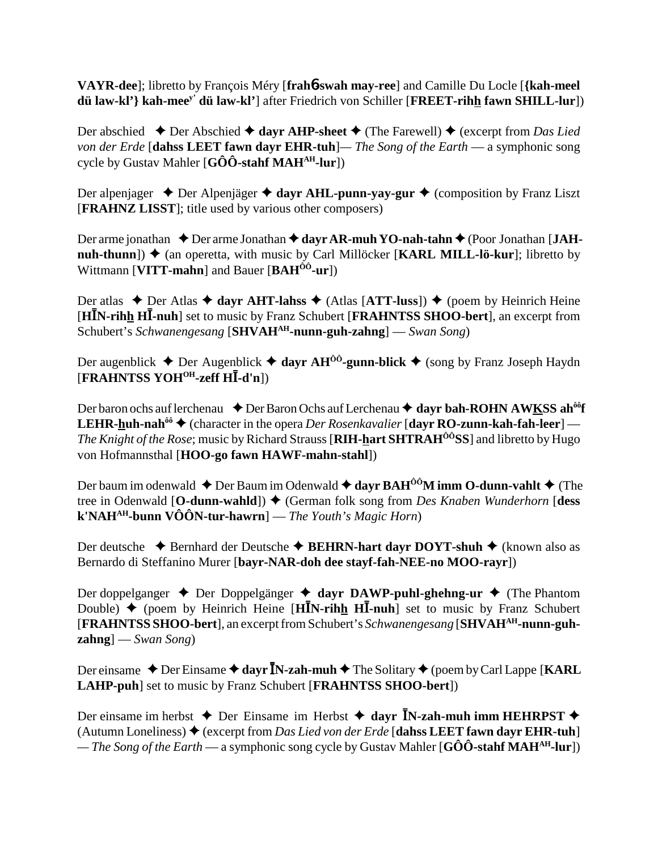**VAYR-dee**]; libretto by François Méry [**frah**6**-swah may-ree**] and Camille Du Locle [**{kah-meel dü law-kl'} kah-meey' dü law-kl'**] after Friedrich von Schiller [**FREET-rihh fawn SHILL-lur**])

Der abschied  $\blacklozenge$  Der Abschied  $\blacklozenge$  dayr AHP-sheet  $\blacklozenge$  (The Farewell)  $\blacklozenge$  (excerpt from *Das Lied von der Erde* [**dahss LEET fawn dayr EHR-tuh**]*— The Song of the Earth* — a symphonic song cycle by Gustav Mahler [**GÔÔ-stahf MAHAH-lur**])

Der alpenjager ◆ Der Alpenjäger ◆ dayr AHL-punn-yay-gur ◆ (composition by Franz Liszt [**FRAHNZ LISST**]; title used by various other composers)

Der arme jonathan **→** Der arme Jonathan **→ dayr AR-muh YO-nah-tahn →** (Poor Jonathan [JAH**nuh-thunn**])  $\triangleq$  (an operetta, with music by Carl Millöcker [**KARL MILL-lö-kur**]; libretto by Wittmann [**VITT-mahn**] and Bauer [**BAHÔÔ-ur**])

Der atlas  $\triangle$  Der Atlas  $\triangle$  dayr AHT-lahss  $\triangle$  (Atlas [ATT-luss])  $\triangle$  (poem by Heinrich Heine [HIN-rihh HI-nuh] set to music by Franz Schubert [FRAHNTSS SHOO-bert], an excerpt from Schubert's *Schwanengesang* [**SHVAHAH-nunn-guh-zahng**] — *Swan Song*)

Der augenblick **→** Der Augenblick **→ dayr AH<sup>ôô</sup>-gunn-blick →** (song by Franz Joseph Haydn [**FRAHNTSS YOHOH-zeff H**-**-d'n**])

Der baron ochs auf lerchenau **↓** Der Baron Ochs auf Lerchenau ◆ dayr bah-ROHN AWKSS ah<sup>ôô</sup>f **LEHR-huh-nah<sup>ôô</sup> ♦ (character in the opera** *Der Rosenkavalier* **[dayr RO-zunn-kah-fah-leer] —** *The Knight of the Rose*; music by Richard Strauss [**RIH-hart SHTRAHÔÔSS**] and libretto by Hugo von Hofmannsthal [**HOO-go fawn HAWF-mahn-stahl**])

Der baum im odenwald  $\triangle$  Der Baum im Odenwald  $\triangle$  dayr  $BAH^{0,0}$  imm O-dunn-vahlt  $\triangle$  (The tree in Odenwald [O-dunn-wahld]) ♦ (German folk song from *Des Knaben Wunderhorn* [dess **k'NAHAH-bunn VÔÔN-tur-hawrn**] — *The Youth's Magic Horn*)

Der deutsche ◆ Bernhard der Deutsche ◆ BEHRN-hart dayr DOYT-shuh ◆ (known also as Bernardo di Steffanino Murer [**bayr-NAR-doh dee stayf-fah-NEE-no MOO-rayr**])

Der doppelganger  $\triangle$  Der Doppelgänger  $\triangle$  dayr DAWP-puhl-ghehng-ur  $\triangle$  (The Phantom Double)  $\rightarrow$  (poem by Heinrich Heine [H**IN-rihh HI-nuh**] set to music by Franz Schubert [**FRAHNTSS SHOO-bert**], an excerpt from Schubert's *Schwanengesang* [**SHVAHAH-nunn-guhzahng**] — *Swan Song*)

Der einsame ◆ Der Einsame ◆ dayr **ĪN-zah-muh ◆** The Solitary ◆ (poem by Carl Lappe [KARL **LAHP-puh**] set to music by Franz Schubert [**FRAHNTSS SHOO-bert**])

Der einsame im herbst  $\triangle$  Der Einsame im Herbst  $\triangle$  dayr **I**N-zah-muh imm HEHRPST  $\triangle$ (Autumn Loneliness)  $\triangle$  (excerpt from *Das Lied von der Erde* [dahss LEET fawn dayr EHR-tuh] *— The Song of the Earth* — a symphonic song cycle by Gustav Mahler [**GÔÔ-stahf MAHAH-lur**])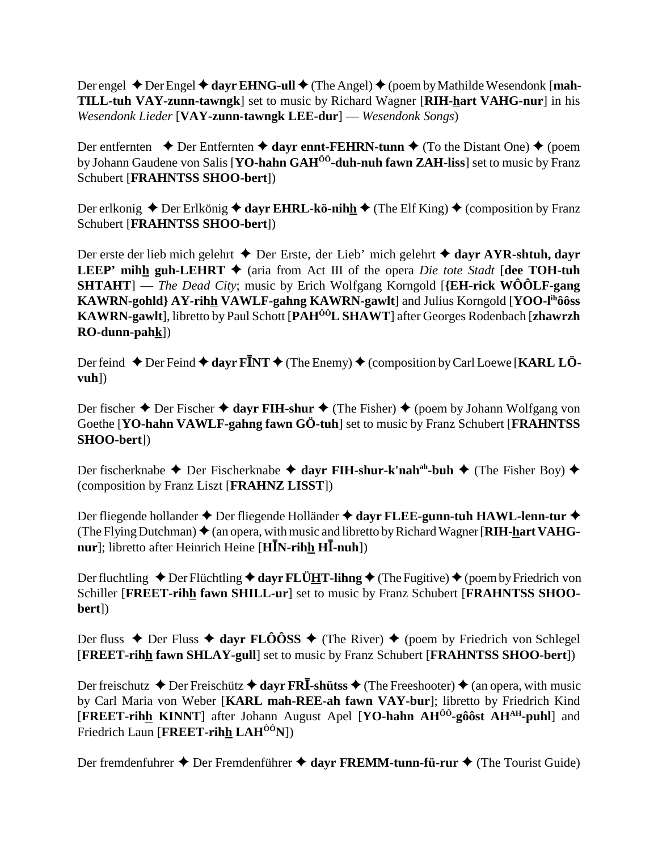Der engel ◆ Der Engel ◆ dayr EHNG-ull ◆ (The Angel) ◆ (poem by Mathilde Wesendonk [**mah-TILL-tuh VAY-zunn-tawngk**] set to music by Richard Wagner [**RIH-hart VAHG-nur**] in his *Wesendonk Lieder* [**VAY-zunn-tawngk LEE-dur**] — *Wesendonk Songs*)

Der entfernten  $\triangle$  Der Entfernten  $\triangle$  dayr ennt-FEHRN-tunn  $\triangle$  (To the Distant One)  $\triangle$  (poem by Johann Gaudene von Salis [**YO-hahn GAHÔÔ-duh-nuh fawn ZAH-liss**] set to music by Franz Schubert [**FRAHNTSS SHOO-bert**])

Der erlkonig  $\triangle$  Der Erlkönig  $\triangle$  dayr EHRL-kö-nihh  $\triangle$  (The Elf King)  $\triangle$  (composition by Franz Schubert [**FRAHNTSS SHOO-bert**])

Der erste der lieb mich gelehrt **→** Der Erste, der Lieb' mich gelehrt **→ dayr AYR-shtuh, dayr LEEP' mihh guh-LEHRT**  $\blacklozenge$  (aria from Act III of the opera *Die tote Stadt* [dee TOH-tuh **SHTAHT**] — *The Dead City*; music by Erich Wolfgang Korngold [**{EH-rick WÔÔLF-gang KAWRN-gohld} AY-rihh VAWLF-gahng KAWRN-gawlt**] and Julius Korngold [**YOO-lihôôss KAWRN-gawlt**], libretto by Paul Schott [**PAHÔÔL SHAWT**] after Georges Rodenbach [**zhawrzh RO-dunn-pahk**])

Der feind ◆ Der Feind ◆ dayr F<sup>I</sup>NT ◆ (The Enemy) ◆ (composition by Carl Loewe [KARL LÖ**vuh**])

Der fischer  $\triangle$  Der Fischer  $\triangle$  dayr FIH-shur  $\triangle$  (The Fisher)  $\triangle$  (poem by Johann Wolfgang von Goethe [**YO-hahn VAWLF-gahng fawn GÖ-tuh**] set to music by Franz Schubert [**FRAHNTSS SHOO-bert**])

Der fischerknabe **→** Der Fischerknabe **→ dayr FIH-shur-k'nah<sup>ah</sup>-buh →** (The Fisher Boy) ◆ (composition by Franz Liszt [**FRAHNZ LISST**])

Der fliegende hollander ◆ Der fliegende Holländer ◆ dayr FLEE-gunn-tuh HAWL-lenn-tur ◆ (The Flying Dutchman) ♦ (an opera, with music and libretto by Richard Wagner [RIH-hart VAHG**nur**]; libretto after Heinrich Heine [**H**IN-rihh HI-nuh])

Der fluchtling  $\triangle$  Der Flüchtling  $\triangle$  dayr FLÜHT-lihng  $\triangle$  (The Fugitive)  $\triangle$  (poem by Friedrich von Schiller [**FREET-rihh fawn SHILL-ur**] set to music by Franz Schubert [**FRAHNTSS SHOObert**])

Der fluss  $\triangle$  Der Fluss  $\triangle$  dayr FLÔÔSS  $\triangle$  (The River)  $\triangle$  (poem by Friedrich von Schlegel [**FREET-rihh fawn SHLAY-gull**] set to music by Franz Schubert [**FRAHNTSS SHOO-bert**])

Der freischutz ◆ Der Freischütz ◆ dayr FR**Ī**-shütss ◆ (The Freeshooter) ◆ (an opera, with music by Carl Maria von Weber [**KARL mah-REE-ah fawn VAY-bur**]; libretto by Friedrich Kind [**FREET-rihh KINNT**] after Johann August Apel [**YO-hahn AHÔÔ-gôôst AHAH-puhl**] and Friedrich Laun [**FREET-rihh LAH<sup>ÔÔ</sup>N**])

Der fremdenfuhrer **→** Der Fremdenführer **→ dayr FREMM-tunn-fü-rur →** (The Tourist Guide)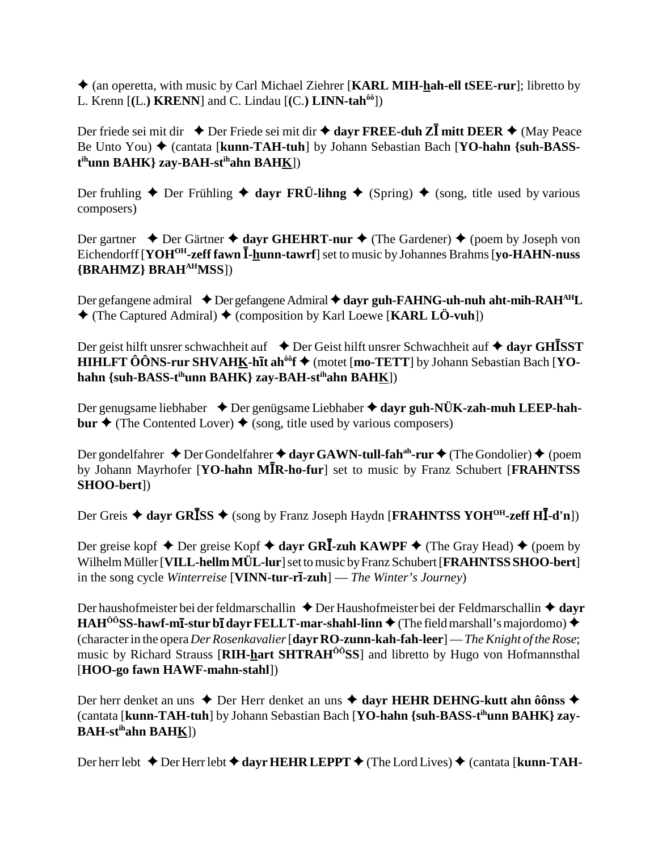(an operetta, with music by Carl Michael Ziehrer [**KARL MIH-hah-ell tSEE-rur**]; libretto by L. Krenn [**(**L.**) KRENN**] and C. Lindau [**(**C.**) LINN-tahôô**])

Der friede sei mit dir ◆ Der Friede sei mit dir ◆ dayr FREE-duh ZI mitt DEER ◆ (May Peace Be Unto You) ♦ (cantata [**kunn-TAH-tuh**] by Johann Sebastian Bach [**YO-hahn** {suh-BASS**t ihunn BAHK} zay-BAH-stihahn BAHK**])

Der fruhling  $\blacklozenge$  Der Frühling  $\blacklozenge$  dayr FRÜ-lihng  $\blacklozenge$  (Spring)  $\blacklozenge$  (song, title used by various composers)

Der gartner  $\triangle$  Der Gärtner  $\triangle$  dayr GHEHRT-nur  $\triangle$  (The Gardener)  $\triangle$  (poem by Joseph von Eichendorff [**YOH<sup>OH</sup>-zeff fawn I-hunn-tawrf**] set to music by Johannes Brahms [**yo-HAHN-nuss {BRAHMZ} BRAHAHMSS**])

Der gefangene admiral ◆ Der gefangene Admiral ◆ dayr guh-FAHNG-uh-nuh aht-mih-RAH<sup>AH</sup>L (The Captured Admiral) (composition by Karl Loewe [**KARL LÖ-vuh**])

Der geist hilft unsrer schwachheit auf  $\rightarrow$  Der Geist hilft unsrer Schwachheit auf  $\rightarrow$  dayr GHISST **HIHLFT ÔÔNS-rur SHVAHK-hīt ah<sup>ôô</sup>f ♦** (motet [mo-TETT] by Johann Sebastian Bach [YO**hahn {suh-BASS-tihunn BAHK} zay-BAH-stihahn BAHK**])

Der genugsame liebhaber ◆ Der genügsame Liebhaber ◆ dayr guh-NÜK-zah-muh LEEP-hah**bur**  $\triangle$  (The Contented Lover)  $\triangle$  (song, title used by various composers)

Der gondelfahrer ◆ Der Gondelfahrer ◆ dayr GAWN-tull-fah<sup>ah</sup>-rur ◆ (The Gondolier) ◆ (poem by Johann Mayrhofer [YO-hahn MIR-ho-fur] set to music by Franz Schubert [FRAHNTSS **SHOO-bert**])

Der Greis  $\blacklozenge$  dayr GRISS  $\blacklozenge$  (song by Franz Joseph Haydn [FRAHNTSS YOH<sup>OH</sup>-zeff HI-d'n])

Der greise kopf ◆ Der greise Kopf ◆ dayr GR**I-zuh KAWPF** ◆ (The Gray Head) ◆ (poem by Wilhelm Müller [**VILL-hellm MÜL-lur**] set to music by Franz Schubert [**FRAHNTSS SHOO-bert**] in the song cycle *Winterreise* [**VINN-tur-r-zuh**] — *The Winter's Journey*)

Der haushofmeister bei der feldmarschallin ♦ Der Haushofmeister bei der Feldmarschallin ♦ dayr **HAH<sup>ôô</sup>SS-hawf-m<b>ī**-stur b**ī** dayr FELLT-mar-shahl-linn  $\triangle$  (The field marshall's majordomo)  $\triangle$ (character in the opera *Der Rosenkavalier* [**dayr RO-zunn-kah-fah-leer**] — *The Knight of the Rose*; music by Richard Strauss [**RIH-hart SHTRAHÔÔSS**] and libretto by Hugo von Hofmannsthal [**HOO-go fawn HAWF-mahn-stahl**])

Der herr denket an uns ◆ Der Herr denket an uns ◆ dayr HEHR DEHNG-kutt ahn ôônss ◆ (cantata [**kunn-TAH-tuh**] by Johann Sebastian Bach [**YO-hahn {suh-BASS-tihunn BAHK} zay-BAH-stihahn BAHK**])

Der herr lebt **→** Der Herr lebt ◆ dayr HEHR LEPPT ◆ (The Lord Lives) ◆ (cantata [**kunn-TAH-**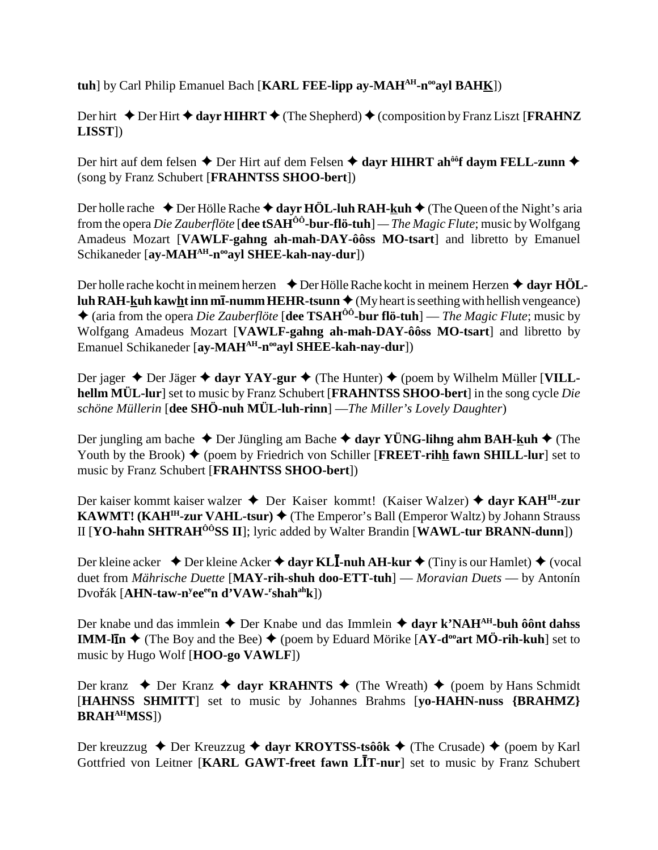**tuh**] by Carl Philip Emanuel Bach [**KARL FEE-lipp ay-MAH<sup>AH</sup>-n<sup>oo</sup>ayl BAHK**])

Der hirt  $\triangle$  Der Hirt  $\triangle$  dayr **HIHRT**  $\triangle$  (The Shepherd)  $\triangle$  (composition by Franz Liszt [**FRAHNZ LISST**])

Der hirt auf dem felsen ◆ Der Hirt auf dem Felsen ◆ dayr HIHRT ah<sup>ôô</sup>f daym FELL-zunn ◆ (song by Franz Schubert [**FRAHNTSS SHOO-bert**])

Der holle rache  $\triangle$  Der Hölle Rache  $\triangle$  dayr HÖL-luh RAH-kuh  $\triangle$  (The Queen of the Night's aria from the opera *Die Zauberflöte* [**dee tSAHÔÔ-bur-flö-tuh**] *— The Magic Flute*; music by Wolfgang Amadeus Mozart [**VAWLF-gahng ah-mah-DAY-ôôss MO-tsart**] and libretto by Emanuel Schikaneder [ay-MAH<sup>AH</sup>-n<sup>oo</sup>ayl SHEE-kah-nay-dur])

Der holle rache kocht in meinem herzen **↓** Der Hölle Rache kocht in meinem Herzen **→ dayr HÖLluh RAH-kuh kawht inn m<b>ī**-numm HEHR-tsunn  $\triangleleft$  (My heart is seething with hellish vengeance) (aria from the opera *Die Zauberflöte* [**dee TSAHÔÔ-bur flö-tuh**] — *The Magic Flute*; music by Wolfgang Amadeus Mozart [**VAWLF-gahng ah-mah-DAY-ôôss MO-tsart**] and libretto by Emanuel Schikaneder [ay-MAH<sup>AH</sup>-n<sup>oo</sup>ayl SHEE-kah-nay-dur])

Der jager ◆ Der Jäger ◆ dayr YAY-gur ◆ (The Hunter) ◆ (poem by Wilhelm Müller [VILL**hellm MÜL-lur**] set to music by Franz Schubert [**FRAHNTSS SHOO-bert**] in the song cycle *Die schöne Müllerin* [**dee SHÖ-nuh MÜL-luh-rinn**] —*The Miller's Lovely Daughter*)

Der jungling am bache **→** Der Jüngling am Bache **→ dayr YÜNG-lihng ahm BAH-kuh →** (The Youth by the Brook)  $\blacklozenge$  (poem by Friedrich von Schiller [**FREET-rihh fawn SHILL-lur**] set to music by Franz Schubert [**FRAHNTSS SHOO-bert**])

Der kaiser kommt kaiser walzer Der Kaiser kommt! (Kaiser Walzer)  **dayr KAHIH-zur KAWMT!** ( $KAH<sup>IH</sup>$ -zur VAHL-tsur)  $\blacklozenge$  (The Emperor's Ball (Emperor Waltz) by Johann Strauss II [**YO-hahn SHTRAHÔÔSS II**]; lyric added by Walter Brandin [**WAWL-tur BRANN-dunn**])

Der kleine acker ◆ Der kleine Acker ◆ dayr KL**I-nuh AH-kur ◆** (Tiny is our Hamlet) ◆ (vocal duet from *Mährische Duette* [**MAY-rih-shuh doo-ETT-tuh**] — *Moravian Duets* — by Antonín  $\text{Dvořák [AHN-taw-n<sup>y</sup>ee<sup>ee</sup>n d<sup>3</sup>VAW-<sup>r</sup>shah<sup>ah</sup>k])}$ 

Der knabe und das immlein **→** Der Knabe und das Immlein **→ dayr k'NAH<sup>AH</sup>-buh ôônt dahss IMM-lIn**  $\triangle$  (The Boy and the Bee)  $\triangle$  (poem by Eduard Mörike [AY-d<sup>oo</sup>art MÖ-rih-kuh] set to music by Hugo Wolf [**HOO-go VAWLF**])

Der kranz  $\triangle$  Der Kranz  $\triangle$  dayr KRAHNTS  $\triangle$  (The Wreath)  $\triangle$  (poem by Hans Schmidt) [**HAHNSS SHMITT**] set to music by Johannes Brahms [**yo-HAHN-nuss {BRAHMZ} BRAHAHMSS**])

Der kreuzzug  $\triangle$  Der Kreuzzug  $\triangle$  dayr KROYTSS-tsôôk  $\triangle$  (The Crusade)  $\triangle$  (poem by Karl Gottfried von Leitner [KARL GAWT-freet fawn LIT-nur] set to music by Franz Schubert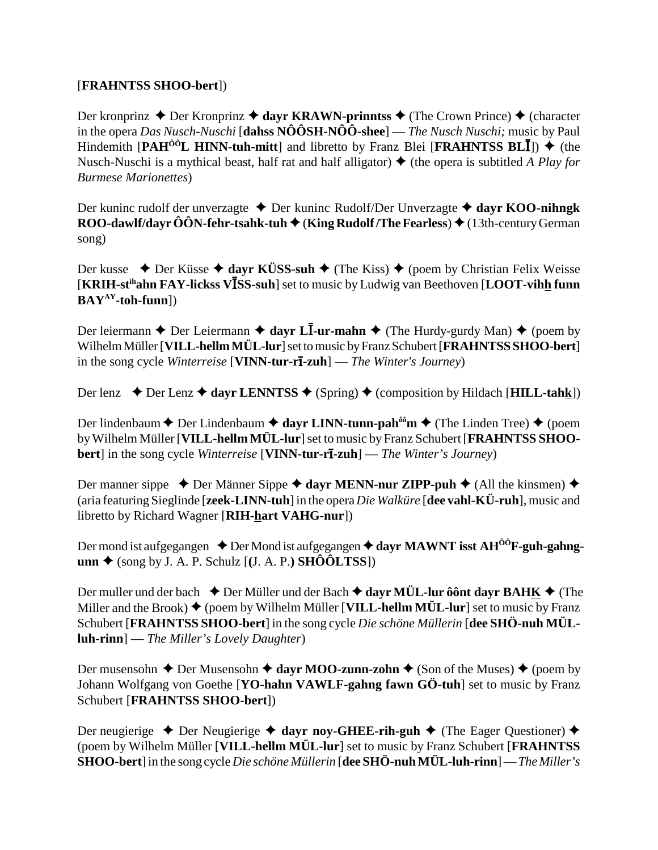## [FRAHNTSS SHOO-bert])

Der kronprinz ♦ Der Kronprinz ♦ dayr KRAWN-prinntss ♦ (The Crown Prince) ♦ (character in the opera Das Nusch-Nuschi [dahss  $N\hat{O}\hat{O}SH-N\hat{O}\hat{O}$ -shee] — The Nusch Nuschi; music by Paul Hindemith [PAH<sup> $00$ </sup>L HINN-tuh-mitt] and libretto by Franz Blei [FRAHNTSS BLII])  $\blacklozenge$  (the Nusch-Nuschi is a mythical beast, half rat and half alligator)  $\triangle$  (the opera is subtitled A Play for **Burmese Marionettes**)

Der kuninc rudolf der unverzagte  $\triangle$  Der kuninc Rudolf/Der Unverzagte  $\triangle$  dayr KOO-nihngk ROO-dawlf/dayr  $\hat{O} \hat{O} N$ -fehr-tsahk-tuh  $\blacklozenge$  (King Rudolf/The Fearless)  $\blacklozenge$  (13th-century German song)

Der kusse  $\triangle$  Der Küsse  $\triangle$  dayr KÜSS-suh  $\triangle$  (The Kiss)  $\triangle$  (poem by Christian Felix Weisse [KRIH-st<sup>ih</sup>ahn FAY-lickss VISS-suh] set to music by Ludwig van Beethoven [LOOT-vihh funn]  $BAY^{AY}$ -toh-funn])

Der leiermann ♦ Der Leiermann ♦ dayr Ll-ur-mahn ♦ (The Hurdy-gurdy Man) ♦ (poem by Wilhelm Müller [VILL-hellm MÜL-lur] set to music by Franz Schubert [FRAHNTSS SHOO-bert] in the song cycle *Winterreise* [VINN-tur-r**i-zuh**] — *The Winter's Journey*)

Der lenz  $\triangle$  Der Lenz  $\triangle$  dayr LENNTSS  $\triangle$  (Spring)  $\triangle$  (composition by Hildach [HILL-tahk])

Der lindenbaum ♦ Der Lindenbaum ♦ dayr LINN-tunn-pah<sup> $\hat{\theta}$ om ♦ (The Linden Tree) ♦ (poem</sup> by Wilhelm Müller [VILL-hellm MÜL-lur] set to music by Franz Schubert [FRAHNTSS SHOO**bert**] in the song cycle *Winterreise* [VINN-tur-r $\overline{\textbf{1}}$ -zuh] — *The Winter's Journey*)

Der manner sippe  $\triangle$  Der Männer Sippe  $\triangle$  dayr MENN-nur ZIPP-puh  $\triangle$  (All the kinsmen)  $\triangle$ (aria featuring Sieglinde [zeek-LINN-tuh] in the opera Die Walküre [dee vahl-KÜ-ruh], music and libretto by Richard Wagner [RIH-hart VAHG-nur])

Der mond ist aufgegangen  $\triangle$  Der Mond ist aufgegangen  $\triangle$  dayr MAWNT isst AH<sup>00</sup>F-guh-gahng- $\text{unn} \triangleq (\text{song by J. A. P. Schulz } [(J. A. P.) SHÔÔLTSS])$ 

Der muller und der bach  $\triangle$  Der Müller und der Bach  $\triangle$  dayr MÜL-lur ô ont dayr BAHK  $\triangle$  (The Miller and the Brook)  $\blacklozenge$  (poem by Wilhelm Müller [VILL-hellm MÜL-lur] set to music by Franz Schubert [FRAHNTSS SHOO-bert] in the song cycle Die schöne Müllerin [dee SHÖ-nuh MÜL $luh-rinn$  – The Miller's Lovely Daughter)

Der musensohn ♦ Der Musensohn ♦ dayr MOO-zunn-zohn ♦ (Son of the Muses) ♦ (poem by Johann Wolfgang von Goethe [YO-hahn VAWLF-gahng fawn GÖ-tuh] set to music by Franz Schubert [FRAHNTSS SHOO-bert])

Der neugierige  $\triangle$  Der Neugierige  $\triangle$  dayr noy-GHEE-rih-guh  $\triangle$  (The Eager Questioner)  $\triangle$ (poem by Wilhelm Müller [VILL-hellm MÜL-lur] set to music by Franz Schubert [FRAHNTSS] **SHOO-bert**] in the song cycle *Die schöne Müllerin* [dee SHÖ-nuh MÜL-luh-rinn] — *The Miller's*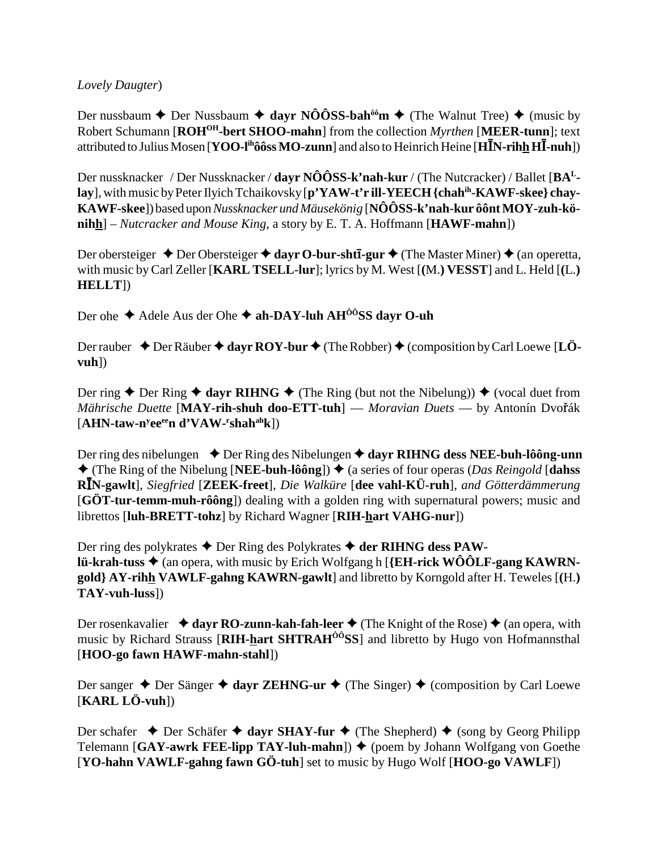Lovely Daugter)

Der nussbaum ← Der Nussbaum ← dayr NÔÔSS-bah<sup>ôô</sup>m ← (The Walnut Tree) ← (music by Robert Schumann [ROH<sup>OH</sup>-bert SHOO-mahn] from the collection *Myrthen* [MEER-tunn]; text attributed to Julius Mosen [YOO-I<sup>ih</sup>ôôss MO-zunn] and also to Heinrich Heine [H**I**N-rihh H**I**-nuh])

Der nussknacker / Der Nussknacker / dayr  $N\hat{O}\hat{O}SS$ -k'nah-kur / (The Nutcracker) / Ballet [ $BA<sup>L</sup>$ lay], with music by Peter Ilyich Tchaikovsky [p'YAW-t'r ill-YEECH {chah<sup>ih</sup>-KAWF-skee} chay-KAWF-skee]) based upon Nussknacker und Mäusekönig [NÔÔSS-k'nah-kur ôônt MOY-zuh-kö- $\min_{\mathbf{h}}$  – Nutcracker and Mouse King, a story by E. T. A. Hoffmann [HAWF-mahn])

Der obersteiger  $\triangle$  Der Obersteiger  $\triangle$  davr O-bur-sht**ī-gur**  $\triangle$  (The Master Miner)  $\triangle$  (an operetta, with music by Carl Zeller [KARL TSELL-lur]; lyrics by M. West [(M.) VESST] and L. Held [(L.)  $HELIT$ ])

Der ohe  $\triangle$  Adele Aus der Ohe  $\triangle$  ah-DAY-luh AH<sup>00</sup>SS dayr O-uh

Der rauber  $\triangle$  Der Räuber  $\triangle$  dayr ROY-bur  $\triangle$  (The Robber)  $\triangle$  (composition by Carl Loewe [LÖ $vuh$ )

Der ring ◆ Der Ring ◆ dayr RIHNG ◆ (The Ring (but not the Nibelung)) ◆ (vocal duet from Mährische Duette [MAY-rih-shuh doo-ETT-tuh] — Moravian Duets — by Antonín Dvořák  $[AHN-taw-n<sup>y</sup>ee<sup>ee</sup>n d'VAW-<sup>r</sup>shah<sup>ah</sup>k])$ 

Der ring des nibelungen  $\rightarrow$  Der Ring des Nibelungen  $\rightarrow$  dayr RIHNG dess NEE-buh-lôông-unn  $\triangle$  (The Ring of the Nibelung [NEE-buh-lôông])  $\triangle$  (a series of four operas (*Das Reingold* [dahss] RIN-gawlt], Siegfried [ZEEK-freet], Die Walküre [dee vahl-KÜ-ruh], and Götterdämmerung [GÖT-tur-temm-muh-rôông]) dealing with a golden ring with supernatural powers; music and librettos [luh-BRETT-tohz] by Richard Wagner [RIH-hart VAHG-nur])

Der ring des polykrates  $\triangle$  Der Ring des Polykrates  $\triangle$  der RIHNG dess PAWlü-krah-tuss  $\triangleq$  (an opera, with music by Erich Wolfgang h [{EH-rick WOOLF-gang KAWRNgold} AY-rihh VAWLF-gahng KAWRN-gawlt] and libretto by Korngold after H. Teweles [(H.)  $TAY$ -vuh-luss $)$ 

Der rosenkavalier  $\triangleq$  dayr RO-zunn-kah-fah-leer  $\triangleq$  (The Knight of the Rose)  $\triangleq$  (an opera, with music by Richard Strauss [RIH-hart SHTRAH<sup>00</sup>SS] and libretto by Hugo von Hofmannsthal [HOO-go fawn HAWF-mahn-stahl])

Der sanger ◆ Der Sänger ◆ dayr ZEHNG-ur ◆ (The Singer) ◆ (composition by Carl Loewe  $[KARL LÖ-vuh])$ 

Der schafer  $\triangle$  Der Schäfer  $\triangle$  dayr SHAY-fur  $\triangle$  (The Shepherd)  $\triangle$  (song by Georg Philipp Telemann [GAY-awrk FEE-lipp TAY-luh-mahn])  $\blacklozenge$  (poem by Johann Wolfgang von Goethe [YO-hahn VAWLF-gahng fawn GÖ-tuh] set to music by Hugo Wolf [HOO-go VAWLF])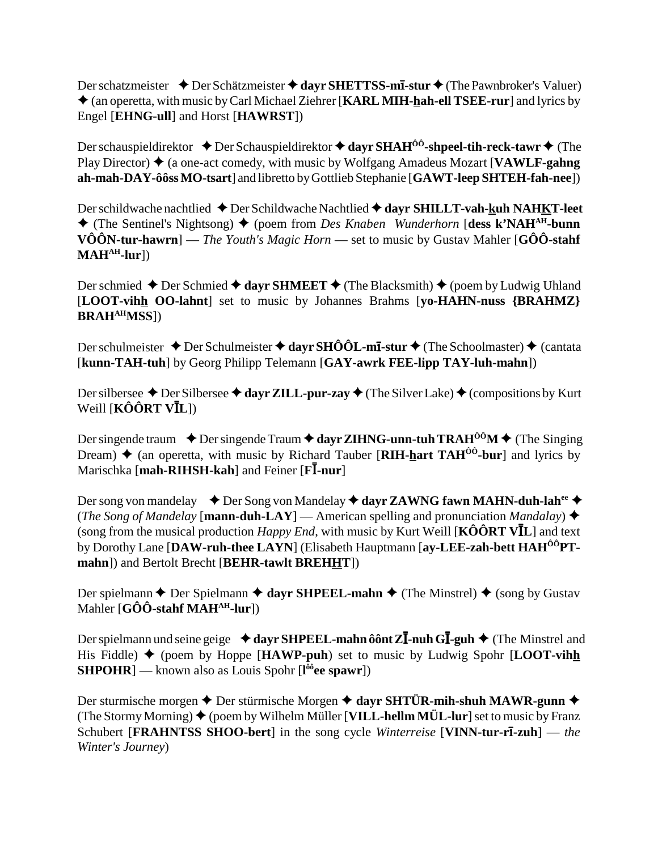Der schatzmeister **→** Der Schätzmeister **→ dayr SHETTSS-mī-stur** → (The Pawnbroker's Valuer) (an operetta, with music by Carl Michael Ziehrer [**KARL MIH-hah-ell TSEE-rur**] and lyrics by Engel [**EHNG-ull**] and Horst [**HAWRST**])

Der schauspieldirektor **→** Der Schauspieldirektor → dayr SHAH<sup>ÔÔ</sup>-shpeel-tih-reck-tawr → (The Play Director)  $\triangle$  (a one-act comedy, with music by Wolfgang Amadeus Mozart [**VAWLF-gahng**] **ah-mah-DAY-ôôss MO-tsart**] and libretto by Gottlieb Stephanie [**GAWT-leep SHTEH-fah-nee**])

Der schildwache nachtlied ◆ Der Schildwache Nachtlied ◆ dayr SHILLT-vah-kuh NAHKT-leet (The Sentinel's Nightsong) (poem from *Des Knaben Wunderhorn* [**dess k'NAHAH-bunn VÔÔN-tur-hawrn**] — *The Youth's Magic Horn* — set to music by Gustav Mahler [**GÔÔ-stahf**  $MAH<sup>AH</sup>$ -lur])

Der schmied  $\triangle$  Der Schmied  $\triangle$  dayr SHMEET  $\triangle$  (The Blacksmith)  $\triangle$  (poem by Ludwig Uhland [**LOOT-vihh OO-lahnt**] set to music by Johannes Brahms [**yo-HAHN-nuss {BRAHMZ} BRAHAHMSS**])

Der schulmeister  $\triangle$  Der Schulmeister  $\triangle$  dayr SHÔÔL-m**I**-stur  $\triangle$  (The Schoolmaster)  $\triangle$  (cantata [**kunn-TAH-tuh**] by Georg Philipp Telemann [**GAY-awrk FEE-lipp TAY-luh-mahn**])

Der silbersee  $\triangle$  Der Silbersee  $\triangle$  dayr ZILL-pur-zay  $\triangle$  (The Silver Lake)  $\triangle$  (compositions by Kurt  $W$ eill [**KÔÔRT VĪL**])

Der singende traum  $\rightarrow$  Der singende Traum  $\rightarrow$  dayr ZIHNG-unn-tuh TRAH<sup>ôô</sup>M  $\rightarrow$  (The Singing Dream)  $\triangle$  (an operetta, with music by Richard Tauber [**RIH-hart TAH<sup>** $\hat{0}$ **°-bur**] and lyrics by</sup> Marischka [mah-RIHSH-kah] and Feiner [FI-nur]

Der song von mandelay  $\blacklozenge$  Der Song von Mandelay  $\blacklozenge$  dayr ZAWNG fawn MAHN-duh-lah<sup>ee</sup>  $\blacklozenge$ (*The Song of Mandelay* [**mann-duh-LAY**] — American spelling and pronunciation *Mandalay*)  $\triangle$ (song from the musical production *Happy End*, with music by Kurt Weill [KÔÔRT VIL] and text by Dorothy Lane [**DAW-ruh-thee LAYN**] (Elisabeth Hauptmann [**ay-LEE-zah-bett HAHÔÔPTmahn**]) and Bertolt Brecht [**BEHR-tawlt BREHHT**])

Der spielmann  $\triangle$  Der Spielmann  $\triangle$  dayr SHPEEL-mahn  $\triangle$  (The Minstrel)  $\triangle$  (song by Gustav Mahler [**GÔÔ-stahf MAHAH-lur**])

Der spielmann und seine geige **→ dayr SHPEEL-mahn ôônt ZĪ-nuh GĪ-guh ◆** (The Minstrel and His Fiddle)  $\blacklozenge$  (poem by Hoppe [HAWP-puh] set to music by Ludwig Spohr [LOOT-vihh **SHPOHR**] — known also as Louis Spohr [**l ôôee spawr**])

Der sturmische morgen **→** Der stürmische Morgen **→ dayr SHTÜR-mih-shuh MAWR-gunn** → (The Stormy Morning)  $\blacklozenge$  (poem by Wilhelm Müller [**VILL-hellm MÜL-lur**] set to music by Franz Schubert [**FRAHNTSS SHOO-bert**] in the song cycle *Winterreise* [**VINN-tur-r-zuh**] — *the Winter's Journey*)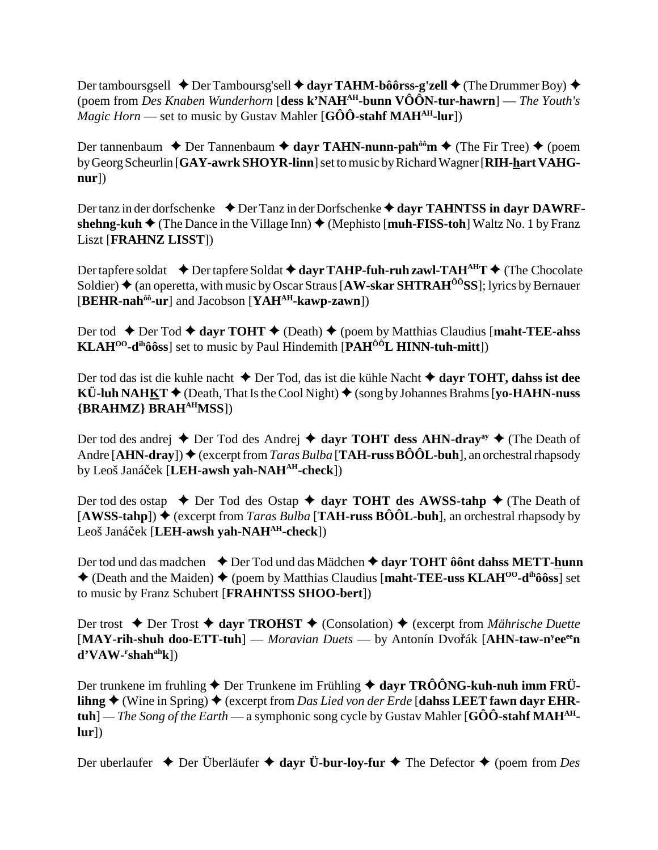Der tamboursgsell  $\triangle$  Der Tamboursg'sell  $\triangle$  davr TAHM-bôôrss-g'zell  $\triangle$  (The Drummer Boy)  $\triangle$ (poem from Des Knaben Wunderhorn [dess k'NAH<sup>AH</sup>-bunn  $\widehat{VOON}$ -tur-hawrn] — The Youth's *Magic Horn* — set to music by Gustav Mahler [G $\hat{O}\hat{O}$ -stahf MAH<sup>AH</sup>-lur])

Der tannenbaum ◆ Der Tannenbaum ◆ dayr TAHN-nunn-pah<sup>ôô</sup>m ◆ (The Fir Tree) ◆ (poem by Georg Scheurlin [GAY-awrk SHOYR-linn] set to music by Richard Wagner [RIH-hart VAHG $nur$ )

Der tanz in der dorfschenke  $\triangleq$  Der Tanz in der Dorfschenke  $\triangleq$  dayr TAHNTSS in dayr DAWRFshehng-kuh  $\blacklozenge$  (The Dance in the Village Inn)  $\blacklozenge$  (Mephisto [muh-FISS-toh] Waltz No. 1 by Franz **Liszt [FRAHNZ LISST])** 

Der tapfere soldat  $\rightarrow$  Der tapfere Soldat  $\rightarrow$  dayr TAHP-fuh-ruh zawl-TAH<sup>AH</sup>T  $\rightarrow$  (The Chocolate Soldier)  $\triangle$  (an operetta, with music by Oscar Straus [AW-skar SHTRAH<sup> $\hat{o}$ o<sup>3</sup>SS]; lyrics by Bernauer</sup> [BEHR-nah<sup>ôô</sup>-ur] and Jacobson [YAH<sup>AH</sup>-kawp-zawn])

Der tod ◆ Der Tod ◆ davr TOHT ◆ (Death) ◆ (poem by Matthias Claudius [maht-TEE-ahss  $KLAH^{00}$ - $d^{ih}\hat{o}\hat{o}ss$  set to music by Paul Hindemith [ $PAH^{00}L$  HINN-tuh-mitt])

Der tod das ist die kuhle nacht  $\triangle$  Der Tod, das ist die kühle Nacht  $\triangle$  dayr TOHT, dahss ist dee  $\overrightarrow{KU}$ -luh NAHKT  $\blacklozenge$  (Death, That Is the Cool Night)  $\blacklozenge$  (song by Johannes Brahms [yo-HAHN-nuss] {BRAHMZ} BRAH<sup>AH</sup>MSS])

Der tod des andrej  $\triangle$  Der Tod des Andrej  $\triangle$  dayr TOHT dess AHN-dray<sup>ay</sup>  $\triangle$  (The Death of Andre [AHN-dray])  $\blacklozenge$  (excerpt from *Taras Bulba* [TAH-russ BÔÔL-buh], an orchestral rhapsody by Leoš Janáček [LEH-awsh vah-NAH<sup>AH</sup>-check])

Der tod des ostap  $\rightarrow$  Der Tod des Ostap  $\rightarrow$  dayr TOHT des AWSS-tahp  $\rightarrow$  (The Death of [AWSS-tahp])  $\blacklozenge$  (excerpt from *Taras Bulba* [TAH-russ BOOL-buh], an orchestral rhapsody by Leoš Janáček [LEH-awsh yah-NAH<sup>AH</sup>-check])

Der tod und das madchen  $\rightarrow$  Der Tod und das Mädchen  $\rightarrow$  dayr TOHT ô ont dahs METT-hunn  $\triangle$  (Death and the Maiden)  $\triangle$  (poem by Matthias Claudius [maht-TEE-uss KLAH<sup>00</sup>-d<sup>ih</sup>ôôss] set to music by Franz Schubert [FRAHNTSS SHOO-bert])

Der trost ♦ Der Trost ♦ dayr TROHST ♦ (Consolation) ♦ (excerpt from Mährische Duette [MAY-rih-shuh doo-ETT-tuh] — Moravian Duets — by Antonín Dvořák [AHN-taw-n<sup>y</sup>ee<sup>ee</sup>n]  $d'VAW-rshah<sup>ah</sup>k$ ])

Der trunkene im fruhling  $\triangle$  Der Trunkene im Frühling  $\triangle$  dayr TRÔÔNG-kuh-nuh imm FRÜlihng  $\blacklozenge$  (Wine in Spring)  $\blacklozenge$  (excerpt from Das Lied von der Erde [dahss LEET fawn dayr EHR**tuh**] — *The Song of the Earth* — a symphonic song cycle by Gustav Mahler [G $\hat{O}\hat{O}$ -stahf MAH<sup>AH</sup>- $|ur|$ 

Der uberlaufer  $\triangle$  Der Überläufer  $\triangle$  dayr Ü-bur-loy-fur  $\triangle$  The Defector  $\triangle$  (poem from Des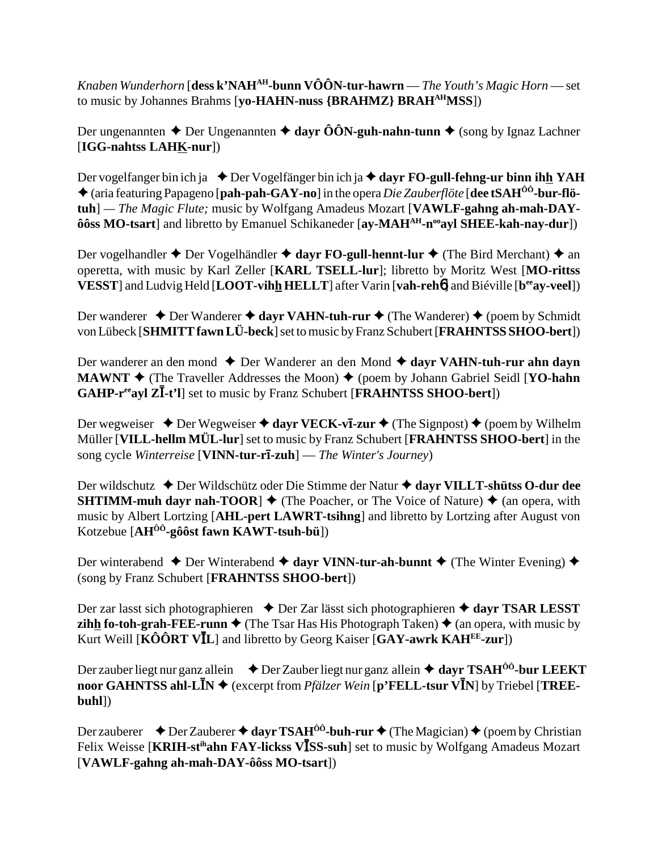Knaben Wunderhorn [dess k'NAH<sup>AH</sup>-bunn VÔÔN-tur-hawrn — The Youth's Magic Horn — set to music by Johannes Brahms [yo-HAHN-nuss {BRAHMZ} BRAH<sup>AH</sup>MSS])

Der ungenannten ◆ Der Ungenannten ◆ dayr ÔÔN-guh-nahn-tunn ◆ (song by Ignaz Lachner  $[IGG\text{-nahtss LAHK-nur}])$ 

Der vogelfanger bin ich ja  $\triangle$  Der Vogelfänger bin ich ja  $\triangle$  dayr FO-gull-fehng-ur binn ihh YAH  $\triangle$  (aria featuring Papageno [pah-pah-GAY-no] in the opera *Die Zauberflöte* [dee tSAH<sup>00</sup>-bur-flötuh] — The Magic Flute; music by Wolfgang Amadeus Mozart [VAWLF-gahng ah-mah-DAYôôss MO-tsart] and libretto by Emanuel Schikaneder [ay-MAH<sup>AH</sup>-n<sup>oo</sup>ayl SHEE-kah-nay-dur])

Der vogelhandler  $\triangle$  Der Vogelhändler  $\triangle$  dayr FO-gull-hennt-lur  $\triangle$  (The Bird Merchant)  $\triangle$  an operetta, with music by Karl Zeller [KARL TSELL-lur]; libretto by Moritz West [MO-rittss VESST] and Ludvig Held [LOOT-vihh HELLT] after Varin [vah-reho] and Biéville [b<sup>ee</sup>ay-veel])

Der wanderer  $\triangle$  Der Wanderer  $\triangle$  dayr VAHN-tuh-rur  $\triangle$  (The Wanderer)  $\triangle$  (poem by Schmidt von Lübeck [SHMITT fawn LÜ-beck] set to music by Franz Schubert [FRAHNTSS SHOO-bert])

Der wanderer an den mond  $\triangle$  Der Wanderer an den Mond  $\triangle$  davr VAHN-tuh-rur ahn davn **MAWNT**  $\blacklozenge$  (The Traveller Addresses the Moon)  $\blacklozenge$  (poem by Johann Gabriel Seidl [YO-hahn **GAHP-r<sup>ee</sup>ayl ZI-t'l** set to music by Franz Schubert [**FRAHNTSS SHOO-bert**])

Der wegweiser  $\triangle$  Der Wegweiser  $\triangle$  dayr VECK-vI-zur  $\triangle$  (The Signpost)  $\triangle$  (poem by Wilhelm Müller [VILL-hellm MÜL-lur] set to music by Franz Schubert [FRAHNTSS SHOO-bert] in the song cycle Winterreise [VINN-tur-rī-zuh] — The Winter's Journey)

Der wildschutz ◆ Der Wildschütz oder Die Stimme der Natur ◆ davr VILLT-shütss O-dur dee **SHTIMM-muh dayr nah-TOOR**  $\triangleq$  (The Poacher, or The Voice of Nature)  $\triangleq$  (an opera, with music by Albert Lortzing [AHL-pert LAWRT-tsihng] and libretto by Lortzing after August von Kotzebue  $[AH^{00}$ -gôôst fawn KAWT-tsuh-bü])

Der winterabend  $\triangle$  Der Winterabend  $\triangle$  dayr VINN-tur-ah-bunnt  $\triangle$  (The Winter Evening)  $\triangle$ (song by Franz Schubert [FRAHNTSS SHOO-bert])

Der zar lasst sich photographieren  $\rightarrow$  Der Zar lässt sich photographieren  $\rightarrow$  dayr TSAR LESST **zihh fo-toh-grah-FEE-runn**  $\triangle$  (The Tsar Has His Photograph Taken)  $\triangle$  (an opera, with music by Kurt Weill [ $\angle K\hat{O} \hat{O} R T V \angle L$ ] and libretto by Georg Kaiser [GAY-awrk KAH<sup>EE</sup>-zur])

Der zauber liegt nur ganz allein  $\rightarrow$  Der Zauber liegt nur ganz allein  $\rightarrow$  dayr TSAH<sup>00</sup>-bur LEEKT noor GAHNTSS ahl-L $\overline{I}N \triangleq$  (excerpt from *Pfälzer Wein* [p'FELL-tsur V $\overline{I}N$ ] by Triebel [TREE- $\text{buhl}$ 

Der zauberer  $\rightarrow$  Der Zauberer  $\rightarrow$  dayr TSAH<sup>ôô</sup>-buh-rur  $\rightarrow$  (The Magician)  $\rightarrow$  (poem by Christian Felix Weisse [KRIH-st<sup>ih</sup>ahn FAY-lickss V**ISS-suh**] set to music by Wolfgang Amadeus Mozart [VAWLF-gahng ah-mah-DAY-ôôss MO-tsart])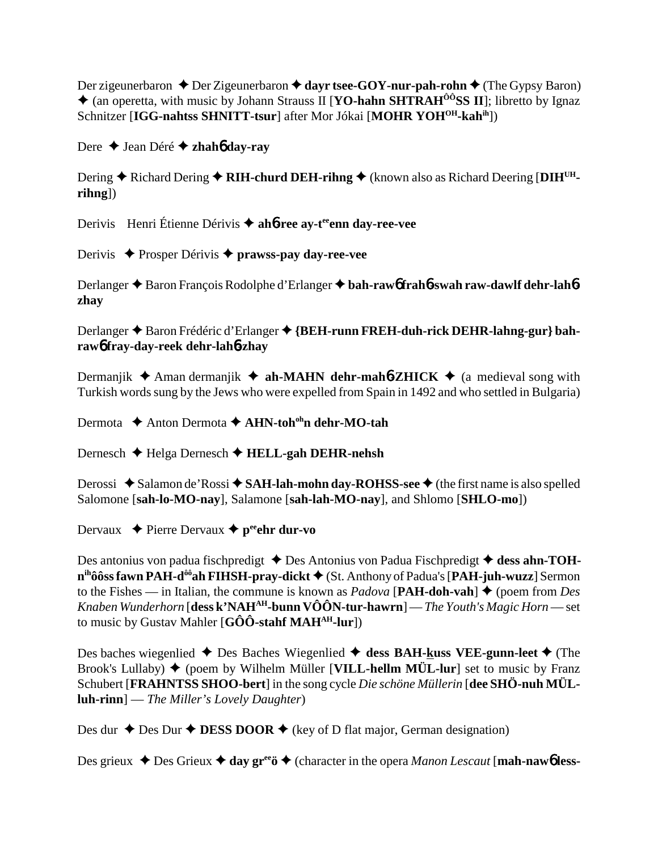Der zigeunerbaron  $\triangle$  Der Zigeunerbaron  $\triangle$  dayr tsee-GOY-nur-pah-rohn  $\triangle$  (The Gypsy Baron)  $\triangle$  (an operetta, with music by Johann Strauss II [YO-hahn SHTRAH<sup> $00$ </sup>SS II]; libretto by Ignaz Schnitzer [IGG-nahtss SHNITT-tsur] after Mor Jókai [MOHR YOH<sup>OH</sup>-kah<sup>ih</sup>])

Dere  $\triangle$  Jean Déré  $\triangle$  zhahó day-ray

Dering  $\triangle$  Richard Dering  $\triangle$  RIH-churd DEH-rihng  $\triangle$  (known also as Richard Deering [DIH<sup>UH</sup> $rihng$ ])

Derivis Henri Étienne Dérivis ♦ ahó-ree ay-t<sup>ee</sup>enn day-ree-vee

Derivis ◆ Prosper Dérivis ◆ prawss-pay dav-ree-vee

Derlanger ♦ Baron François Rodolphe d'Erlanger ♦ bah-raw frah 6-swah raw-dawlf dehr-lah 6zhay

Derlanger ◆ Baron Frédéric d'Erlanger ◆ {BEH-runn FREH-duh-rick DEHR-lahng-gur} bahrawó fray-day-reek dehr-lahó-zhay

Dermanjik  $\triangle$  Aman dermanjik  $\triangle$  ah-MAHN dehr-mah 6-ZHICK  $\triangle$  (a medieval song with Turkish words sung by the Jews who were expelled from Spain in 1492 and who settled in Bulgaria)

Dermota  $\triangle$  Anton Dermota  $\triangle$  AHN-toh<sup>oh</sup>n dehr-MO-tah

Dernesch  $\blacklozenge$  Helga Dernesch  $\blacklozenge$  HELL-gah DEHR-nehsh

Derossi  $\triangle$  Salamon de'Rossi  $\triangle$  SAH-lah-mohn day-ROHSS-see  $\triangle$  (the first name is also spelled Salomone [sah-lo-MO-nay], Salamone [sah-lah-MO-nay], and Shlomo [SHLO-mo])

Dervaux  $\rightarrow$  Pierre Dervaux  $\rightarrow$  p<sup>ee</sup> chr dur-vo

Des antonius von padua fischpredigt  $\triangle$  Des Antonius von Padua Fischpredigt  $\triangle$  dess ahn-TOH $n^{ih}\hat{o}\hat{o}$ ss fawn PAH-d<sup> $\hat{o}\hat{o}$ </sup>ah FIHSH-pray-dickt  $\blacklozenge$  (St. Anthony of Padua's [PAH-juh-wuzz] Sermon to the Fishes — in Italian, the commune is known as *Padova* [PAH-doh-vah]  $\triangle$  (poem from *Des* Knaben Wunderhorn [dess k'NAH<sup>AH</sup>-bunn VÔÔN-tur-hawrn] — The Youth's Magic Horn — set to music by Gustav Mahler  $[G\hat{O}\hat{O}$ -stahf MAH<sup>AH</sup>-lur])

Des baches wiegenlied  $\triangle$  Des Baches Wiegenlied  $\triangle$  dess BAH-kuss VEE-gunn-leet  $\triangle$  (The Brook's Lullaby)  $\blacklozenge$  (poem by Wilhelm Müller [VILL-hellm MÜL-lur] set to music by Franz Schubert [FRAHNTSS SHOO-bert] in the song cycle Die schöne Müllerin [dee SHÖ-nuh MÜL- $\text{luh-rinn}$  – The Miller's Lovely Daughter)

Des dur  $\triangle$  Des Dur  $\triangle$  DESS DOOR  $\triangle$  (key of D flat major, German designation)

Des grieux  $\triangle$  Des Grieux  $\triangle$  day gr<sup>ee</sup>  $\triangle$  (character in the opera *Manon Lescaut* [mah-nawb less-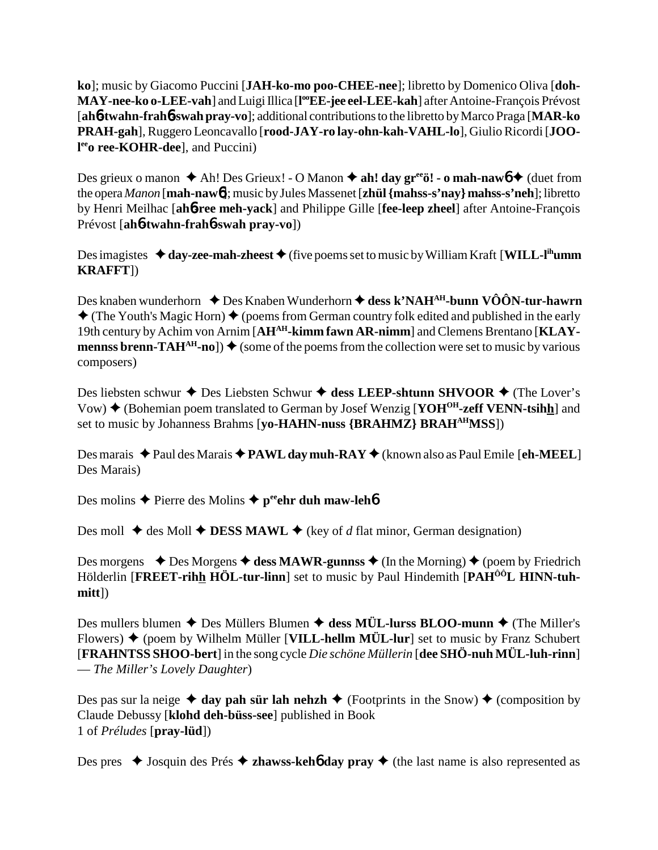**ko**]; music by Giacomo Puccini [**JAH-ko-mo poo-CHEE-nee**]; libretto by Domenico Oliva [**doh-MAY-nee-ko o-LEE-vah**] and Luigi Illica [l<sup>oo</sup>EE-jee eel-LEE-kah] after Antoine-François Prévost [**ah**6**-twahn-frah**6**-swah pray-vo**]; additional contributions to the libretto by Marco Praga [**MAR-ko PRAH-gah**], Ruggero Leoncavallo [**rood-JAY-ro lay-ohn-kah-VAHL-lo**], Giulio Ricordi [**JOO**l<sup>ee</sup>o ree-KOHR-dee], and Puccini)

Des grieux o manon  $\triangle$  Ah! Des Grieux! - O Manon  $\triangle$  ah! day gr<sup>ee</sup>ö! - o mah-naw $\phi \triangleq$  (duet from the opera *Manon* [**mah-naw**6]; music by Jules Massenet [**zhül {mahss-s'nay} mahss-s'neh**]; libretto by Henri Meilhac [**ah**6**-ree meh-yack**] and Philippe Gille [**fee-leep zheel**] after Antoine-François Prévost [**ah**6**-twahn-frah**6**-swah pray-vo**])

Des imagistes  $\triangleleft$  day-zee-mah-zheest  $\triangleleft$  (five poems set to music by William Kraft [WILL-l<sup>ih</sup>umm **KRAFFT**])

Des knaben wunderhorn ◆ Des Knaben Wunderhorn ◆ dess k'NAH<sup>AH</sup>-bunn VÔÔN-tur-hawrn  $\triangle$  (The Youth's Magic Horn)  $\triangle$  (poems from German country folk edited and published in the early 19th century by Achim von Arnim [**AHAH-kimm fawn AR-nimm**] and Clemens Brentano [**KLAYmennss brenn-TAH**<sup>AH</sup>-no])  $\blacklozenge$  (some of the poems from the collection were set to music by various composers)

Des liebsten schwur ◆ Des Liebsten Schwur ◆ dess LEEP-shtunn SHVOOR ◆ (The Lover's Vow) ♦ (Bohemian poem translated to German by Josef Wenzig [**YOH<sup>OH</sup>-zeff VENN-tsihh**] and set to music by Johanness Brahms [**yo-HAHN-nuss {BRAHMZ} BRAHAHMSS**])

Des marais ◆ Paul des Marais ◆ **PAWL day muh-RAY** ◆ (known also as Paul Emile [**eh-MEEL**] Des Marais)

Des molins  $\triangle$  Pierre des Molins  $\triangle$  p<sup>ee</sup>ehr duh maw-leh**6** 

Des moll  $\triangleq$  des Moll  $\triangleq$  **DESS MAWL**  $\triangleq$  (key of *d* flat minor, German designation)

Des morgens  $\triangle$  Des Morgens  $\triangle$  dess MAWR-gunnss  $\triangle$  (In the Morning)  $\triangle$  (poem by Friedrich Hölderlin [FREET-rihh HÖL-tur-linn] set to music by Paul Hindemith [PAH<sup>ÔÔ</sup>L HINN-tuh**mitt**])

Des mullers blumen  $\triangle$  Des Müllers Blumen  $\triangle$  dess MÜL-lurss BLOO-munn  $\triangle$  (The Miller's Flowers)  $\blacklozenge$  (poem by Wilhelm Müller [**VILL-hellm MÜL-lur**] set to music by Franz Schubert [**FRAHNTSS SHOO-bert**] in the song cycle *Die schöne Müllerin* [**dee SHÖ-nuh MÜL-luh-rinn**] — *The Miller's Lovely Daughter*)

Des pas sur la neige  $\triangleleft$  day pah sür lah nehzh  $\triangleleft$  (Footprints in the Snow)  $\triangleleft$  (composition by Claude Debussy [**klohd deh-büss-see**] published in Book 1 of *Préludes* [**pray-lüd**])

Des pres  $\triangle$  Josquin des Prés  $\triangle$  **zhawss-kehô day pray**  $\triangle$  (the last name is also represented as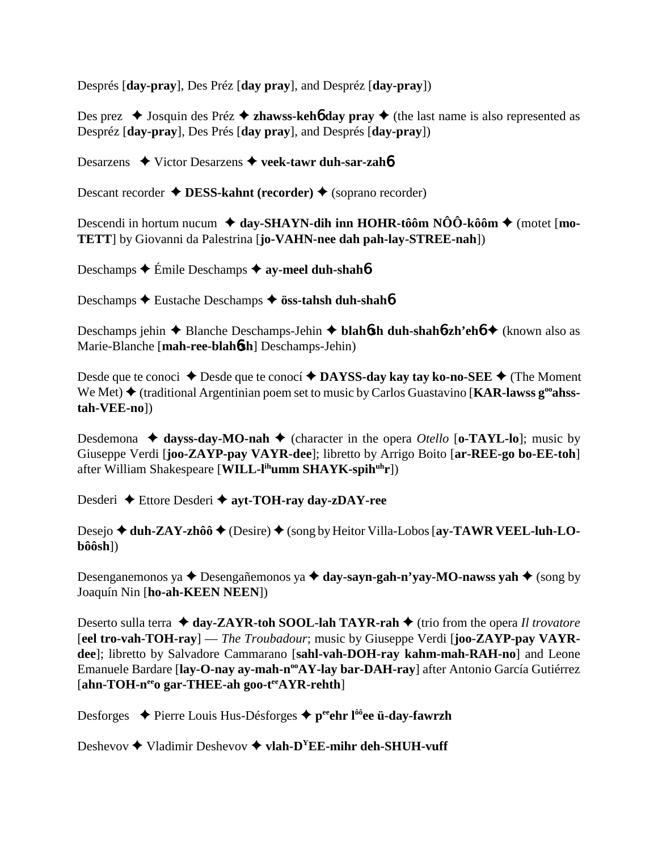Després [**day-pray**], Des Préz [**day pray**], and Despréz [**day-pray**])

Des prez  $\triangleleft$  Josquin des Préz  $\triangleleft$  **zhawss-kehô day pray**  $\triangleleft$  (the last name is also represented as Despréz [**day-pray**], Des Prés [**day pray**], and Després [**day-pray**])

Desarzens **→** Victor Desarzens → veek-tawr duh-sar-zah**6** 

Descant recorder **♦ DESS-kahnt (recorder) ♦ (soprano recorder)** 

Descendi in hortum nucum  $\triangleleft$  day-SHAYN-dih inn HOHR-tôôm NÔÔ-kôôm  $\triangleleft$  (motet [mo-**TETT**] by Giovanni da Palestrina [**jo-VAHN-nee dah pah-lay-STREE-nah**])

Deschamps **←** Émile Deschamps **← ay-meel duh-shah** 

Deschamps **←** Eustache Deschamps ← **öss-tahsh duh-shah**6

Deschamps jehin Blanche Deschamps-Jehin **blah**6**sh duh-shah**6**-zh'eh**6 (known also as Marie-Blanche [**mah-ree-blah**6**sh**] Deschamps-Jehin)

Desde que te conoci ◆ Desde que te conocí ◆ DAYSS-day kay tay ko-no-SEE ◆ (The Moment We Met) ◆ (traditional Argentinian poem set to music by Carlos Guastavino [**KAR-lawss g<sup>oo</sup>ahsstah-VEE-no**])

Desdemona  $\triangleleft$  dayss-day-MO-nah  $\triangleleft$  (character in the opera *Otello* [o-TAYL-lo]; music by Giuseppe Verdi [**joo-ZAYP-pay VAYR-dee**]; libretto by Arrigo Boito [**ar-REE-go bo-EE-toh**] after William Shakespeare [**WILL-lihumm SHAYK-spihuhr**])

Desderi Ettore Desderi **ayt-TOH-ray day-zDAY-ree**

Desejo ◆ duh-ZAY-zhôô ◆ (Desire) ◆ (song by Heitor Villa-Lobos [ay-TAWR VEEL-luh-LO**bôôsh**])

Desenganemonos ya ◆ Desengañemonos ya ◆ day-sayn-gah-n'yay-MO-nawss yah ◆ (song by Joaquín Nin [**ho-ah-KEEN NEEN**])

Deserto sulla terra **→ day-ZAYR-toh SOOL-lah TAYR-rah →** (trio from the opera *Il trovatore* [**eel tro-vah-TOH-ray**] — *The Troubadour*; music by Giuseppe Verdi [**joo-ZAYP-pay VAYRdee**]; libretto by Salvadore Cammarano [**sahl-vah-DOH-ray kahm-mah-RAH-no**] and Leone Emanuele Bardare [lay-O-nay ay-mah-n<sup>oo</sup>AY-lay bar-DAH-ray] after Antonio García Gutiérrez [ahn-TOH-n<sup>ee</sup>o gar-THEE-ah goo-teeAYR-rehth]

Desforges **→** Pierre Louis Hus-Désforges → p<sup>ee</sup>ehr l<sup>ôô</sup>ee ü-day-fawrzh

Deshevov **→** Vladimir Deshevov → vlah-D<sup>Y</sup>EE-mihr deh-SHUH-vuff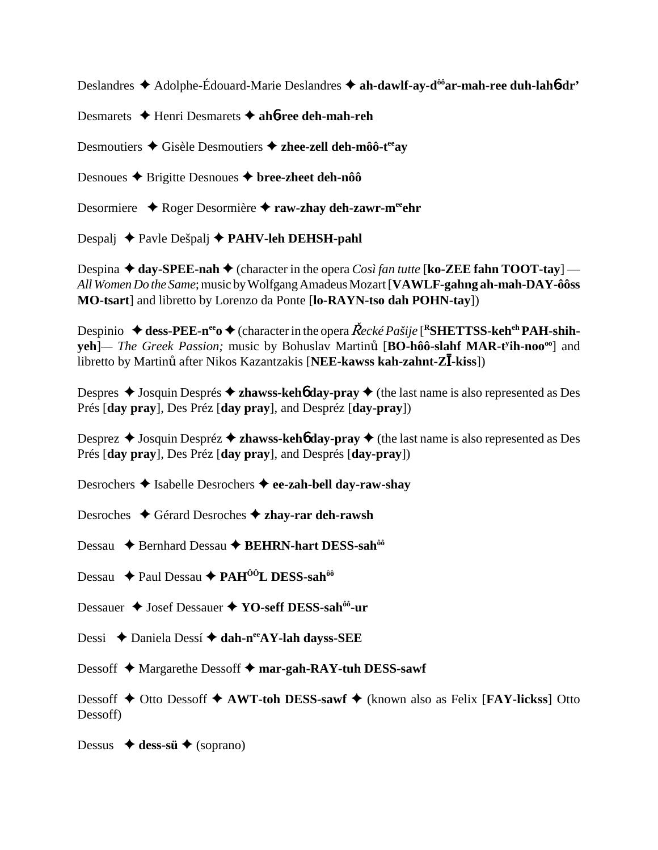Deslandres **→** Adolphe-Édouard-Marie Deslandres → ah-dawlf-ay-d<sup>ôô</sup>ar-mah-ree duh-lah6-dr'

Desmarets Henri Desmarets **ah**6**-ree deh-mah-reh**

Desmoutiers  $\triangle$  Gisèle Desmoutiers  $\triangle$  zhee-zell deh-môô-t<sup>ee</sup>ay

Desnoues **←** Brigitte Desnoues ← bree-zheet deh-nôô

Desormiere ◆ Roger Desormière ◆ raw-zhay deh-zawr-m<sup>ee</sup>ehr

Despalj Pavle Dešpalj **PAHV-leh DEHSH-pahl**

Despina  $\triangle$  day-SPEE-nah  $\triangle$  (character in the opera *Così fan tutte* [**ko-ZEE fahn TOOT-tay**] — *All Women Do the Same*; music by Wolfgang Amadeus Mozart [**VAWLF-gahng ah-mah-DAY-ôôss MO-tsart**] and libretto by Lorenzo da Ponte [**lo-RAYN-tso dah POHN-tay**])

Despinio  $\triangleq$  dess-PEE-n<sup>ee</sup>  $\triangleq$  (character in the opera  $\check{R}$ *ecké Pašije* [<sup>R</sup>SHETTSS-keh<sup>eh</sup> PAH-shih**yeh**]— *The Greek Passion;* music by Bohuslav Martinů [BO-hôô-slahf MAR-t<sup>y</sup>ih-noo<sup>oo</sup>] and **C**<br>libretto by Martinů after Nikos Kazantzakis [**NEE-kawss kah-zahnt-ZĪ-kiss**])

Despres **→** Josquin Després → **zhawss-keh<sup>6</sup> day-pray** → (the last name is also represented as Des Prés [**day pray**], Des Préz [**day pray**], and Despréz [**day-pray**])

Desprez **→** Josquin Despréz **→ zhawss-keh<sup>6</sup> day-pray** → (the last name is also represented as Des Prés [**day pray**], Des Préz [**day pray**], and Després [**day-pray**])

Desrochers **→** Isabelle Desrochers **→ ee-zah-bell day-raw-shav** 

- Desroches Gérard Desroches **zhay-rar deh-rawsh**
- Dessau ◆ Bernhard Dessau ◆ BEHRN-hart DESS-sah<sup>ôô</sup>
- Dessau **← Paul Dessau ← PAH<sup>ÔÔ</sup>L DESS-sah<sup>ôô</sup>**
- Dessauer **→** Josef Dessauer **→ YO-seff DESS-sah<sup>ôô</sup>-ur**
- Dessi ◆ Daniela Dessí **◆ dah-n<sup>ee</sup>AY-lah dayss-SEE**
- Dessoff **→** Margarethe Dessoff → mar-gah-RAY-tuh DESS-sawf

Dessoff **→** Otto Dessoff **→ AWT-toh DESS-sawf** → (known also as Felix [**FAY-lickss**] Otto Dessoff)

Dessus  $\leftrightarrow$  **dess-sü**  $\leftrightarrow$  (soprano)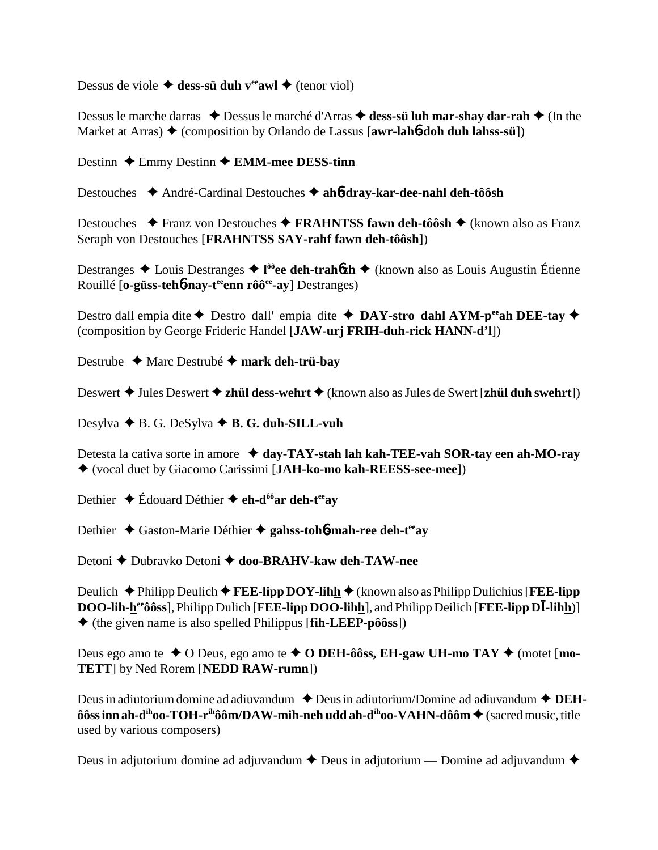Dessus de viole  $\triangleq$  dess-sü duh v<sup>ee</sup>awl  $\triangleq$  (tenor viol)

Dessus le marche darras  $\triangle$  Dessus le marché d'Arras  $\triangle$  dess-sü luh mar-shay dar-rah  $\triangle$  (In the Market at Arras) ♦ (composition by Orlando de Lassus [**awr-lah6-doh duh lahss-sü**])

Destinn **←** Emmy Destinn ← **EMM-mee DESS-tinn** 

Destouches André-Cardinal Destouches **ah**6**-dray-kar-dee-nahl deh-tôôsh**

Destouches **◆ Franz von Destouches ◆ FRAHNTSS fawn deh-tôôsh ◆** (known also as Franz Seraph von Destouches [**FRAHNTSS SAY-rahf fawn deh-tôôsh**])

Destranges Louis Destranges **l ôôee deh-trah**6**zh** (known also as Louis Augustin Étienne Rouillé [**o-güss-teh**6**-nay-teeenn rôôee-ay**] Destranges)

Destro dall empia dite  $\triangle$  Destro dall' empia dite  $\triangle$  **DAY-stro dahl AYM-p<sup>ee</sup>ah DEE-tay**  $\triangle$ (composition by George Frideric Handel [**JAW-urj FRIH-duh-rick HANN-d'l**])

Destrube Marc Destrubé **mark deh-trü-bay**

Deswert **→** Jules Deswert **→ zhül dess-wehrt →** (known also as Jules de Swert [**zhül duh swehrt**])

Desylva **→** B. G. DeSylva **→ B. G. duh-SILL-vuh** 

Detesta la cativa sorte in amore **→ day-TAY-stah lah kah-TEE-vah SOR-tay een ah-MO-ray** (vocal duet by Giacomo Carissimi [**JAH-ko-mo kah-REESS-see-mee**])

Dethier **→** Édouard Déthier **→ eh-d<sup>ôô</sup>ar deh-t<sup>ee</sup>ay** 

Dethier ◆ Gaston-Marie Déthier ◆ gahss-toh**6-mah-ree deh-t<sup>ee</sup>ay** 

Detoni **←** Dubravko Detoni ← doo-BRAHV-kaw deh-TAW-nee

Deulich  $\blacklozenge$  Philipp Deulich  $\blacklozenge$  **FEE-lipp DOY-lihh**  $\blacklozenge$  (known also as Philipp Dulichius [**FEE-lipp**  $\overline{DOO-}$ **lih-hetaôoss**], Philipp Dulich [**FEE-lipp DOO-lihh**], and Philipp Deilich [**FEE-lipp D]**-lihh)] (the given name is also spelled Philippus [**fih-LEEP-pôôss**])

Deus ego amo te  $\triangle$  O Deus, ego amo te  $\triangle$  O DEH-ôôss, EH-gaw UH-mo TAY  $\triangle$  (motet [mo-**TETT**] by Ned Rorem [**NEDD RAW-rumn**])

Deus in adiutorium domine ad adiuvandum **→** Deus in adiutorium/Domine ad adiuvandum ◆ **DEHôôss inn ah-d<sup>ih</sup>oo-TOH-r<sup>ih</sup>ôôm/DAW-mih-neh udd ah-d<sup>ih</sup>oo-VAHN-dôôm ♦ (sacred music, title** used by various composers)

Deus in adjutorium domine ad adjuvandum  $\triangle$  Deus in adjutorium — Domine ad adjuvandum  $\triangle$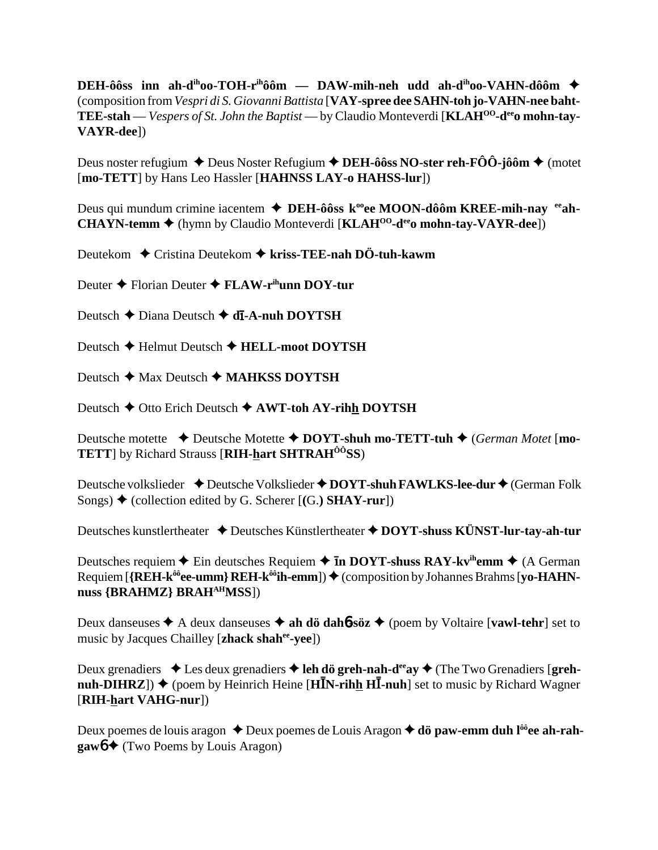**DEH-ôôss inn ah-dihoo-TOH-rihôôm — DAW-mih-neh udd ah-dihoo-VAHN-dôôm** (composition from *Vespri di S. Giovanni Battista* [**VAY-spree dee SAHN-toh jo-VAHN-nee baht-TEE-stah** — *Vespers of St. John the Baptist* — by Claudio Monteverdi [**KLAH<sup>OO</sup>-d<sup>ee</sup>o mohn-tay-VAYR-dee**])

Deus noster refugium **◆** Deus Noster Refugium **◆ DEH-ôôss NO-ster reh-FÔÔ-jôôm ◆** (motet [**mo-TETT**] by Hans Leo Hassler [**HAHNSS LAY-o HAHSS-lur**])

Deus qui mundum crimine iacentem **→ DEH-ôôss k<sup>oo</sup>ee MOON-dôôm KREE-mih-nay** <sup>ee</sup>ah-**CHAYN-temm ♦** (hymn by Claudio Monteverdi [**KLAH<sup>00</sup>-d<sup>ee</sup>o mohn-tay-VAYR-dee**])

Deutekom ◆ Cristina Deutekom ◆ kriss-TEE-nah DÖ-tuh-kawm

Deuter **◆ Florian Deuter ◆ FLAW-r<sup>ih</sup>unn DOY-tur** 

Deutsch **←** Diana Deutsch ← **dī-A-nuh DOYTSH** 

Deutsch **←** Helmut Deutsch ← HELL-moot DOYTSH

Deutsch **→** Max Deutsch ◆ **MAHKSS DOYTSH** 

Deutsch **→** Otto Erich Deutsch **→ AWT-toh AY-rihh DOYTSH** 

Deutsche motette **→** Deutsche Motette ◆ DOYT-shuh mo-TETT-tuh ◆ (*German Motet* [mo-**TETT**] by Richard Strauss [**RIH-hart SHTRAHÔÔSS**)

Deutsche volkslieder **↓** Deutsche Volkslieder **◆ DOYT-shuh FAWLKS-lee-dur ◆** (German Folk Songs)  $\blacklozenge$  (collection edited by G. Scherer  $[(G.)$  **SHAY-rur**])

Deutsches kunstlertheater **↓** Deutsches Künstlertheater **◆ DOYT-shuss KÜNST-lur-tay-ah-tur** 

Deutsches requiem  $\triangle$  Ein deutsches Requiem  $\triangle$  **In DOYT-shuss RAY-kv<sup>ih</sup>emm**  $\triangle$  (A German Requiem [**{REH-k<sup>ôô</sup>ee-umm} REH-k<sup>ôô</sup>ih-emm**]) ♦ (composition by Johannes Brahms [**yo-HAHNnuss {BRAHMZ} BRAHAHMSS**])

Deux danseuses  $\triangle$  A deux danseuses  $\triangle$  ah dö dah**6**-söz  $\triangle$  (poem by Voltaire [**vawl-tehr**] set to music by Jacques Chailley [**zhack shahee-yee**])

Deux grenadiers  $\triangle$  Les deux grenadiers  $\triangle$  leh dö greh-nah-d<sup>ee</sup>ay  $\triangle$  (The Two Grenadiers [greh**nuh-DIHRZ**]) ♦ (poem by Heinrich Heine [**HIN-rihh HI-nuh**] set to music by Richard Wagner [**RIH-hart VAHG-nur**])

Deux poemes de louis aragon ◆ Deux poemes de Louis Aragon ◆ dö paw-emm duh l<sup>ôô</sup>ee ah-rah**gaw<sub>0</sub> ← (Two Poems by Louis Aragon)**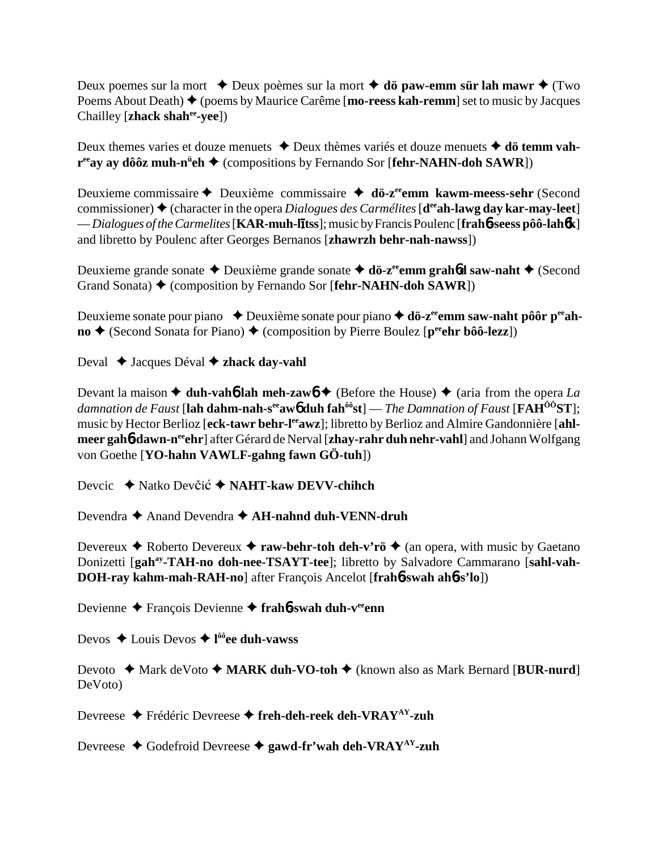Deux poemes sur la mort  $\triangle$  Deux poèmes sur la mort  $\triangle$  **dö paw-emm sür lah mawr**  $\triangle$  (Two Poems About Death) **◆** (poems by Maurice Carême [**mo-reess kah-remm**] set to music by Jacques Chailley [**zhack shahee-yee**])

Deux themes varies et douze menuets **→** Deux thèmes variés et douze menuets **→ dö temm vahr**<sup>ee</sup>ay ay dôôz muh-n<sup>ü</sup>eh ◆ (compositions by Fernando Sor [fehr-NAHN-doh SAWR])

Deuxieme commissaire ← Deuxième commissaire ← dö-z<sup>ee</sup>emm kawm-meess-sehr (Second commissioner)  $\triangle$  (character in the opera *Dialogues des Carmélites* [**d<sup>ee</sup>ah-lawg day kar-may-leet**] — *Dialogues of the Carmelites* [**KAR-muh-ltss**]; music by Francis Poulenc [**frah**6**-seess pôô-lah**6**k**] and libretto by Poulenc after Georges Bernanos [**zhawrzh behr-nah-nawss**])

Deuxieme grande sonate **←** Deuxième grande sonate **← dö-z<sup>ee</sup>emm grahbd saw-naht** ← (Second Grand Sonata)  $\triangle$  (composition by Fernando Sor [**fehr-NAHN-doh SAWR**])

Deuxieme sonate pour piano ◆ Deuxième sonate pour piano ◆ **dö-z<sup>ee</sup>emm saw-naht pôôr p<sup>ee</sup>ah-** $\bf{no}$   $\leftrightarrow$  (Second Sonata for Piano)  $\leftrightarrow$  (composition by Pierre Boulez [ $\bf{p}^{\rm{ee}}$ **ehr bôô-lezz**])

Deval **→** Jacques Déval **→ zhack day-vahl** 

Devant la maison  $\triangle$  duh-vah**6** lah meh-zawb  $\triangle$  (Before the House)  $\triangle$  (aria from the opera *La damnation de Faust* [**lah dahm-nah-seeaw**6 **duh fahôôst**] — *The Damnation of Faust* [**FAHÔÔST**]; music by Hector Berlioz [eck-tawr behr-l<sup>ee</sup>awz]; libretto by Berlioz and Almire Gandonnière [ahlmeer gah**6-dawn-n<sup>ee</sup>ehr**] after Gérard de Nerval [zhay-rahr duh nehr-vahl] and Johann Wolfgang von Goethe [**YO-hahn VAWLF-gahng fawn GÖ-tuh**])

Devcic ◆ Natko Devčić ◆ NAHT-kaw DEVV-chihch

Devendra **→** Anand Devendra ◆ AH-nahnd duh-VENN-druh

Devereux  $\triangle$  Roberto Devereux  $\triangle$  **raw-behr-toh deh-v'rö**  $\triangle$  (an opera, with music by Gaetano Donizetti [gah<sup>ay</sup>-TAH-no doh-nee-TSAYT-tee]; libretto by Salvadore Cammarano [sahl-vah-**DOH-ray kahm-mah-RAH-no**] after François Ancelot [**frah**6**-swah ah**6**-s'lo**])

Devienne François Devienne **frah**6**-swah duh-veeenn**

Devos Louis Devos **l ôôee duh-vawss**

Devoto ◆ Mark deVoto ◆ MARK duh-VO-toh ◆ (known also as Mark Bernard [BUR-nurd] DeVoto)

Devreese Frédéric Devreese **freh-deh-reek deh-VRAYAY-zuh**

Devreese **→** Godefroid Devreese → gawd-fr'wah deh-VRAY<sup>AY</sup>-zuh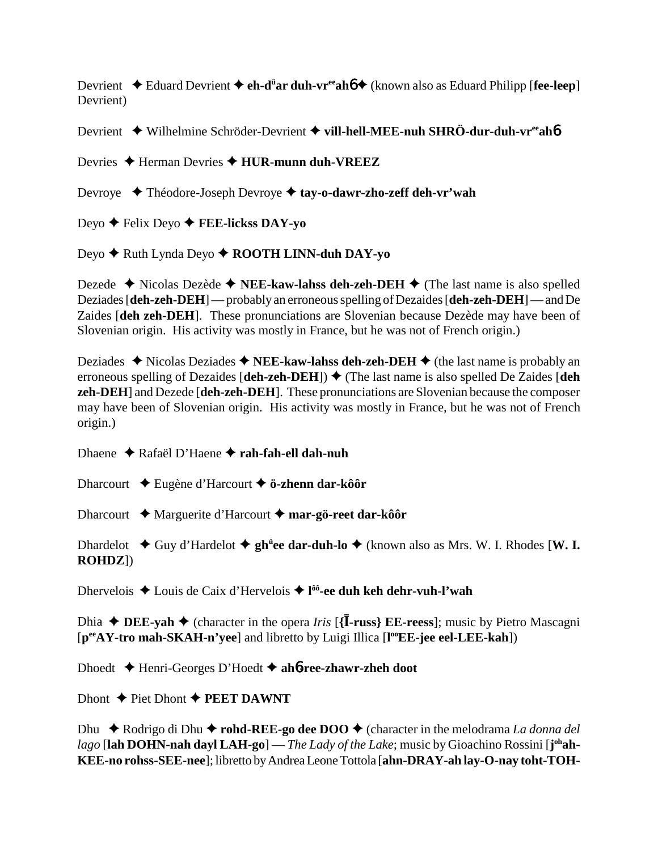Devrient ◆ Eduard Devrient ◆ e**h-d<sup>ü</sup>ar duh-vr<sup>ee</sup>ahó ◆** (known also as Eduard Philipp [**fee-leep**] Devrient)

Devrient Wilhelmine Schröder-Devrient **vill-hell-MEE-nuh SHRÖ-dur-duh-vreeah**6

Devries **→** Herman Devries → **HUR-munn duh-VREEZ** 

Devroye Théodore-Joseph Devroye **tay-o-dawr-zho-zeff deh-vr'wah**

Deyo Felix Deyo **FEE-lickss DAY-yo**

Deyo **→** Ruth Lynda Deyo ◆ **ROOTH LINN-duh DAY-yo** 

Dezede  $\triangle$  Nicolas Dezède  $\triangle$  **NEE-kaw-lahss deh-zeh-DEH**  $\triangle$  (The last name is also spelled Deziades [**deh-zeh-DEH**] — probably an erroneous spelling of Dezaides [**deh-zeh-DEH**] — and De Zaides [**deh zeh-DEH**]. These pronunciations are Slovenian because Dezède may have been of Slovenian origin. His activity was mostly in France, but he was not of French origin.)

Deziades  $\triangle$  Nicolas Deziades  $\triangle$  **NEE-kaw-lahss deh-zeh-DEH**  $\triangle$  (the last name is probably an erroneous spelling of Dezaides  $[deh$ -zeh-DEH $]$ )  $\blacklozenge$  (The last name is also spelled De Zaides  $[deh]$ **zeh-DEH**] and Dezede [**deh-zeh-DEH**]. These pronunciations are Slovenian because the composer may have been of Slovenian origin. His activity was mostly in France, but he was not of French origin.)

Dhaene Rafaël D'Haene **rah-fah-ell dah-nuh**

Dharcourt Eugène d'Harcourt **ö-zhenn dar-kôôr**

Dharcourt **→** Marguerite d'Harcourt → mar-gö-reet dar-kôôr

Dhardelot ◆ Guy d'Hardelot ◆ gh<sup>ü</sup>ee dar-duh-lo ◆ (known also as Mrs. W. I. Rhodes [W. I. **ROHDZ**])

Dhervelois ◆ Louis de Caix d'Hervelois ◆ l<sup>ôô</sup>-ee duh keh dehr-vuh-l'wah

Dhia  $\blacklozenge$  **DEE-yah**  $\blacklozenge$  (character in the opera *Iris* [{**I-russ**} **EE-reess**]; music by Pietro Mascagni [**peeAY-tro mah-SKAH-n'yee**] and libretto by Luigi Illica [**l ooEE-jee eel-LEE-kah**])

Dhoedt Henri-Georges D'Hoedt **ah**6**-ree-zhawr-zheh doot**

Dhont  $\triangle$  Piet Dhont  $\triangle$  **PEET DAWNT** 

Dhu  $\rightarrow$  Rodrigo di Dhu  $\rightarrow$  **rohd-REE-go dee DOO**  $\rightarrow$  (character in the melodrama *La donna del* lago [l**ah DOHN-nah dayl LAH-go**] — *The Lady of the Lake*; music by Gioachino Rossini [j<sup>oh</sup>**ah-KEE-no rohss-SEE-nee**]; libretto by Andrea Leone Tottola [**ahn-DRAY-ah lay-O-nay toht-TOH-**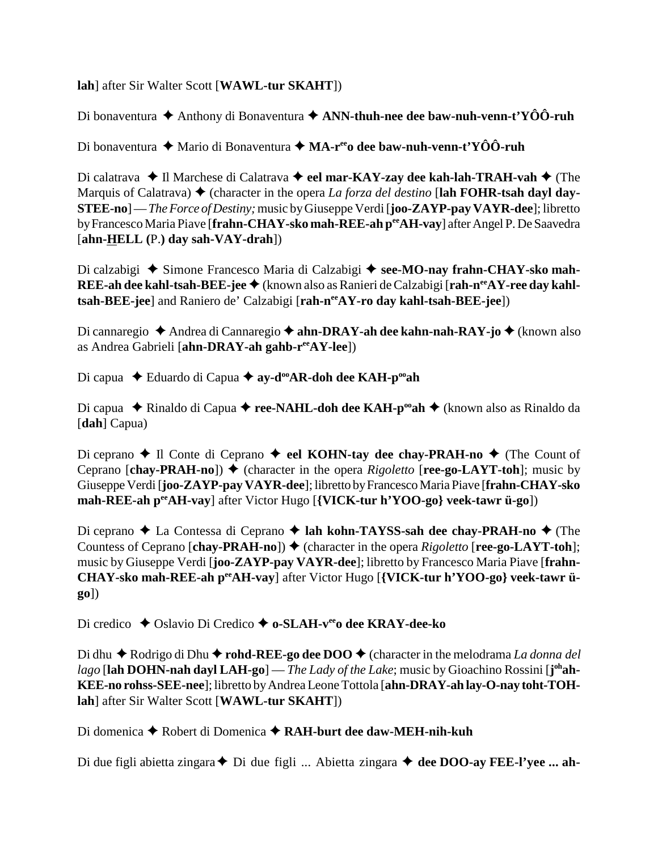**lah**] after Sir Walter Scott [**WAWL-tur SKAHT**])

Di bonaventura  $\triangle$  Anthony di Bonaventura  $\triangle$  ANN-thuh-nee dee baw-nuh-venn-t'YÔÔ-ruh

Di bonaventura **→** Mario di Bonaventura **→ MA-r<sup>ee</sup>o dee baw-nuh-venn-t'YÔÔ-ruh** 

Di calatrava ◆ Il Marchese di Calatrava ◆ eel mar-KAY-zay dee kah-lah-TRAH-vah ◆ (The Marquis of Calatrava)  $\blacklozenge$  (character in the opera *La forza del destino* [lah FOHR-tsah dayl day-**STEE-no**] — *The Force of Destiny;* music by Giuseppe Verdi [**joo-ZAYP-pay VAYR-dee**]; libretto by Francesco Maria Piave [frahn-CHAY-sko mah-REE-ah per AH-vay] after Angel P. De Saavedra [**ahn-HELL (**P.**) day sah-VAY-drah**])

Di calzabigi ◆ Simone Francesco Maria di Calzabigi ◆ see-MO-nay frahn-CHAY-sko mah-**REE-ah dee kahl-tsah-BEE-jee ♦** (known also as Ranieri de Calzabigi [rah-n<sup>ee</sup>AY-ree day kahl**tsah-BEE-jee**] and Raniero de' Calzabigi [**rah-neeAY-ro day kahl-tsah-BEE-jee**])

Di cannaregio **→** Andrea di Cannaregio **→ ahn-DRAY-ah dee kahn-nah-RAY-jo →** (known also as Andrea Gabrieli [**ahn-DRAY-ah gahb-reeAY-lee**])

Di capua ◆ Eduardo di Capua ◆ ay-d<sup>oo</sup>AR-doh dee KAH-p<sup>oo</sup>ah

Di capua ◆ Rinaldo di Capua ◆ **ree-NAHL-doh dee KAH-p<sup>oo</sup>ah ◆** (known also as Rinaldo da [**dah**] Capua)

Di ceprano  $\blacklozenge$  Il Conte di Ceprano  $\blacklozenge$  eel KOHN-tay dee chay-PRAH-no  $\blacklozenge$  (The Count of Ceprano  $[char\text{-}PRAH\text{-}no]$   $\blacklozenge$  (character in the opera *Rigoletto*  $[rec\text{-}go\text{-}LAYT\text{-}toh]$ ; music by Giuseppe Verdi [**joo-ZAYP-pay VAYR-dee**]; libretto by Francesco Maria Piave [**frahn-CHAY-sko mah-REE-ah peeAH-vay**] after Victor Hugo [**{VICK-tur h'YOO-go} veek-tawr ü-go**])

Di ceprano **→** La Contessa di Ceprano → lah kohn-TAYSS-sah dee chay-PRAH-no → (The Countess of Ceprano  $[chay-PRAH-no]$ )  $\blacklozenge$  (character in the opera *Rigoletto*  $[ree-go-LAYT-toh]$ ; music by Giuseppe Verdi [**joo-ZAYP-pay VAYR-dee**]; libretto by Francesco Maria Piave [**frahn-**CHAY-sko mah-REE-ah peeAH-vay] after Victor Hugo [{VICK-tur h'YOO-go} veek-tawr ü**go**])

Di credico ◆ Oslavio Di Credico ◆ o-SLAH-v<sup>ee</sup>o dee KRAY-dee-ko

Di dhu ◆ Rodrigo di Dhu ◆ **rohd-REE-go dee DOO** ◆ (character in the melodrama *La donna del* lago [l**ah DOHN-nah dayl LAH-go**] — *The Lady of the Lake*; music by Gioachino Rossini [j<sup>oh</sup>**ah-KEE-no rohss-SEE-nee**]; libretto by Andrea Leone Tottola [**ahn-DRAY-ah lay-O-nay toht-TOHlah**] after Sir Walter Scott [**WAWL-tur SKAHT**])

Di domenica Robert di Domenica **RAH-burt dee daw-MEH-nih-kuh**

Di due figli abietta zingara **→** Di due figli ... Abietta zingara → dee DOO-ay FEE-l'yee ... ah-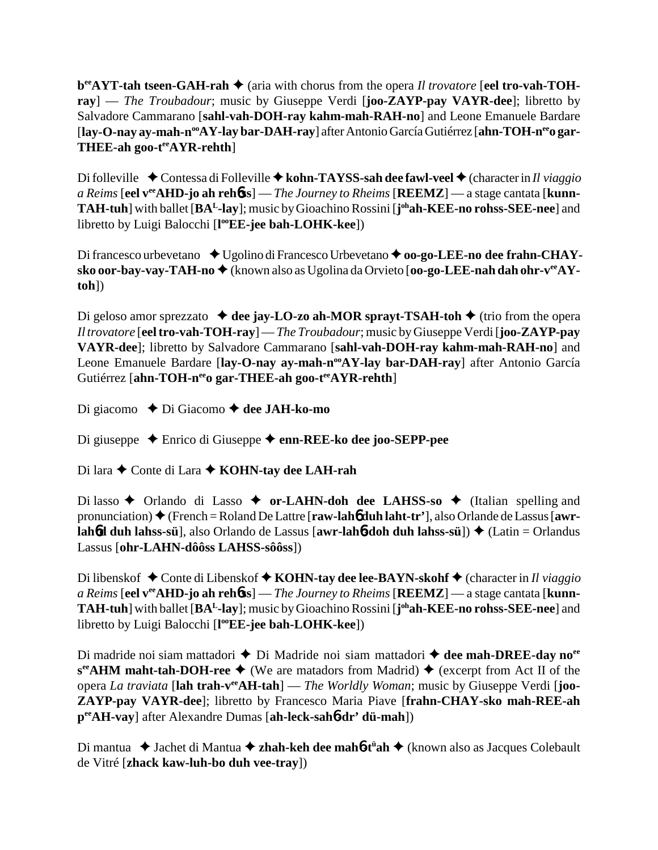**b**<sup>ee</sup>**AYT-tah tseen-GAH-rah ♦** (aria with chorus from the opera *Il trovatore* [eel **tro-vah-TOHray**] — *The Troubadour*; music by Giuseppe Verdi [**joo-ZAYP-pay VAYR-dee**]; libretto by Salvadore Cammarano [**sahl-vah-DOH-ray kahm-mah-RAH-no**] and Leone Emanuele Bardare [lay-O-nay ay-mah-n<sup>oo</sup>AY-lay bar-DAH-ray] after Antonio García Gutiérrez [ahn-TOH-n<sup>ee</sup>o gar-**THEE-ah goo-teeAYR-rehth**]

Di folleville ◆ Contessa di Folleville ◆ kohn-TAYSS-sah dee fawl-veel ◆ (character in *Il viaggio a Reims* [**eel veeAHD-jo ah reh**6**ss**] — *The Journey to Rheims* [**REEMZ**] — a stage cantata [**kunn-TAH-tuh**] with ballet [**BAL-lay**]; music by Gioachino Rossini [**j ohah-KEE-no rohss-SEE-nee**] and libretto by Luigi Balocchi [**l ooEE-jee bah-LOHK-kee**])

Di francesco urbevetano ◆ Ugolino di Francesco Urbevetano ◆ **oo-go-LEE-no dee frahn-CHAY**sko oor-bay-vay-TAH-no ♦ (known also as Ugolina da Orvieto [oo-go-LEE-nah dah ohr-v<sup>ee</sup>AY**toh**])

Di geloso amor sprezzato  $\triangleleft$  dee jay-LO-zo ah-MOR sprayt-TSAH-toh  $\triangleleft$  (trio from the opera *Il trovatore* [**eel tro-vah-TOH-ray**] — *The Troubadour*; music by Giuseppe Verdi [**joo-ZAYP-pay VAYR-dee**]; libretto by Salvadore Cammarano [**sahl-vah-DOH-ray kahm-mah-RAH-no**] and Leone Emanuele Bardare [lay-O-nay ay-mah-n<sup>oo</sup>AY-lay bar-DAH-ray] after Antonio García Gutiérrez [ahn-TOH-n<sup>ee</sup>o gar-THEE-ah goo-t<sup>ee</sup>AYR-rehth]

Di giacomo Di Giacomo **dee JAH-ko-mo**

Di giuseppe Enrico di Giuseppe **enn-REE-ko dee joo-SEPP-pee**

Di lara ◆ Conte di Lara ◆ **KOHN-tay dee LAH-rah** 

Di lasso ◆ Orlando di Lasso ◆ or-LAHN-doh dee LAHSS-so ◆ (Italian spelling and pronunciation) (French = Roland De Lattre [**raw-lah**6 **duh laht-tr'**], also Orlande de Lassus [**awrlah6d duh lahss-sü**], also Orlando de Lassus [**awr-lah6-doh duh lahss-sü**]) ◆ (Latin = Orlandus Lassus [**ohr-LAHN-dôôss LAHSS-sôôss**])

Di libenskof ◆ Conte di Libenskof ◆ **KOHN-tay dee lee-BAYN-skohf** ◆ (character in *Il viaggio a Reims* [**eel veeAHD-jo ah reh**6**ss**] — *The Journey to Rheims* [**REEMZ**] — a stage cantata [**kunn-TAH-tuh**] with ballet [**BAL-lay**]; music by Gioachino Rossini [**j ohah-KEE-no rohss-SEE-nee**] and libretto by Luigi Balocchi [**l ooEE-jee bah-LOHK-kee**])

Di madride noi siam mattadori ◆ Di Madride noi siam mattadori ◆ dee mah-DREE-day no<sup>ee</sup>  $s^{ee}$ **AHM maht-tah-DOH-ree**  $\blacklozenge$  (We are matadors from Madrid)  $\blacklozenge$  (excerpt from Act II of the opera *La traviata* [**lah trah-veeAH-tah**] — *The Worldly Woman*; music by Giuseppe Verdi [**joo-ZAYP-pay VAYR-dee**]; libretto by Francesco Maria Piave [**frahn-CHAY-sko mah-REE-ah peeAH-vay**] after Alexandre Dumas [**ah-leck-sah**6**-dr' dü-mah**])

Di mantua ◆ Jachet di Mantua ◆ zhah-keh dee mah6-t<sup>ü</sup>ah ◆ (known also as Jacques Colebault de Vitré [**zhack kaw-luh-bo duh vee-tray**])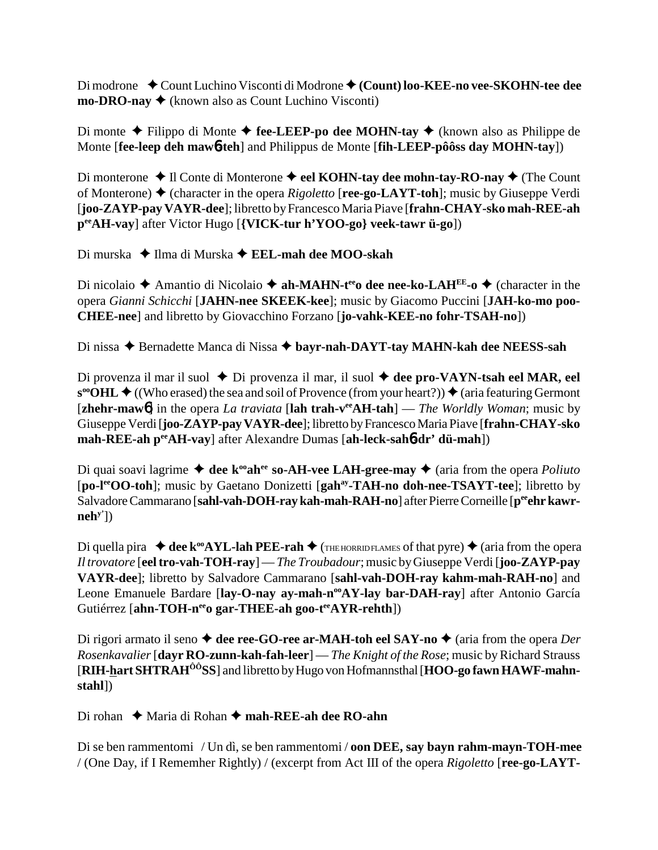Di modrone ◆ Count Luchino Visconti di Modrone ◆ (Count) loo-KEE-no vee-SKOHN-tee dee **mo-DRO-nay**  $\triangle$  (known also as Count Luchino Visconti)

Di monte  $\triangle$  Filippo di Monte  $\triangle$  fee-LEEP-po dee MOHN-tay  $\triangle$  (known also as Philippe de Monte [**fee-leep deh maw**6**-teh**] and Philippus de Monte [**fih-LEEP-pôôss day MOHN-tay**])

Di monterone **→** Il Conte di Monterone **→ eel KOHN-tay dee mohn-tay-RO-nay →** (The Count of Monterone) (character in the opera *Rigoletto* [**ree-go-LAYT-toh**]; music by Giuseppe Verdi [**joo-ZAYP-pay VAYR-dee**]; libretto by Francesco Maria Piave [**frahn-CHAY-sko mah-REE-ah peeAH-vay**] after Victor Hugo [**{VICK-tur h'YOO-go} veek-tawr ü-go**])

Di murska ◆ Ilma di Murska ◆ **EEL-mah dee MOO-skah** 

Di nicolaio **→** Amantio di Nicolaio → **ah-MAHN-t<sup>ee</sup>o dee nee-ko-LAH<sup>EE</sup>-o →** (character in the opera *Gianni Schicchi* [**JAHN-nee SKEEK-kee**]; music by Giacomo Puccini [**JAH-ko-mo poo-CHEE-nee**] and libretto by Giovacchino Forzano [**jo-vahk-KEE-no fohr-TSAH-no**])

Di nissa ◆ Bernadette Manca di Nissa ◆ bayr-nah-DAYT-tay MAHN-kah dee NEESS-sah

Di provenza il mar il suol  $\triangle$  Di provenza il mar, il suol  $\triangle$  dee pro-VAYN-tsah eel MAR, eel  $\mathbf{s}^{\infty}$ **OHL**  $\blacklozenge$  ((Who erased) the sea and soil of Provence (from your heart?))  $\blacklozenge$  (aria featuring Germont [**zhehr-maw**6] in the opera *La traviata* [**lah trah-veeAH-tah**] — *The Worldly Woman*; music by Giuseppe Verdi [**joo-ZAYP-pay VAYR-dee**]; libretto by Francesco Maria Piave [**frahn-CHAY-sko mah-REE-ah peeAH-vay**] after Alexandre Dumas [**ah-leck-sah**6**-dr' dü-mah**])

Di quai soavi lagrime  $\triangleleft$  dee k<sup>oo</sup>ah<sup>ee</sup> so-AH-vee LAH-gree-may  $\triangleleft$  (aria from the opera *Poliuto* [**po-leeOO-toh**]; music by Gaetano Donizetti [**gahay-TAH-no doh-nee-TSAYT-tee**]; libretto by Salvadore Cammarano [sahl-vah-DOH-ray kah-mah-RAH-no] after Pierre Corneille [p<sup>ee</sup>ehr kawr**nehy'**])

Di quella pira  $\triangleleft$  dee k<sup>oo</sup>AYL-lah PEE-rah  $\triangleleft$  (The HORRID FLAMES of that pyre)  $\triangleq$  (aria from the opera *Il trovatore* [**eel tro-vah-TOH-ray**] — *The Troubadour*; music by Giuseppe Verdi [**joo-ZAYP-pay VAYR-dee**]; libretto by Salvadore Cammarano [**sahl-vah-DOH-ray kahm-mah-RAH-no**] and Leone Emanuele Bardare [lay-O-nay ay-mah-n<sup>oo</sup>AY-lay bar-DAH-ray] after Antonio García Gutiérrez [ahn-TOH-n<sup>ee</sup>o gar-THEE-ah goo-t<sup>ee</sup>AYR-rehth])

Di rigori armato il seno  $\triangle$  dee ree-GO-ree ar-MAH-toh eel SAY-no  $\triangle$  (aria from the opera *Der Rosenkavalier* [**dayr RO-zunn-kah-fah-leer**] — *The Knight of the Rose*; music by Richard Strauss [**RIH-hart SHTRAHÔÔSS**] and libretto by Hugo von Hofmannsthal [**HOO-go fawn HAWF-mahnstahl**])

Di rohan **→** Maria di Rohan → mah-REE-ah dee RO-ahn

Di se ben rammentomi / Un dì, se ben rammentomi / **oon DEE, say bayn rahm-mayn-TOH-mee** / (One Day, if I Rememher Rightly) / (excerpt from Act III of the opera *Rigoletto* [**ree-go-LAYT-**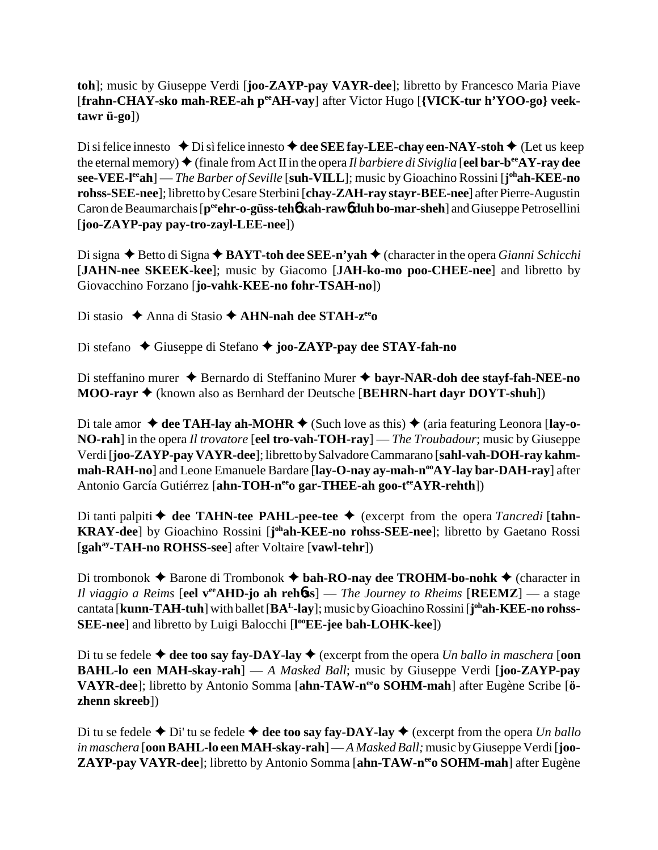**toh**]; music by Giuseppe Verdi [**joo-ZAYP-pay VAYR-dee**]; libretto by Francesco Maria Piave [frahn-CHAY-sko mah-REE-ah peeAH-vay] after Victor Hugo [{VICK-tur h'YOO-go} veek**tawr ü-go**])

Di si felice innesto  $\blacklozenge$  Di sì felice innesto  $\blacklozenge$  dee SEE fay-LEE-chay een-NAY-stoh  $\blacklozenge$  (Let us keep the eternal memory)  $\blacklozenge$  (finale from Act II in the opera *Il barbiere di Siviglia* [**eel bar-b<sup>ee</sup>AY-ray dee see-VEE-leeah**] — *The Barber of Seville* [**suh-VILL**]; music by Gioachino Rossini [**j ohah-KEE-no rohss-SEE-nee**]; libretto by Cesare Sterbini [**chay-ZAH-ray stayr-BEE-nee**] after Pierre-Augustin Caron de Beaumarchais [p<sup>ee</sup>ehr-o-güss-teh**6** kah-raw6 duh bo-mar-sheh] and Giuseppe Petrosellini [**joo-ZAYP-pay pay-tro-zayl-LEE-nee**])

Di signa **→** Betto di Signa ◆ BAYT-toh dee SEE-n'yah ◆ (character in the opera *Gianni Schicchi*) [**JAHN-nee SKEEK-kee**]; music by Giacomo [**JAH-ko-mo poo-CHEE-nee**] and libretto by Giovacchino Forzano [**jo-vahk-KEE-no fohr-TSAH-no**])

Di stasio **→** Anna di Stasio → **AHN-nah dee STAH-z<sup>ee</sup>O** 

Di stefano ◆ Giuseppe di Stefano ◆ joo-ZAYP-pay dee STAY-fah-no

Di steffanino murer ◆ Bernardo di Steffanino Murer ◆ bayr-NAR-doh dee stayf-fah-NEE-no **MOO-rayr** (known also as Bernhard der Deutsche [**BEHRN-hart dayr DOYT-shuh**])

Di tale amor  $\triangle$  dee TAH-lay ah-MOHR  $\triangle$  (Such love as this)  $\triangle$  (aria featuring Leonora [lay-o-**NO-rah**] in the opera *Il trovatore* [**eel tro-vah-TOH-ray**] — *The Troubadour*; music by Giuseppe Verdi [**joo-ZAYP-pay VAYR-dee**]; libretto by Salvadore Cammarano [**sahl-vah-DOH-ray kahm**mah-RAH-no<sup>]</sup> and Leone Emanuele Bardare [lay-O-nay ay-mah-n<sup>oo</sup>AY-lay bar-DAH-ray] after Antonio García Gutiérrez [ahn-TOH-n<sup>ee</sup>o gar-THEE-ah goo-t<sup>ee</sup>AYR-rehth])

Di tanti palpiti  $\blacklozenge$  dee TAHN-tee PAHL-pee-tee  $\blacklozenge$  (excerpt from the opera *Tancredi* [tahn-KRAY-dee] by Gioachino Rossini [johah-KEE-no rohss-SEE-nee]; libretto by Gaetano Rossi [**gahay-TAH-no ROHSS-see**] after Voltaire [**vawl-tehr**])

Di trombonok  $\triangle$  Barone di Trombonok  $\triangle$  **bah-RO-nay dee TROHM-bo-nohk**  $\triangle$  (character in *Il viaggio a Reims* [**eel v<sup>ee</sup>AHD-jo ah reh6ss**] — *The Journey to Rheims* [**REEMZ**] — a stage cantata [**kunn-TAH-tuh**] with ballet [**BAL-lay**]; music by Gioachino Rossini [**j ohah-KEE-no rohss-**SEE-nee] and libretto by Luigi Balocchi [l<sup>oo</sup>EE-jee bah-LOHK-kee])

Di tu se fedele  $\triangle$  dee too say fay-DAY-lay  $\triangle$  (excerpt from the opera *Un ballo in maschera* [oon **BAHL-lo een MAH-skay-rah**] — *A Masked Ball*; music by Giuseppe Verdi [**joo-ZAYP-pay** VAYR-dee]; libretto by Antonio Somma [ahn-TAW-n<sup>ee</sup>o SOHM-mah] after Eugène Scribe [ö**zhenn skreeb**])

Di tu se fedele  $\triangle$  Di' tu se fedele  $\triangle$  dee too say fay-DAY-lay  $\triangle$  (excerpt from the opera *Un ballo in maschera* [**oon BAHL-lo een MAH-skay-rah**] — *A Masked Ball;* music by Giuseppe Verdi [**joo-ZAYP-pay VAYR-dee**]; libretto by Antonio Somma [**ahn-TAW-neeo SOHM-mah**] after Eugène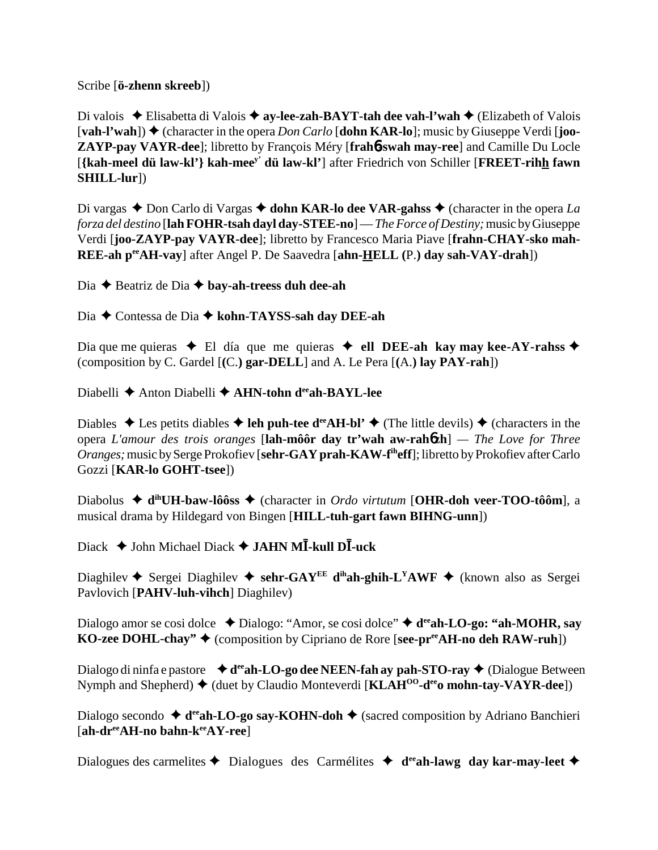Scribe [**ö-zhenn skreeb**])

Di valois ◆ Elisabetta di Valois ◆ ay-lee-zah-BAYT-tah dee vah-l'wah ◆ (Elizabeth of Valois  $[\text{vah-}!\text{'wah}]$   $\blacklozenge$  (character in the opera *Don Carlo*  $[\text{dohn}$  KAR-lo]; music by Giuseppe Verdi  $[\text{joo-}]$ **ZAYP-pay VAYR-dee**]; libretto by François Méry [**frah**6**-swah may-ree**] and Camille Du Locle [**{kah-meel dü law-kl'} kah-meey' dü law-kl'**] after Friedrich von Schiller [**FREET-rihh fawn SHILL-lur**])

Di vargas  $\triangle$  Don Carlo di Vargas  $\triangle$  dohn KAR-lo dee VAR-gahss  $\triangle$  (character in the opera *La forza del destino* [**lah FOHR-tsah dayl day-STEE-no**] — *The Force of Destiny;* music by Giuseppe Verdi [**joo-ZAYP-pay VAYR-dee**]; libretto by Francesco Maria Piave [**frahn-CHAY-sko mah-REE-ah peeAH-vay**] after Angel P. De Saavedra [**ahn-HELL (**P.**) day sah-VAY-drah**])

Dia **→** Beatriz de Dia **→** bay-ah-treess duh dee-ah

Dia Contessa de Dia  **kohn-TAYSS-sah day DEE-ah**

Dia que me quieras  $\triangle$  El día que me quieras  $\triangle$  ell DEE-ah kay may kee-AY-rahss  $\triangle$ (composition by C. Gardel [**(**C.**) gar-DELL**] and A. Le Pera [**(**A.**) lay PAY-rah**])

Diabelli **←** Anton Diabelli ← AHN-tohn deeah-BAYL-lee

Diables  $\triangle$  Les petits diables  $\triangle$  leh puh-tee d<sup>ee</sup>AH-bl'  $\triangle$  (The little devils)  $\triangle$  (characters in the opera *L'amour des trois oranges* [**lah-môôr day tr'wah aw-rah**6**zh**] *— The Love for Three Oranges;* music by Serge Prokofiev [**sehr-GAY prah-KAW-fiheff**]; libretto by Prokofiev after Carlo Gozzi [**KAR-lo GOHT-tsee**])

Diabolus **dihUH-baw-lôôss** (character in *Ordo virtutum* [**OHR-doh veer-TOO-tôôm**], a musical drama by Hildegard von Bingen [**HILL-tuh-gart fawn BIHNG-unn**])

 $\Delta$ Diack **→** John Michael Diack **→ JAHN MI-kull DI-uck** 

Diaghilev  $\blacklozenge$  Sergei Diaghilev  $\blacklozenge$  sehr-GAY<sup>EE</sup> d<sup>ih</sup>ah-ghih-L<sup>Y</sup>AWF  $\blacklozenge$  (known also as Sergei Pavlovich [**PAHV-luh-vihch**] Diaghilev)

Dialogo amor se cosi dolce **↓** Dialogo: "Amor, se cosi dolce" **→ d<sup>ee</sup>ah-LO-go: "ah-MOHR, say KO-zee DOHL-chay"** ♦ (composition by Cipriano de Rore [**see-pr<sup>ee</sup>AH-no deh RAW-ruh**])

Dialogo di ninfa e pastore **↓ d<sup>ee</sup>ah-LO-go dee NEEN-fah ay pah-STO-ray ◆** (Dialogue Between Nymph and Shepherd)  $\blacklozenge$  (duet by Claudio Monteverdi [**KLAH<sup>00</sup>-d<sup>ee</sup>o mohn-tay-VAYR-dee**])

Dialogo secondo ◆ d<sup>ee</sup>ah-LO-go say-KOHN-doh ◆ (sacred composition by Adriano Banchieri [**ah-dreeAH-no bahn-keeAY-ree**]

Dialogues des carmelites  $\triangle$  Dialogues des Carmélites  $\triangle$  d<sup>ee</sup>ah-lawg day kar-may-leet  $\triangle$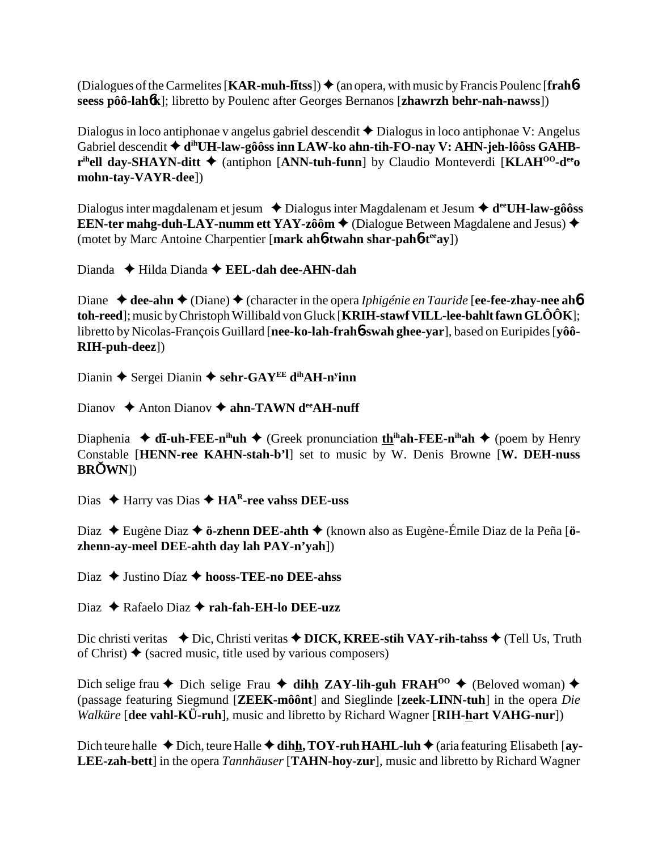(Dialogues of the Carmelites [KAR-muh-litss])  $\triangle$  (an opera, with music by Francis Poulenc [frahbseess pôô-lahók]; libretto by Poulenc after Georges Bernanos [zhawrzh behr-nah-nawss])

Dialogus in loco antiphonae y angelus gabriel descendit  $\triangle$  Dialogus in loco antiphonae V: Angelus Gabriel descendit ◆ d<sup>ih</sup>UH-law-gôôss inn LAW-ko ahn-tih-FO-nay V: AHN-jeh-lôôss GAHB- $\mathbf{r}^{\text{ih}}$ ell day-SHAYN-ditt  $\blacklozenge$  (antiphon [ANN-tuh-funn] by Claudio Monteverdi [KLAH<sup>00</sup>-d<sup>ee</sup>o] mohn-tay-VAYR-dee])

Dialogus inter magdalenam et jesum  $\rightarrow$  Dialogus inter Magdalenam et Jesum  $\rightarrow$  d<sup>ee</sup>UH-law-gôôss EEN-ter mahg-duh-LAY-numm ett YAY-zôôm  $\triangle$  (Dialogue Between Magdalene and Jesus)  $\triangle$ (motet by Marc Antoine Charpentier [mark aho-twahn shar-paho-tee ay])

Dianda  $\blacklozenge$  Hilda Dianda  $\blacklozenge$  EEL-dah dee-AHN-dah

Diane  $\triangleleft$  dee-ahn  $\triangleleft$  (Diane)  $\triangleleft$  (character in the opera *Iphigénie en Tauride* [ee-fee-zhay-nee ah**6** toh-reed]; music by Christoph Willibald von Gluck [KRIH-stawf VILL-lee-bahlt fawn  $GL\hat{O} \hat{O} K$ ]; libretto by Nicolas-François Guillard [nee-ko-lah-fraho-swah ghee-yar], based on Euripides [yôô-RIH-puh-deez])

Dianin  $\blacklozenge$  Sergei Dianin  $\blacklozenge$  sehr-GAY<sup>EE</sup> d<sup>ih</sup>AH-n<sup>y</sup>inn

Dianov  $\triangle$  Anton Dianov  $\triangle$  ahn-TAWN d<sup>ee</sup> AH-nuff

Diaphenia  $\blacklozenge$  d**i**-uh-FEE-n<sup>ih</sup>uh  $\blacklozenge$  (Greek pronunciation th<sup>ih</sup>ah-FEE-n<sup>ih</sup>ah  $\blacklozenge$  (poem by Henry Constable [HENN-ree KAHN-stah-b'l] set to music by W. Denis Browne [W. DEH-nuss **BROWN**I)

Dias  $\triangle$  Harry vas Dias  $\triangle$  HA<sup>R</sup>-ree vahss DEE-uss

Diaz → Eugène Diaz → ö-zhenn DEE-ahth → (known also as Eugène-Émile Diaz de la Peña [özhenn-av-meel DEE-ahth day lah PAY-n'yah])

Diaz  $\triangle$  Justino Díaz  $\triangle$  hooss-TEE-no DEE-ahss

Diaz  $\triangle$  Rafaelo Diaz  $\triangle$  rah-fah-EH-lo DEE-uzz

Dic christi veritas  $\rightarrow$  Dic, Christi veritas  $\rightarrow$  DICK, KREE-stih VAY-rih-tahss  $\rightarrow$  (Tell Us, Truth of Christ)  $\triangle$  (sacred music, title used by various composers)

Dich selige frau  $\triangle$  Dich selige Frau  $\triangle$  dihh ZAY-lih-guh FRAH<sup>00</sup>  $\triangle$  (Beloved woman)  $\triangle$ (passage featuring Siegmund [ZEEK-môônt] and Sieglinde [zeek-LINN-tuh] in the opera Die *Walküre* [dee vahl-KÜ-ruh], music and libretto by Richard Wagner [RIH-hart VAHG-nur])

Dich teure halle  $\triangle$  Dich, teure Halle  $\triangle$  dihh, TOY-ruh HAHL-luh  $\triangle$  (aria featuring Elisabeth [ay-LEE-zah-bett] in the opera Tannhäuser [TAHN-hoy-zur], music and libretto by Richard Wagner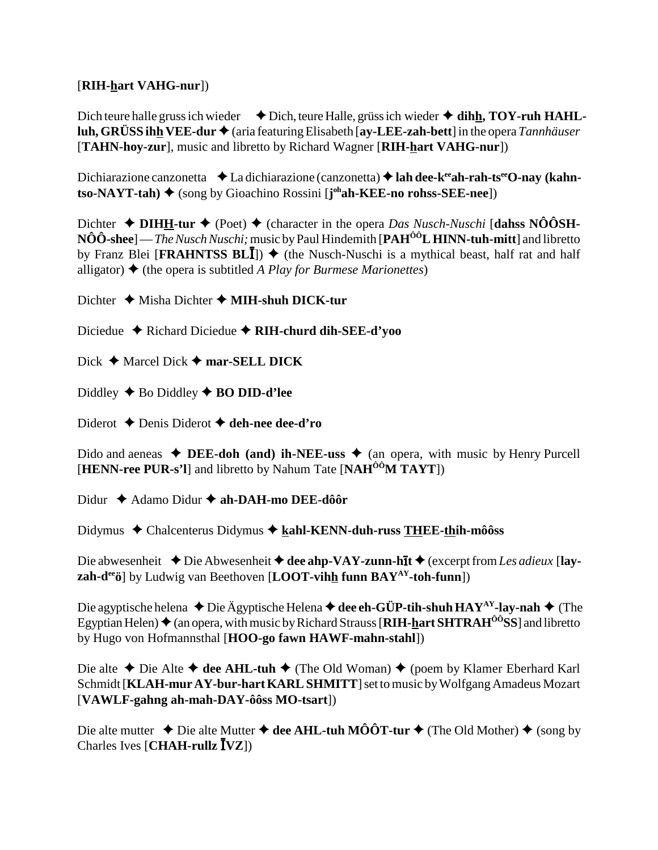## [RIH-hart VAHG-nur])

Dich teure halle gruss ich wieder  $\blacklozenge$  Dich, teure Halle, grüss ich wieder  $\blacklozenge$  dihh, TOY-ruh HAHLluh, GRÜSS ihh VEE-dur  $\triangle$  (aria featuring Elisabeth [ay-LEE-zah-bett] in the opera Tannhäuser [TAHN-hoy-zur], music and libretto by Richard Wagner [RIH-hart VAHG-nur])

Dichiarazione canzonetta  $\triangleleft$  La dichiarazione (canzonetta)  $\triangleleft$  lah dee-k<sup>ee</sup>ah-rah-ts<sup>ee</sup>O-nay (kahn- $\mathbf{t}$ so-NAYT-tah)  $\blacklozenge$  (song by Gioachino Rossini [ $\mathbf{j}^{\text{oh}}$ ah-KEE-no rohss-SEE-nee])

Dichter  $\triangleleft$  DIHH-tur  $\triangleleft$  (Poet)  $\triangleleft$  (character in the opera *Das Nusch-Nuschi* [dahss NO $\hat{O}$ SH- $N\hat{O}\hat{O}$ -shee] — *The Nusch Nuschi*; music by Paul Hindemith [PAH<sup> $\hat{O}\hat{O}$ **L HINN-tuh-mitt**] and libretto</sup> by Franz Blei [FRAHNTSS BLI])  $\blacklozenge$  (the Nusch-Nuschi is a mythical beast, half rat and half alligator)  $\blacklozenge$  (the opera is subtitled A Play for Burmese Marionettes)

Dichter  $\triangleleft$  Misha Dichter  $\triangleleft$  MIH-shuh DICK-tur

Diciedue  $\triangle$  Richard Diciedue  $\triangle$  RIH-churd dih-SEE-d'yoo

Dick  $\blacklozenge$  Marcel Dick  $\blacklozenge$  mar-SELL DICK

Diddley  $\triangle$  Bo Diddley  $\triangle$  BO DID-d'lee

Diderot  $\triangle$  Denis Diderot  $\triangle$  deh-nee dee-d'ro

Dido and aeneas  $\triangleleft$  DEE-doh (and) ih-NEE-uss  $\triangleleft$  (an opera, with music by Henry Purcell [HENN-ree PUR-s'l] and libretto by Nahum Tate [NAH $^{00}$ M TAYT])

Didur  $\triangle$  Adamo Didur  $\triangle$  ah-DAH-mo DEE-dôôr

Didymus  $\triangleleft$  Chalcenterus Didymus  $\triangleleft$  kahl-KENN-duh-russ THEE-thih-môôss

Die abwesenheit  $\triangle$  Die Abwesenheit  $\triangle$  dee ahp-VAY-zunn-hīt  $\triangle$  (excerpt from Les adieux [lay- $\mathbf{zah-d}^{\text{ee}}$ ö] by Ludwig van Beethoven [LOOT-vihh funn BAY<sup>AY</sup>-toh-funn])

Die agyptische helena  $\triangle$  Die Ägyptische Helena  $\triangle$  dee eh-GÜP-tih-shuh HAY<sup>AY</sup>-lay-nah  $\triangle$  (The Egyptian Helen)  $\triangleq$  (an opera, with music by Richard Strauss [RIH-hart SHTRAH<sup>00</sup>SS] and libretto by Hugo von Hofmannsthal [HOO-go fawn HAWF-mahn-stahl])

Die alte  $\triangle$  Die Alte  $\triangle$  dee AHL-tuh  $\triangle$  (The Old Woman)  $\triangle$  (poem by Klamer Eberhard Karl Schmidt [KLAH-mur AY-bur-hart KARL SHMITT] set to music by Wolfgang Amadeus Mozart  $[VAWLF-gahng ah-mah-DAY-ôôss MO-tsart]$ 

Die alte mutter  $\triangle$  Die alte Mutter  $\triangle$  dee AHL-tuh MÔÔT-tur  $\triangle$  (The Old Mother)  $\triangle$  (song by Charles Ives  $[CHAH\text{-}rullz \overline{I} VZ]$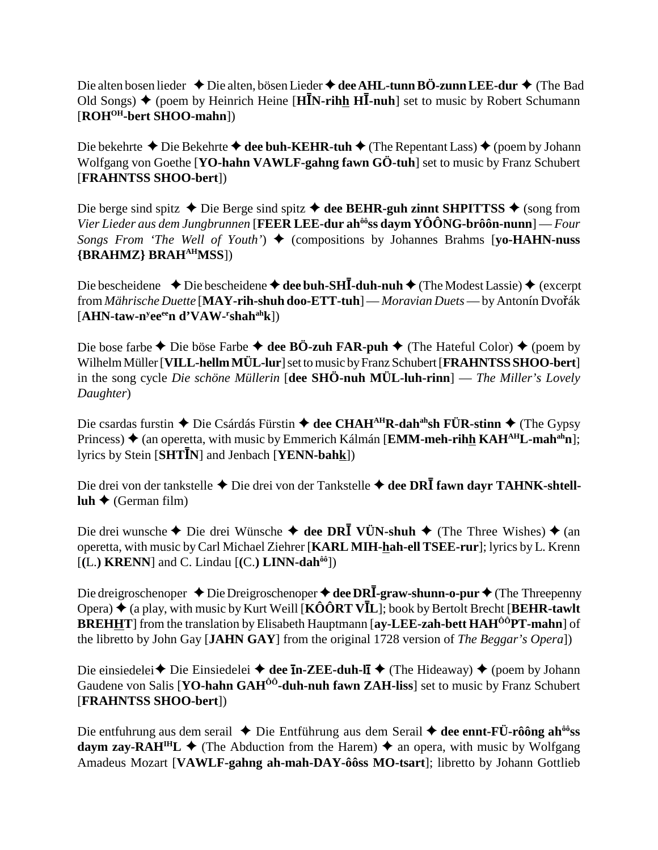Die alten bosen lieder **↓** Die alten, bösen Lieder **→ dee AHL-tunn BÖ-zunn LEE-dur ◆** (The Bad Old Songs) ◆ (poem by Heinrich Heine [HIN-rihh HI-nuh] set to music by Robert Schumann [**ROHOH-bert SHOO-mahn**])

Die bekehrte ◆ Die Bekehrte ◆ dee buh-KEHR-tuh ◆ (The Repentant Lass) ◆ (poem by Johann Wolfgang von Goethe [**YO-hahn VAWLF-gahng fawn GÖ-tuh**] set to music by Franz Schubert [**FRAHNTSS SHOO-bert**])

Die berge sind spitz  $\triangle$  Die Berge sind spitz  $\triangle$  dee BEHR-guh zinnt SHPITTSS  $\triangle$  (song from *Vier Lieder aus dem Jungbrunnen* [**FEER LEE-dur ahôôss daym YÔÔNG-brôôn-nunn**] — *Four Songs From 'The Well of Youth'*)  $\blacklozenge$  (compositions by Johannes Brahms [yo-HAHN-nuss] **{BRAHMZ} BRAHAHMSS**])

Die bescheidene ◆ Die bescheidene ◆ dee buh-SHI-duh-nuh ◆ (The Modest Lassie) ◆ (excerpt from *Mährische Duette* [MAY-rih-shuh doo-ETT-tuh] — *Moravian Duets* — by Antonín Dvořák [AHN-taw-n<sup>y</sup>ee<sup>ee</sup>n d'VAW-<sup>r</sup>shah<sup>ah</sup>k])

Die bose farbe  $\triangle$  Die böse Farbe  $\triangle$  dee BÖ-zuh FAR-puh  $\triangle$  (The Hateful Color)  $\triangle$  (poem by Wilhelm Müller [**VILL-hellm MÜL-lur**] set to music by Franz Schubert [**FRAHNTSS SHOO-bert**] in the song cycle *Die schöne Müllerin* [**dee SHÖ-nuh MÜL-luh-rinn**] — *The Miller's Lovely Daughter*)

Die csardas furstin ◆ Die Csárdás Fürstin ◆ dee CHAH<sup>AH</sup>R-dah<sup>ah</sup>sh FÜR-stinn ◆ (The Gypsy Princess) ◆ (an operetta, with music by Emmerich Kálmán [**EMM-meh-rihh KAH<sup>AH</sup>L-mah<sup>ah</sup>n**]; lyrics by Stein [SHT**I**N] and Jenbach [YENN-bahk])

Die drei von der tankstelle ◆ Die drei von der Tankstelle ◆ **dee DRĪ fawn dayr TAHNK-shtell-** $\text{luh} \triangleq (\text{German film})$ 

Die drei wunsche ◆ Die drei Wünsche ◆ dee DR**I** VÜN-shuh ◆ (The Three Wishes) ◆ (an operetta, with music by Carl Michael Ziehrer [**KARL MIH-hah-ell TSEE-rur**]; lyrics by L. Krenn  $[(L.)$  **KRENN**] and C. Lindau  $[(C.)$  **LINN-dah**<sup> $\hat{\omega}$ <sup>0</sup>)</sup>

Die dreigroschenoper ◆ Die Dreigroschenoper ◆ dee DRI-graw-shunn-o-pur ◆ (The Threepenny Opera) ♦ (a play, with music by Kurt Weill **[KÔÔRT VĪL**]; book by Bertolt Brecht [**BEHR-tawlt**] **BREHHT** from the translation by Elisabeth Hauptmann [ay-LEE-zah-bett HAH<sup>ÔÔ</sup>PT-mahn] of the libretto by John Gay [**JAHN GAY**] from the original 1728 version of *The Beggar's Opera*])

Die einsiedelei **→** Die Einsiedelei → dee **In-ZEE-duh-lI** → (The Hideaway) → (poem by Johann Gaudene von Salis [**YO-hahn GAHÔÔ-duh-nuh fawn ZAH-liss**] set to music by Franz Schubert [**FRAHNTSS SHOO-bert**])

Die entfuhrung aus dem serail ◆ Die Entführung aus dem Serail ◆ dee ennt-FÜ-rôông ah<sup>ôô</sup>ss **daym zay-RAH<sup>IH</sup>L**  $\blacklozenge$  (The Abduction from the Harem)  $\blacklozenge$  an opera, with music by Wolfgang Amadeus Mozart [**VAWLF-gahng ah-mah-DAY-ôôss MO-tsart**]; libretto by Johann Gottlieb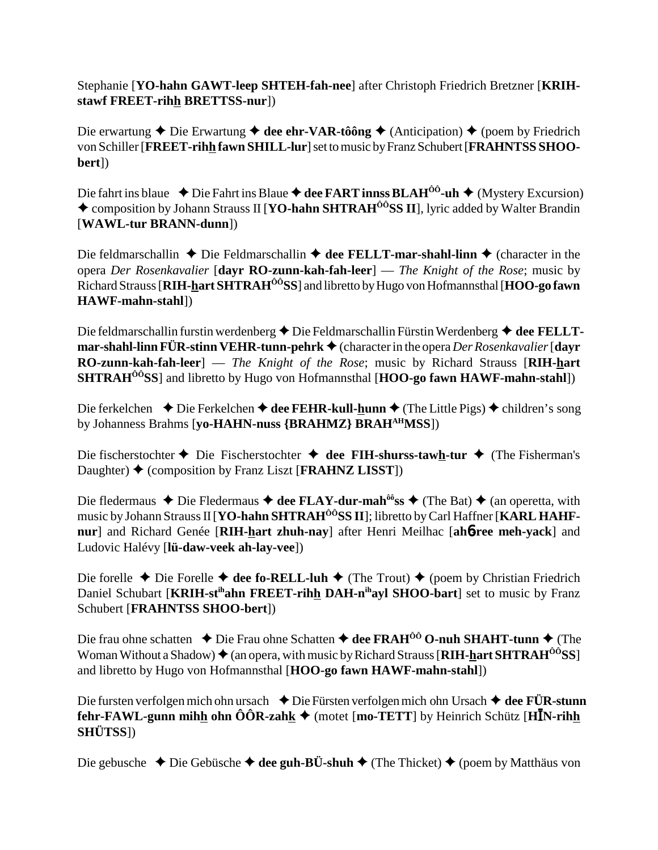Stephanie [**YO-hahn GAWT-leep SHTEH-fah-nee**] after Christoph Friedrich Bretzner [**KRIHstawf FREET-rihh BRETTSS-nur**])

Die erwartung  $\triangle$  Die Erwartung  $\triangle$  dee ehr-VAR-tôông  $\triangle$  (Anticipation)  $\triangle$  (poem by Friedrich von Schiller [**FREET-rihh fawn SHILL-lur**] set to music by Franz Schubert [**FRAHNTSS SHOObert**])

Die fahrt ins blaue **↓** Die Fahrt ins Blaue **→ dee FART innss BLAH<sup>ôô</sup>-uh ◆** (Mystery Excursion) ◆ composition by Johann Strauss II [**YO-hahn SHTRAH<sup>ôô</sup>SS II**], lyric added by Walter Brandin [**WAWL-tur BRANN-dunn**])

Die feldmarschallin  $\triangle$  Die Feldmarschallin  $\triangle$  dee FELLT-mar-shahl-linn  $\triangle$  (character in the opera *Der Rosenkavalier* [**dayr RO-zunn-kah-fah-leer**] — *The Knight of the Rose*; music by Richard Strauss [**RIH-hart SHTRAHÔÔSS**] and libretto by Hugo von Hofmannsthal [**HOO-go fawn HAWF-mahn-stahl**])

Die feldmarschallin furstin werdenberg ◆ Die Feldmarschallin Fürstin Werdenberg ◆ dee FELLT**mar-shahl-linn FÜR-stinn VEHR-tunn-pehrk ♦** (character in the opera *Der Rosenkavalier* [dayr **RO-zunn-kah-fah-leer**] — *The Knight of the Rose*; music by Richard Strauss [**RIH-hart SHTRAHÔÔSS**] and libretto by Hugo von Hofmannsthal [**HOO-go fawn HAWF-mahn-stahl**])

Die ferkelchen **→** Die Ferkelchen **→ dee FEHR-kull-hunn →** (The Little Pigs) → children's song by Johanness Brahms [**yo-HAHN-nuss {BRAHMZ} BRAHAHMSS**])

Die fischerstochter  $\triangle$  Die Fischerstochter  $\triangle$  dee FIH-shurss-taw<u>h</u>-tur  $\triangle$  (The Fisherman's Daughter) (composition by Franz Liszt [**FRAHNZ LISST**])

Die fledermaus  $\triangle$  Die Fledermaus  $\triangle$  dee FLAY-dur-mah<sup>ôô</sup>ss  $\triangle$  (The Bat)  $\triangle$  (an operetta, with music by Johann Strauss II [**YO-hahn SHTRAH<sup>ÔÔ</sup>SS II**]; libretto by Carl Haffner [**KARL HAHFnur**] and Richard Genée [**RIH-hart zhuh-nay**] after Henri Meilhac [**ah**6**-ree meh-yack**] and Ludovic Halévy [**lü-daw-veek ah-lay-vee**])

Die forelle  $\blacklozenge$  Die Forelle  $\blacklozenge$  dee fo-RELL-luh  $\blacklozenge$  (The Trout)  $\blacklozenge$  (poem by Christian Friedrich Daniel Schubart [KRIH-st<sup>ih</sup>ahn FREET-rihh DAH-n<sup>ih</sup>ayl SHOO-bart] set to music by Franz Schubert [**FRAHNTSS SHOO-bert**])

Die frau ohne schatten **→** Die Frau ohne Schatten **→ dee FRAH<sup>ÔÔ</sup> O-nuh SHAHT-tunn →** (The Woman Without a Shadow)  $\triangleq$  (an opera, with music by Richard Strauss [RIH-hart SHTRAH<sup>00</sup>SS] and libretto by Hugo von Hofmannsthal [**HOO-go fawn HAWF-mahn-stahl**])

Die fursten verfolgen mich ohn ursach **→** Die Fürsten verfolgen mich ohn Ursach **→ dee FÜR-stunn fehr-FAWL-gunn mihh ohn ÔÔR-zahk ♦** (motet [mo-TETT] by Heinrich Schütz [HĪN-rihh **SHÜTSS**])

Die gebusche **→** Die Gebüsche **→ dee guh-BÜ-shuh →** (The Thicket) ◆ (poem by Matthäus von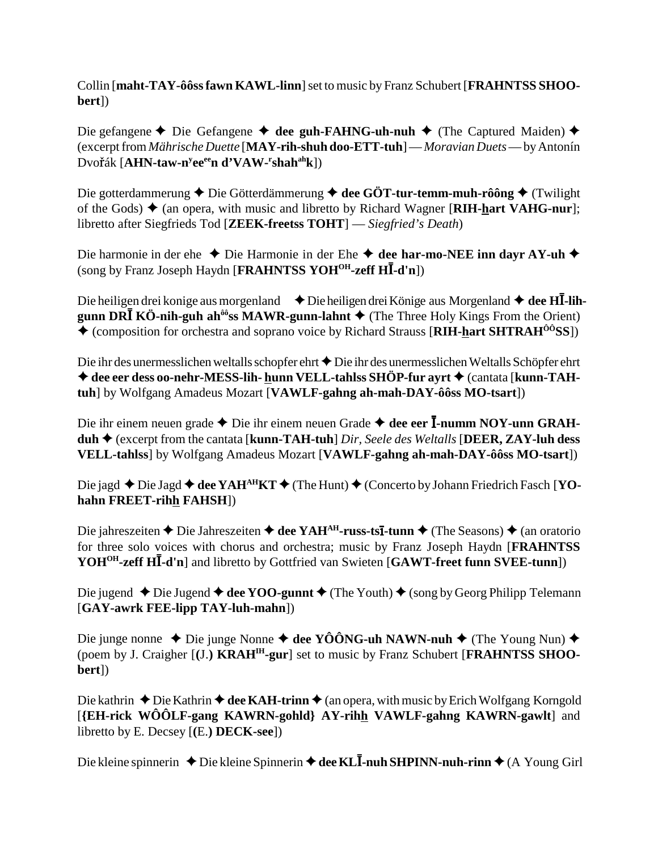Collin [maht-TAY-ôôss fawn KAWL-linn] set to music by Franz Schubert [FRAHNTSS SHOObert])

Die gefangene  $\triangle$  Die Gefangene  $\triangle$  dee guh-FAHNG-uh-nuh  $\triangle$  (The Captured Maiden)  $\triangle$ (excerpt from *Mährische Duette* [MAY-rih-shuh doo-ETT-tuh] — Moravian Duets — by Antonín Dvořák [AHN-taw-n<sup>y</sup>ee<sup>ee</sup>n d'VAW-'shah<sup>ah</sup>k])

Die gotterdammerung  $\blacklozenge$  Die Götterdämmerung  $\blacklozenge$  dee GÖT-tur-temm-muh-rôông  $\blacklozenge$  (Twilight of the Gods)  $\triangle$  (an opera, with music and libretto by Richard Wagner [RIH-hart VAHG-nur]; libretto after Siegfrieds Tod [ZEEK-freetss TOHT] — Siegfried's Death)

Die harmonie in der ehe  $\bullet$  Die Harmonie in der Ehe  $\bullet$  dee har-mo-NEE inn davr AY-uh  $\bullet$ (song by Franz Joseph Haydn [FRAHNTSS YOH<sup>OH</sup>-zeff HI-d'n])

Die heiligen drei konige aus morgenland  $\blacklozenge$  Die heiligen drei Könige aus Morgenland  $\blacklozenge$  dee HI-lihgunn DR $\overline{I}$  KÖ-nih-guh ah<sup> $\hat{\theta}$ os MAWR-gunn-lahnt  $\blacklozenge$  (The Three Holy Kings From the Orient)</sup>  $\triangle$  (composition for orchestra and soprano voice by Richard Strauss [RIH-hart SHTRAH<sup> $\hat{o}$ o<sup>3</sup>SS])</sup>

Die ihr des unermesslichen weltalls schopfer ehrt  $\bigstar$  Die ihr des unermesslichen Weltalls Schöpfer ehrt **♦ dee eer dess oo-nehr-MESS-lih- hunn VELL-tahlss SHÖP-fur ayrt ♦ (cantata [kunn-TAH**tuh] by Wolfgang Amadeus Mozart [VAWLF-gahng ah-mah-DAY-ôôss MO-tsart])

Die ihr einem neuen grade  $\triangle$  Die ihr einem neuen Grade  $\triangle$  dee eer I-numm NOY-unn GRAH- $\text{duh} \triangleq$  (excerpt from the cantata [kunn-TAH-tuh] *Dir, Seele des Weltalls* [DEER, ZAY-luh dess VELL-tahlss] by Wolfgang Amadeus Mozart [VAWLF-gahng ah-mah-DAY-ôôss MO-tsart])

Die jagd  $\triangle$  Die Jagd  $\triangle$  dee YAH<sup>AH</sup>KT  $\triangle$  (The Hunt)  $\triangle$  (Concerto by Johann Friedrich Fasch [YOhahn FREET-rihh FAHSH])

Die jahreszeiten ♦ Die Jahreszeiten ♦ dee YAH<sup>AH</sup>-russ-tsI-tunn ♦ (The Seasons) ♦ (an oratorio for three solo voices with chorus and orchestra; music by Franz Joseph Haydn [FRAHNTSS] YOH<sup>OH</sup>-zeff HI-d'n] and libretto by Gottfried van Swieten [GAWT-freet funn SVEE-tunn])

Die jugend  $\triangle$  Die Jugend  $\triangle$  dee YOO-gunnt  $\triangle$  (The Youth)  $\triangle$  (song by Georg Philipp Telemann [GAY-awrk FEE-lipp TAY-luh-mahn])

Die junge nonne ◆ Die junge Nonne ◆ dee YÔÔNG-uh NAWN-nuh ◆ (The Young Nun) ◆ (poem by J. Craigher [(J.) KRAH<sup>IH</sup>-gur] set to music by Franz Schubert [FRAHNTSS SHOObert])

Die kathrin  $\triangle$  Die Kathrin  $\triangle$  dee KAH-trinn  $\triangle$  (an opera, with music by Erich Wolfgang Korngold [{EH-rick WOOLF-gang KAWRN-gohld} AY-rihh VAWLF-gahng KAWRN-gawlt] and libretto by E. Decsey  $[(E.)$  **DECK-see**])

Die kleine spinnerin  $\triangle$  Die kleine Spinnerin  $\triangle$  dee KL**I**-nuh SHPINN-nuh-rinn  $\triangle$  (A Young Girl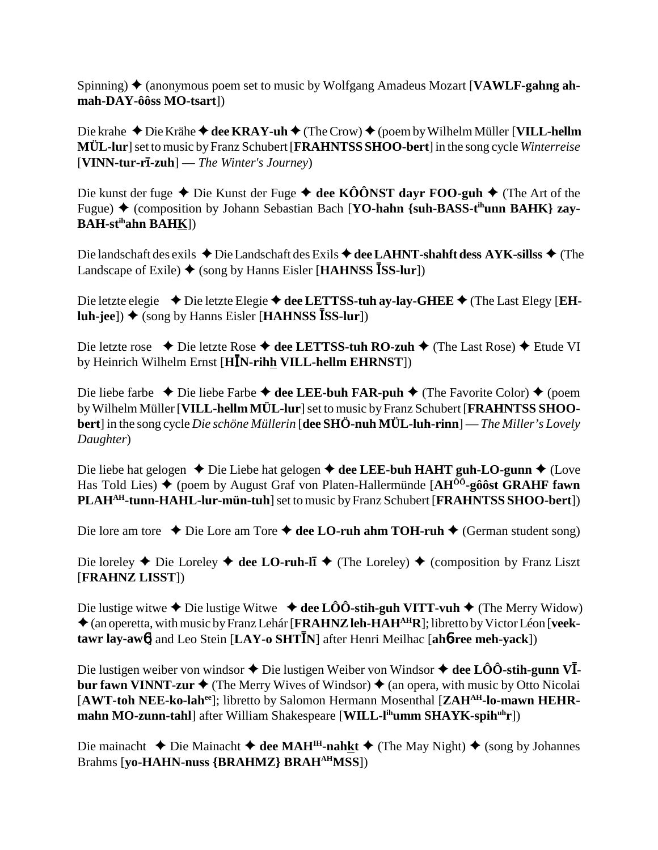Spinning)  $\triangle$  (anonymous poem set to music by Wolfgang Amadeus Mozart [**VAWLF-gahng ahmah-DAY-ôôss MO-tsart**])

Die krahe ◆ Die Krähe ◆ dee KRAY-uh ◆ (The Crow) ◆ (poem by Wilhelm Müller [VILL-hellm **MÜL-lur**] set to music by Franz Schubert [**FRAHNTSS SHOO-bert**] in the song cycle *Winterreise* [**VINN-tur-r-zuh**] — *The Winter's Journey*)

Die kunst der fuge ◆ Die Kunst der Fuge ◆ dee KÔÔNST dayr FOO-guh ◆ (The Art of the Fugue) ♦ (composition by Johann Sebastian Bach [**YO-hahn {suh-BASS-t<sup>ih</sup>unn BAHK} zay-BAH-stihahn BAHK**])

Die landschaft des exils ◆ Die Landschaft des Exils ◆ dee LAHNT-shahft dess AYK-sillss ◆ (The **Landscape of Exile) ♦ (song by Hanns Eisler [HAHNSS <sup>1</sup>SS-lur**])

Die letzte elegie ◆ Die letzte Elegie ◆ dee LETTSS-tuh ay-lay-GHEE ◆ (The Last Elegy [EH**luh-jee**]) ♦ (song by Hanns Eisler [**HAHNSS ISS-lur**])

Die letzte rose ◆ Die letzte Rose ◆ dee LETTSS-tuh RO-zuh ◆ (The Last Rose) ◆ Etude VI by Heinrich Wilhelm Ernst [**HĪN-rih<u>h</u> VILL-hellm EHRNST**])

Die liebe farbe  $\triangle$  Die liebe Farbe  $\triangle$  dee LEE-buh FAR-puh  $\triangle$  (The Favorite Color)  $\triangle$  (poem by Wilhelm Müller [**VILL-hellm MÜL-lur**] set to music by Franz Schubert [**FRAHNTSS SHOObert**] in the song cycle *Die schöne Müllerin* [**dee SHÖ-nuh MÜL-luh-rinn**] — *The Miller's Lovely Daughter*)

Die liebe hat gelogen ◆ Die Liebe hat gelogen ◆ dee LEE-buh HAHT guh-LO-gunn ◆ (Love Has Told Lies)  $\blacklozenge$  (poem by August Graf von Platen-Hallermünde  $[AH^{00}q\hat{o}$  GRAHF fawn **PLAHAH-tunn-HAHL-lur-mün-tuh**] set to music by Franz Schubert [**FRAHNTSS SHOO-bert**])

Die lore am tore  $\triangle$  Die Lore am Tore  $\triangle$  dee LO-ruh ahm TOH-ruh  $\triangle$  (German student song)

Die loreley  $\triangle$  Die Loreley  $\triangle$  dee LO-ruh-l**i**  $\triangle$  (The Loreley)  $\triangle$  (composition by Franz Liszt [**FRAHNZ LISST**])

Die lustige witwe  $\triangle$  Die lustige Witwe  $\triangle$  dee LÔÔ-stih-guh VITT-vuh  $\triangle$  (The Merry Widow) ◆ (an operetta, with music by Franz Lehár [**FRAHNZ leh-HAH<sup>AH</sup>R**]; libretto by Victor Léon [**veek-** $\tan x$  **tawr lay-aw6**] and Leo Stein [LAY-o SHTIN] after Henri Meilhac [ah6-ree meh-yack])

Die lustigen weiber von windsor  $\blacklozenge$  Die lustigen Weiber von Windsor  $\blacklozenge$  **dee LÔÔ-stih-gunn VĪbur fawn VINNT-zur**  $\blacklozenge$  (The Merry Wives of Windsor)  $\blacklozenge$  (an opera, with music by Otto Nicolai [**AWT-toh NEE-ko-lahee**]; libretto by Salomon Hermann Mosenthal [**ZAHAH-lo-mawn HEHRmahn MO-zunn-tahl**] after William Shakespeare [WILL-l<sup>ih</sup>umm SHAYK-spih<sup>uh</sup>r])

Die mainacht **→** Die Mainacht **→ dee MAH<sup>IH</sup>-nahkt** → (The May Night) → (song by Johannes Brahms [**yo-HAHN-nuss {BRAHMZ} BRAHAHMSS**])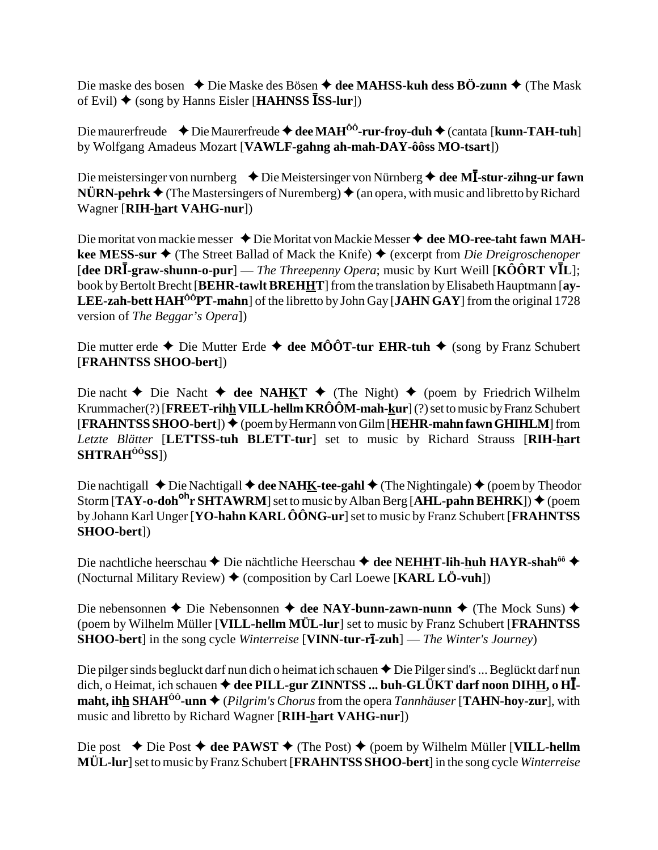Die maske des bosen  $\triangle$  Die Maske des Bösen  $\triangle$  dee MAHSS-kuh dess BÖ-zunn  $\triangle$  (The Mask of Evil)  $\blacklozenge$  (song by Hanns Eisler [HAHNSS ISS-lur])

Die maurerfreude  $\rightarrow$  Die Maurerfreude  $\rightarrow$  dee MAH<sup> $\hat{0}$ 0-rur-froy-duh  $\rightarrow$  (cantata [kunn-TAH-tuh]</sup> by Wolfgang Amadeus Mozart [VAWLF-gahng ah-mah-DAY-ôôss MO-tsart])

Die meistersinger von nurnberg  $\rightarrow$  Die Meistersinger von Nürnberg  $\rightarrow$  dee MI-stur-zihng-ur fawn  $N\ddot{\textbf{U}}\textbf{RN-}\textbf{pehrk}$   $\blacklozenge$  (The Mastersingers of Nuremberg)  $\blacklozenge$  (an opera, with music and libretto by Richard Wagner [RIH-hart VAHG-nur])

Die moritat von mackie messer  $\triangle$  Die Moritat von Mackie Messer  $\triangle$  dee MO-ree-taht fawn MAHkee MESS-sur  $\triangle$  (The Street Ballad of Mack the Knife)  $\triangle$  (excerpt from *Die Dreigroschenoper* [dee DRI-graw-shunn-o-pur] — The Threepenny Opera; music by Kurt Weill [KÔÔRT VIL]; book by Bertolt Brecht [BEHR-tawlt BREHHT] from the translation by Elisabeth Hauptmann [ay-**LEE-zah-bett HAH<sup>** $\hat{O}^{\hat{O}}$ **PT-mahn**] of the libretto by John Gay [JAHN GAY] from the original 1728</sup> version of *The Beggar's Opera*])

Die mutter erde  $\triangle$  Die Mutter Erde  $\triangle$  dee MÔÔT-tur EHR-tuh  $\triangle$  (song by Franz Schubert [FRAHNTSS SHOO-bert])

Die nacht  $\blacklozenge$  Die Nacht  $\blacklozenge$  dee NAHKT  $\blacklozenge$  (The Night)  $\blacklozenge$  (poem by Friedrich Wilhelm Krummacher(?) [FREET-rihh VILL-hellm KRÔÔM-mah-kur] (?) set to music by Franz Schubert  $[FRAHNTSS SHOO-bert]$   $\blacklozenge$  (poem by Hermann von Gilm [HEHR-mahn fawn GHIHLM] from Letzte Blätter [LETTSS-tuh BLETT-tur] set to music by Richard Strauss [RIH-hart  $SHTRAN^{\hat{0}\hat{0}}SS$ ])

Die nachtigall  $\triangle$  Die Nachtigall  $\triangle$  dee NAHK-tee-gahl  $\triangle$  (The Nightingale)  $\triangle$  (poem by Theodor Storm  $[TAY - o \cdot \text{dob}^{\text{oh}} r \text{ SHTAWRM}]$  set to music by Alban Berg  $[AHL$ -pahn BEHRK])  $\blacklozenge$  (poem by Johann Karl Unger [YO-hahn KARL ÔÔNG-ur] set to music by Franz Schubert [FRAHNTSS] SHOO-bert])

Die nachtliche heerschau ◆ Die nächtliche Heerschau ◆ dee NEHHT-lih-huh HAYR-shah<sup>ôô</sup> ◆ (Nocturnal Military Review)  $\blacklozenge$  (composition by Carl Loewe [KARL LÖ-vuh])

Die nebensonnen ◆ Die Nebensonnen ◆ dee NAY-bunn-zawn-nunn ◆ (The Mock Suns) ◆ (poem by Wilhelm Müller [VILL-hellm MÜL-lur] set to music by Franz Schubert [FRAHNTSS] **SHOO-bert**] in the song cycle *Winterreise* [VINN-tur-r**ī-zuh**] — *The Winter's Journey*)

Die pilger sinds begluckt darf nun dich o heimat ich schauen  $\triangle$  Die Pilger sind's ... Beglückt darf nun dich, o Heimat, ich schauen  $\triangleq$  dee PILL-gur ZINNTSS ... buh-GLÜKT darf noon DIHH, o HImaht, ihh SHAH<sup> $\hat{O}^0$ </sup>-unn  $\blacklozenge$  (*Pilgrim's Chorus* from the opera *Tannhäuser* [TAHN-hoy-zur], with music and libretto by Richard Wagner [RIH-hart VAHG-nur])

Die post  $\blacklozenge$  Die Post  $\blacklozenge$  dee PAWST  $\blacklozenge$  (The Post)  $\blacklozenge$  (poem by Wilhelm Müller [VILL-hellm MÜL-lur] set to music by Franz Schubert [FRAHNTSS SHOO-bert] in the song cycle Winterreise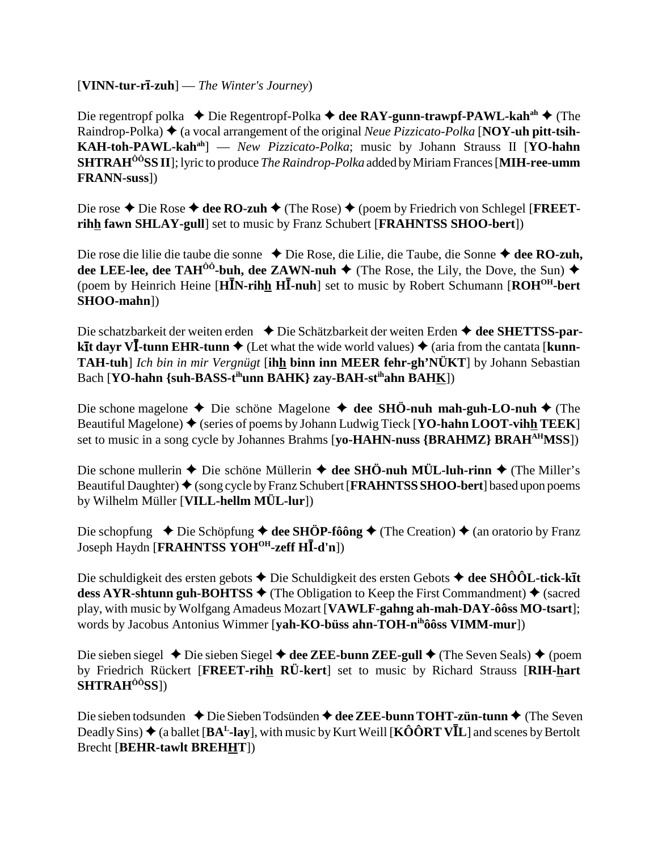## [**VINN-tur-r-zuh**] — *The Winter's Journey*)

Die regentropf polka ◆ Die Regentropf-Polka **→ dee RAY-gunn-trawpf-PAWL-kah<sup>ah</sup> ◆** (The Raindrop-Polka) (a vocal arrangement of the original *Neue Pizzicato-Polka* [**NOY-uh pitt-tsih-KAH-toh-PAWL-kahah**] — *New Pizzicato-Polka*; music by Johann Strauss II [**YO-hahn SHTRAHÔÔSS II**]; lyric to produce *The Raindrop-Polka* added by Miriam Frances [**MIH-ree-umm FRANN-suss**])

Die rose ◆ Die Rose ◆ dee RO-zuh ◆ (The Rose) ◆ (poem by Friedrich von Schlegel [**FREETrihh fawn SHLAY-gull**] set to music by Franz Schubert [**FRAHNTSS SHOO-bert**])

Die rose die lilie die taube die sonne ◆ Die Rose, die Lilie, die Taube, die Sonne ◆ dee RO-zuh, **dee LEE-lee, dee TAH<sup>ôô</sup>-buh, dee ZAWN-nuh →** (The Rose, the Lily, the Dove, the Sun) → (poem by Heinrich Heine [HIN-rihh HI-nuh] set to music by Robert Schumann [ROH<sup>OH</sup>-bert **SHOO-mahn**])

Die schatzbarkeit der weiten erden **→** Die Schätzbarkeit der weiten Erden **→ dee SHETTSS-parkit dayr VI-tunn EHR-tunn ◆** (Let what the wide world values) ◆ (aria from the cantata [**kunn-TAH-tuh**] *Ich bin in mir Vergnügt* [**ihh binn inn MEER fehr-gh'NÜKT**] by Johann Sebastian Bach [**YO-hahn** {suh-BASS-t<sup>ih</sup>unn BAHK} zay-BAH-st<sup>ih</sup>ahn BAHK])

Die schone magelone  $\triangle$  Die schöne Magelone  $\triangle$  dee SHÖ-nuh mah-guh-LO-nuh  $\triangle$  (The Beautiful Magelone)  $\blacklozenge$  (series of poems by Johann Ludwig Tieck [**YO-hahn LOOT-vihh TEEK**] set to music in a song cycle by Johannes Brahms [**yo-HAHN-nuss {BRAHMZ} BRAH**<sup>AH</sup>MSS])

Die schone mullerin  $\triangle$  Die schöne Müllerin  $\triangle$  dee SHÖ-nuh MÜL-luh-rinn  $\triangle$  (The Miller's Beautiful Daughter) ♦ (song cycle by Franz Schubert [**FRAHNTSS SHOO-bert**] based upon poems by Wilhelm Müller [**VILL-hellm MÜL-lur**])

Die schopfung  $\rightarrow$  Die Schöpfung  $\rightarrow$  dee SHÖP-fôông  $\rightarrow$  (The Creation)  $\rightarrow$  (an oratorio by Franz Joseph Haydn [**FRAHNTSS YOHOH-zeff H**-**-d'n**])

Die schuldigkeit des ersten gebots **→** Die Schuldigkeit des ersten Gebots **→ dee SHÔÔL-tick-kīt dess AYR-shtunn guh-BOHTSS**  $\blacklozenge$  (The Obligation to Keep the First Commandment)  $\blacklozenge$  (sacred play, with music by Wolfgang Amadeus Mozart [**VAWLF-gahng ah-mah-DAY-ôôss MO-tsart**]; words by Jacobus Antonius Wimmer [**yah-KO-büss ahn-TOH-nihôôss VIMM-mur**])

Die sieben siegel **→** Die sieben Siegel **→ dee ZEE-bunn ZEE-gull →** (The Seven Seals) ◆ (poem by Friedrich Rückert [**FREET-rihh RÜ-kert**] set to music by Richard Strauss [**RIH-hart SHTRAHÔÔSS**])

Die sieben todsunden ◆ Die Sieben Todsünden ◆ dee ZEE-bunn TOHT-zün-tunn ◆ (The Seven Deadly Sins) ♦ (a ballet [BA<sup>L</sup>-lay], with music by Kurt Weill [KÔÔRT VĪL] and scenes by Bertolt Brecht [**BEHR-tawlt BREHHT**])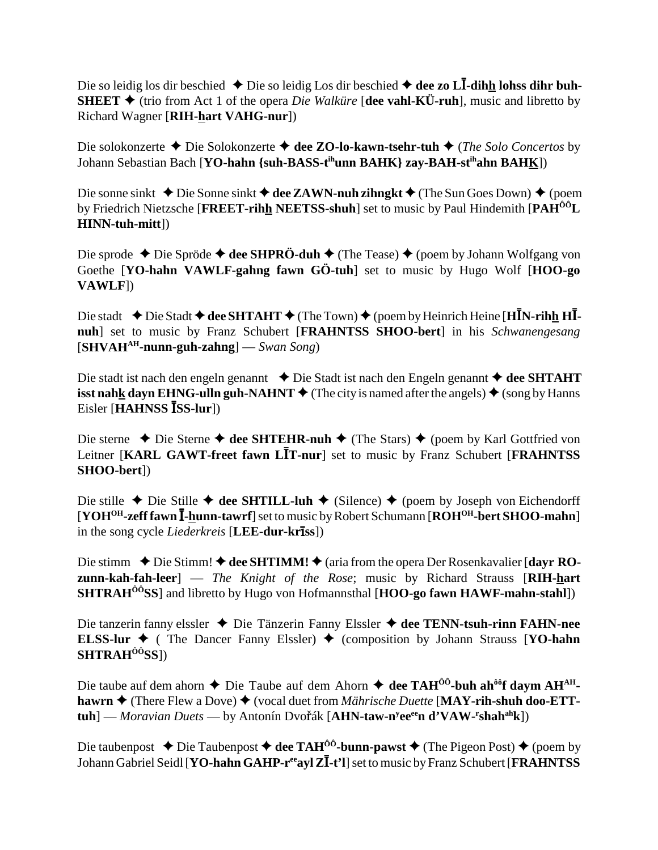Die so leidig los dir beschied ◆ Die so leidig Los dir beschied ◆ dee zo L**I-dih<u>h</u> lohss dihr buh-SHEET**  $\triangle$  (trio from Act 1 of the opera *Die Walküre* [dee vahl-KÜ-ruh], music and libretto by Richard Wagner [**RIH-hart VAHG-nur**])

Die solokonzerte Die Solokonzerte **dee ZO-lo-kawn-tsehr-tuh** (*The Solo Concertos* by Johann Sebastian Bach [**YO-hahn {suh-BASS-tihunn BAHK} zay-BAH-stihahn BAHK**])

Die sonne sinkt **→** Die Sonne sinkt **→ dee ZAWN-nuh zihngkt →** (The Sun Goes Down) ◆ (poem by Friedrich Nietzsche [**FREET-rihh NEETSS-shuh**] set to music by Paul Hindemith [**PAHÔÔL HINN-tuh-mitt**])

Die sprode ◆ Die Spröde ◆ **dee SHPRÖ-duh ◆** (The Tease) ◆ (poem by Johann Wolfgang von Goethe [**YO-hahn VAWLF-gahng fawn GÖ-tuh**] set to music by Hugo Wolf [**HOO-go VAWLF**])

Die stadt  $\blacklozenge$  Die Stadt  $\blacklozenge$  dee SHTAHT  $\blacklozenge$  (The Town)  $\blacklozenge$  (poem by Heinrich Heine [HIN-rihh HI**nuh**] set to music by Franz Schubert [**FRAHNTSS SHOO-bert**] in his *Schwanengesang* [**SHVAHAH-nunn-guh-zahng**] — *Swan Song*)

Die stadt ist nach den engeln genannt **↓** Die Stadt ist nach den Engeln genannt **→ dee SHTAHT isst nahk dayn EHNG-ulln guh-NAHNT**  $\blacklozenge$  (The city is named after the angels)  $\blacklozenge$  (song by Hanns Eisler [**HAHNSS ISS-lur**])

Die sterne ◆ Die Sterne ◆ dee SHTEHR-nuh ◆ (The Stars) ◆ (poem by Karl Gottfried von Leitner [KARL GAWT-freet fawn LIT-nur] set to music by Franz Schubert [FRAHNTSS **SHOO-bert**])

Die stille ◆ Die Stille ◆ dee SHTILL-luh ◆ (Silence) ◆ (poem by Joseph von Eichendorff [**YOH<sup>OH</sup>-zeff fawn <sup>1</sup>-hunn-tawrf**] set to music by Robert Schumann [ROH<sup>OH</sup>-bert SHOO-mahn] in the song cycle *Liederkreis* [**LEE-dur-krss**])

Die stimm ◆ Die Stimm! ◆ dee SHTIMM! ◆ (aria from the opera Der Rosenkavalier [dayr RO**zunn-kah-fah-leer**] — *The Knight of the Rose*; music by Richard Strauss [**RIH-hart SHTRAHÔÔSS**] and libretto by Hugo von Hofmannsthal [**HOO-go fawn HAWF-mahn-stahl**])

Die tanzerin fanny elssler Die Tänzerin Fanny Elssler **dee TENN-tsuh-rinn FAHN-nee ELSS-lur**  $\triangleleft$  ( The Dancer Fanny Elssler)  $\triangleleft$  (composition by Johann Strauss [**YO-hahn**] **SHTRAHÔÔSS**])

Die taube auf dem ahorn ◆ Die Taube auf dem Ahorn ◆ dee TAH<sup>ôô</sup>-buh ah<sup>ôô</sup>f daym AH<sup>AH</sup>**hawrn ♦** (There Flew a Dove) ♦ (vocal duet from *Mährische Duette* [MAY-rih-shuh doo-ETT**tuh**] — *Moravian Duets* — by Antonín Dvořák [**AHN-taw-n<sup>y</sup>ee<sup>ee</sup>n d'VAW-<sup>r</sup>shah<sup>ah</sup>k**])

Die taubenpost  $\triangle$  Die Taubenpost  $\triangle$  dee TAH<sup>ôô</sup>-bunn-pawst  $\triangle$  (The Pigeon Post)  $\triangle$  (poem by Johann Gabriel Seidl [**YO-hahn GAHP-r<sup>ee</sup>ayl ZI-t'l**] set to music by Franz Schubert [**FRAHNTSS**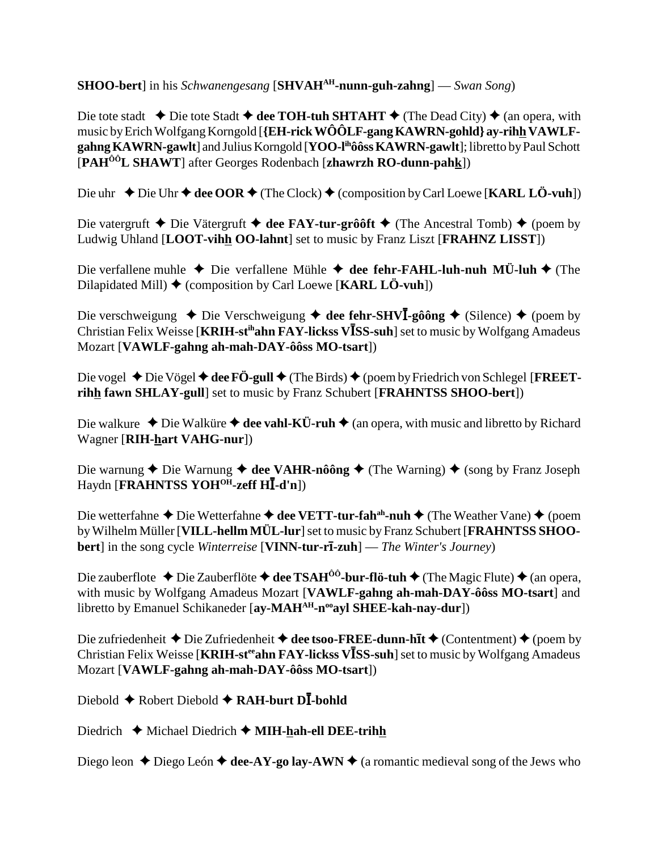**SHOO-bert**] in his *Schwanengesang* [**SHVAH<sup>AH</sup>-nunn-guh-zahng**] — *Swan Song*)

Die tote stadt  $\triangle$  Die tote Stadt  $\triangle$  dee TOH-tuh SHTAHT  $\triangle$  (The Dead City)  $\triangle$  (an opera, with music by Erich Wolfgang Korngold [**{EH-rick WÔÔLF-gang KAWRN-gohld} ay-rihh VAWLFgahng KAWRN-gawlt**] and Julius Korngold [**YOO-lihôôss KAWRN-gawlt**]; libretto by Paul Schott [**PAHÔÔL SHAWT**] after Georges Rodenbach [**zhawrzh RO-dunn-pahk**])

Die uhr ◆ Die Uhr ◆ dee OOR ◆ (The Clock) ◆ (composition by Carl Loewe [**KARL LÖ-vuh**])

Die vatergruft  $\triangle$  Die Vätergruft  $\triangle$  dee FAY-tur-grôôft  $\triangle$  (The Ancestral Tomb)  $\triangle$  (poem by Ludwig Uhland [**LOOT-vihh OO-lahnt**] set to music by Franz Liszt [**FRAHNZ LISST**])

Die verfallene muhle  $\triangle$  Die verfallene Mühle  $\triangle$  dee fehr-FAHL-luh-nuh MÜ-luh  $\triangle$  (The Dilapidated Mill) (composition by Carl Loewe [**KARL LÖ-vuh**])

Die verschweigung ◆ Die Verschweigung ◆ dee fehr-SHV**I**-gôông ◆ (Silence) ◆ (poem by Christian Felix Weisse [**KRIH-st<sup>ih</sup>ahn FAY-lickss VISS-suh**] set to music by Wolfgang Amadeus Mozart [**VAWLF-gahng ah-mah-DAY-ôôss MO-tsart**])

Die vogel ◆ Die Vögel ◆ dee FÖ-gull ◆ (The Birds) ◆ (poem by Friedrich von Schlegel [**FREETrihh fawn SHLAY-gull**] set to music by Franz Schubert [**FRAHNTSS SHOO-bert**])

Die walkure  $\triangle$  Die Walküre  $\triangle$  dee vahl-KÜ-ruh  $\triangle$  (an opera, with music and libretto by Richard Wagner [**RIH-hart VAHG-nur**])

Die warnung **←** Die Warnung **← dee VAHR-nôông ←** (The Warning) ← (song by Franz Joseph Haydn [**FRAHNTSS YOHOH-zeff H**-**-d'n**])

Die wetterfahne ◆ Die Wetterfahne ◆ dee VETT-tur-fah<sup>ah</sup>-nuh ◆ (The Weather Vane) ◆ (poem by Wilhelm Müller [**VILL-hellm MÜL-lur**] set to music by Franz Schubert [**FRAHNTSS SHOObert**] in the song cycle *Winterreise* [**VINN-tur-r-zuh**] — *The Winter's Journey*)

Die zauberflote ◆ Die Zauberflöte ◆ dee TSAH<sup>ôô</sup>-bur-flö-tuh ◆ (The Magic Flute) ◆ (an opera, with music by Wolfgang Amadeus Mozart [**VAWLF-gahng ah-mah-DAY-ôôss MO-tsart**] and libretto by Emanuel Schikaneder [ay-MAH<sup>AH</sup>-n<sup>oo</sup>ayl SHEE-kah-nay-dur])

Die zufriedenheit  $\triangle$  Die Zufriedenheit  $\triangle$  dee tsoo-FREE-dunn-h**it**  $\triangle$  (Contentment)  $\triangle$  (poem by Christian Felix Weisse [**KRIH-st<sup>ee</sup>ahn FAY-lickss VISS-suh**] set to music by Wolfgang Amadeus Mozart [**VAWLF-gahng ah-mah-DAY-ôôss MO-tsart**])

Diebold ◆ Robert Diebold ◆ RAH-burt DI-bohld

Diedrich **←** Michael Diedrich ← **MIH-hah-ell DEE-trihh** 

Diego leon  $\triangle$  Diego León  $\triangle$  dee-AY-go lay-AWN  $\triangle$  (a romantic medieval song of the Jews who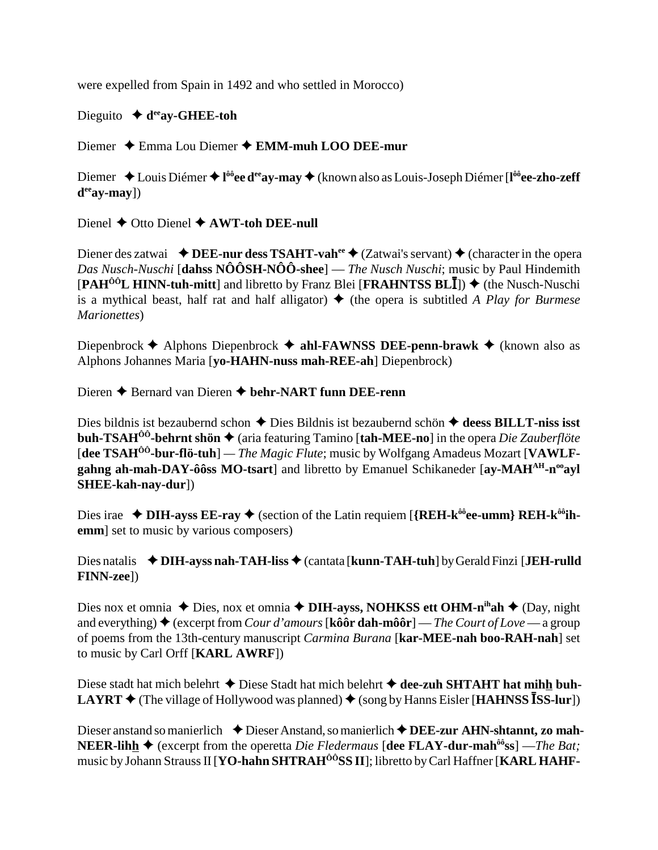were expelled from Spain in 1492 and who settled in Morocco)

# Dieguito  $\blacklozenge$  d<sup>ee</sup>ay-GHEE-toh

Diemer  $\triangle$  Emma Lou Diemer  $\triangle$  EMM-muh LOO DEE-mur

Diemer  $\triangle$  Louis Diémer  $\triangleq$  l<sup>ôô</sup>ee d<sup>ee</sup> ay-may  $\triangleq$  (known also as Louis-Joseph Diémer [l<sup>ôô</sup>ee-zho-zeff]  $d^{ee}$ av-mav])

Dienel  $\blacklozenge$  Otto Dienel  $\blacklozenge$  AWT-toh DEE-null

Diener des zatwai  $\triangleleft$ DEE-nur dess TSAHT-vah<sup>ee</sup>  $\triangleleft$  (Zatwai's servant)  $\triangleleft$  (character in the opera *Das Nusch-Nuschi* [dahss  $N\hat{O} \hat{O} S H - N\hat{O} \hat{O}$ -shee] — *The Nusch Nuschi*; music by Paul Hindemith  $[PAH^{00}L HINN-tuh-mitt]$  and libretto by Franz Blei [FRAHNTSS BLI])  $\blacklozenge$  (the Nusch-Nuschi is a mythical beast, half rat and half alligator)  $\blacklozenge$  (the opera is subtitled A Play for Burmese Marionettes)

Diepenbrock  $\triangle$  Alphons Diepenbrock  $\triangle$  ahl-FAWNSS DEE-penn-brawk  $\triangle$  (known also as Alphons Johannes Maria [vo-HAHN-nuss mah-REE-ah] Diepenbrock)

Dieren  $\triangle$  Bernard van Dieren  $\triangle$  behr-NART funn DEE-renn

Dies bildnis ist bezaubernd schon  $\triangle$  Dies Bildnis ist bezaubernd schön  $\triangle$  deess BILLT-niss isst **buh-TSAH<sup>** $\hat{0}$ **<sup>0</sup>-behrnt shön**  $\blacklozenge$  (aria featuring Tamino [tah-MEE-no] in the opera *Die Zauberflöte*</sup> [dee TSAH<sup> $00$ </sup>-bur-flö-tuh] — *The Magic Flute*; music by Wolfgang Amadeus Mozart [VAWLFgahng ah-mah-DAY-ôôss MO-tsart] and libretto by Emanuel Schikaneder [ay-MAH<sup>AH</sup>-n<sup>oo</sup>ay] SHEE-kah-nay-dur])

Dies irae  $\triangle$  DIH-ayss EE-ray  $\triangle$  (section of the Latin requiem [{REH-k<sup>ôô</sup>ee-umm} REH-k<sup>ôô</sup>ihemm] set to music by various composers)

Dies natalis  $\triangleleft$  DIH-ayss nah-TAH-liss  $\triangleleft$  (cantata [kunn-TAH-tuh] by Gerald Finzi [JEH-rulld] **FINN-zee**])

Dies nox et omnia  $\triangle$  Dies, nox et omnia  $\triangle$  DIH-ayss, NOHKSS ett OHM-n<sup>ih</sup>ah  $\triangle$  (Day, night and everything)  $\triangle$  (excerpt from *Cour d'amours* [kôô**r dah-môôr**] — *The Court of Love* — a group of poems from the 13th-century manuscript *Carmina Burana* [kar-MEE-nah boo-RAH-nah] set to music by Carl Orff [KARL AWRF])

Diese stadt hat mich belehrt  $\triangle$  Diese Stadt hat mich belehrt  $\triangle$  dee-zuh SHTAHT hat mihh buh-**LAYRT**  $\blacklozenge$  (The village of Hollywood was planned)  $\blacklozenge$  (song by Hanns Eisler [**HAHNSS** ISS-lur])

Dieser anstand so manierlich  $\triangle$  Dieser Anstand, so manierlich  $\triangle$  DEE-zur AHN-shtannt, zo mah-**NEER-lihh**  $\triangleq$  (excerpt from the operetta *Die Fledermaus* [dee FLAY-dur-mah<sup> $\hat{\omega}$ </sup>ss] —*The Bat*; music by Johann Strauss II [YO-hahn SHTRAH<sup>ÔÔ</sup>SS II]; libretto by Carl Haffner [KARL HAHF-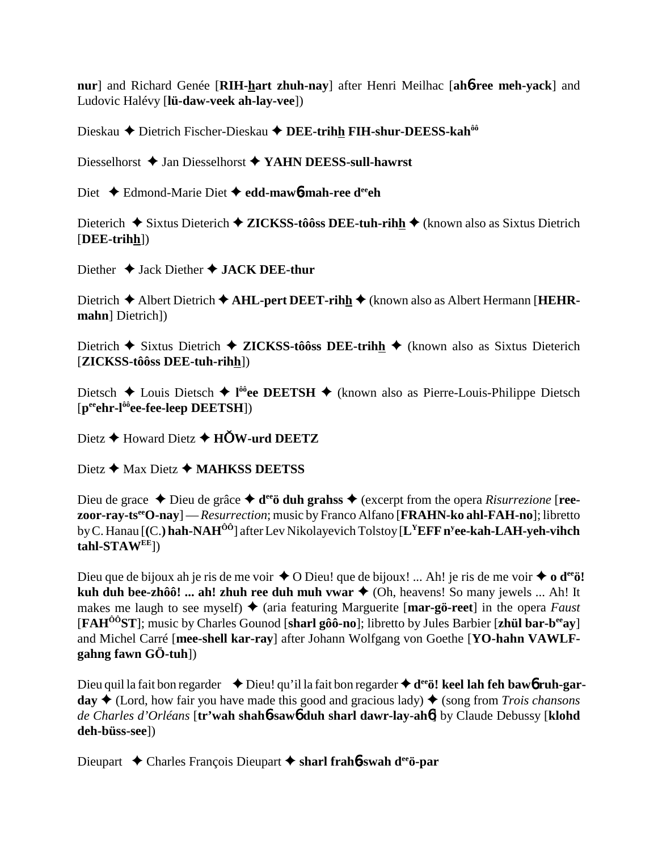nur] and Richard Genée [RIH-hart zhuh-nay] after Henri Meilhac [ah6-ree meh-yack] and Ludovic Halévy [lü-daw-veek ah-lay-vee])

Dieskau ◆ Dietrich Fischer-Dieskau ◆ DEE-trihh FIH-shur-DEESS-kah<sup>ôô</sup>

Diesselhorst  $\triangle$  Jan Diesselhorst  $\triangle$  YAHN DEESS-sull-hawrst

Diet  $\triangle$  Edmond-Marie Diet  $\triangle$  edd-maw 6-mah-ree d<sup>ee</sup>ch

Dieterich  $\triangle$  Sixtus Dieterich  $\triangle$  ZICKSS-tôôss DEE-tuh-rihh  $\triangle$  (known also as Sixtus Dietrich  $[**DEE-trithh**$ ])

Diether  $\triangleleft$  Jack Diether  $\triangleleft$  JACK DEE-thur

Dietrich  $\triangle$  Albert Dietrich  $\triangle$  AHL-pert DEET-rihh  $\triangle$  (known also as Albert Hermann [HEHRmahn] Dietrich])

Dietrich  $\blacklozenge$  Sixtus Dietrich  $\blacklozenge$  ZICKSS-tôôss DEE-trihh  $\blacklozenge$  (known also as Sixtus Dieterich [ZICKSS-tôôss DEE-tuh-rihh])

Dietsch  $\triangle$  Louis Dietsch  $\triangle$  1<sup>66</sup>ee DEETSH  $\triangle$  (known also as Pierre-Louis-Philippe Dietsch  $[p^{ee}ehr-l^{00}ee-free-leep DEETSH])$ 

Dietz  $\triangle$  Howard Dietz  $\triangle$  HOW-urd DEETZ

Dietz  $\bigstar$  Max Dietz  $\bigstar$  MAHKSS DEETSS

Dieu de grace  $\triangle$  Dieu de grâce  $\triangle$  d<sup>ee</sup> duh grahss  $\triangle$  (excerpt from the opera *Risurrezione* [ree**zoor-ray-ts<sup>ee</sup>O-nay**] — *Resurrection*; music by Franco Alfano [**FRAHN-ko ahl-FAH-no**]; libretto by C. Hanau [(C.) hah-NAH<sup>00</sup>] after Lev Nikolayevich Tolstoy [L<sup>Y</sup>EFF n<sup>y</sup>ee-kah-LAH-yeh-vihch  $tahl-STAW^{EE}$ ])

Dieu que de bijoux ah je ris de me voir  $\triangle$  O Dieu! que de bijoux! ... Ah! je ris de me voir  $\triangleq$  o d<sup>ee</sup>ö! kuh duh bee-zhôô! ... ah! zhuh ree duh muh vwar ♦ (Oh, heavens! So many jewels ... Ah! It makes me laugh to see myself)  $\triangle$  (aria featuring Marguerite [mar-gö-reet] in the opera Faust [FAH<sup> $00$ </sup>ST]; music by Charles Gounod [sharl gôo-no]; libretto by Jules Barbier [zhul bar-b<sup>ee</sup>ay] and Michel Carré [mee-shell kar-ray] after Johann Wolfgang von Goethe [YO-hahn VAWLFgahng fawn  $G\ddot{\mathrm{O}}$ -tuh])

Dieu quil la fait bon regarder  $\rightarrow$  Dieu! qu'il la fait bon regarder  $\rightarrow$  d<sup>ee</sup>ö! keel lah feh baw6 ruh-garday  $\triangle$  (Lord, how fair you have made this good and gracious lady)  $\triangle$  (song from *Trois chansons* de Charles d'Orléans [tr'wah shahb-sawb duh sharl dawr-lay-ahb] by Claude Debussy [klohd] deh-büss-seel)

Dieupart ← Charles François Dieupart ← sharl frahb-swah d<sup>ee</sup>ö-par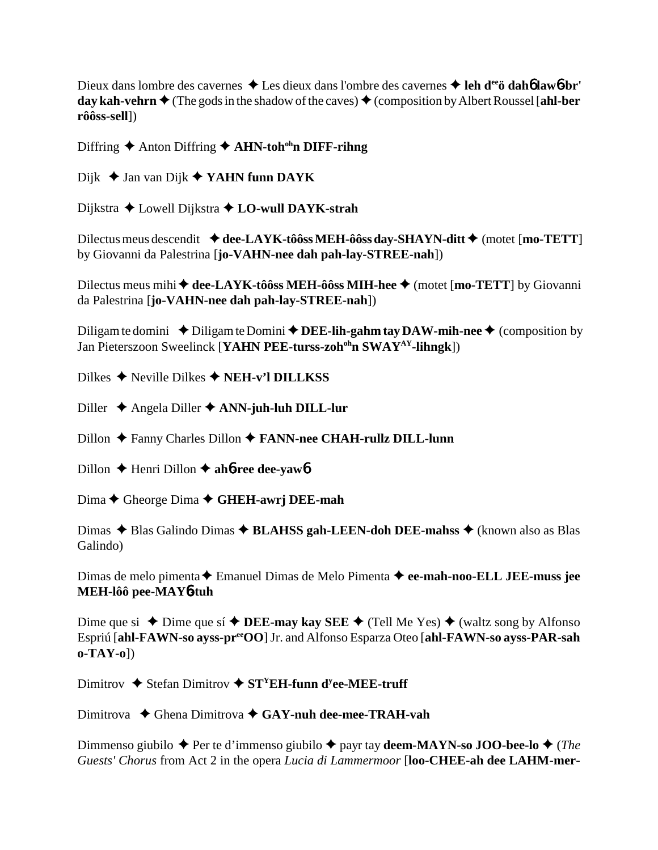Dieux dans lombre des cavernes **→** Les dieux dans l'ombre des cavernes **→ leh d<sup>ee</sup>ö dah6 law6-br' day kah-vehrn**  $\blacklozenge$  (The gods in the shadow of the caves)  $\blacklozenge$  (composition by Albert Roussel [ahl-ber **rôôss-sell**])

Diffring ♦ Anton Diffring ♦ **AHN-toh<sup>oh</sup>n DIFF-rihng** 

Dijk **→ Jan van Dijk → YAHN funn DAYK** 

Dijkstra Lowell Dijkstra **LO-wull DAYK-strah**

Dilectus meus descendit  $\blacklozenge$  dee-LAYK-tôôss MEH-ôôss day-SHAYN-ditt  $\blacklozenge$  (motet [mo-TETT] by Giovanni da Palestrina [**jo-VAHN-nee dah pah-lay-STREE-nah**])

Dilectus meus mihi ◆ dee-LAYK-tôôss MEH-ôôss MIH-hee ◆ (motet [mo-TETT] by Giovanni da Palestrina [**jo-VAHN-nee dah pah-lay-STREE-nah**])

Diligam te domini  $\rightarrow$  Diligam te Domini  $\rightarrow$  **DEE-lih-gahm tay DAW-mih-nee**  $\rightarrow$  (composition by Jan Pieterszoon Sweelinck [YAHN PEE-turss-zoh<sup>oh</sup>n SWAY<sup>AY</sup>-lihngk])

Dilkes **→** Neville Dilkes ◆ **NEH-v'l DILLKSS** 

Diller Angela Diller **ANN-juh-luh DILL-lur**

Dillon Fanny Charles Dillon **FANN-nee CHAH-rullz DILL-lunn**

Dillon Henri Dillon **ah**6**-ree dee-yaw**6

Dima **←** Gheorge Dima ← GHEH-awrj DEE-mah

Dimas **→** Blas Galindo Dimas → **BLAHSS gah-LEEN-doh DEE-mahss** → (known also as Blas Galindo)

Dimas de melo pimenta Emanuel Dimas de Melo Pimenta **ee-mah-noo-ELL JEE-muss jee MEH-lôô pee-MAY**6**-tuh**

Dime que si  $\triangle$  Dime que sí  $\triangle$  **DEE-may kay SEE**  $\triangle$  (Tell Me Yes)  $\triangle$  (waltz song by Alfonso Espriú [**ahl-FAWN-so ayss-preeOO**] Jr. and Alfonso Esparza Oteo [**ahl-FAWN-so ayss-PAR-sah o-TAY-o**])

Dimitrov  $\triangle$  Stefan Dimitrov  $\triangle$  ST<sup>Y</sup>EH-funn d<sup>y</sup>ee-MEE-truff

Dimitrova Ghena Dimitrova **GAY-nuh dee-mee-TRAH-vah**

Dimmenso giubilo **→** Per te d'immenso giubilo ◆ payr tay **deem-MAYN-so JOO-bee-lo ◆** (*The Guests' Chorus* from Act 2 in the opera *Lucia di Lammermoor* [**loo-CHEE-ah dee LAHM-mer-**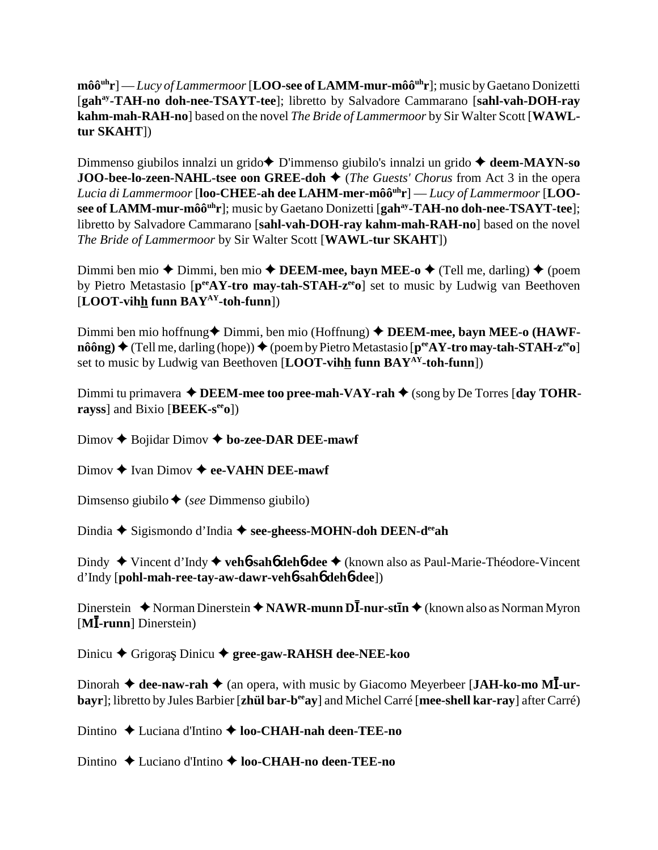**môôuhr**] — *Lucy of Lammermoor* [**LOO-see of LAMM-mur-môôuhr**]; music by Gaetano Donizetti [**gahay-TAH-no doh-nee-TSAYT-tee**]; libretto by Salvadore Cammarano [**sahl-vah-DOH-ray kahm-mah-RAH-no**] based on the novel *The Bride of Lammermoor* by Sir Walter Scott [**WAWLtur SKAHT**])

Dimmenso giubilos innalzi un grido**→** D'immenso giubilo's innalzi un grido → deem-MAYN-so **JOO-bee-lo-zeen-NAHL-tsee oon GREE-doh ♦** (*The Guests' Chorus* from Act 3 in the opera *Lucia di Lammermoor* [**loo-CHEE-ah dee LAHM-mer-môôuhr**] — *Lucy of Lammermoor* [**LOOsee of LAMM-mur-môô<sup>uh</sup>r**]; music by Gaetano Donizetti [gah<sup>ay</sup>-TAH-no doh-nee-TSAYT-tee]; libretto by Salvadore Cammarano [**sahl-vah-DOH-ray kahm-mah-RAH-no**] based on the novel *The Bride of Lammermoor* by Sir Walter Scott [**WAWL-tur SKAHT**])

Dimmi ben mio  $\triangle$  Dimmi, ben mio  $\triangle$  **DEEM-mee, bayn MEE-o**  $\triangle$  (Tell me, darling)  $\triangle$  (poem by Pietro Metastasio [p<sup>ee</sup>AY-tro may-tah-STAH-z<sup>ee</sup>o] set to music by Ludwig van Beethoven [**LOOT-vihh funn BAYAY-toh-funn**])

Dimmi ben mio hoffnung◆ Dimmi, ben mio (Hoffnung) ◆ **DEEM-mee, bayn MEE-o (HAWFnôông) →** (Tell me, darling (hope)) → (poem by Pietro Metastasio [ $p^{ee}AY$ -tro may-tah-STAH-z<sup>ee</sup>o] set to music by Ludwig van Beethoven [**LOOT-vihh funn BAYAY-toh-funn**])

Dimmi tu primavera  $\triangle$  **DEEM-mee too pree-mah-VAY-rah**  $\triangle$  (song by De Torres [day TOHR**rayss**] and Bixio [**BEEK-seeo**])

Dimov **↑** Bojidar Dimov **↑ bo-zee-DAR DEE-mawf** 

Dimov **→** Ivan Dimov **→ ee-VAHN DEE-mawf** 

Dimsenso giubilo (*see* Dimmenso giubilo)

Dindia **→** Sigismondo d'India → see-gheess-MOHN-doh DEEN-d<sup>ee</sup>ah

Dindy Vincent d'Indy **veh**6**-sah**6 **deh**6**-dee** (known also as Paul-Marie-Théodore-Vincent d'Indy [**pohl-mah-ree-tay-aw-dawr-veh**6**-sah**6 **deh**6**-dee**])

Dinerstein ◆ Norman Dinerstein ◆ NAWR-munn DĪ-nur-stīn ◆ (known also as Norman Myron [**M**-**-runn**] Dinerstein)

Dinicu ◆ Grigoraș Dinicu ◆ gree-gaw-RAHSH dee-NEE-koo

Dinorah  $\triangleleft$  dee-naw-rah  $\triangleleft$  (an opera, with music by Giacomo Meyerbeer [JAH-ko-mo MI-ur**bayr**]; libretto by Jules Barbier [**zhül bar-beeay**] and Michel Carré [**mee-shell kar-ray**] after Carré)

Dintino ◆ Luciana d'Intino ◆ loo-CHAH-nah deen-TEE-no

Dintino ◆ Luciano d'Intino ◆ **loo-CHAH-no deen-TEE-no**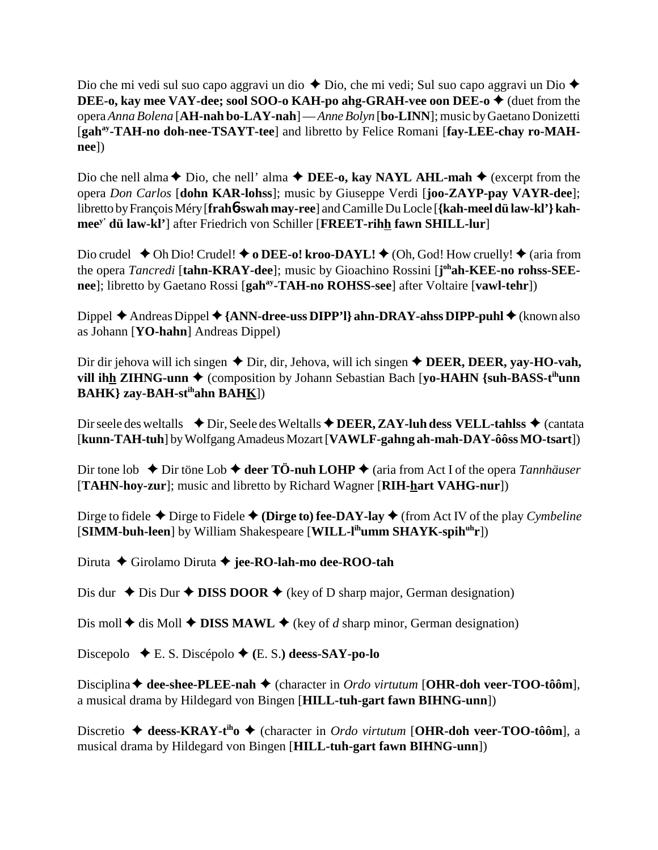Dio che mi vedi sul suo capo aggravi un dio  $\triangle$  Dio, che mi vedi; Sul suo capo aggravi un Dio  $\triangle$ **DEE-o, kay mee VAY-dee; sool SOO-o KAH-po ahg-GRAH-vee oon DEE-o ♦** (duet from the opera *Anna Bolena* [**AH-nah bo-LAY-nah**] — *Anne Bolyn* [**bo-LINN**]; music by Gaetano Donizetti [gah<sup>ay</sup>-TAH-no doh-nee-TSAYT-tee] and libretto by Felice Romani [fay-LEE-chay ro-MAH**nee**])

Dio che nell alma  $\triangle$  Dio, che nell' alma  $\triangle$  **DEE-o, kay NAYL AHL-mah**  $\triangle$  (excerpt from the opera *Don Carlos* [**dohn KAR-lohss**]; music by Giuseppe Verdi [**joo-ZAYP-pay VAYR-dee**]; libretto by François Méry [**frah**6**-swah may-ree**] and Camille Du Locle [**{kah-meel dü law-kl'} kahmeey' dü law-kl'**] after Friedrich von Schiller [**FREET-rihh fawn SHILL-lur**]

Dio crudel  $\blacklozenge$  Oh Dio! Crudel!  $\blacklozenge$  **o DEE-o! kroo-DAYL!**  $\blacklozenge$  (Oh, God! How cruelly!  $\blacklozenge$  (aria from the opera *Tancredi* [tahn-KRAY-dee]; music by Gioachino Rossini [j<sup>oh</sup>ah-KEE-no rohss-SEE**nee**]; libretto by Gaetano Rossi [**gah<sup>ay</sup>-TAH-no ROHSS-see**] after Voltaire [**vawl-tehr**])

Dippel **→** Andreas Dippel ◆ {**ANN-dree-uss DIPP'l} ahn-DRAY-ahss DIPP-puhl ◆** (known also as Johann [**YO-hahn**] Andreas Dippel)

Dir dir jehova will ich singen **→** Dir, dir, Jehova, will ich singen ◆ DEER, DEER, yay-HO-vah, **vill ihh ZIHNG-unn ♦** (composition by Johann Sebastian Bach [**yo-HAHN** {suh-BASS-t<sup>ih</sup>unn **BAHK} zay-BAH-stihahn BAHK**])

Dir seele des weltalls **↓** Dir, Seele des Weltalls ♦ **DEER, ZAY-luh dess VELL-tahlss ♦** (cantata [**kunn-TAH-tuh**] by Wolfgang Amadeus Mozart [**VAWLF-gahng ah-mah-DAY-ôôss MO-tsart**])

Dir tone lob  $\triangle$  Dir töne Lob  $\triangle$  deer TÖ-nuh LOHP  $\triangle$  (aria from Act I of the opera *Tannhäuser* [**TAHN-hoy-zur**]; music and libretto by Richard Wagner [**RIH-hart VAHG-nur**])

Dirge to fidele  $\triangle$  Dirge to Fidele  $\triangle$  (**Dirge to**) fee-DAY-lay  $\triangle$  (from Act IV of the play *Cymbeline* [**SIMM-buh-leen**] by William Shakespeare [**WILL-lihumm SHAYK-spihuhr**])

Diruta Girolamo Diruta **jee-RO-lah-mo dee-ROO-tah**

Dis dur  $\triangle$  Dis Dur  $\triangle$  **DISS DOOR**  $\triangle$  (key of D sharp major, German designation)

Dis moll  $\blacklozenge$  dis Moll  $\blacklozenge$  **DISS MAWL**  $\blacklozenge$  (key of *d* sharp minor, German designation)

Discepolo E. S. Discépolo **(**E. S.**) deess-SAY-po-lo**

Disciplina **→ dee-shee-PLEE-nah** → (character in *Ordo virtutum* [OHR-doh veer-TOO-tôôm], a musical drama by Hildegard von Bingen [**HILL-tuh-gart fawn BIHNG-unn**])

Discretio ◆ deess-KRAY-t<sup>ih</sup>o ◆ (character in *Ordo virtutum* [OHR-doh veer-TOO-tôôm], a musical drama by Hildegard von Bingen [**HILL-tuh-gart fawn BIHNG-unn**])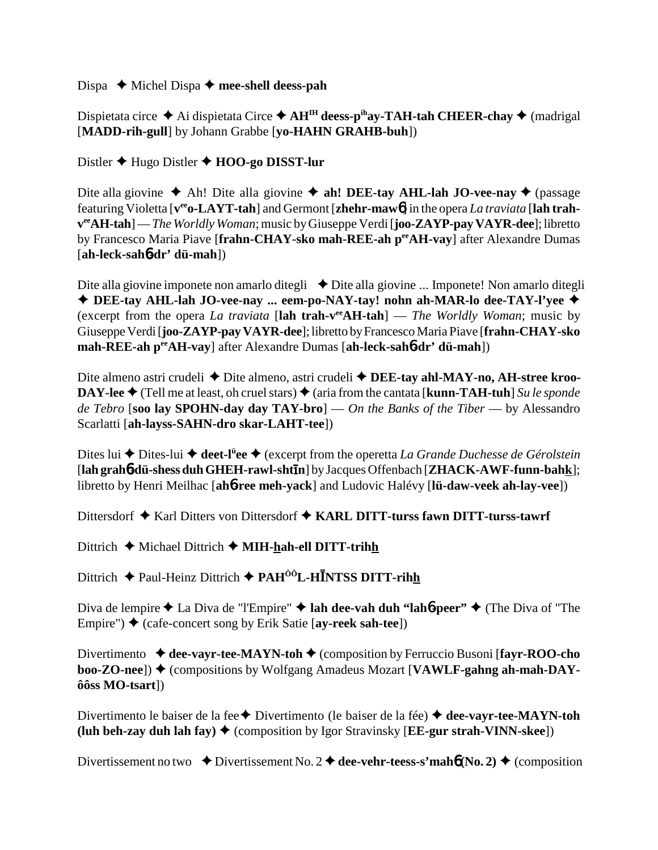Dispa **→** Michel Dispa → mee-shell deess-pah

Dispietata circe  $\triangle$  Ai dispietata Circe  $\triangle$  AH<sup>IH</sup> deess-p<sup>ih</sup>ay-TAH-tah CHEER-chay  $\triangle$  (madrigal [**MADD-rih-gull**] by Johann Grabbe [**yo-HAHN GRAHB-buh**])

Distler Hugo Distler **HOO-go DISST-lur**

Dite alla giovine **→** Ah! Dite alla giovine **→ ah! DEE-tay AHL-lah JO-vee-nay →** (passage featuring Violetta [**veeo-LAYT-tah**] and Germont [**zhehr-maw**6] in the opera *La traviata* [**lah trahveeAH-tah**] — *The Worldly Woman*; music by Giuseppe Verdi [**joo-ZAYP-pay VAYR-dee**]; libretto by Francesco Maria Piave [**frahn-CHAY-sko mah-REE-ah peeAH-vay**] after Alexandre Dumas [**ah-leck-sah**6**-dr' dü-mah**])

Dite alla giovine imponete non amarlo ditegli  $\rightarrow$  Dite alla giovine ... Imponete! Non amarlo ditegli **DEE-tay AHL-lah JO-vee-nay ... eem-po-NAY-tay! nohn ah-MAR-lo dee-TAY-l'yee** (excerpt from the opera *La traviata* [**lah trah-veeAH-tah**] — *The Worldly Woman*; music by Giuseppe Verdi [**joo-ZAYP-pay VAYR-dee**]; libretto by Francesco Maria Piave [**frahn-CHAY-sko mah-REE-ah peeAH-vay**] after Alexandre Dumas [**ah-leck-sah**6**-dr' dü-mah**])

Dite almeno astri crudeli ◆ Dite almeno, astri crudeli ◆ DEE-tay ahl-MAY-no, AH-stree kroo-**DAY-lee**  $\triangle$  (Tell me at least, oh cruel stars)  $\triangle$  (aria from the cantata [**kunn-TAH-tuh**] *Su le sponde de Tebro* [**soo lay SPOHN-day day TAY-bro**] — *On the Banks of the Tiber* — by Alessandro Scarlatti [**ah-layss-SAHN-dro skar-LAHT-tee**])

Dites lui ◆ Dites-lui ◆ deet-l<sup>ü</sup>ee ◆ (excerpt from the operetta *La Grande Duchesse de Gérolstein* [**lah grah**6**-dü-shess duh GHEH-rawl-shtn**] by Jacques Offenbach [**ZHACK-AWF-funn-bahk**]; libretto by Henri Meilhac [**ah**6**-ree meh-yack**] and Ludovic Halévy [**lü-daw-veek ah-lay-vee**])

Dittersdorf **→** Karl Ditters von Dittersdorf → KARL DITT-turss fawn DITT-turss-tawrf

Dittrich **←** Michael Dittrich ← **MIH-hah-ell DITT-trihh** 

Dittrich  $\triangle$  Paul-Heinz Dittrich  $\triangle$  PAH<sup>ôô</sup>L-HĪNTSS DITT-rihh

Diva de lempire ◆ La Diva de "l'Empire" ◆ lah dee-vah duh "lah**6-peer"** ◆ (The Diva of "The Empire") ♦ (cafe-concert song by Erik Satie [**ay-reek sah-tee**])

Divertimento ♦ dee-vayr-tee-MAYN-toh ♦ (composition by Ferruccio Busoni [fayr-ROO-cho **boo-ZO-nee**]) ♦ (compositions by Wolfgang Amadeus Mozart [VAWLF-gahng ah-mah-DAY**ôôss MO-tsart**])

Divertimento le baiser de la fee **←** Divertimento (le baiser de la fée) ← dee-vayr-tee-MAYN-toh **(luh beh-zay duh lah fay) ♦ (composition by Igor Stravinsky [EE-gur strah-VINN-skee])** 

Divertissement no two  $\bullet$  Divertissement No. 2  $\bullet$  dee-vehr-teess-s'mah**6** (No. 2)  $\bullet$  (composition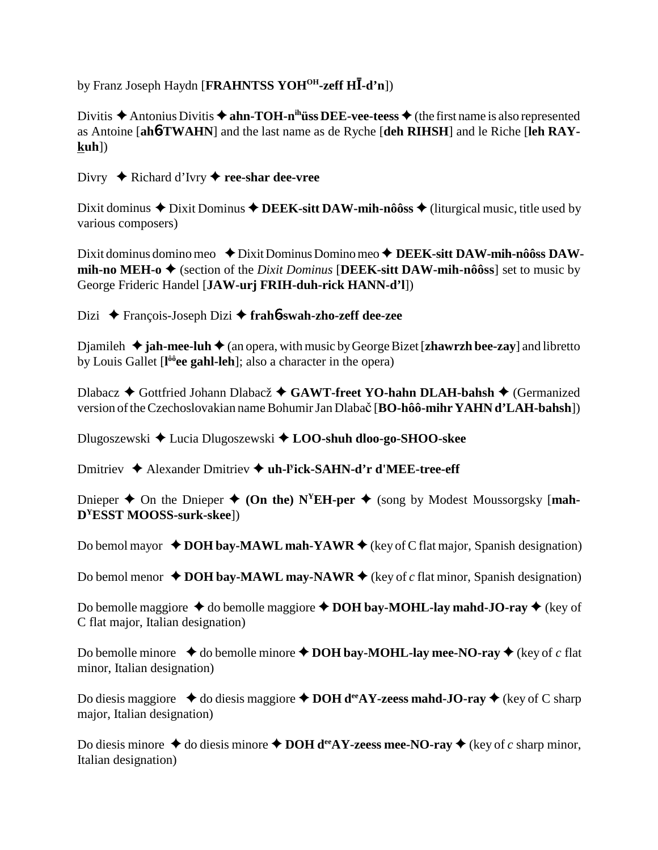by Franz Joseph Haydn [FRAHNTSS YOH<sup>OH</sup>-zeff HI-d'n])

Divitis  $\triangle$  Antonius Divitis  $\triangle$  ahn-TOH-n<sup>ih</sup>uss DEE-vee-teess  $\triangle$  (the first name is also represented as Antoine [ah6-TWAHN] and the last name as de Ryche [deh RIHSH] and le Riche [leh RAY $kuh$ ])

Divry  $\triangle$  Richard d'Ivry  $\triangle$  ree-shar dee-vree

Dixit dominus  $\triangle$  Dixit Dominus  $\triangle$  DEEK-sitt DAW-mih-nôôss  $\triangle$  (liturgical music, title used by various composers)

Dixit dominus domino meo  $\triangle$  Dixit Dominus Domino meo  $\triangle$  DEEK-sitt DAW-mih-nôôss DAWmih-no MEH-o  $\triangle$  (section of the *Dixit Dominus* [DEEK-sitt DAW-mih-nôôss] set to music by George Frideric Handel [JAW-urj FRIH-duh-rick HANN-d'l])

Dizi ◆ François-Joseph Dizi ◆ frah**6-swah-zho-zeff dee-zee** 

Djamileh  $\triangleq$  jah-mee-luh  $\triangleq$  (an opera, with music by George Bizet [zhawrzh bee-zay] and libretto by Louis Gallet [l<sup>ôô</sup>ee gahl-leh]; also a character in the opera)

Dlabacz ◆ Gottfried Johann Dlabacž ◆ GAWT-freet YO-hahn DLAH-bahsh ◆ (Germanized version of the Czechoslovakian name Bohumir Jan Dlabač [BO-hôô-mihr YAHN d'LAH-bahsh])

Dlugoszewski ♦ Lucia Dlugoszewski ♦ LOO-shuh dloo-go-SHOO-skee

Dmitriev  $\triangle$  Alexander Dmitriev  $\triangle$  uh-Fick-SAHN-d'r d'MEE-tree-eff

Dnieper  $\triangle$  On the Dnieper  $\triangle$  (On the) N<sup>Y</sup>EH-per  $\triangle$  (song by Modest Moussorgsky [mah- $D<sup>y</sup>ESST MOOSS-surk-skee$ ])

Do bemol mayor  $\triangle$  DOH bay-MAWL mah-YAWR  $\triangle$  (key of C flat major, Spanish designation)

Do bemol menor  $\triangle$  DOH bay-MAWL may-NAWR  $\triangle$  (key of c flat minor, Spanish designation)

Do bemolle maggiore  $\triangle$  do bemolle maggiore  $\triangle$  DOH bay-MOHL-lay mahd-JO-ray  $\triangle$  (key of C flat major, Italian designation)

Do bemolle minore  $\triangleleft$  do bemolle minore  $\triangleleft$  DOH bay-MOHL-lay mee-NO-ray  $\triangleleft$  (key of c flat minor, Italian designation)

Do diesis maggiore  $\triangleq$  do diesis maggiore  $\triangleq$  DOH d<sup>ee</sup>AY-zeess mahd-JO-ray  $\triangleq$  (key of C sharp major, Italian designation)

Do diesis minore  $\triangle$  do diesis minore  $\triangle$  DOH d<sup>ee</sup> AY-zeess mee-NO-ray  $\triangle$  (key of c sharp minor, Italian designation)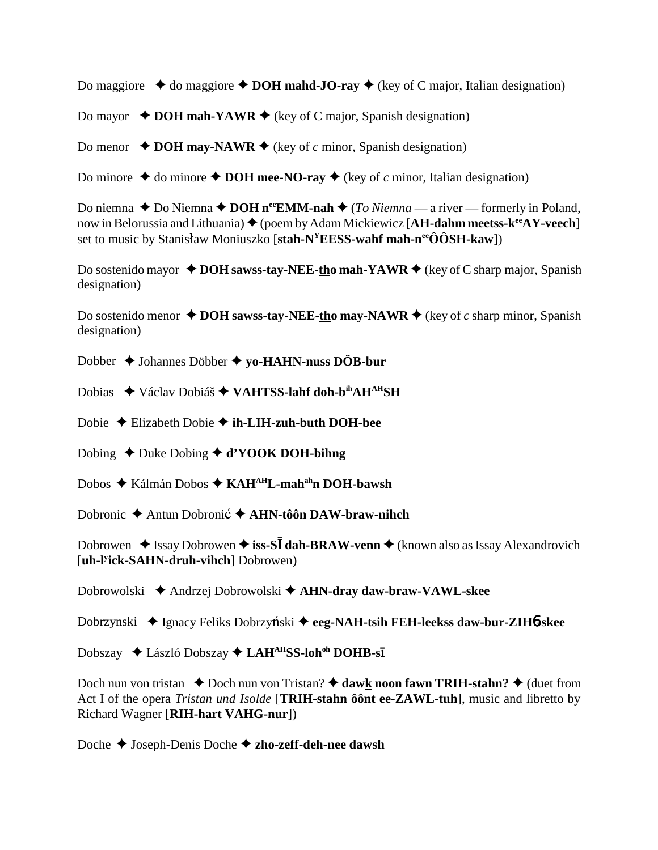Do maggiore  $\triangle$  do maggiore  $\triangle$  DOH mahd-JO-ray  $\triangle$  (key of C major, Italian designation)

Do mayor  $\rightarrow$  DOH mah-YAWR  $\rightarrow$  (key of C major, Spanish designation)

Do menor  $\triangle$  DOH may-NAWR  $\triangle$  (key of c minor, Spanish designation)

Do minore  $\triangle$  do minore  $\triangle$  DOH mee-NO-ray  $\triangle$  (key of c minor, Italian designation)

Do niemna  $\triangle$  Do Niemna  $\triangle$  DOH n<sup>ee</sup> EMM-nah  $\triangle$  (*To Niemna* — a river — formerly in Poland, now in Belorussia and Lithuania)  $\blacklozenge$  (poem by Adam Mickiewicz [AH-dahm meetss- $k^{ee}AY$ -veech] set to music by Stanisław Moniuszko [stah- $N<sup>Y</sup>EESS$ -wahf mah-n<sup>ee</sup>ÔÔSH-kaw])

Do sostenido mayor  $\triangle$  DOH sawss-tay-NEE-tho mah-YAWR  $\triangle$  (key of C sharp major, Spanish designation)

Do sostenido menor  $\triangle$  DOH sawss-tay-NEE-tho may-NAWR  $\triangle$  (key of c sharp minor, Spanish designation)

Dobber  $\triangle$  Johannes Döbber  $\triangle$  yo-HAHN-nuss DÖB-bur

Dobias ◆ Václav Dobiáš ◆ VAHTSS-lahf doh-bihAHAHSH

Dobie ◆ Elizabeth Dobie ◆ ih-LIH-zuh-buth DOH-bee

Dobing  $\triangle$  Duke Dobing  $\triangle$  d'YOOK DOH-bihng

Dobos ◆ Kálmán Dobos ◆ KAH<sup>AH</sup>L-mah<sup>ah</sup>n DOH-bawsh

Dobronic  $\triangle$  Antun Dobronic  $\triangle$  AHN-tôôn DAW-braw-nihch

Dobrowen  $\triangleq$  Issay Dobrowen  $\triangleq$  iss-SI dah-BRAW-venn  $\triangleq$  (known also as Issay Alexandrovich [uh-l'ick-SAHN-druh-vihch] Dobrowen)

Dobrowolski  $\triangle$  Andrzej Dobrowolski  $\triangle$  AHN-dray daw-braw-VAWL-skee

Dobrzynski ◆ Ignacy Feliks Dobrzyński ◆ eeg-NAH-tsih FEH-leekss daw-bur-ZIH6-skee

Dobszay ◆ László Dobszay ◆ LAH<sup>AH</sup>SS-loh<sup>oh</sup> DOHB-sī

Doch nun von tristan  $\triangle$  Doch nun von Tristan?  $\triangle$  dawk noon fawn TRIH-stahn?  $\triangle$  (duet from Act I of the opera *Tristan und Isolde* [TRIH-stahn ôont ee-ZAWL-tuh], music and libretto by Richard Wagner [RIH-hart VAHG-nur])

Doche  $\triangle$  Joseph-Denis Doche  $\triangle$  zho-zeff-deh-nee dawsh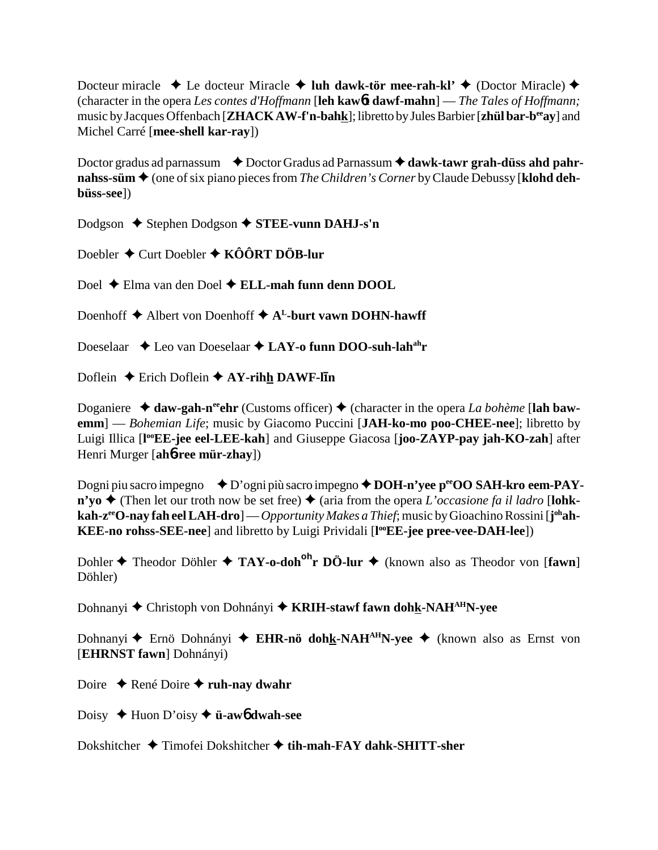Docteur miracle  $\triangleleft$  Le docteur Miracle  $\triangleleft$  luh dawk-tör mee-rah-kl'  $\triangleleft$  (Doctor Miracle)  $\triangleleft$ (character in the opera *Les contes d'Hoffmann* [**leh kaw**6**t dawf-mahn**] — *The Tales of Hoffmann;* music by Jacques Offenbach [**ZHACK AW-f'n-bahk**]; libretto by Jules Barbier [**zhül bar-beeay**] and Michel Carré [**mee-shell kar-ray**])

Doctor gradus ad parnassum  $\bullet$  Doctor Gradus ad Parnassum  $\bullet$  dawk-tawr grah-düss ahd pahr**nahss-süm ♦** (one of six piano pieces from *The Children's Corner* by Claude Debussy [**klohd dehbüss-see**])

Dodgson **→** Stephen Dodgson ◆ STEE-vunn DAHJ-s'n

Doebler **←** Curt Doebler ← **KÔÔRT DÖB-lur** 

Doel Elma van den Doel **ELL-mah funn denn DOOL**

Doenhoff  $\triangle$  Albert von Doenhoff  $\triangle$  A<sup>L</sup>-burt vawn DOHN-hawff

Doeselaar  $\triangle$  Leo van Doeselaar  $\triangle$  LAY-o funn DOO-suh-lah<sup>ah</sup>r

Doflein **←** Erich Doflein **← AY-rihh DAWF-ll<sup>1</sup>n** 

Doganiere  $\triangleleft$  daw-gah-n<sup>ee</sup>chr (Customs officer)  $\triangleleft$  (character in the opera *La bohème* [lah baw**emm**] — *Bohemian Life*; music by Giacomo Puccini [**JAH-ko-mo poo-CHEE-nee**]; libretto by Luigi Illica [**l ooEE-jee eel-LEE-kah**] and Giuseppe Giacosa [**joo-ZAYP-pay jah-KO-zah**] after Henri Murger [**ah**6**-ree mür-zhay**])

Dogni piu sacro impegno **→** D'ogni più sacro impegno ◆ DOH-n'yee p<sup>ee</sup>OO SAH-kro eem-PAY- $\mathbf{n'yo}$   $\blacklozenge$  (Then let our troth now be set free)  $\blacklozenge$  (aria from the opera *L'occasione fa il ladro* [lohk**kah-zeeO-nay fah eel LAH-dro**] — *Opportunity Makes a Thief*; music by Gioachino Rossini [**j ohah-KEE-no rohss-SEE-nee**] and libretto by Luigi Prividali [l<sup>oo</sup>EE-jee pree-vee-DAH-lee])

Dohler **◆** Theodor Döhler ◆ TAY-o-doh<sup>oh</sup>r DÖ-lur ◆ (known also as Theodor von [fawn] Döhler)

Dohnanyi **←** Christoph von Dohnányi ← KRIH-stawf fawn dohk-NAH<sup>AH</sup>N-yee

Dohnanyi **←** Ernö Dohnányi ← EHR-nö dohk-NAH<sup>AH</sup>N-yee ← (known also as Ernst von [**EHRNST fawn**] Dohnányi)

Doire **← René Doire ← ruh-nay dwahr** 

Doisy Huon D'oisy **ü-aw**6 **dwah-see**

Dokshitcher Timofei Dokshitcher **tih-mah-FAY dahk-SHITT-sher**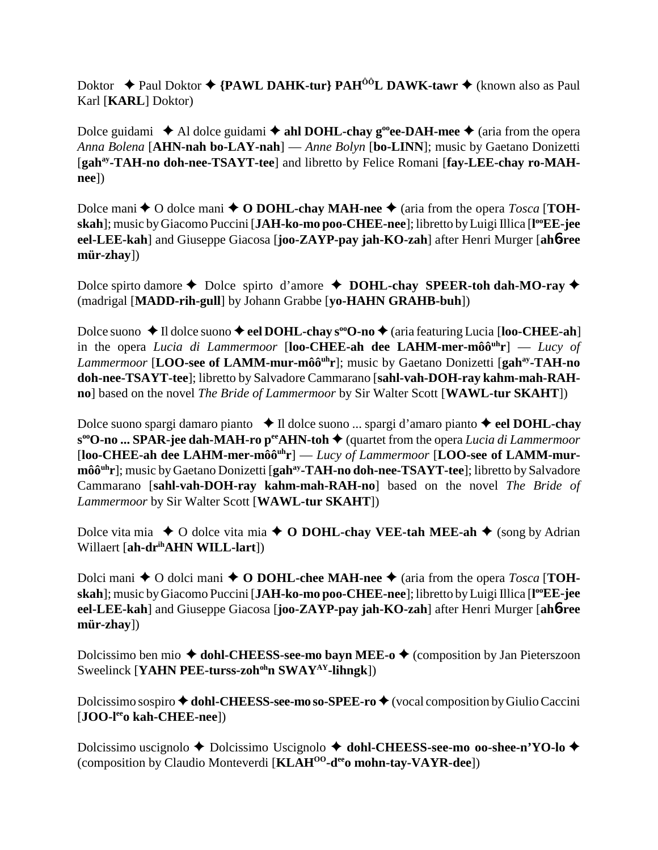Doktor ◆ Paul Doktor ◆ {PAWL DAHK-tur} PAH<sup>ôô</sup>L DAWK-tawr ◆ (known also as Paul Karl [**KARL**] Doktor)

Dolce guidami  $\triangle$  Al dolce guidami  $\triangle$  ahl DOHL-chay g<sup>oo</sup>ee-DAH-mee  $\triangle$  (aria from the opera *Anna Bolena* [**AHN-nah bo-LAY-nah**] — *Anne Bolyn* [**bo-LINN**]; music by Gaetano Donizetti [gah<sup>ay</sup>-TAH-no doh-nee-TSAYT-tee] and libretto by Felice Romani [fay-LEE-chay ro-MAH**nee**])

Dolce mani  $\triangle$  O dolce mani  $\triangle$  O DOHL-chay MAH-nee  $\triangle$  (aria from the opera *Tosca* [**TOHskah**]; music by Giacomo Puccini [**JAH-ko-mo poo-CHEE-nee**]; libretto by Luigi Illica [**l ooEE-jee eel-LEE-kah**] and Giuseppe Giacosa [**joo-ZAYP-pay jah-KO-zah**] after Henri Murger [**ah**6**-ree mür-zhay**])

Dolce spirto damore  $\triangle$  Dolce spirto d'amore  $\triangle$  **DOHL-chay SPEER-toh dah-MO-ray**  $\triangle$ (madrigal [**MADD-rih-gull**] by Johann Grabbe [**yo-HAHN GRAHB-buh**])

Dolce suono ◆Il dolce suono ◆ eel DOHL-chay s<sup>oo</sup>O-no ◆ (aria featuring Lucia [loo-CHEE-ah] in the opera *Lucia di Lammermoor* [**loo-CHEE-ah dee LAHM-mer-môôuhr**] — *Lucy of Lammermoor* [LOO-see of LAMM-mur-môô<sup>uh</sup>r]; music by Gaetano Donizetti [gah<sup>ay</sup>-TAH-no **doh-nee-TSAYT-tee**]; libretto by Salvadore Cammarano [**sahl-vah-DOH-ray kahm-mah-RAHno**] based on the novel *The Bride of Lammermoor* by Sir Walter Scott [**WAWL-tur SKAHT**])

Dolce suono spargi damaro pianto **↓ Il dolce suono ... spargi d'amaro pianto ↓ eel DOHL-chay** s<sup>oo</sup>O-no ... SPAR-jee dah-MAH-ro p<sup>ee</sup>AHN-toh ♦ (quartet from the opera *Lucia di Lammermoor* [loo-CHEE-ah dee LAHM-mer-môô<sup>uh</sup>r] — *Lucy of Lammermoor* [LOO-see of LAMM-mur**môô<sup>uh</sup>r**]; music by Gaetano Donizetti [**gah<sup>ay</sup>-TAH-no doh-nee-TSAYT-tee**]; libretto by Salvadore Cammarano [**sahl-vah-DOH-ray kahm-mah-RAH-no**] based on the novel *The Bride of Lammermoor* by Sir Walter Scott [**WAWL-tur SKAHT**])

Dolce vita mia  $\rightarrow$  O dolce vita mia  $\rightarrow$  O DOHL-chay VEE-tah MEE-ah  $\rightarrow$  (song by Adrian Willaert [**ah-drihAHN WILL-lart**])

Dolci mani  $\triangle$  O dolci mani  $\triangle$  O DOHL-chee MAH-nee  $\triangle$  (aria from the opera *Tosca* [TOH**skah**]; music by Giacomo Puccini [**JAH-ko-mo poo-CHEE-nee**]; libretto by Luigi Illica [**l ooEE-jee eel-LEE-kah**] and Giuseppe Giacosa [**joo-ZAYP-pay jah-KO-zah**] after Henri Murger [**ah**6**-ree mür-zhay**])

Dolcissimo ben mio  $\triangle$  dohl-CHEESS-see-mo bayn MEE-o  $\triangle$  (composition by Jan Pieterszoon Sweelinck [**YAHN PEE-turss-zoh<sup>oh</sup>n SWAY<sup>AY</sup>-lihngk**])

Dolcissimo sospiro ◆ dohl-CHEESS-see-mo so-SPEE-ro ◆ (vocal composition by Giulio Caccini [**JOO-leeo kah-CHEE-nee**])

Dolcissimo uscignolo **→** Dolcissimo Uscignolo **→ dohl-CHEESS-see-mo oo-shee-n'YO-lo →** (composition by Claudio Monteverdi [**KLAHOO-deeo mohn-tay-VAYR-dee**])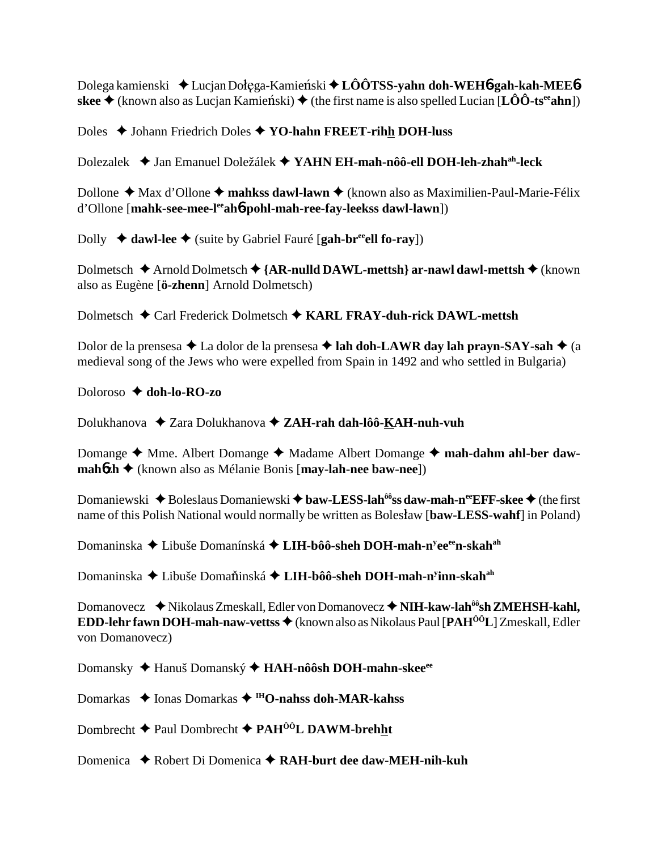Dolega kamienski ◆ Lucjan Dołęga-Kamieński ◆ LÔÔTSS-**yahn doh-WEH6-gah-kah-MEE6-** $\mathbf{s}$ **kee**  $\blacklozenge$  (known also as Lucjan Kamienski)  $\blacklozenge$  (the first name is also spelled Lucian [**LÔÔ-ts<sup>ee</sup>ahn**])

Doles ♦ Johann Friedrich Doles ♦ YO-hahn FREET-rihh DOH-luss

Dolezalek Jan Emanuel Doležálek **YAHN EH-mah-nôô-ell DOH-leh-zhahah-leck**

Dollone ◆ Max d'Ollone ◆ mahkss dawl-lawn ◆ (known also as Maximilien-Paul-Marie-Félix d'Ollone [**mahk-see-mee-leeah**6**-pohl-mah-ree-fay-leekss dawl-lawn**])

Dolly  $\triangleleft$  dawl-lee  $\triangleleft$  (suite by Gabriel Fauré [gah-br<sup>ee</sup>ell fo-ray])

Dolmetsch **→** Arnold Dolmetsch → {**AR-nulld DAWL-mettsh**} ar-nawl dawl-mettsh → (known also as Eugène [**ö-zhenn**] Arnold Dolmetsch)

Dolmetsch Carl Frederick Dolmetsch **KARL FRAY-duh-rick DAWL-mettsh**

Dolor de la prensesa **→** La dolor de la prensesa **→ lah doh-LAWR day lah prayn-SAY-sah →** (a medieval song of the Jews who were expelled from Spain in 1492 and who settled in Bulgaria)

Doloroso **doh-lo-RO-zo**

Dolukhanova Zara Dolukhanova **ZAH-rah dah-lôô-KAH-nuh-vuh**

Domange ◆ Mme. Albert Domange ◆ Madame Albert Domange ◆ mah-dahm ahl-ber daw**mah**6**zh**  (known also as Mélanie Bonis [**may-lah-nee baw-nee**])

Domaniewski ◆ Boleslaus Domaniewski ◆ baw-LESS-lah<sup>ôô</sup>ss daw-mah-n<sup>ee</sup>EFF-skee ◆ (the first name of this Polish National would normally be written as Boleslaw [**baw-LESS-wahf**] in Poland)

Domaninska ◆ Libuše Domanínská ◆ LI**H-bôô-sheh DOH-mah-n<sup>y</sup>ee<sup>ee</sup>n-skah<sup>ah</sup>** 

Domaninska ◆ Libuše Doma<mark>ň</mark>inská ◆ **LIH-bôô-sheh DOH-mah-n<sup>y</sup>inn-skah<sup>ah</sup>** 

Domanovecz ◆ Nikolaus Zmeskall, Edler von Domanovecz ◆ NIH-kaw-lah<sup>ôô</sup>sh ZMEHSH-kahl, **EDD-lehr fawn DOH-mah-naw-vettss ♦** (known also as Nikolaus Paul [PAH<sup>ÔÔ</sup>L] Zmeskall, Edler von Domanovecz)

Domansky ◆ Hanuš Domanský ◆ HAH-nôôsh DOH-mahn-skee<sup>ee</sup>

Domarkas ◆ Ionas Domarkas ◆ <sup>IH</sup>O-nahss doh-MAR-kahss

Dombrecht Paul Dombrecht **PAHÔÔL DAWM-brehht**

Domenica ◆ Robert Di Domenica ◆ RAH-burt dee daw-MEH-nih-kuh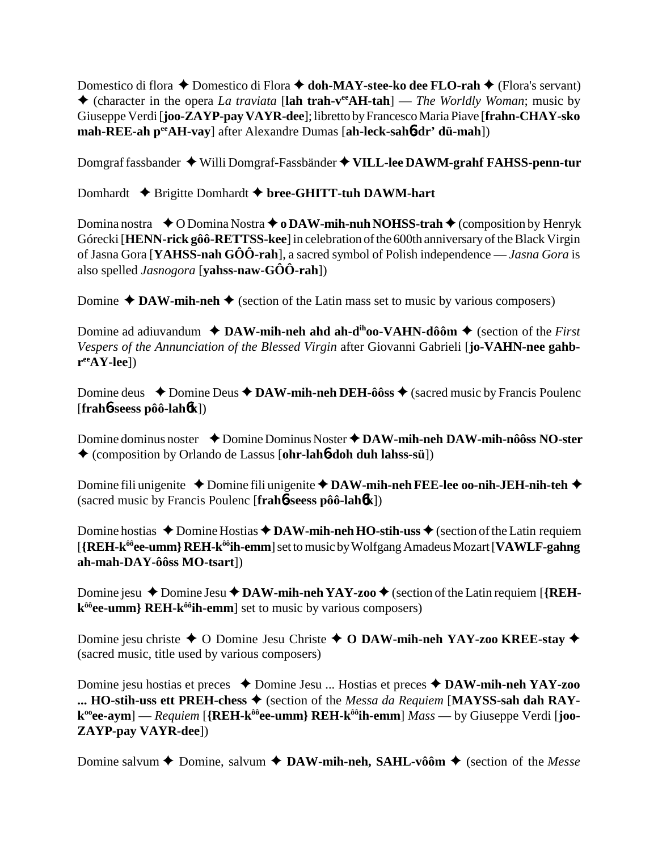Domestico di flora **←** Domestico di Flora **← doh-MAY-stee-ko dee FLO-rah** ← (Flora's servant) (character in the opera *La traviata* [**lah trah-veeAH-tah**] — *The Worldly Woman*; music by Giuseppe Verdi [**joo-ZAYP-pay VAYR-dee**]; libretto by Francesco Maria Piave [**frahn-CHAY-sko mah-REE-ah peeAH-vay**] after Alexandre Dumas [**ah-leck-sah**6**-dr' dü-mah**])

Domgraf fassbander Willi Domgraf-Fassbänder **VILL-lee DAWM-grahf FAHSS-penn-tur**

Domhardt **← Brigitte Domhardt ← bree-GHITT-tuh DAWM-hart** 

Domina nostra **↓**O Domina Nostra **→ o DAW-mih-nuh NOHSS-trah →** (composition by Henryk Górecki [**HENN-rick gôô-RETTSS-kee**] in celebration of the 600th anniversary of the Black Virgin of Jasna Gora [**YAHSS-nah GÔÔ-rah**], a sacred symbol of Polish independence — *Jasna Gora* is also spelled *Jasnogora* [**yahss-naw-GÔÔ-rah**])

Domine  $\triangle$  **DAW-mih-neh**  $\triangle$  (section of the Latin mass set to music by various composers)

Domine ad adiuvandum  $\triangleleft$  **DAW-mih-neh ahd ah-d<sup>ih</sup>oo-VAHN-dôôm**  $\triangleq$  (section of the *First Vespers of the Annunciation of the Blessed Virgin* after Giovanni Gabrieli [**jo-VAHN-nee gahbreeAY-lee**])

Domine deus  $\rightarrow$  Domine Deus  $\rightarrow$  DAW-mih-neh DEH-ôôss  $\rightarrow$  (sacred music by Francis Poulenc [**frah**6**-seess pôô-lah**6**k**])

Domine dominus noster **→** Domine Dominus Noster **→ DAW-mih-neh DAW-mih-nôôss NO-ster** (composition by Orlando de Lassus [**ohr-lah**6**-doh duh lahss-sü**])

Domine fili unigenite **→** Domine fili unigenite **→ DAW-mih-neh FEE-lee oo-nih-JEH-nih-teh →** (sacred music by Francis Poulenc [**frah**6**-seess pôô-lah**6**k**])

Domine hostias  $\triangle$  Domine Hostias  $\triangle$  DAW-mih-neh HO-stih-uss  $\triangle$  (section of the Latin requiem [**{REH-kôôee-umm} REH-kôôih-emm**] set to music by Wolfgang Amadeus Mozart [**VAWLF-gahng ah-mah-DAY-ôôss MO-tsart**])

Domine jesu  $\triangle$  Domine Jesu  $\triangle$  DAW-mih-neh YAY-zoo  $\triangle$  (section of the Latin requiem [{REH**k<sup>ôô</sup>ee-umm} REH-k<sup>ôô</sup>ih-emm**] set to music by various composers)

Domine jesu christe **→** O Domine Jesu Christe **→ O DAW-mih-neh YAY-zoo KREE-stay** ◆ (sacred music, title used by various composers)

Domine jesu hostias et preces **→** Domine Jesu ... Hostias et preces **→ DAW-mih-neh YAY-zoo ... HO-stih-uss ett PREH-chess ♦** (section of the *Messa da Requiem* [MAYSS-sah dah RAY $k^{\omega}$ ee-aym] — *Requiem* [{REH- $k^{\omega}$ <sup>e</sup>ee-umm} REH- $k^{\omega}$ <sup> $\omega$ </sup>ih-emm] *Mass* — by Giuseppe Verdi [joo-**ZAYP-pay VAYR-dee**])

Domine salvum  $\triangle$  Domine, salvum  $\triangle$  **DAW-mih-neh, SAHL-vôôm**  $\triangle$  (section of the *Messe*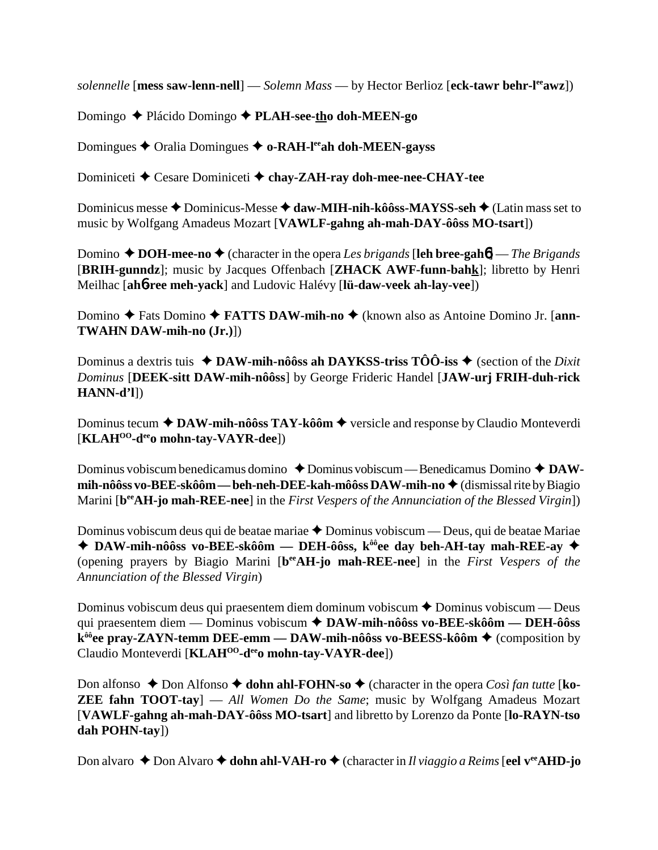solennelle [mess saw-lenn-nell] — Solemn Mass — by Hector Berlioz [eck-tawr behr-l<sup>ee</sup>awz])

Domingo ◆ Plácido Domingo ◆ PLAH-see-tho doh-MEEN-go

Domingues  $\blacklozenge$  Oralia Domingues  $\blacklozenge$  o-RAH-l<sup>ee</sup>ah doh-MEEN-gayss

Dominiceti  $\triangle$  Cesare Dominiceti  $\triangle$  chay-ZAH-ray doh-mee-nee-CHAY-tee

Dominicus messe  $\triangle$  Dominicus-Messe  $\triangle$  daw-MIH-nih-kôôss-MAYSS-seh  $\triangle$  (Latin mass set to music by Wolfgang Amadeus Mozart [VAWLF-gahng ah-mah-DAY-ôôss MO-tsart])

Domino  $\triangle$  DOH-mee-no  $\triangle$  (character in the opera Les brigands [leh bree-gaho] — The Brigands [BRIH-gunndz]; music by Jacques Offenbach [ZHACK AWF-funn-bahk]; libretto by Henri Meilhac [ah6-ree meh-vack] and Ludovic Halévy [lü-daw-veek ah-lay-vee])

Domino ← Fats Domino ← FATTS DAW-mih-no ← (known also as Antoine Domino Jr. [ann-**TWAHN DAW-mih-no (Jr.)])** 

Dominus a dextris tuis  $\triangleleft$  DAW-mih-nôôss ah DAYKSS-triss TÔÔ-iss  $\triangleleft$  (section of the *Dixit* Dominus [DEEK-sitt DAW-mih-nôôss] by George Frideric Handel [JAW-urj FRIH-duh-rick  $HANN-d'1$ 

Dominus tecum  $\triangle$  DAW-mih-nôôss TAY-kôôm  $\triangle$  versicle and response by Claudio Monteverdi  $[\mathbf{KLAH}^{OO}\text{-}\mathbf{d}^{ee}\mathbf{0}$  mohn-tav-VAYR-dee])

Dominus vobiscum benedicamus domino  $\triangle$  Dominus vobiscum — Benedicamus Domino  $\triangle$  DAWmih-nôôss vo-BEE-skôôm — beh-neh-DEE-kah-môôss DAW-mih-no  $\triangleq$  (dismissal rite by Biagio Marini [b<sup>ee</sup>AH-jo mah-REE-nee] in the First Vespers of the Annunciation of the Blessed Virgin])

Dominus vobiscum deus qui de beatae mariae ◆ Dominus vobiscum — Deus, qui de beatae Mariae ◆ DAW-mih-nôôss vo-BEE-skôôm — DEH-ôôss, k<sup>ôô</sup>ee day beh-AH-tay mah-REE-ay ◆ (opening prayers by Biagio Marini [beeAH-jo mah-REE-nee] in the First Vespers of the Annunciation of the Blessed Virgin)

Dominus vobiscum deus qui praesentem diem dominum vobiscum  $\triangle$  Dominus vobiscum — Deus qui praesentem diem — Dominus vobiscum  $\triangle$  DAW-mih-nôôss vo-BEE-skôôm — DEH-ôôss  $k^{\hat{\theta}\hat{\theta}}$ ee pray-ZAYN-temm DEE-emm — DAW-mih-nôôss vo-BEESS-kôôm  $\blacklozenge$  (composition by Claudio Monteverdi [KLAH<sup>00</sup>-d<sup>ee</sup>o mohn-tay-VAYR-dee])

Don alfonso  $\triangle$  Don Alfonso  $\triangle$  dohn ahl-FOHN-so  $\triangle$  (character in the opera *Così fan tutte* [ko-**ZEE fahn TOOT-tay**  $\sim$  All Women Do the Same; music by Wolfgang Amadeus Mozart [VAWLF-gahng ah-mah-DAY-ôôss MO-tsart] and libretto by Lorenzo da Ponte [lo-RAYN-tso] dah POHN-tay])

Don alvaro  $\triangle$  Don Alvaro  $\triangle$  dohn ahl-VAH-ro  $\triangle$  (character in *Il viaggio a Reims* [eel v<sup>ee</sup>AHD-jo]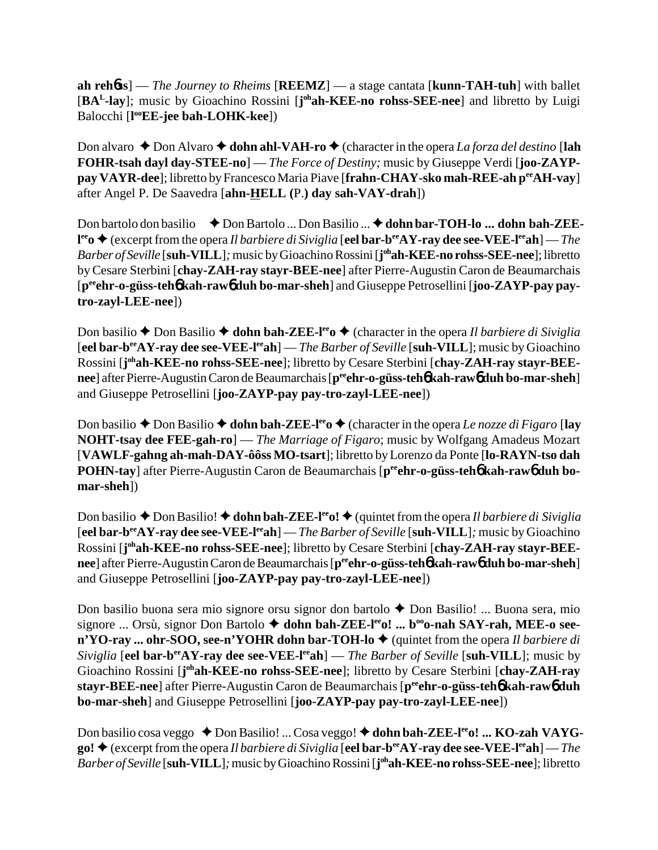**ah reh**6**ss**] — *The Journey to Rheims* [**REEMZ**] — a stage cantata [**kunn-TAH-tuh**] with ballet [BA<sup>L</sup>-lay]; music by Gioachino Rossini [j<sup>oh</sup>ah-KEE-no rohss-SEE-nee] and libretto by Luigi Balocchi [**l ooEE-jee bah-LOHK-kee**])

Don alvaro  $\triangle$  Don Alvaro  $\triangle$  **dohn ahl-VAH-ro**  $\triangle$  (character in the opera *La forza del destino* [**lah FOHR-tsah dayl day-STEE-no**] — *The Force of Destiny;* music by Giuseppe Verdi [**joo-ZAYPpay VAYR-dee**]; libretto by Francesco Maria Piave [**frahn-CHAY-sko mah-REE-ah peeAH-vay**] after Angel P. De Saavedra [**ahn-HELL (**P.**) day sah-VAY-drah**])

Don bartolo don basilio **→** Don Bartolo ... Don Basilio ... ◆ dohn bar-TOH-lo ... dohn bah-ZEE**l<sup>ee</sup>o ◆** (excerpt from the opera *Il barbiere di Siviglia* [**eel bar-b<sup>ee</sup>AY-ray dee see-VEE-l<sup>ee</sup>ah**] — *The Barber of Seville* [**suh-VILL**]*;* music by Gioachino Rossini [**j ohah-KEE-no rohss-SEE-nee**]; libretto by Cesare Sterbini [**chay-ZAH-ray stayr-BEE-nee**] after Pierre-Augustin Caron de Beaumarchais [**peeehr-o-güss-teh**6 **kah-raw**6 **duh bo-mar-sheh**] and Giuseppe Petrosellini [**joo-ZAYP-pay paytro-zayl-LEE-nee**])

Don basilio  $\triangle$  Don Basilio  $\triangle$  dohn bah-ZEE-l<sup>ee</sup>o  $\triangle$  (character in the opera *Il barbiere di Siviglia* [**eel bar-beeAY-ray dee see-VEE-leeah**] — *The Barber of Seville* [**suh-VILL**]; music by Gioachino Rossini [**j ohah-KEE-no rohss-SEE-nee**]; libretto by Cesare Sterbini [**chay-ZAH-ray stayr-BEEnee**] after Pierre-Augustin Caron de Beaumarchais [**peeehr-o-güss-teh**6 **kah-raw**6 **duh bo-mar-sheh**] and Giuseppe Petrosellini [**joo-ZAYP-pay pay-tro-zayl-LEE-nee**])

Don basilio  $\triangle$  Don Basilio  $\triangle$  **dohn bah-ZEE-l<sup>ee</sup>o**  $\triangle$  (character in the opera *Le nozze di Figaro* [**lay NOHT-tsay dee FEE-gah-ro**] — *The Marriage of Figaro*; music by Wolfgang Amadeus Mozart [**VAWLF-gahng ah-mah-DAY-ôôss MO-tsart**]; libretto by Lorenzo da Ponte [**lo-RAYN-tso dah** POHN-tay] after Pierre-Augustin Caron de Beaumarchais [peen**r-o-güss-teh6** kah-raw6 duh bo**mar-sheh**])

Don basilio  $\triangle$  Don Basilio!  $\triangle$  **dohn bah-ZEE-l<sup>ee</sup>o!**  $\triangle$  (quintet from the opera *Il barbiere di Siviglia* [**eel bar-beeAY-ray dee see-VEE-leeah**] — *The Barber of Seville* [**suh-VILL**]*;* music by Gioachino Rossini [**j ohah-KEE-no rohss-SEE-nee**]; libretto by Cesare Sterbini [**chay-ZAH-ray stayr-BEEnee**] after Pierre-Augustin Caron de Beaumarchais [ $p^{ee}$ **chr-o-güss-teh** $\phi$  **kah-raw** $\phi$  **duh bo-mar-sheh]** and Giuseppe Petrosellini [**joo-ZAYP-pay pay-tro-zayl-LEE-nee**])

Don basilio buona sera mio signore orsu signor don bartolo Don Basilio! ... Buona sera, mio signore ... Orsù, signor Don Bartolo  $\blacklozenge$  dohn bah-ZEE-l<sup>ee</sup>o! ... b<sup>oo</sup>o-nah SAY-rah, MEE-o see**n'YO-ray ... ohr-SOO, see-n'YOHR dohn bar-TOH-lo ♦** (quintet from the opera *Il barbiere di Siviglia* [eel bar-b<sup>ee</sup>AY-ray dee see-VEE-l<sup>ee</sup>ah] — *The Barber of Seville* [suh-VILL]; music by Gioachino Rossini [j<sup>oh</sup>ah-KEE-no rohss-SEE-nee]; libretto by Cesare Sterbini [chay-ZAH-ray **stayr-BEE-nee**] after Pierre-Augustin Caron de Beaumarchais [**peeehr-o-güss-teh**6 **kah-raw**6 **duh bo-mar-sheh**] and Giuseppe Petrosellini [**joo-ZAYP-pay pay-tro-zayl-LEE-nee**])

Don basilio cosa veggo ◆ Don Basilio! ... Cosa veggo! ◆ dohn bah-ZEE-l<sup>ee</sup>o! ... KO-zah VAYG- $\phi$  (excerpt from the opera *Il barbiere di Siviglia* [eel bar-b<sup>ee</sup>AY-ray dee see-VEE-l<sup>ee</sup>ah] — *The Barber of Seville* [**suh-VILL**]*;* music by Gioachino Rossini [**j ohah-KEE-no rohss-SEE-nee**]; libretto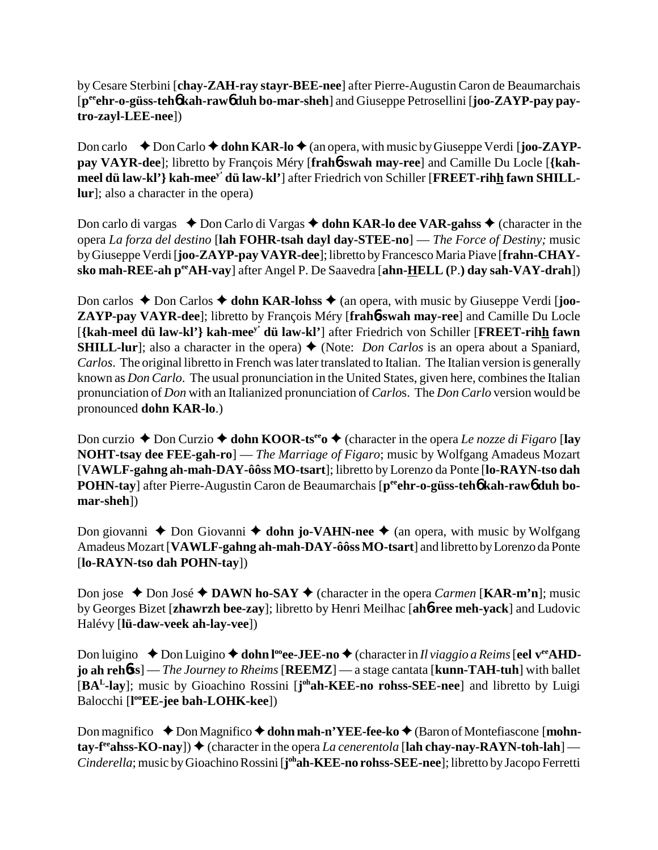by Cesare Sterbini [**chay-ZAH-ray stayr-BEE-nee**] after Pierre-Augustin Caron de Beaumarchais [**peeehr-o-güss-teh**6 **kah-raw**6 **duh bo-mar-sheh**] and Giuseppe Petrosellini [**joo-ZAYP-pay paytro-zayl-LEE-nee**])

Don carlo  $\blacklozenge$  **Don Carlo**  $\blacklozenge$  **dohn KAR-lo**  $\blacklozenge$  (an opera, with music by Giuseppe Verdi [**joo-ZAYPpay VAYR-dee**]; libretto by François Méry [**frah**6**-swah may-ree**] and Camille Du Locle [**{kahmeel dü law-kl'} kah-meey' dü law-kl'**] after Friedrich von Schiller [**FREET-rihh fawn SHILLlur**]; also a character in the opera)

Don carlo di vargas  $\bullet$  Don Carlo di Vargas  $\bullet$  dohn KAR-lo dee VAR-gahss  $\bullet$  (character in the opera *La forza del destino* [**lah FOHR-tsah dayl day-STEE-no**] — *The Force of Destiny;* music by Giuseppe Verdi [**joo-ZAYP-pay VAYR-dee**]; libretto by Francesco Maria Piave [**frahn-CHAYsko mah-REE-ah peeAH-vay**] after Angel P. De Saavedra [**ahn-HELL (**P.**) day sah-VAY-drah**])

Don carlos  $\triangle$  Don Carlos  $\triangle$  **dohn KAR-lohss**  $\triangle$  (an opera, with music by Giuseppe Verdi [**joo-ZAYP-pay VAYR-dee**]; libretto by François Méry [**frah**6**-swah may-ree**] and Camille Du Locle [**{kah-meel dü law-kl'} kah-meey' dü law-kl'**] after Friedrich von Schiller [**FREET-rihh fawn SHILL-lur**]; also a character in the opera)  $\blacklozenge$  (Note: *Don Carlos* is an opera about a Spaniard, *Carlos*. The original libretto in French was later translated to Italian. The Italian version is generally known as *Don Carlo*. The usual pronunciation in the United States, given here, combines the Italian pronunciation of *Don* with an Italianized pronunciation of *Carlo*s. The *Don Carlo* version would be pronounced **dohn KAR-lo**.)

Don curzio ◆ Don Curzio ◆ **dohn KOOR-ts<sup>ee</sup>o ◆** (character in the opera *Le nozze di Figaro* [**lay NOHT-tsay dee FEE-gah-ro**] — *The Marriage of Figaro*; music by Wolfgang Amadeus Mozart [**VAWLF-gahng ah-mah-DAY-ôôss MO-tsart**]; libretto by Lorenzo da Ponte [**lo-RAYN-tso dah POHN-tay** after Pierre-Augustin Caron de Beaumarchais [p<sup>ee</sup>ehr-o-güss-teh<sup>6</sup> kah-raw<sup>6</sup> duh bo**mar-sheh**])

Don giovanni ◆ Don Giovanni **◆ dohn jo-VAHN-nee** ◆ (an opera, with music by Wolfgang Amadeus Mozart [**VAWLF-gahng ah-mah-DAY-ôôss MO-tsart**] and libretto by Lorenzo da Ponte [**lo-RAYN-tso dah POHN-tay**])

Don jose  $\triangle$  Don José  $\triangle$  **DAWN ho-SAY**  $\triangle$  (character in the opera *Carmen* [**KAR-m'n**]; music by Georges Bizet [**zhawrzh bee-zay**]; libretto by Henri Meilhac [**ah**6**-ree meh-yack**] and Ludovic Halévy [**lü-daw-veek ah-lay-vee**])

Don luigino ◆ Don Luigino ◆ **dohn l<sup>oo</sup>ee-JEE-no ◆** (character in *Il viaggio a Reims* [**eel v<sup>ee</sup>AHDjo ah reh**6**ss**] — *The Journey to Rheims* [**REEMZ**] — a stage cantata [**kunn-TAH-tuh**] with ballet [BA<sup>L</sup>-lay]; music by Gioachino Rossini [j<sup>oh</sup>ah-KEE-no rohss-SEE-nee] and libretto by Luigi Balocchi [**l ooEE-jee bah-LOHK-kee**])

Don magnifico ◆ Don Magnifico ◆ dohn mah-n'YEE-fee-ko ◆ (Baron of Montefiascone [mohn- $\tanctan$ <sup>ee</sup>ahss-KO-nay])  $\blacklozenge$  (character in the opera *La cenerentola* [lah chay-nay-RAYN-toh-lah] — Cinderella; music by Gioachino Rossini [**j**<sup>oh</sup>ah-KEE-no rohss-SEE-nee]; libretto by Jacopo Ferretti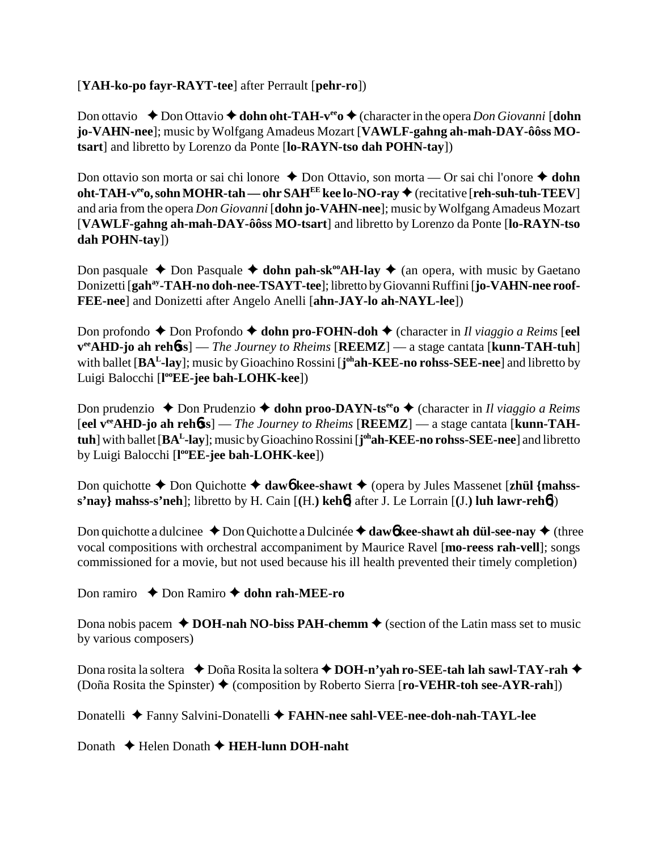# [**YAH-ko-po fayr-RAYT-tee**] after Perrault [**pehr-ro**])

Don ottavio ◆ Don Ottavio ◆ dohn oht-TAH-v<sup>ee</sup>o ◆ (character in the opera *Don Giovanni* [dohn **jo-VAHN-nee**]; music by Wolfgang Amadeus Mozart [**VAWLF-gahng ah-mah-DAY-ôôss MOtsart**] and libretto by Lorenzo da Ponte [**lo-RAYN-tso dah POHN-tay**])

Don ottavio son morta or sai chi lonore ◆ Don Ottavio, son morta — Or sai chi l'onore ◆ dohn **oht-TAH-v<sup>ee</sup>o, sohn MOHR-tah — ohr SAH<sup>EE</sup> kee lo-NO-ray ♦ (recitative [reh-suh-tuh-TEEV]** and aria from the opera *Don Giovanni* [**dohn jo-VAHN-nee**]; music by Wolfgang Amadeus Mozart [**VAWLF-gahng ah-mah-DAY-ôôss MO-tsart**] and libretto by Lorenzo da Ponte [**lo-RAYN-tso dah POHN-tay**])

Don pasquale  $\triangle$  Don Pasquale  $\triangle$  dohn pah-sk<sup>oo</sup>AH-lay  $\triangle$  (an opera, with music by Gaetano Donizetti [**gahay-TAH-no doh-nee-TSAYT-tee**]; libretto by Giovanni Ruffini [**jo-VAHN-nee roof-FEE-nee**] and Donizetti after Angelo Anelli [**ahn-JAY-lo ah-NAYL-lee**])

Don profondo **→** Don Profondo **→ dohn pro-FOHN-doh →** (character in *Il viaggio a Reims* [**eel veeAHD-jo ah reh**6**ss**] — *The Journey to Rheims* [**REEMZ**] — a stage cantata [**kunn-TAH-tuh**] with ballet [**BAL-lay**]; music by Gioachino Rossini [**j ohah-KEE-no rohss-SEE-nee**] and libretto by Luigi Balocchi [**l ooEE-jee bah-LOHK-kee**])

Don prudenzio ◆ Don Prudenzio ◆ **dohn proo-DAYN-ts<sup>ee</sup>o ◆** (character in *Il viaggio a Reims* [**eel veeAHD-jo ah reh**6**ss**] — *The Journey to Rheims* [**REEMZ**] — a stage cantata [**kunn-TAHtuh**] with ballet [**BAL-lay**]; music by Gioachino Rossini [**j ohah-KEE-no rohss-SEE-nee**] and libretto by Luigi Balocchi [**l ooEE-jee bah-LOHK-kee**])

Don quichotte  $\triangle$  Don Quichotte  $\triangle$  daw6 kee-shawt  $\triangle$  (opera by Jules Massenet [zhül {mahss**s'nay} mahss-s'neh**]; libretto by H. Cain [**(**H.**) keh**6] after J. Le Lorrain [**(**J.**) luh lawr-reh**6])

Don quichotte a dulcinee  $\triangle$  Don Quichotte a Dulcinée  $\triangle$  daw6**kee-shawt ah dül-see-nay**  $\triangle$  (three vocal compositions with orchestral accompaniment by Maurice Ravel [**mo-reess rah-vell**]; songs commissioned for a movie, but not used because his ill health prevented their timely completion)

Don ramiro **↓** Don Ramiro **◆ dohn rah-MEE-ro** 

Dona nobis pacem  $\triangle$  **DOH-nah NO-biss PAH-chemm**  $\triangle$  (section of the Latin mass set to music by various composers)

Dona rosita la soltera **↓**Doña Rosita la soltera **↓DOH-n'yah ro-SEE-tah lah sawl-TAY-rah ◆** (Doña Rosita the Spinster) (composition by Roberto Sierra [**ro-VEHR-toh see-AYR-rah**])

Donatelli Fanny Salvini-Donatelli **FAHN-nee sahl-VEE-nee-doh-nah-TAYL-lee**

Donath Helen Donath **HEH-lunn DOH-naht**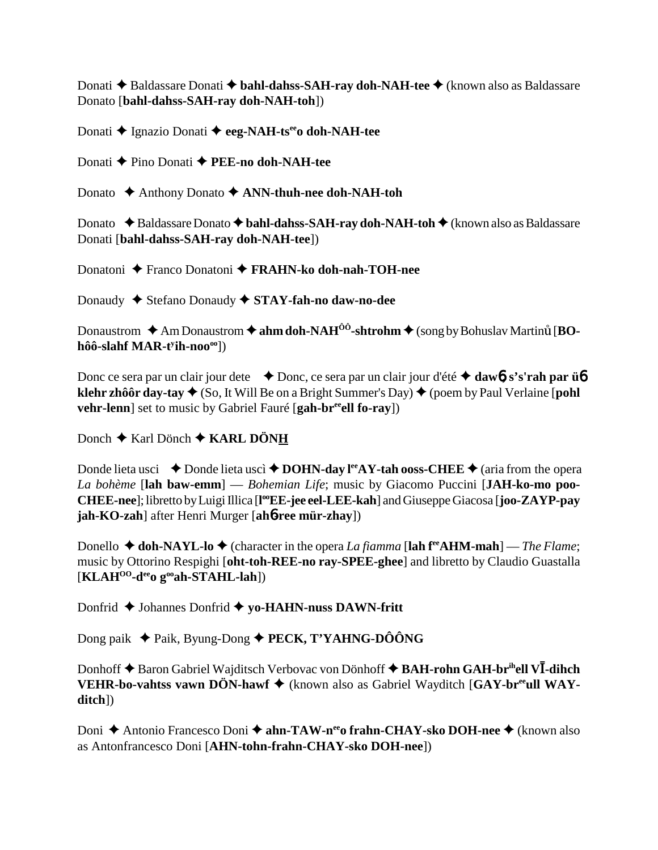Donati ◆ Baldassare Donati ◆ bahl-dahss-SAH-ray doh-NAH-tee ◆ (known also as Baldassare Donato [**bahl-dahss-SAH-ray doh-NAH-toh**])

Donati Ignazio Donati **eeg-NAH-tseeo doh-NAH-tee**

Donati Pino Donati **PEE-no doh-NAH-tee**

Donato Anthony Donato **ANN-thuh-nee doh-NAH-toh**

Donato ◆Baldassare Donato ◆ bahl-dahss-SAH-ray doh-NAH-toh ◆ (known also as Baldassare Donati [**bahl-dahss-SAH-ray doh-NAH-tee**])

Donatoni Franco Donatoni **FRAHN-ko doh-nah-TOH-nee**

Donaudy Stefano Donaudy **STAY-fah-no daw-no-dee**

Donaustrom  $\triangle$  Am Donaustrom  $\triangle$  ahm doh-NAH<sup>ÔÔ</sup>-shtrohm  $\triangle$  (song by Bohuslav Martinum [**BOhôô-slahf MAR-ty ih-noooo**])

Donc ce sera par un clair jour dete **→** Donc, ce sera par un clair jour d'été **→ daw6, s's'rah par ü6 klehr zhôôr day-tay**  $\triangle$  (So, It Will Be on a Bright Summer's Day)  $\triangle$  (poem by Paul Verlaine [**pohl**] **vehr-lenn**] set to music by Gabriel Fauré [gah-br<sup>ee</sup>ell fo-ray])

Donch **←** Karl Dönch ← KARL DÖNH

Donde lieta usci  $\rightarrow$  Donde lieta uscì  $\rightarrow$  DOHN-day l<sup>ee</sup>AY-tah ooss-CHEE  $\rightarrow$  (aria from the opera *La bohème* [**lah baw-emm**] — *Bohemian Life*; music by Giacomo Puccini [**JAH-ko-mo poo-CHEE-nee**]; libretto by Luigi Illica [**l ooEE-jee eel-LEE-kah**] and Giuseppe Giacosa [**joo-ZAYP-pay jah-KO-zah**] after Henri Murger [**ah**6**-ree mür-zhay**])

Donello  $\triangle$  **doh-NAYL-lo**  $\triangle$  (character in the opera *La fiamma* [lah f<sup>ee</sup>AHM-mah] — *The Flame*; music by Ottorino Respighi [**oht-toh-REE-no ray-SPEE-ghee**] and libretto by Claudio Guastalla [**KLAHOO-deeo gooah-STAHL-lah**])

Donfrid **←** Johannes Donfrid ← yo-HAHN-nuss DAWN-fritt

Dong paik ◆ Paik, Byung-Dong ◆ **PECK, T'YAHNG-DÔÔNG** 

Donhoff  $\blacklozenge$  Baron Gabriel Wajditsch Verbovac von Dönhoff  $\blacklozenge$  **BAH-rohn GAH-br<sup>ih</sup>ell VI-dihch VEHR-bo-vahtss vawn DÖN-hawf ♦** (known also as Gabriel Wayditch [GAY-br<sup>ee</sup>ull WAY**ditch**])

Doni ◆ Antonio Francesco Doni ◆ ahn-TAW-n<sup>ee</sup>o frahn-CHAY-sko DOH-nee ◆ (known also as Antonfrancesco Doni [**AHN-tohn-frahn-CHAY-sko DOH-nee**])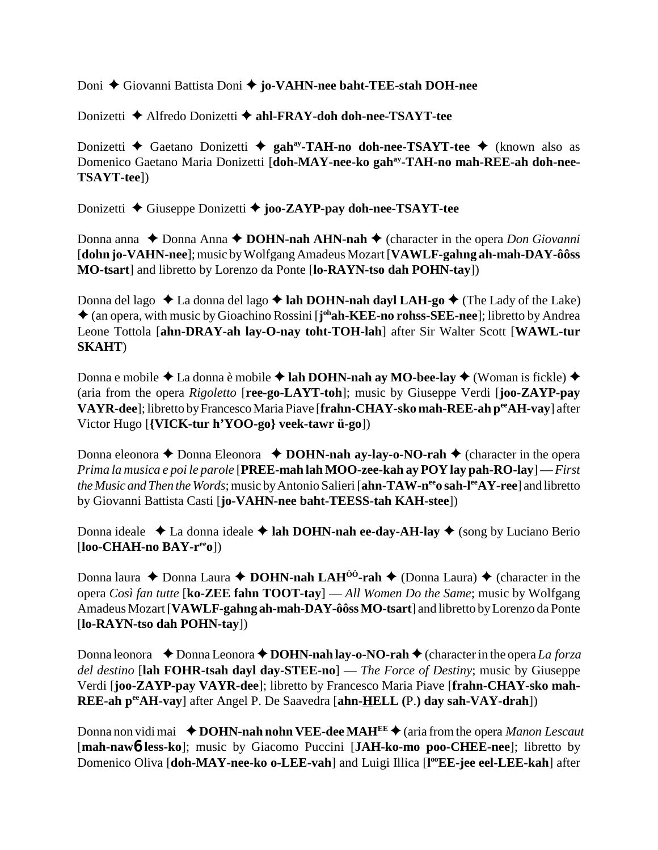Doni Giovanni Battista Doni **jo-VAHN-nee baht-TEE-stah DOH-nee**

Donizetti Alfredo Donizetti **ahl-FRAY-doh doh-nee-TSAYT-tee**

Donizetti **←** Gaetano Donizetti ← gah<sup>ay</sup>-TAH-no doh-nee-TSAYT-tee ← (known also as Domenico Gaetano Maria Donizetti [**doh-MAY-nee-ko gahay-TAH-no mah-REE-ah doh-nee-TSAYT-tee**])

Donizetti Giuseppe Donizetti **joo-ZAYP-pay doh-nee-TSAYT-tee**

Donna anna ◆ Donna Anna ◆ **DOHN-nah AHN-nah ◆** (character in the opera *Don Giovanni* [**dohn jo-VAHN-nee**]; music by Wolfgang Amadeus Mozart [**VAWLF-gahng ah-mah-DAY-ôôss MO-tsart**] and libretto by Lorenzo da Ponte [**lo-RAYN-tso dah POHN-tay**])

Donna del lago ◆ La donna del lago ◆ lah DOHN-nah dayl LAH-go ◆ (The Lady of the Lake) ◆ (an opera, with music by Gioachino Rossini [j<sup>oh</sup>ah-KEE-no rohss-SEE-nee]; libretto by Andrea Leone Tottola [**ahn-DRAY-ah lay-O-nay toht-TOH-lah**] after Sir Walter Scott [**WAWL-tur SKAHT**)

Donna e mobile ◆ La donna è mobile ◆ lah DOHN-nah ay MO-bee-lay ◆ (Woman is fickle) ◆ (aria from the opera *Rigoletto* [**ree-go-LAYT-toh**]; music by Giuseppe Verdi [**joo-ZAYP-pay VAYR-dee**]; libretto by Francesco Maria Piave [**frahn-CHAY-sko mah-REE-ah peeAH-vay**] after Victor Hugo [**{VICK-tur h'YOO-go} veek-tawr ü-go**])

Donna eleonora ◆ Donna Eleonora → **DOHN-nah ay-lay-o-NO-rah** ◆ (character in the opera *Prima la musica e poi le parole* [**PREE-mah lah MOO-zee-kah ay POY lay pah-RO-lay**] — *First the Music and Then the Words*; music by Antonio Salieri [**ahn-TAW-n<sup>ee</sup>o sah-l<sup>ee</sup>AY-ree**] and libretto by Giovanni Battista Casti [**jo-VAHN-nee baht-TEESS-tah KAH-stee**])

Donna ideale  $\triangle$  La donna ideale  $\triangle$  lah DOHN-nah ee-day-AH-lay  $\triangle$  (song by Luciano Berio [**loo-CHAH-no BAY-reeo**])

Donna laura  $\triangle$  Donna Laura  $\triangle$  **DOHN-nah LAH<sup>ôô</sup>-rah**  $\triangle$  (Donna Laura)  $\triangle$  (character in the opera *Così fan tutte* [**ko-ZEE fahn TOOT-tay**] — *All Women Do the Same*; music by Wolfgang Amadeus Mozart [**VAWLF-gahng ah-mah-DAY-ôôss MO-tsart**] and libretto by Lorenzo da Ponte [**lo-RAYN-tso dah POHN-tay**])

Donna leonora  $\bullet$  Donna Leonora  $\bullet$  **DOHN-nah lay-o-NO-rah**  $\bullet$  (character in the opera *La forza del destino* [**lah FOHR-tsah dayl day-STEE-no**] — *The Force of Destiny*; music by Giuseppe Verdi [**joo-ZAYP-pay VAYR-dee**]; libretto by Francesco Maria Piave [**frahn-CHAY-sko mah-REE-ah peeAH-vay**] after Angel P. De Saavedra [**ahn-HELL (**P.**) day sah-VAY-drah**])

Donna non vidi mai **→ DOHN-nah nohn VEE-dee MAH<sup>EE</sup> →** (aria from the opera *Manon Lescaut* [**mah-naw**6 **less-ko**]; music by Giacomo Puccini [**JAH-ko-mo poo-CHEE-nee**]; libretto by Domenico Oliva [doh-MAY-nee-ko o-LEE-vah] and Luigi Illica [l<sup>oo</sup>EE-jee eel-LEE-kah] after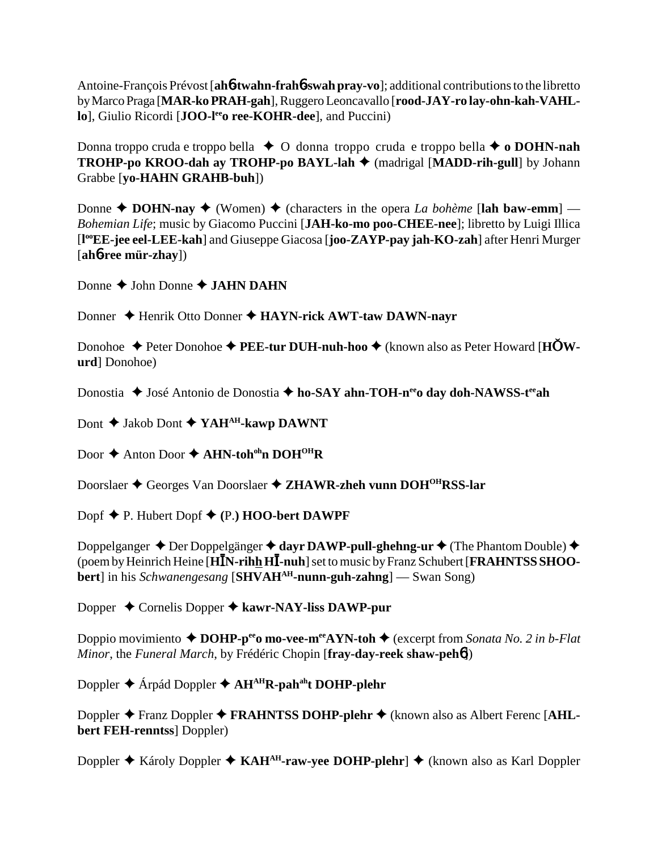Antoine-François Prévost [**ah**6**-twahn-frah**6**-swah pray-vo**]; additional contributions to the libretto by Marco Praga [**MAR-ko PRAH-gah**], Ruggero Leoncavallo [**rood-JAY-ro lay-ohn-kah-VAHLlo**], Giulio Ricordi [JOO-l<sup>ee</sup> ree-KOHR-dee], and Puccini)

Donna troppo cruda e troppo bella **→** O donna troppo cruda e troppo bella **→ o DOHN-nah TROHP-po KROO-dah ay TROHP-po BAYL-lah ♦** (madrigal [MADD-rih-gull] by Johann Grabbe [**yo-HAHN GRAHB-buh**])

Donne  $\triangle$  **DOHN-nay**  $\triangle$  (Women)  $\triangle$  (characters in the opera *La bohème* [lah baw-emm] — *Bohemian Life*; music by Giacomo Puccini [**JAH-ko-mo poo-CHEE-nee**]; libretto by Luigi Illica [**l ooEE-jee eel-LEE-kah**] and Giuseppe Giacosa [**joo-ZAYP-pay jah-KO-zah**] after Henri Murger [**ah**6**-ree mür-zhay**])

Donne  $\triangle$  John Donne  $\triangle$  JAHN DAHN

Donner ♦ Henrik Otto Donner ♦ HAYN-rick AWT-taw DAWN-nayr

Donohoe ♦ Peter Donohoe ♦ PEE-tur DUH-nuh-hoo ♦ (known also as Peter Howard [HOW**urd**] Donohoe)

Donostia ◆ José Antonio de Donostia ◆ ho-SAY ahn-TOH-n<sup>ee</sup>o day doh-NAWSS-t<sup>ee</sup>ah

Dont **↓** Jakob Dont **◆ YAH<sup>AH</sup>-kawp DAWNT** 

Door  $\triangle$  Anton Door  $\triangle$  AHN-toh<sup>oh</sup>n DOH<sup>OH</sup>R

Doorslaer Georges Van Doorslaer **ZHAWR-zheh vunn DOHOHRSS-lar**

Dopf P. Hubert Dopf **(**P.**) HOO-bert DAWPF**

Doppelganger **→** Der Doppelgänger **→ dayr DAWP-pull-ghehng-ur →** (The Phantom Double) → (poem by Heinrich Heine [HIN-rihh HI-nuh] set to music by Franz Schubert [**FRAHNTSS SHOObert**] in his *Schwanengesang* [**SHVAHAH-nunn-guh-zahng**] — Swan Song)

Dopper Cornelis Dopper **kawr-NAY-liss DAWP-pur**

Doppio movimiento **→ DOHP-p<sup>ee</sup>o mo-vee-m<sup>ee</sup>AYN-toh →** (excerpt from *Sonata No. 2 in b-Flat Minor*, the *Funeral March*, by Frédéric Chopin [**fray-day-reek shaw-peh**6])

Doppler ◆ Árpád Doppler ◆ AH<sup>AH</sup>R-pah<sup>ah</sup>t DOHP-plehr

Doppler ◆ Franz Doppler ◆ FRAHNTSS DOHP-plehr ◆ (known also as Albert Ferenc [AHL**bert FEH-renntss**] Doppler)

Doppler **◆** Károly Doppler ◆ KAH<sup>AH</sup>-raw-yee DOHP-plehr] ◆ (known also as Karl Doppler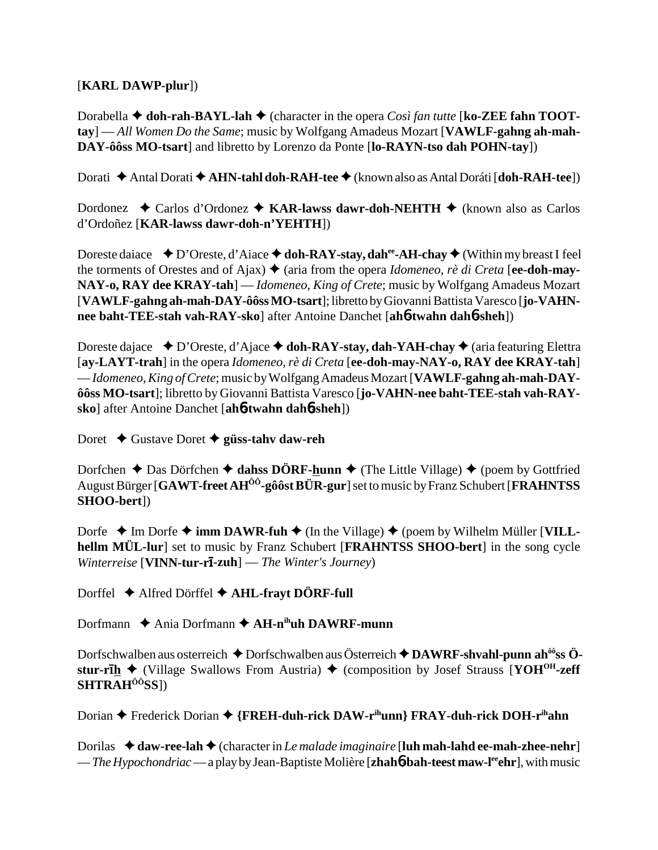## [**KARL DAWP-plur**])

Dorabella **→ doh-rah-BAYL-lah →** (character in the opera *Così fan tutte* [**ko-ZEE fahn TOOTtay**] — *All Women Do the Same*; music by Wolfgang Amadeus Mozart [**VAWLF-gahng ah-mah-DAY-ôôss MO-tsart**] and libretto by Lorenzo da Ponte [**lo-RAYN-tso dah POHN-tay**])

Dorati Antal Dorati **AHN-tahl doh-RAH-tee** (known also as Antal Doráti [**doh-RAH-tee**])

Dordonez ◆ Carlos d'Ordonez ◆ KAR-lawss dawr-doh-NEHTH ◆ (known also as Carlos d'Ordoñez [**KAR-lawss dawr-doh-n'YEHTH**])

Doreste daiace  $\bullet$  D'Oreste, d'Aiace  $\bullet$  doh-RAY-stay, dah<sup>ee</sup>-AH-chay  $\bullet$  (Within my breast I feel the torments of Orestes and of Ajax)  $\triangle$  (aria from the opera *Idomeneo, rè di Creta* [ee-doh-may-**NAY-o, RAY dee KRAY-tah**] — *Idomeneo, King of Crete*; music by Wolfgang Amadeus Mozart [**VAWLF-gahng ah-mah-DAY-ôôss MO-tsart**]; libretto by Giovanni Battista Varesco [**jo-VAHNnee baht-TEE-stah vah-RAY-sko**] after Antoine Danchet [**ah**6**-twahn dah**6**-sheh**])

Doreste dajace **↓**D'Oreste, d'Ajace **→ doh-RAY-stay, dah-YAH-chay →** (aria featuring Elettra [**ay-LAYT-trah**] in the opera *Idomeneo, rè di Creta* [**ee-doh-may-NAY-o, RAY dee KRAY-tah**] — *Idomeneo, King of Crete*; music by Wolfgang Amadeus Mozart [**VAWLF-gahng ah-mah-DAYôôss MO-tsart**]; libretto by Giovanni Battista Varesco [**jo-VAHN-nee baht-TEE-stah vah-RAYsko**] after Antoine Danchet [**ah**6**-twahn dah**6**-sheh**])

Doret **→** Gustave Doret → güss-tahv daw-reh

Dorfchen  $\triangle$  Das Dörfchen  $\triangle$  dahss DÖRF-hunn  $\triangle$  (The Little Village)  $\triangle$  (poem by Gottfried August Bürger [**GAWT-freet AHÔÔ-gôôst BÜR-gur**] set to music by Franz Schubert [**FRAHNTSS SHOO-bert**])

Dorfe  $\triangle$  Im Dorfe  $\triangle$  **imm DAWR-fuh**  $\triangle$  (In the Village)  $\triangle$  (poem by Wilhelm Müller [VILL**hellm MÜL-lur**] set to music by Franz Schubert [**FRAHNTSS SHOO-bert**] in the song cycle *Winterreise* [**VINN-tur-r-zuh**] — *The Winter's Journey*)

Dorffel **←** Alfred Dörffel ← AHL-frayt DÖRF-full

Dorfmann ◆ Ania Dorfmann **◆ AH-n<sup>ih</sup>uh DAWRF-munn** 

Dorfschwalben aus osterreich ◆ Dorfschwalben aus Österreich ◆ DAWRF-shvahl-punn ah<sup>ôô</sup>ss Ö**stur-r<del></del>h**  $\blacklozenge$  (Village Swallows From Austria)  $\blacklozenge$  (composition by Josef Strauss [**YOH<sup>OH</sup>-zeff SHTRAHÔÔSS**])

Dorian **←** Frederick Dorian ← {FREH-duh-rick DAW-r<sup>ih</sup>unn} FRAY-duh-rick DOH-r<sup>ih</sup>ahn

Dorilas ◆ **daw-ree-lah ◆** (character in *Le malade imaginaire* [**luh mah-lahd ee-mah-zhee-nehr**] — *The Hypochondriac* — a play by Jean-Baptiste Molière [**zhah6-bah-teest maw-l<sup>ee</sup>ehr**], with music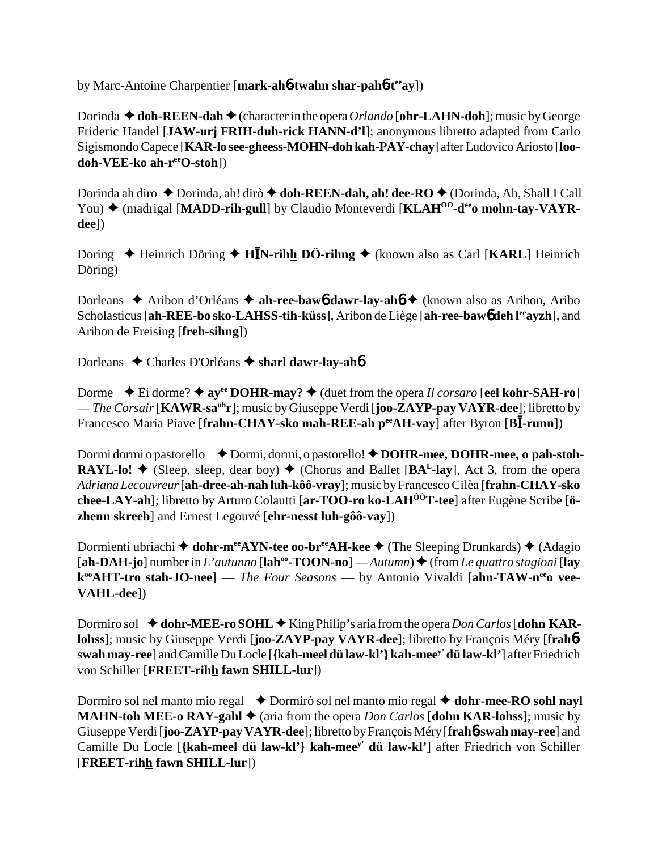by Marc-Antoine Charpentier [**mark-ah**6**-twahn shar-pah**6**-teeay**])

Dorinda  $\blacklozenge$  **doh-REEN-dah**  $\blacklozenge$  (character in the opera *Orlando* [**ohr-LAHN-doh**]; music by George Frideric Handel [**JAW-urj FRIH-duh-rick HANN-d'l**]; anonymous libretto adapted from Carlo Sigismondo Capece [**KAR-lo see-gheess-MOHN-doh kah-PAY-chay**] after Ludovico Ariosto [**loodoh-VEE-ko ah-reeO-stoh**])

Dorinda ah diro ◆ Dorinda, ah! dirò ◆ **doh-REEN-dah, ah! dee-RO** ◆ (Dorinda, Ah, Shall I Call You)  $\triangle$  (madrigal [MADD-rih-gull] by Claudio Monteverdi [KLAH<sup>00</sup>-d<sup>ee</sup>o mohn-tay-VAYR**dee**])

Doring ◆ Heinrich Döring ◆ H**IN-rihh DÖ-rihng** ◆ (known also as Carl [KARL] Heinrich Döring)

Dorleans ◆ Aribon d'Orléans ◆ ah-ree-baw6 dawr-lay-ah6 ◆ (known also as Aribon, Aribo Scholasticus [**ah-REE-bo sko-LAHSS-tih-küss**], Aribon de Liège [**ah-ree-baw6** deh l<sup>ee</sup>ayzh], and Aribon de Freising [**freh-sihng**])

Dorleans Charles D'Orléans **sharl dawr-lay-ah**6

Dorme  $\blacklozenge$  Ei dorme?  $\blacklozenge$  ay<sup>ee</sup> DOHR-may?  $\blacklozenge$  (duet from the opera *Il corsaro* [eel kohr-SAH-ro] — *The Corsair* [KAWR-sa<sup>uh</sup>r]; music by Giuseppe Verdi [**joo-ZAYP-pay VAYR-dee**]; libretto by Francesco Maria Piave [frahn-CHAY-sko mah-REE-ah peeAH-vay] after Byron [BI-runn])

Dormi dormi o pastorello **◆ Dormi**, dormi, o pastorello! ◆ DOHR-mee, DOHR-mee, o pah-stoh-**RAYL-lo!**  $\blacklozenge$  (Sleep, sleep, dear boy)  $\blacklozenge$  (Chorus and Ballet [BA<sup>L</sup>-lay], Act 3, from the opera *Adriana Lecouvreur* [**ah-dree-ah-nah luh-kôô-vray**]; music by Francesco Cilèa [**frahn-CHAY-sko chee-LAY-ah**]; libretto by Arturo Colautti [**ar-TOO-ro ko-LAHÔÔT-tee**] after Eugène Scribe [**özhenn skreeb**] and Ernest Legouvé [**ehr-nesst luh-gôô-vay**])

Dormienti ubriachi **→ dohr-m<sup>ee</sup>AYN-tee oo-br<sup>ee</sup>AH-kee →** (The Sleeping Drunkards) ◆ (Adagio  $[\mathbf{ah}\text{-}\mathbf{DAH}\text{-}\mathbf{jo}]$  number in *L'autunno*  $[\mathbf{lah}^{\text{oo}}\text{-}\mathbf{TOON}\text{-}\mathbf{no}]$  — *Autumn* $\mathbf{on}$  + (from *Le quattro stagioni*  $[\mathbf{lay}]$ k<sup>oo</sup>AHT-tro stah-JO-nee] — *The Four Seasons* — by Antonio Vivaldi [ahn-TAW-nee vee-**VAHL-dee**])

Dormiro sol  $\triangleleft$  **dohr-MEE-ro SOHL**  $\triangleleft$  King Philip's aria from the opera *Don Carlos* [**dohn KARlohss**]; music by Giuseppe Verdi [**joo-ZAYP-pay VAYR-dee**]; libretto by François Méry [**frah**6 **swah may-ree**] and Camille Du Locle [**{kah-meel dü law-kl'} kah-meey' dü law-kl'**] after Friedrich von Schiller [**FREET-rihh fawn SHILL-lur**])

Dormiro sol nel manto mio regal **↓** Dormirò sol nel manto mio regal **→ dohr-mee-RO sohl nayl MAHN-toh MEE-o RAY-gahl**  $\triangleq$  (aria from the opera *Don Carlos* [**dohn KAR-lohss**]; music by Giuseppe Verdi [**joo-ZAYP-pay VAYR-dee**]; libretto by François Méry [**frah**6**-swah may-ree**] and Camille Du Locle [**{kah-meel dü law-kl'} kah-meey' dü law-kl'**] after Friedrich von Schiller [**FREET-rihh fawn SHILL-lur**])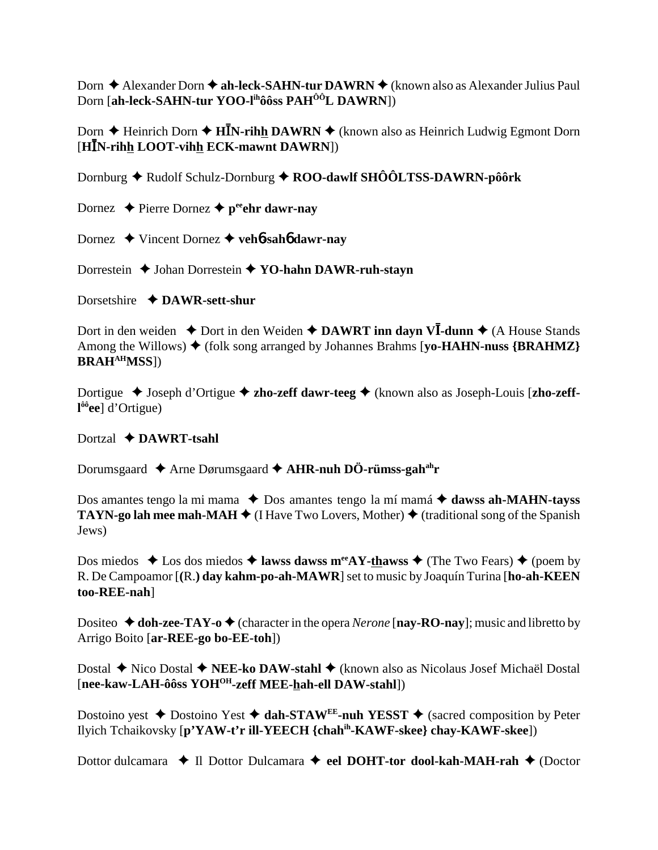Dorn ◆ Alexander Dorn ◆ ah-leck-SAHN-tur DAWRN ◆ (known also as Alexander Julius Paul Dorn [**ah-leck-SAHN-tur YOO-lihôôss PAHÔÔL DAWRN**])

Dorn ◆ Heinrich Dorn ◆ H**IN-rih<u>h</u> DAWRN** ◆ (known also as Heinrich Ludwig Egmont Dorn [HIN-rihh LOOT-vihh ECK-mawnt DAWRN])

Dornburg ◆ Rudolf Schulz-Dornburg ◆ ROO-dawlf SHÔÔLTSS-DAWRN-pôôrk

Dornez  $\triangle$  Pierre Dornez  $\triangle$  p<sup>ee</sup>ehr dawr-nay

Dornez Vincent Dornez **veh**6**-sah**6 **dawr-nay**

Dorrestein **→** Johan Dorrestein **→ YO-hahn DAWR-ruh-stayn** 

Dorsetshire **DAWR-sett-shur**

Dort in den weiden ◆ Dort in den Weiden ◆ DAWRT inn dayn VI-dunn ◆ (A House Stands Among the Willows)  $\blacklozenge$  (folk song arranged by Johannes Brahms [yo-HAHN-nuss  ${BRAHMZ}$ } **BRAHAHMSS**])

Dortigue ◆ Joseph d'Ortigue ◆ zho-zeff dawr-teeg ◆ (known also as Joseph-Louis [zho-zeff**l ôôee**] d'Ortigue)

## Dortzal **DAWRT-tsahl**

Dorumsgaard Arne Dørumsgaard **AHR-nuh DÖ-rümss-gahahr**

Dos amantes tengo la mi mama ◆ Dos amantes tengo la mí mamá ◆ dawss ah-MAHN-tayss **TAYN-go lah mee mah-MAH**  $\blacklozenge$  (I Have Two Lovers, Mother)  $\blacklozenge$  (traditional song of the Spanish Jews)

Dos miedos  $\triangle$  Los dos miedos  $\triangle$  **lawss dawss m<sup>ee</sup>AY-thawss**  $\triangle$  (The Two Fears)  $\triangle$  (poem by R. De Campoamor [**(**R.**) day kahm-po-ah-MAWR**] set to music by Joaquín Turina [**ho-ah-KEEN too-REE-nah**]

Dositeo  $\triangle$  doh-zee-TAY-o  $\triangle$  (character in the opera *Nerone* [nay-RO-nay]; music and libretto by Arrigo Boito [**ar-REE-go bo-EE-toh**])

Dostal ◆ Nico Dostal ◆ **NEE-ko DAW-stahl** ◆ (known also as Nicolaus Josef Michaël Dostal [**nee-kaw-LAH-ôôss YOHOH-zeff MEE-hah-ell DAW-stahl**])

Dostoino yest  $\triangle$  Dostoino Yest  $\triangle$  dah-STAW<sup>EE</sup>-nuh YESST  $\triangle$  (sacred composition by Peter Ilyich Tchaikovsky [**p'YAW-t'r ill-YEECH {chahih-KAWF-skee} chay-KAWF-skee**])

Dottor dulcamara **→ Il Dottor Dulcamara → eel DOHT-tor dool-kah-MAH-rah** ◆ (Doctor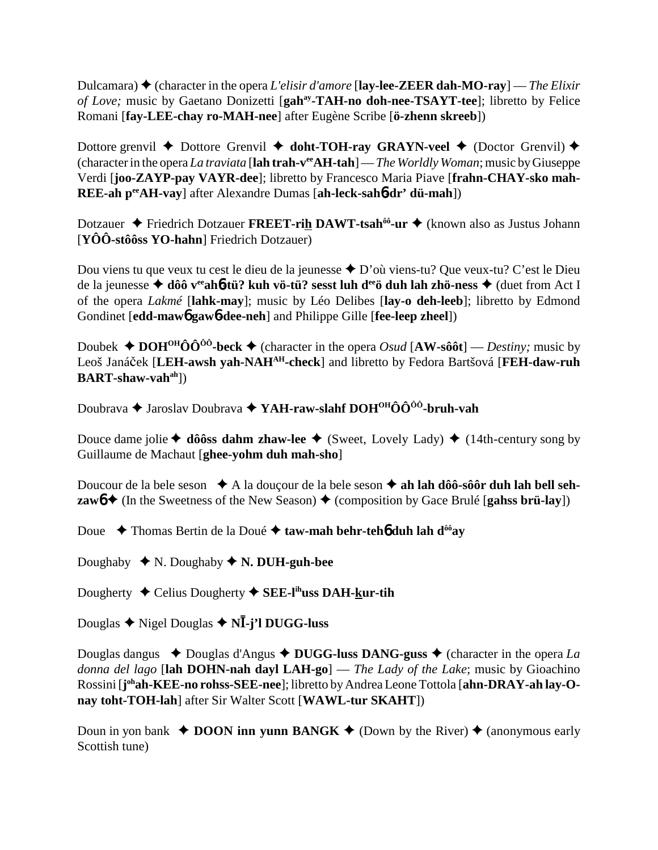Dulcamara) (character in the opera *L'elisir d'amore* [**lay-lee-ZEER dah-MO-ray**] — *The Elixir of Love;* music by Gaetano Donizetti [**gah<sup>ay</sup>-TAH-no doh-nee-TSAYT-tee**]; libretto by Felice Romani [**fay-LEE-chay ro-MAH-nee**] after Eugène Scribe [**ö-zhenn skreeb**])

Dottore grenvil **←** Dottore Grenvil **← doht-TOH-ray GRAYN-veel ←** (Doctor Grenvil) ← (character in the opera *La traviata* [**lah trah-veeAH-tah**] — *The Worldly Woman*; music by Giuseppe Verdi [**joo-ZAYP-pay VAYR-dee**]; libretto by Francesco Maria Piave [**frahn-CHAY-sko mah-REE-ah peeAH-vay**] after Alexandre Dumas [**ah-leck-sah**6**-dr' dü-mah**])

Dotzauer **→** Friedrich Dotzauer **FREET-rih DAWT-tsah<sup>ôô</sup>-ur →** (known also as Justus Johann [**YÔÔ-stôôss YO-hahn**] Friedrich Dotzauer)

Dou viens tu que veux tu cest le dieu de la jeunesse  $\triangle$  D'où viens-tu? Que veux-tu? C'est le Dieu de la jeunesse ◆ dôô v<sup>ee</sup>ah6-tü? kuh vö-tü? sesst luh d<sup>ee</sup>ö duh lah zhö-ness ◆ (duet from Act I of the opera *Lakmé* [**lahk-may**]; music by Léo Delibes [**lay-o deh-leeb**]; libretto by Edmond Gondinet [**edd-maw**6 **gaw**6**-dee-neh**] and Philippe Gille [**fee-leep zheel**])

Doubek  $\triangle$  **DOH<sup>OH</sup>ÔÔ<sup>ôô</sup>-beck**  $\triangle$  (character in the opera *Osud* [AW-sôôt] — *Destiny*; music by Leoš Janáek [**LEH-awsh yah-NAHAH-check**] and libretto by Fedora Bartšová [**FEH-daw-ruh BART-shaw-vahah**])

Doubrava **→** Jaroslav Doubrava → YAH-raw-slahf DOH<sup>OH</sup>ÔÔ<sup>ôô</sup>-bruh-vah

Douce dame jolie  $\blacklozenge$  **dôôss dahm zhaw-lee**  $\blacklozenge$  (Sweet, Lovely Lady)  $\blacklozenge$  (14th-century song by Guillaume de Machaut [**ghee-yohm duh mah-sho**]

Doucour de la bele seson **→** A la douçour de la bele seson → ah lah dôô-sôôr duh lah bell seh**zaw** $6 \leftrightarrow$  (In the Sweetness of the New Season)  $\leftrightarrow$  (composition by Gace Brulé [**gahss brü-lay**])

Doue  **→** Thomas Bertin de la Doué → taw-mah behr-teh**6** duh lah d<sup>ôô</sup>ay

Doughaby  $\blacklozenge N$ . Doughaby  $\blacklozenge N$ . DUH-guh-bee

Dougherty Celius Dougherty **SEE-lihuss DAH-kur-tih**

Douglas Nigel Douglas **N**-**-j'l DUGG-luss**

Douglas dangus  $\triangle$  Douglas d'Angus  $\triangle$  DUGG-luss DANG-guss  $\triangle$  (character in the opera *La donna del lago* [**lah DOHN-nah dayl LAH-go**] — *The Lady of the Lake*; music by Gioachino Rossini [**j ohah-KEE-no rohss-SEE-nee**]; libretto by Andrea Leone Tottola [**ahn-DRAY-ah lay-Onay toht-TOH-lah**] after Sir Walter Scott [**WAWL-tur SKAHT**])

Doun in yon bank  $\triangle$  **DOON inn yunn BANGK**  $\triangle$  (Down by the River)  $\triangle$  (anonymous early Scottish tune)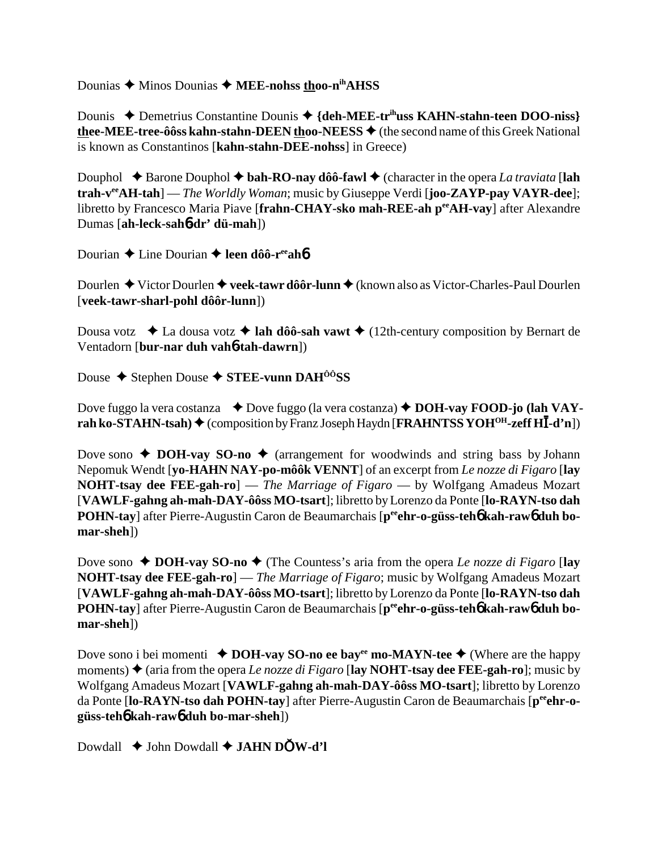Dounias  $\triangle$  Minos Dounias  $\triangle$  MEE-nohss thoo-n<sup>ih</sup>AHSS

Dounis ◆ Demetrius Constantine Dounis ◆ {deh-MEE-tr<sup>ih</sup>uss KAHN-stahn-teen DOO-niss} thee-MEE-tree-ôôss kahn-stahn-DEEN thoo-NEESS  $\blacklozenge$  (the second name of this Greek National is known as Constantinos [kahn-stahn-DEE-nohss] in Greece)

Douphol  $\triangle$  Barone Douphol  $\triangle$  bah-RO-nay dôô-fawl  $\triangle$  (character in the opera La traviata [lah trah- $v^{ee}AH-tah$ ] — The Worldly Woman; music by Giuseppe Verdi [joo-ZAYP-pay VAYR-dee]; libretto by Francesco Maria Piave [frahn-CHAY-sko mah-REE-ah per AH-vay] after Alexandre Dumas [ah-leck-sah6-dr' dü-mah])

Dourian  $\triangle$  Line Dourian  $\triangle$  leen dôô-r<sup>ee</sup>ah**ó** 

Dourlen  $\blacklozenge$  Victor Dourlen  $\blacklozenge$  veek-tawr dôôr-lunn  $\blacklozenge$  (known also as Victor-Charles-Paul Dourlen [veek-tawr-sharl-pohl dôôr-lunn])

Dousa votz  $\bullet$  La dousa votz  $\bullet$  lah dôô-sah vawt  $\bullet$  (12th-century composition by Bernart de Ventadorn [bur-nar duh vah**6-tah-dawrn**])

Douse  $\blacklozenge$  Stephen Douse  $\blacklozenge$  STEE-vunn DAH<sup>ôô</sup>SS

Dove fuggo la vera costanza  $\rightarrow$  Dove fuggo (la vera costanza)  $\rightarrow$  DOH-vay FOOD-jo (lah VAYrah ko-STAHN-tsah)  $\blacklozenge$  (composition by Franz Joseph Haydn [FRAHNTSS YOH<sup>OH</sup>-zeff HI-d'n])

Dove sono  $\triangle$  DOH-vay SO-no  $\triangle$  (arrangement for woodwinds and string bass by Johann Nepomuk Wendt [yo-HAHN NAY-po-môôk VENNT] of an excerpt from Le nozze di Figaro [lay **NOHT-tsay dee FEE-gah-ro**] — *The Marriage of Figaro* — by Wolfgang Amadeus Mozart [VAWLF-gahng ah-mah-DAY-ôôss MO-tsart]; libretto by Lorenzo da Ponte [lo-RAYN-tso dah POHN-tay] after Pierre-Augustin Caron de Beaumarchais [pee hr-o-güss-teho kah-rawo duh bomar-sheh])

Dove sono  $\triangle$  DOH-vay SO-no  $\triangle$  (The Countess's aria from the opera Le nozze di Figaro [lay NOHT-tsay dee FEE-gah-ro] — The Marriage of Figaro; music by Wolfgang Amadeus Mozart [VAWLF-gahng ah-mah-DAY-ôôss MO-tsart]; libretto by Lorenzo da Ponte [lo-RAYN-tso dah **POHN-tay** after Pierre-Augustin Caron de Beaumarchais [p<sup>ee</sup> ehr-o-güss-teh<sup>6</sup> kah-raw<sup>6</sup> duh bomar-sheh])

Dove sono i bei momenti  $\triangle$  DOH-vay SO-no ee bay<sup>ee</sup> mo-MAYN-tee  $\triangle$  (Where are the happy moments)  $\triangle$  (aria from the opera *Le nozze di Figaro* [lay NOHT-tsay dee FEE-gah-ro]; music by Wolfgang Amadeus Mozart [VAWLF-gahng ah-mah-DAY-ôôss MO-tsart]; libretto by Lorenzo da Ponte [lo-RAYN-tso dah POHN-tay] after Pierre-Augustin Caron de Beaumarchais [peehr-ogüss-teh kah-raw duh bo-mar-sheh]

Dowdall  $\triangle$  John Dowdall  $\triangle$  JAHN DOW-d'l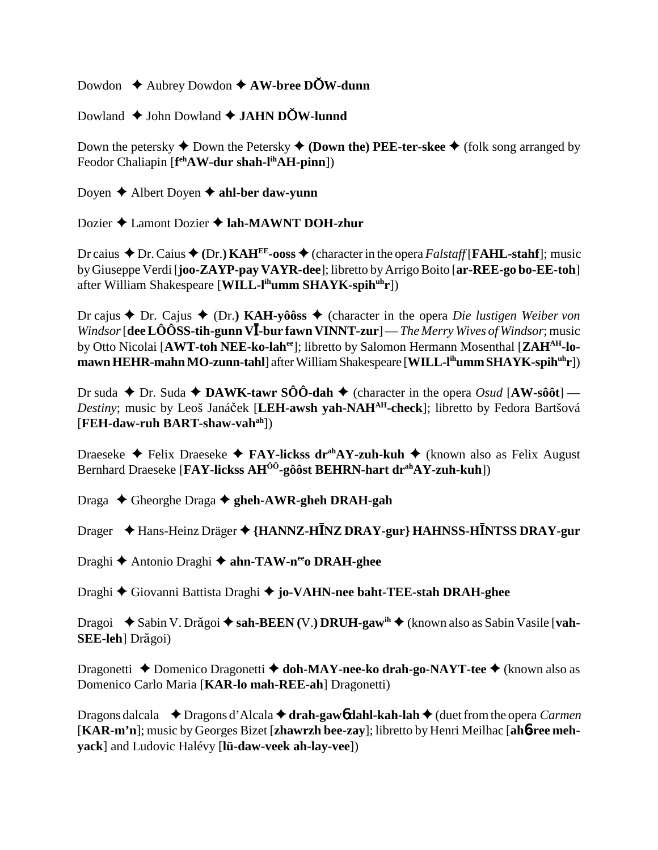Dowdon **→** Aubrey Dowdon **→ AW-bree DOW-dunn** 

Dowland **↓** John Dowland **→ JAHN DOW-lunnd** 

Down the petersky  $\blacklozenge$  Down the Petersky  $\blacklozenge$  (Down the) PEE-ter-skee  $\blacklozenge$  (folk song arranged by Feodor Chaliapin [**f ehAW-dur shah-lihAH-pinn**])

Doyen **→** Albert Doyen **→ ahl-ber daw-yunn** 

Dozier **→** Lamont Dozier **→ lah-MAWNT DOH-zhur** 

Dr caius  $\triangle$  Dr. Caius  $\triangle$  (Dr.) KAH<sup>EE</sup>-ooss  $\triangle$  (character in the opera *Falstaff* [**FAHL-stahf**]; music by Giuseppe Verdi [**joo-ZAYP-pay VAYR-dee**]; libretto by Arrigo Boito [**ar-REE-go bo-EE-toh**] after William Shakespeare [**WILL-lihumm SHAYK-spihuhr**])

Dr cajus  $\triangle$  Dr. Cajus  $\triangle$  (Dr.) **KAH-yôôss**  $\triangle$  (character in the opera *Die lustigen Weiber von Windsor* [dee LÔÔSS-tih-gunn VI-bur fawn VINNT-zur] — *The Merry Wives of Windsor*; music by Otto Nicolai [**AWT-toh NEE-ko-lahee**]; libretto by Salomon Hermann Mosenthal [**ZAHAH-lomawn HEHR-mahn MO-zunn-tahl**] after William Shakespeare [**WILL-lihumm SHAYK-spihuhr**])

Dr suda  $\blacklozenge$  Dr. Suda  $\blacklozenge$  **DAWK-tawr SÔÔ-dah**  $\blacklozenge$  (character in the opera *Osud* [AW-sôôt] — *Destiny*; music by Leoš Janáček [LEH-awsh yah-NAH<sup>AH</sup>-check]; libretto by Fedora Bartšová [**FEH-daw-ruh BART-shaw-vahah**])

Draeseke **→** Felix Draeseke → FAY-lickss dr<sup>ah</sup>AY-zuh-kuh → (known also as Felix August Bernhard Draeseke [**FAY-lickss AHÔÔ-gôôst BEHRN-hart drahAY-zuh-kuh**])

Draga Gheorghe Draga **gheh-AWR-gheh DRAH-gah**

**Drager ◆ Hans-Heinz Dräger ◆ {HANNZ-HĪNZ DRAY-gur} HAHNSS-HĪNTSS DRAY-gur** 

Draghi **←** Antonio Draghi ← ahn-TAW-n<sup>ee</sup>o DRAH-ghee

Draghi Giovanni Battista Draghi **jo-VAHN-nee baht-TEE-stah DRAH-ghee**

Dragoi ◆ Sabin V. Drăgoi ◆ sah-BEEN (V.) DRUH-gaw<sup>ih</sup> ◆ (known also as Sabin Vasile [**vah-SEE-leh** Drăgoi)

Dragonetti **→** Domenico Dragonetti **→ doh-MAY-nee-ko drah-go-NAYT-tee** → (known also as Domenico Carlo Maria [**KAR-lo mah-REE-ah**] Dragonetti)

Dragons dalcala **→** Dragons d'Alcala → **drah-gaw6** dahl-kah-lah → (duet from the opera *Carmen* [**KAR-m'n**]; music by Georges Bizet [**zhawrzh bee-zay**]; libretto by Henri Meilhac [**ah**6**-ree mehyack**] and Ludovic Halévy [**lü-daw-veek ah-lay-vee**])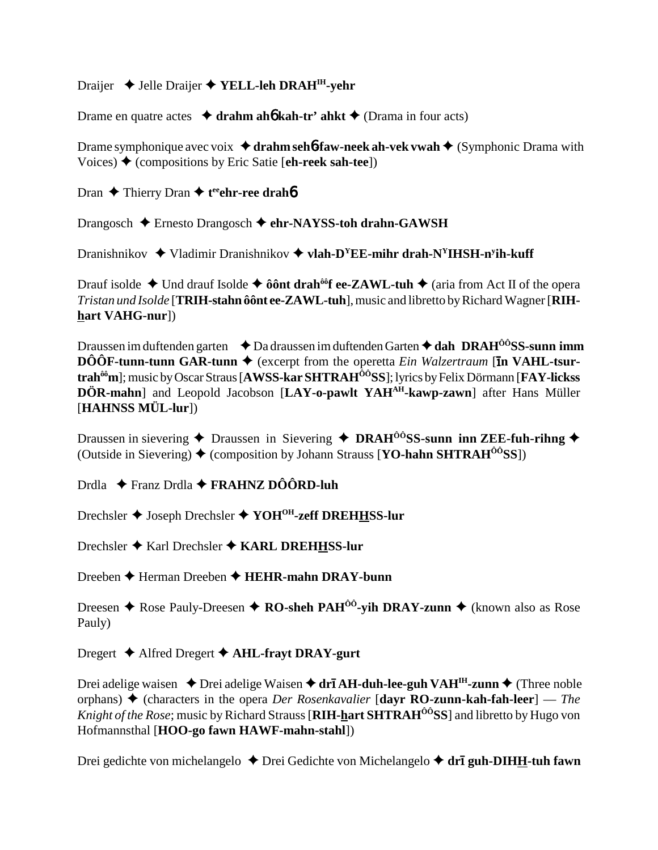## Draijer  $\triangleleft$  Jelle Draijer  $\triangleleft$  YELL-leh DRAH<sup>IH</sup>-vehr

Drame en quatre actes  $\triangleq$  drahm aho kah-tr' ahkt  $\triangleq$  (Drama in four acts)

Drame symphonique avec voix  $\triangleleft$  drahm sehb-faw-neek ah-vek vwah  $\triangleleft$  (Symphonic Drama with Voices)  $\blacklozenge$  (compositions by Eric Satie [eh-reek sah-tee])

Dran  $\triangle$  Thierry Dran  $\triangle$  t<sup>ee</sup>ehr-ree drahb

Drangosch  $\triangle$  Ernesto Drangosch  $\triangle$  ehr-NAYSS-toh drahn-GAWSH

Dranishnikov  $\triangleq$  Vladimir Dranishnikov  $\triangleq$  vlah-D<sup>Y</sup>EE-mihr drah-N<sup>Y</sup>IHSH-n<sup>y</sup>ih-kuff

Drauf isolde  $\triangle$  Und drauf Isolde  $\triangle$  ô ônt drah<sup>ôô</sup>f ee-ZAWL-tuh  $\triangle$  (aria from Act II of the opera Tristan und Isolde [TRIH-stahn ôônt ee-ZAWL-tuh], music and libretto by Richard Wagner [RIHhart VAHG-nur])

Draussen im duftenden garten  $\triangleleft$  Da draussen im duftenden Garten  $\triangleleft$  dah DRAH<sup>00</sup>SS-sunn imm  $\hat{DOOF}$ -tunn-tunn GAR-tunn  $\blacklozenge$  (excerpt from the operetta *Ein Walzertraum* [In VAHL-tsurtrah<sup>ôô</sup>m]; music by Oscar Straus [AWSS-kar SHTRAH<sup>ÔÔ</sup>SS]; lyrics by Felix Dörmann [FAY-lickss] DÖR-mahn] and Leopold Jacobson [LAY-o-pawlt YAH<sup>AH</sup>-kawp-zawn] after Hans Müller [HAHNSS MÜL-lur])

Draussen in sievering  $\triangle$  Draussen in Sievering  $\triangle$  DRAH<sup>00</sup>SS-sunn inn ZEE-fuh-rihng  $\triangle$ (Outside in Sievering)  $\blacklozenge$  (composition by Johann Strauss [YO-hahn SHTRAH<sup> $\hat{o}$ ôSS])</sub></sup>

Drdla  $\div$  Franz Drdla  $\div$  FRAHNZ DÔÔRD-luh

Drechsler ◆ Joseph Drechsler ◆ YOH<sup>OH</sup>-zeff DREHHSS-lur

Drechsler ◆ Karl Drechsler ◆ KARL DREHHSS-lur

Dreeben  $\blacklozenge$  Herman Dreeben  $\blacklozenge$  HEHR-mahn DRAY-bunn

Dreesen ♦ Rose Pauly-Dreesen ♦ RO-sheh PAH<sup> $\hat{0}$ ô-yih DRAY-zunn ♦ (known also as Rose</sup> Pauly)

Dregert  $\triangle$  Alfred Dregert  $\triangle$  AHL-frayt DRAY-gurt

Drei adelige waisen  $\triangle$  Drei adelige Waisen  $\triangle$  dr**ī AH-duh-lee-guh VAH<sup>IH</sup>-zunn**  $\triangle$  (Three noble orphans)  $\blacklozenge$  (characters in the opera *Der Rosenkavalier* [dayr RO-zunn-kah-fah-leer] — *The* Knight of the Rose; music by Richard Strauss [RIH-hart SHTRAH<sup>00</sup>SS] and libretto by Hugo von Hofmannsthal [HOO-go fawn HAWF-mahn-stahl])

Drei gedichte von michelangelo  $\triangle$  Drei Gedichte von Michelangelo  $\triangle$  drī guh-DIHH-tuh fawn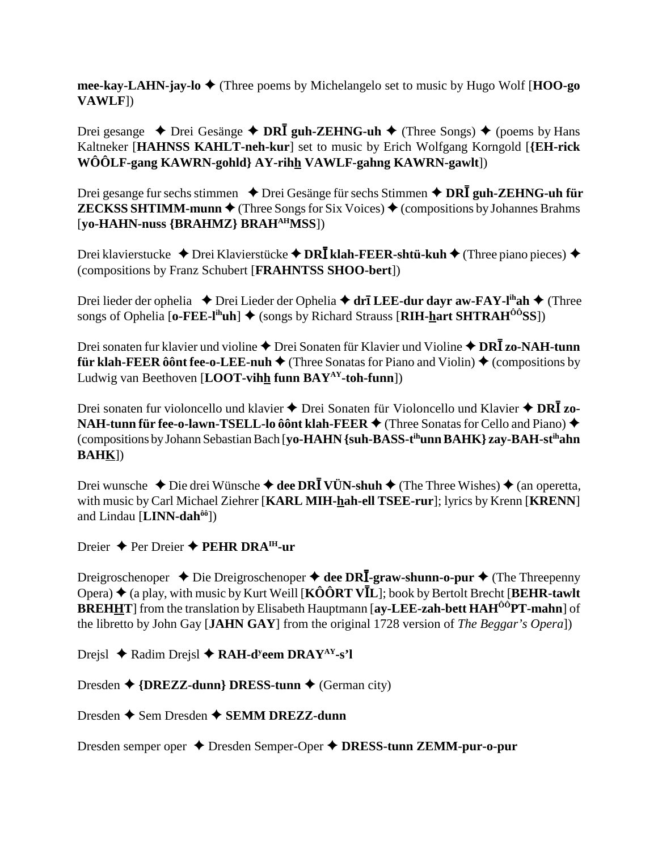mee-kay-LAHN-jay-lo  $\triangle$  (Three poems by Michelangelo set to music by Hugo Wolf [HOO-go] VAWLF])

Drei gesange  $\rightarrow$  Drei Gesänge  $\rightarrow$  DRI guh-ZEHNG-uh  $\rightarrow$  (Three Songs)  $\rightarrow$  (poems by Hans Kaltneker [HAHNSS KAHLT-neh-kur] set to music by Erich Wolfgang Korngold [{EH-rick WÔÔLF-gang KAWRN-gohld} AY-rihh VAWLF-gahng KAWRN-gawlt])

Drei gesange fur sechs stimmen ♦ Drei Gesänge für sechs Stimmen ♦ DRI guh-ZEHNG-uh für **ZECKSS SHTIMM-munn**  $\blacklozenge$  (Three Songs for Six Voices)  $\blacklozenge$  (compositions by Johannes Brahms) [yo-HAHN-nuss {BRAHMZ} BRAH<sup>AH</sup>MSS])

Drei klavierstucke ◆ Drei Klavierstücke ◆ DRĪ klah-FEER-shtü-kuh ◆ (Three piano pieces) ◆ (compositions by Franz Schubert [FRAHNTSS SHOO-bert])

Drei lieder der ophelia ◆ Drei Lieder der Ophelia ◆ drī LEE-dur dayr aw-FAY-l<sup>ih</sup>ah ◆ (Three songs of Ophelia [o-FEE-l<sup>ih</sup>uh]  $\blacklozenge$  (songs by Richard Strauss [RIH-hart SHTRAH<sup> $\hat{O}^{\hat{O}}$ SS])</sup>

Drei sonaten fur klavier und violine ◆ Drei Sonaten für Klavier und Violine ◆ DRĪ zo-NAH-tunn **für klah-FEER ôônt fee-o-LEE-nuh**  $\blacklozenge$  (Three Sonatas for Piano and Violin)  $\blacklozenge$  (compositions by Ludwig van Beethoven [LOOT-vihh funn  $BAY^{AY}$ -toh-funn])

Drei sonaten fur violoncello und klavier  $\triangle$  Drei Sonaten für Violoncello und Klavier  $\triangle$  DR $\overline{I}$  zo-NAH-tunn für fee-o-lawn-TSELL-lo ôônt klah-FEER ♦ (Three Sonatas for Cello and Piano) ♦ (compositions by Johann Sebastian Bach [vo-HAHN {suh-BASS-t<sup>ih</sup>unn BAHK} zay-BAH-st<sup>ih</sup>ahn  $BAHK$ ])

Drei wunsche  $\triangle$  Die drei Wünsche  $\triangle$  dee DRI VÜN-shuh  $\triangle$  (The Three Wishes)  $\triangle$  (an operetta, with music by Carl Michael Ziehrer [KARL MIH-hah-ell TSEE-rur]; lyrics by Krenn [KRENN] and Lindau [LINN-dah<sup>ôô</sup>])

Dreier  $\triangle$  Per Dreier  $\triangle$  PEHR DRA<sup>IH</sup>-ur

Dreigroschenoper  $\triangle$  Die Dreigroschenoper  $\triangle$  dee DRI-graw-shunn-o-pur  $\triangle$  (The Threepenny Opera)  $\blacklozenge$  (a play, with music by Kurt Weill [KÔÔRT V $\bar{L}$ ]; book by Bertolt Brecht [BEHR-tawlt] **BREHHT** from the translation by Elisabeth Hauptmann [av-LEE-zah-bett HAH<sup>00</sup>PT-mahn] of the libretto by John Gay [JAHN GAY] from the original 1728 version of The Beggar's Operal)

Drejsl  $\triangle$  Radim Drejsl  $\triangle$  RAH-d<sup>y</sup>eem DRAY<sup>AY</sup>-s'l

Dresden  $\triangle$  {DREZZ-dunn} DRESS-tunn  $\triangle$  (German city)

Dresden  $\triangle$  Sem Dresden  $\triangle$  SEMM DREZZ-dunn

Dresden semper oper ◆ Dresden Semper-Oper ◆ DRESS-tunn ZEMM-pur-o-pur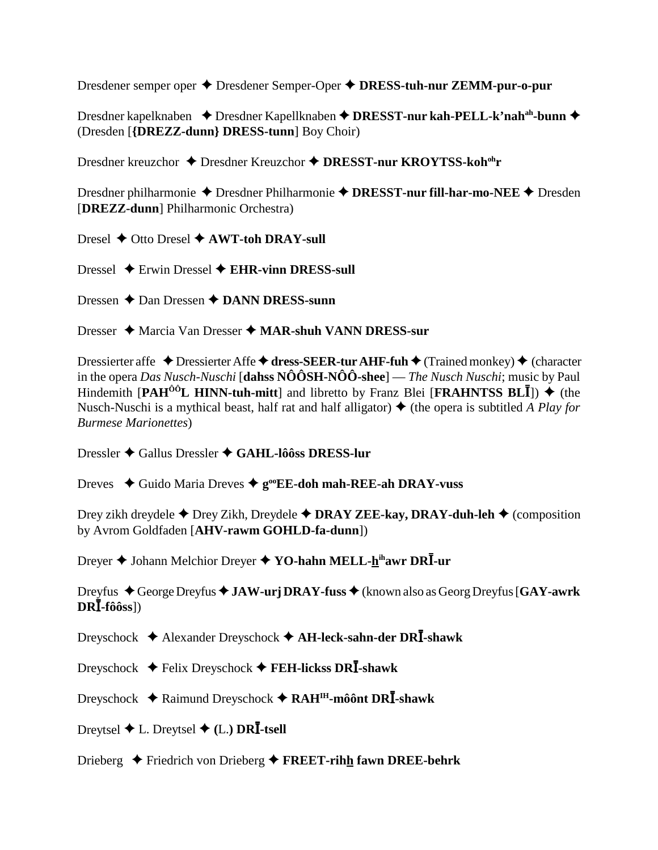Dresdener semper oper  $\triangle$  Dresdener Semper-Oper  $\triangle$  DRESS-tuh-nur ZEMM-pur-o-pur

Dresdner kapelknaben ◆ Dresdner Kapellknaben ◆ DRESST-nur kah-PELL-k'nah<sup>ah</sup>-bunn ◆ (Dresden [{DREZZ-dunn} DRESS-tunn] Boy Choir)

Dresdner kreuzchor ◆ Dresdner Kreuzchor ◆ DRESST-nur KROYTSS-koh<sup>oh</sup>r

Dresdner philharmonie  $\triangle$  Dresdner Philharmonie  $\triangle$  DRESST-nur fill-har-mo-NEE  $\triangle$  Dresden [DREZZ-dunn] Philharmonic Orchestra)

Dresel  $\triangle$  Otto Dresel  $\triangle$  AWT-toh DRAY-sull

Dressel  $\div$  Erwin Dressel  $\div$  EHR-vinn DRESS-sull

Dressen  $\triangle$  Dan Dressen  $\triangle$  DANN DRESS-sunn

Dresser  $\triangle$  Marcia Van Dresser  $\triangle$  MAR-shuh VANN DRESS-sur

Dressierter affe  $\triangle$  Dressierter Affe  $\triangle$  dress-SEER-tur AHF-fuh  $\triangle$  (Trained monkey)  $\triangle$  (character in the opera Das Nusch-Nuschi [dahss  $N\hat{O}\hat{O}SH-N\hat{O}\hat{O}$ -shee] — The Nusch Nuschi; music by Paul Hindemith [PAH<sup>00</sup>L HINN-tuh-mitt] and libretto by Franz Blei [FRAHNTSS BLII])  $\blacklozenge$  (the Nusch-Nuschi is a mythical beast, half rat and half alligator)  $\triangle$  (the opera is subtitled A Play for **Burmese Marionettes**)

Dressler  $\triangle$  Gallus Dressler  $\triangle$  GAHL-lôôss DRESS-lur

Dreves  $\triangle$  Guido Maria Dreves  $\triangle$  g<sup>oo</sup>EE-doh mah-REE-ah DRAY-vuss

Drey zikh dreydele  $\triangle$  Drey Zikh, Dreydele  $\triangle$  DRAY ZEE-kay, DRAY-duh-leh  $\triangle$  (composition by Avrom Goldfaden [AHV-rawm GOHLD-fa-dunn])

Dreyer ♦ Johann Melchior Dreyer ♦ YO-hahn MELL-hihawr DRI-ur

Dreyfus  $\triangle$  George Dreyfus  $\triangle$  JAW-urj DRAY-fuss  $\triangle$  (known also as Georg Dreyfus [GAY-awrk]  $DR\overline{I}$ -fôôss])

Dreyschock  $\triangleleft$  Alexander Dreyschock  $\triangleleft$  AH-leck-sahn-der DRI-shawk

Dreyschock  $\blacklozenge$  Felix Dreyschock  $\blacklozenge$  FEH-lickss DRI-shawk

Dreyschock  $\triangle$  Raimund Dreyschock  $\triangle$  RAH<sup>IH</sup>-môônt DR**I**-shawk

Dreytsel  $\blacklozenge$  L. Dreytsel  $\blacklozenge$  (L.) DRI-tsell

Drieberg  $\triangle$  Friedrich von Drieberg  $\triangle$  FREET-rihh fawn DREE-behrk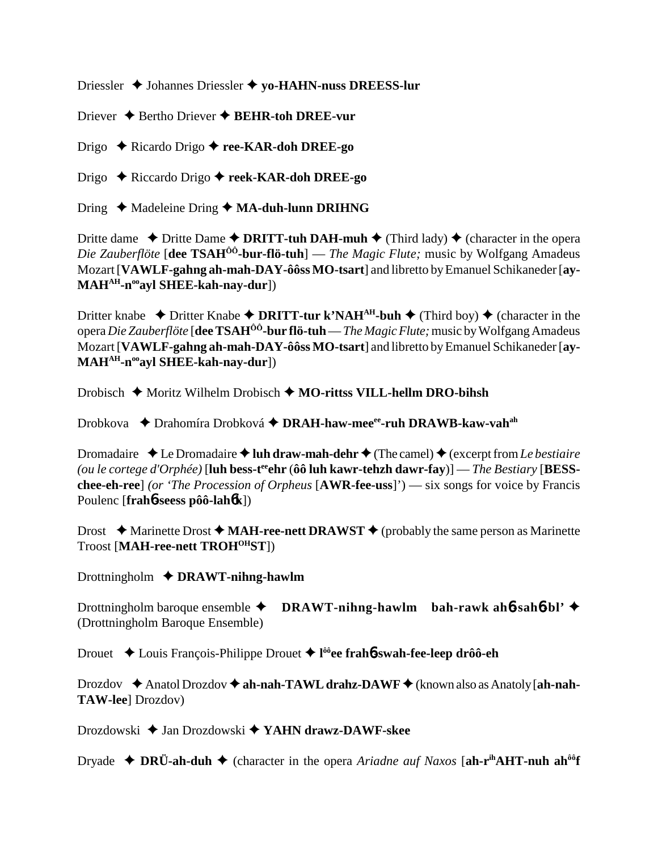Driessler Johannes Driessler  **yo-HAHN-nuss DREESS-lur**

Driever **→** Bertho Driever **→ BEHR-toh DREE-vur** 

Drigo Ricardo Drigo **ree-KAR-doh DREE-go**

Drigo Riccardo Drigo **reek-KAR-doh DREE-go**

Dring ◆ Madeleine Dring ◆ MA-duh-lunn DRIHNG

Dritte dame  $\triangle$  Dritte Dame  $\triangle$  **DRITT-tuh DAH-muh**  $\triangle$  (Third lady)  $\triangle$  (character in the opera *Die Zauberflöte* [**dee TSAHÔÔ-bur-flö-tuh**] — *The Magic Flute;* music by Wolfgang Amadeus Mozart [**VAWLF-gahng ah-mah-DAY-ôôss MO-tsart**] and libretto by Emanuel Schikaneder [**ay-MAHAH-nooayl SHEE-kah-nay-dur**])

Dritter knabe  $\rightarrow$  Dritter Knabe  $\rightarrow$  **DRITT-tur k'NAH<sup>AH</sup>-buh**  $\rightarrow$  (Third boy)  $\rightarrow$  (character in the opera *Die Zauberflöte* [**dee TSAHÔÔ-bur flö-tuh** — *The Magic Flute;* music by Wolfgang Amadeus Mozart [**VAWLF-gahng ah-mah-DAY-ôôss MO-tsart**] and libretto by Emanuel Schikaneder [**ay-MAHAH-nooayl SHEE-kah-nay-dur**])

Drobisch ◆ Moritz Wilhelm Drobisch ◆ MO-rittss VILL-hellm DRO-bihsh

Drobkova  **→** Drahomíra Drobková ◆ DRAH-haw-mee<sup>ee</sup>-ruh DRAWB-kaw-vah<sup>ah</sup>

Dromadaire  $\triangleleft$  Le Dromadaire  $\triangleleft$  luh draw-mah-dehr  $\triangleleft$  (The camel)  $\triangleleft$  (excerpt from *Le bestiaire (ou le cortege d'Orphée)* [**luh bess-teeehr** (**ôô luh kawr-tehzh dawr-fay**)] — *The Bestiary* [**BESSchee-eh-ree**] *(or 'The Procession of Orpheus* [**AWR-fee-uss**]') — six songs for voice by Francis Poulenc [**frah**6**-seess pôô-lah**6**k**])

Drost  $\triangle$  Marinette Drost  $\triangle$  **MAH-ree-nett DRAWST**  $\triangle$  (probably the same person as Marinette Troost [**MAH-ree-nett TROHOHST**])

Drottningholm **DRAWT-nihng-hawlm**

Drottningholm baroque ensemble **DRAWT-nihng-hawlm bah-rawk ah**6**-sah**6**-bl'** (Drottningholm Baroque Ensemble)

Drouet Louis François-Philippe Drouet **l ôôee frah**6**-swah-fee-leep drôô-eh**

Drozdov ◆ Anatol Drozdov ◆ ah-nah-TAWL drahz-DAWF ◆ (known also as Anatoly [ah-nah-**TAW-lee**] Drozdov)

Drozdowski Jan Drozdowski **YAHN drawz-DAWF-skee**

Dryade  **◆ DRÜ-ah-duh ◆** (character in the opera *Ariadne auf Naxos* [ah-r<sup>ih</sup>AHT-nuh ah<sup>ôô</sup>f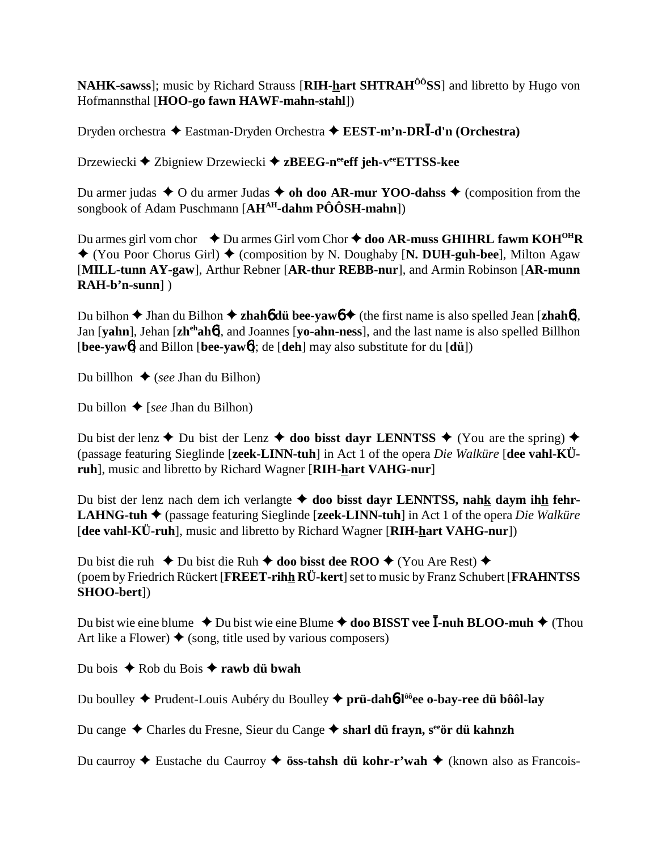NAHK-sawss]; music by Richard Strauss [RIH-hart SHTRAH<sup>00</sup>SS] and libretto by Hugo von Hofmannsthal [HOO-go fawn HAWF-mahn-stahl])

Dryden orchestra  $\triangle$  Eastman-Dryden Orchestra  $\triangle$  EEST-m'n-DRI-d'n (Orchestra)

Drzewiecki ◆ Zbigniew Drzewiecki ◆ zBEEG-n<sup>ee</sup>eff jeh-v<sup>ee</sup>ETTSS-kee

Du armer judas  $\triangle$  O du armer Judas  $\triangle$  oh doo AR-mur YOO-dahss  $\triangle$  (composition from the songbook of Adam Puschmann  $[AH^{AH}\text{-dahm }P\hat{O}\hat{O}SH\text{-mahn}$ ])

Du armes girl vom chor  $\rightarrow$  Du armes Girl vom Chor  $\rightarrow$  doo AR-muss GHIHRL fawm KOH<sup>OH</sup>R  $\blacklozenge$  (You Poor Chorus Girl)  $\blacklozenge$  (composition by N. Doughaby [N. DUH-guh-bee], Milton Agaw [MILL-tunn AY-gaw], Arthur Rebner [AR-thur REBB-nur], and Armin Robinson [AR-munn]  $RAH-b'n-sum$ ]

Du bilhon  $\triangle$  Jhan du Bilhon  $\triangle$  zhaho du bee-yawo  $\triangle$  (the first name is also spelled Jean [zhaho], Jan [vahn], Jehan [zh<sup>eh</sup>aho], and Joannes [vo-ahn-ness], and the last name is also spelled Billhon [bee-yaw6] and Billon [bee-yaw6]; de [deh] may also substitute for du  $[di]$ ])

Du billhon  $\bullet$  (see Jhan du Bilhon)

Du billon  $\bigstar$  [see Jhan du Bilhon)

Du bist der lenz  $\triangle$  Du bist der Lenz  $\triangle$  doo bisst dayr LENNTSS  $\triangle$  (You are the spring)  $\triangle$ (passage featuring Sieglinde [zeek-LINN-tuh] in Act 1 of the opera Die Walküre [dee vahl-KÜruh], music and libretto by Richard Wagner [RIH-hart VAHG-nur]

Du bist der lenz nach dem ich verlangte  $\triangle$  doo bisst dayr LENNTSS, nahk daym ihh fehr-**LAHNG-tuh**  $\triangleq$  (passage featuring Sieglinde [**zeek-LINN-tuh**] in Act 1 of the opera *Die Walküre* [dee vahl-KÜ-ruh], music and libretto by Richard Wagner [RIH-hart VAHG-nur])

Du bist die ruh  $\bullet$  Du bist die Ruh  $\bullet$  doo bisst dee ROO  $\bullet$  (You Are Rest)  $\bullet$ (poem by Friedrich Rückert [FREET-rihh RÜ-kert] set to music by Franz Schubert [FRAHNTSS] SHOO-bert])

Du bist wie eine blume  $\triangle$  Du bist wie eine Blume  $\triangle$  doo BISST vee I-nuh BLOO-muh  $\triangle$  (Thou Art like a Flower)  $\blacklozenge$  (song, title used by various composers)

Du bois ◆ Rob du Bois ◆ rawb dü bwah

Du boulley  $\triangle$  Prudent-Louis Aubéry du Boulley  $\triangle$  prü-dah**6-l**<sup>ô</sup> ee o-bay-ree du bôôl-lay

Du cange ◆ Charles du Fresne, Sieur du Cange ◆ sharl dü fravn, s<sup>ee</sup>ör dü kahnzh

Du caurroy  $\triangle$  Eustache du Caurroy  $\triangle$  öss-tahsh dü kohr-r'wah  $\triangle$  (known also as Francois-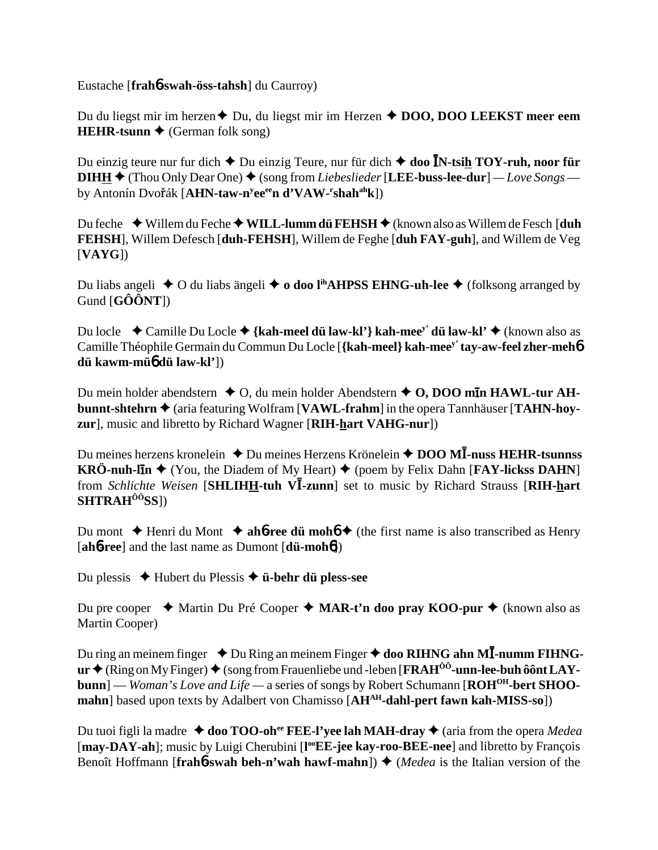Eustache [**frah**6**-swah-öss-tahsh**] du Caurroy)

Du du liegst mir im herzen **→** Du, du liegst mir im Herzen **→ DOO, DOO LEEKST meer eem HEHR-tsunn**  $\blacklozenge$  (German folk song)

Du einzig teure nur fur dich ◆ Du einzig Teure, nur für dich ◆ doo ĪN-tsi<u>h</u> TOY-ruh, noor für **DIHH**  $\triangle$  (Thou Only Dear One)  $\triangle$  (song from *Liebeslieder* [LEE-buss-lee-dur] — Love Songs by Antonín Dvo<mark>ř</mark>ák [**AHN-taw-n<sup>y</sup>ee<sup>ee</sup>n d'VAW-<sup>r</sup>shah<sup>ah</sup>k**])

Du feche ◆ Willem du Feche ◆ W**ILL-lumm dü FEHSH** ◆ (known also as Willem de Fesch [**duh FEHSH**], Willem Defesch [**duh-FEHSH**], Willem de Feghe [**duh FAY-guh**], and Willem de Veg [**VAYG**])

Du liabs angeli  $\triangle$  O du liabs ängeli  $\triangle$  **o doo l<sup>ih</sup>AHPSS EHNG-uh-lee**  $\triangle$  (folksong arranged by Gund [**GÔÔNT**])

Du locle Camille Du Locle **{kah-meel dü law-kl'} kah-meey' dü law-kl'** (known also as Camille Théophile Germain du Commun Du Locle [**{kah-meel} kah-meey' tay-aw-feel zher-meh**6 **dü kawm-mü**6 **dü law-kl'**])

Du mein holder abendstern  $\triangle$  O, du mein holder Abendstern  $\triangle$  O, DOO m**In HAWL-tur AHbunnt-shtehrn**  $\triangle$  (aria featuring Wolfram [**VAWL-frahm**] in the opera Tannhäuser [TAHN-hoy**zur**], music and libretto by Richard Wagner [**RIH-hart VAHG-nur**])

Du meines herzens kronelein ◆ Du meines Herzens Krönelein ◆ DOO MĪ-nuss HEHR-tsunnss **KRÖ-nuh-lIn**  $\blacklozenge$  (You, the Diadem of My Heart)  $\blacklozenge$  (poem by Felix Dahn [**FAY-lickss DAHN**] from *Schlichte Weisen* [SHLIHH-tuh VI-zunn] set to music by Richard Strauss [RIH-hart **SHTRAHÔÔSS**])

Du mont  $\blacklozenge$  Henri du Mont  $\blacklozenge$  **ah<sup>6</sup>-ree dü mohó**  $\blacklozenge$  (the first name is also transcribed as Henry [**ah**6**-ree**] and the last name as Dumont [**dü-moh**6])

Du plessis Hubert du Plessis **ü-behr dü pless-see**

Du pre cooper 
ighthartin Du Pré Cooper 
ighthartin doo pray KOO-pur 
bu thartin doo pray KOO-pur 
bu thartin doo pray KOO-pur 
bu thartin doo pray KOO-pur 
bu thartin doo pray KOO-pur 
bu thartin doo pray KOO-pur 
bu tha Martin Cooper)

Du ring an meinem finger  $\rightarrow$  Du Ring an meinem Finger  $\rightarrow$  doo RIHNG ahn MI-numm FIHNGur ♦ (Ring on My Finger) ♦ (song from Frauenliebe und -leben [**FRAH<sup>ôô</sup>-unn-lee-buh ôônt LAYbunn**] — *Woman's Love and Life* — a series of songs by Robert Schumann [**ROH<sup>OH</sup>-bert SHOOmahn**] based upon texts by Adalbert von Chamisso [AH<sup>AH</sup>-dahl-pert fawn kah-MISS-so])

Du tuoi figli la madre  $\triangleleft$  doo TOO-oh<sup>ee</sup> FEE-l'yee lah MAH-dray  $\triangleleft$  (aria from the opera *Medea* [may-DAY-ah]; music by Luigi Cherubini [l<sup>oo</sup>EE-jee kay-roo-BEE-nee] and libretto by François Benoît Hoffmann [**frah6**-swah beh-n'wah hawf-mahn])  $\triangle$  (*Medea* is the Italian version of the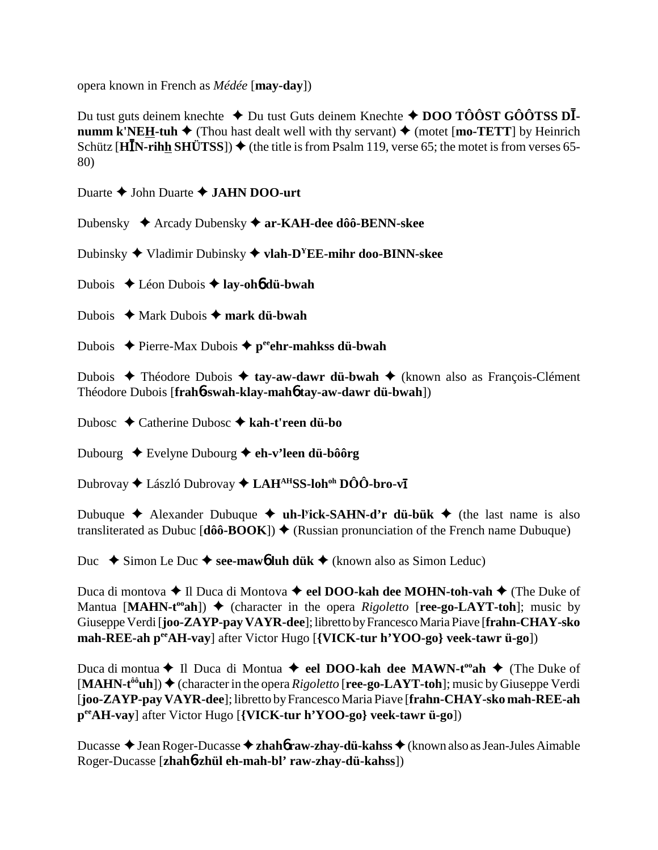opera known in French as *Médée* [**may-day**])

Du tust guts deinem knechte ◆ Du tust Guts deinem Knechte ◆ DOO TÔÔST GÔÔTSS DĪ **numm k'NEH-tuh**  $\blacklozenge$  (Thou hast dealt well with thy servant)  $\blacklozenge$  (motet [**mo-TETT**] by Heinrich Schütz  $\overline{[H\overline{I}N\text{-rih}\underline{h} S\overline{H}\overline{U} TSS]}$   $\rightarrow$  (the title is from Psalm 119, verse 65; the motet is from verses 65-80)

Duarte John Duarte **JAHN DOO-urt**

Dubensky Arcady Dubensky **ar-KAH-dee dôô-BENN-skee**

Dubinsky Vladimir Dubinsky **vlah-DYEE-mihr doo-BINN-skee**

Dubois Léon Dubois **lay-oh**6 **dü-bwah**

Dubois **→** Mark Dubois → mark dii-bwah

Dubois Pierre-Max Dubois **peeehr-mahkss dü-bwah**

Dubois ◆ Théodore Dubois ◆ tay-aw-dawr dü-bwah ◆ (known also as François-Clément Théodore Dubois [**frah**6**-swah-klay-mah**6 **tay-aw-dawr dü-bwah**])

Dubosc Catherine Dubosc **kah-t'reen dü-bo**

Dubourg Evelyne Dubourg **eh-v'leen dü-bôôrg**

Dubrovay ◆ László Dubrovay ◆ LAH<sup>AH</sup>SS-loh<sup>oh</sup> DÔÔ-bro-v**ī** 

Dubuque Alexander Dubuque **uh-ly ick-SAHN-d'r dü-bük** (the last name is also transliterated as Dubuc  $[\hat{d}\hat{o}\hat{o}-BOOK]$   $\blacklozenge$  (Russian pronunciation of the French name Dubuque)

Duc  $\blacklozenge$  Simon Le Duc  $\blacklozenge$  see-maw**6** luh dük  $\blacklozenge$  (known also as Simon Leduc)

Duca di montova ◆ Il Duca di Montova ◆ eel DOO-kah dee MOHN-toh-vah ◆ (The Duke of Mantua  $[MAHN-t<sup>oo</sup>ah]$ )  $\blacklozenge$  (character in the opera *Rigoletto* [**ree-go-LAYT-toh**]; music by Giuseppe Verdi [**joo-ZAYP-pay VAYR-dee**]; libretto by Francesco Maria Piave [**frahn-CHAY-sko mah-REE-ah p<sup>ee</sup>AH-vay**] after Victor Hugo [**{VICK-tur h'YOO-go} veek-tawr ü-go**])

Duca di montua **←** Il Duca di Montua ← eel DOO-kah dee MAWN-t<sup>oo</sup>ah ← (The Duke of  $[MAHN-t^{00}uh]$   $\blacklozenge$  (character in the opera *Rigoletto* [**ree-go-LAYT-toh**]; music by Giuseppe Verdi [**joo-ZAYP-pay VAYR-dee**]; libretto by Francesco Maria Piave [**frahn-CHAY-sko mah-REE-ah peeAH-vay**] after Victor Hugo [**{VICK-tur h'YOO-go} veek-tawr ü-go**])

Ducasse ◆ Jean Roger-Ducasse ◆ **zhah6 raw-zhay-dü-kahss** ◆ (known also as Jean-Jules Aimable Roger-Ducasse [**zhah**6**-zhül eh-mah-bl' raw-zhay-dü-kahss**])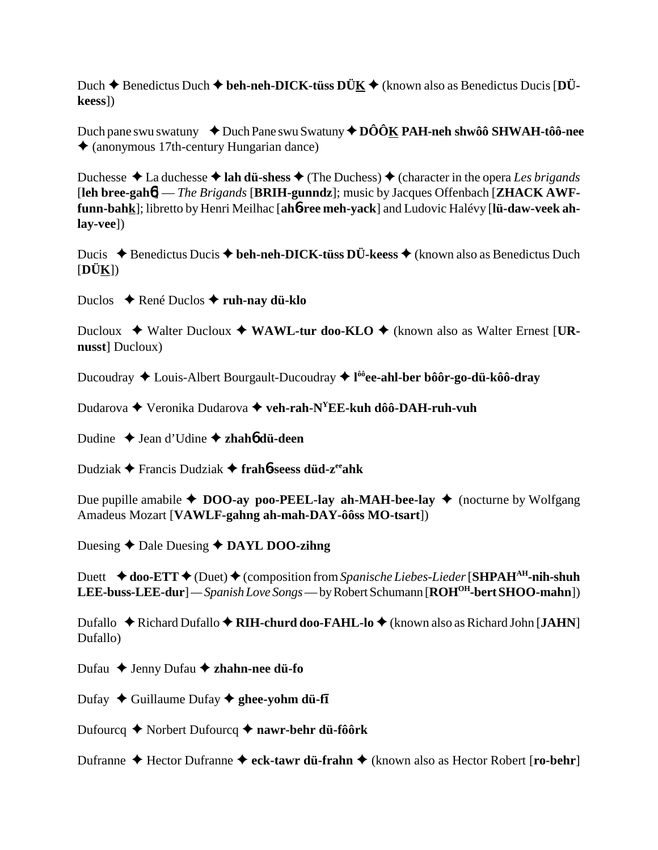Duch **→** Benedictus Duch ◆ beh-neh-DICK-tüss DÜK ◆ (known also as Benedictus Ducis [DÜ**keess**])

Duch pane swu swatuny  $\rightarrow$  Duch Pane swu Swatuny  $\rightarrow$  DÔÔK PAH-neh shwôô SHWAH-tôô-nee (anonymous 17th-century Hungarian dance)

Duchesse  $\triangle$  La duchesse  $\triangle$  **lah dü-shess**  $\triangle$  (The Duchess)  $\triangle$  (character in the opera *Les brigands* [**leh bree-gah**6] — *The Brigands* [**BRIH-gunndz**]; music by Jacques Offenbach [**ZHACK AWFfunn-bahk**]; libretto by Henri Meilhac [**ah**6**-ree meh-yack**] and Ludovic Halévy [**lü-daw-veek ahlay-vee**])

Ducis ◆ Benedictus Ducis ◆ beh-neh-DICK-tüss DÜ-keess ◆ (known also as Benedictus Duch [**DÜK**])

Duclos René Duclos **ruh-nay dü-klo**

Ducloux ◆ Walter Ducloux ◆ WAWL-tur doo-KLO ◆ (known also as Walter Ernest [UR**nusst**] Ducloux)

Ducoudray Louis-Albert Bourgault-Ducoudray **l ôôee-ahl-ber bôôr-go-dü-kôô-dray**

Dudarova Veronika Dudarova **veh-rah-NYEE-kuh dôô-DAH-ruh-vuh**

Dudine Jean d'Udine **zhah**6 **dü-deen**

Dudziak Francis Dudziak **frah**6**-seess düd-zeeahk**

Due pupille amabile  $\triangle$  **DOO-ay poo-PEEL-lay ah-MAH-bee-lay**  $\triangle$  (nocturne by Wolfgang Amadeus Mozart [**VAWLF-gahng ah-mah-DAY-ôôss MO-tsart**])

Duesing **↑** Dale Duesing **↑ DAYL DOO-zihng** 

Duett  $\triangle$  **doo-ETT**  $\triangle$  (Duet)  $\triangle$  (composition from *Spanische Liebes-Lieder* [**SHPAH<sup>AH</sup>-nih-shuh LEE-buss-LEE-dur**] *— Spanish Love Songs* — by Robert Schumann [**ROHOH-bert SHOO-mahn**])

Dufallo ◆ Richard Dufallo ◆ RIH-churd doo-FAHL-lo ◆ (known also as Richard John [JAHN] Dufallo)

Dufau **→** Jenny Dufau **→ zhahn-nee dü-fo** 

Dufay ◆ Guillaume Dufay ◆ ghee-yohm dü-f**I** 

Dufourcq Norbert Dufourcq **nawr-behr dü-fôôrk**

Dufranne ◆ Hector Dufranne ◆ eck-tawr dü-frahn ◆ (known also as Hector Robert [ro-behr]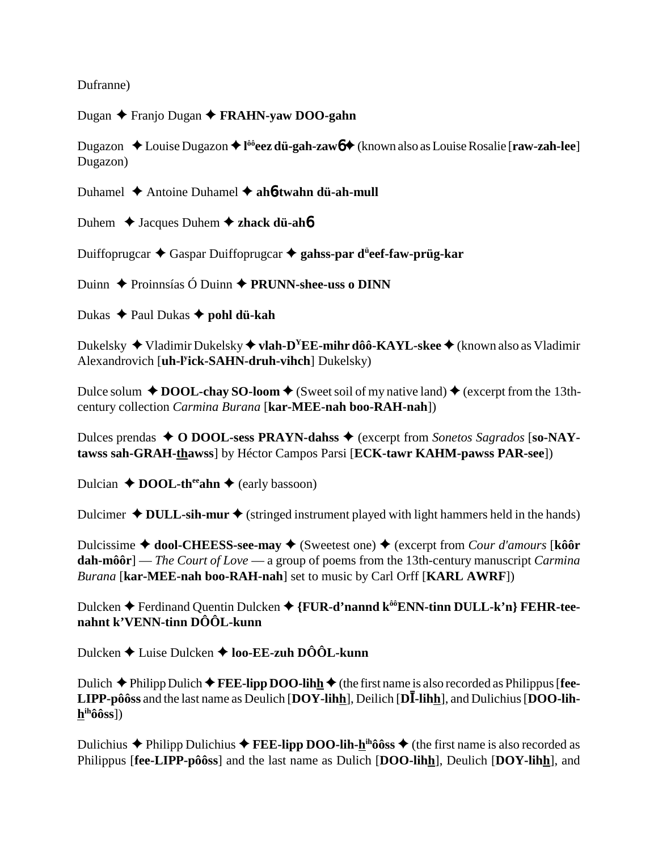Dufranne)

Dugan Franjo Dugan **FRAHN-yaw DOO-gahn**

Dugazon ◆ Louise Dugazon ◆ l<sup>ôô</sup>**eez dü-gah-zaw** $6$  **◆** (known also as Louise Rosalie [**raw-zah-lee**] Dugazon)

Duhamel Antoine Duhamel **ah**6**-twahn dü-ah-mull**

Duhem **→** Jacques Duhem **→ zhack dü-ah<sup>6</sup>** 

Duiffoprugcar Gaspar Duiffoprugcar **gahss-par dü eef-faw-prüg-kar**

Duinn Proinnsías Ó Duinn **PRUNN-shee-uss o DINN**

Dukas **← Paul Dukas ← pohl dü-kah** 

Dukelsky ◆ Vladimir Dukelsky ◆ vlah-D<sup>Y</sup>EE-mihr dôô-KAYL-skee ◆ (known also as Vladimir Alexandrovich [**uh-ly ick-SAHN-druh-vihch**] Dukelsky)

Dulce solum  $\triangle$  **DOOL-chay SO-loom**  $\triangle$  (Sweet soil of my native land)  $\triangle$  (excerpt from the 13thcentury collection *Carmina Burana* [**kar-MEE-nah boo-RAH-nah**])

Dulces prendas **→ O DOOL-sess PRAYN-dahss** → (excerpt from *Sonetos Sagrados* [so-NAY**tawss sah-GRAH-thawss**] by Héctor Campos Parsi [**ECK-tawr KAHM-pawss PAR-see**])

Dulcian  $\triangle$  **DOOL-th<sup>ee</sup>ahn**  $\triangle$  (early bassoon)

Dulcimer  $\triangle$  **DULL-sih-mur**  $\triangle$  (stringed instrument played with light hammers held in the hands)

Dulcissime **→ dool-CHEESS-see-may →** (Sweetest one) → (excerpt from *Cour d'amours* [kôô**r dah-môôr**] — *The Court of Love* — a group of poems from the 13th-century manuscript *Carmina Burana* [**kar-MEE-nah boo-RAH-nah**] set to music by Carl Orff [**KARL AWRF**])

Dulcken ◆ Ferdinand Quentin Dulcken ◆ {**FUR-d'nannd k<sup>ôô</sup>ENN-tinn DULL-k'n**} **FEHR-teenahnt k'VENN-tinn DÔÔL-kunn**

Dulcken **→** Luise Dulcken → loo-**EE-zuh DÔÔL-kunn** 

Dulich  $\blacklozenge$  Philipp Dulich  $\blacklozenge$  **FEE-lipp DOO-lihh**  $\blacklozenge$  (the first name is also recorded as Philippus [fee-**LIPP-pôôss** and the last name as Deulich  $\overline{[DOY\text{-}lih}_1]$ , Deilich  $\overline{[D\overline{I}\text{-}lih}_2]$ , and Dulichius  $\overline{[DOO\text{-}lih}_1]$ **hihôôss**])

Dulichius  $\triangle$  Philipp Dulichius  $\triangle$  **FEE-lipp DOO-lih-h<sup>ih</sup>ôôss**  $\triangle$  (the first name is also recorded as Philippus [**fee-LIPP-pôôss**] and the last name as Dulich [**DOO-lihh**], Deulich [**DOY-lihh**], and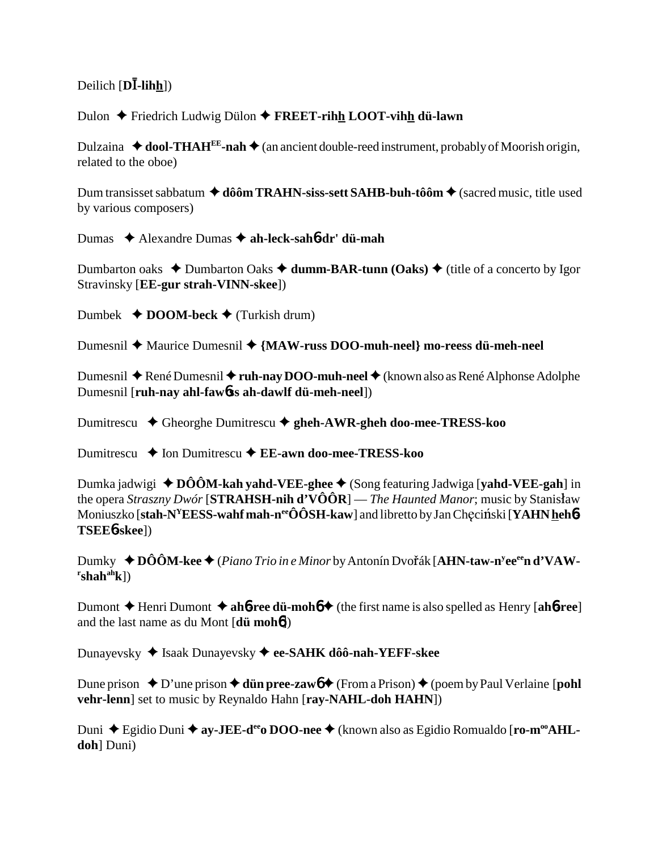## Deilich [**DĪ-lih<u>h</u>**])

Dulon Friedrich Ludwig Dülon **FREET-rihh LOOT-vihh dü-lawn**

Dulzaina  $\triangleleft$  **dool-THAH<sup>EE</sup>-nah**  $\triangleleft$  (an ancient double-reed instrument, probably of Moorish origin, related to the oboe)

Dum transisset sabbatum **→ dôôm TRAHN-siss-sett SAHB-buh-tôôm →** (sacred music, title used by various composers)

Dumas Alexandre Dumas **ah-leck-sah**6**-dr' dü-mah**

Dumbarton oaks ◆ Dumbarton Oaks ◆ **dumm-BAR-tunn (Oaks) ◆ (title of a concerto by Igor** Stravinsky [**EE-gur strah-VINN-skee**])

Dumbek  $\triangle$  **DOOM-beck**  $\triangle$  (Turkish drum)

Dumesnil ◆ Maurice Dumesnil ◆ {MAW-russ DOO-muh-neel} mo-reess dü-meh-neel

Dumesnil ◆ René Dumesnil ◆ **ruh-nay DOO-muh-neel ◆** (known also as René Alphonse Adolphe Dumesnil [**ruh-nay ahl-faw**6**ss ah-dawlf dü-meh-neel**])

Dumitrescu Gheorghe Dumitrescu **gheh-AWR-gheh doo-mee-TRESS-koo**

Dumitrescu **→** Ion Dumitrescu **→ EE-awn doo-mee-TRESS-koo** 

Dumka jadwigi ◆DÔÔM-kah yahd-VEE-ghee ◆ (Song featuring Jadwiga [yahd-VEE-gah] in the opera *Straszny Dwór* [**STRAHSH-nih d'VÔÔR**] — *The Haunted Manor*; music by Stanisaw Moniuszko [**stah-N<sup>Y</sup>EESS-wahf mah-n<sup>ee</sup>ÔÔSH-kaw**] and libretto by Jan Chęciński [**YAHN <u>h</u>eh6-TSEE**6**-skee**])

Dumky ◆DÔÔM-kee◆(Piano Trio in e Minor by Antonín Dvořák [A**HN-taw-n<sup>y</sup>ee<sup>ee</sup>n d'VAW-** $\text{r}_\text{shah}^{\text{ah}}$ k])

Dumont  $\triangle$  Henri Dumont  $\triangle$  **ah<sup>6</sup>-ree dü-moh<sup>6</sup>** (the first name is also spelled as Henry [**ah<sup>6</sup>-ree**] and the last name as du Mont [**dü moh**6])

Dunayevsky Isaak Dunayevsky **ee-SAHK dôô-nah-YEFF-skee**

Dune prison  $\triangle$  D'une prison  $\triangle$  **dün pree-zaw6**  $\triangle$  (From a Prison)  $\triangle$  (poem by Paul Verlaine [**pohl vehr-lenn**] set to music by Reynaldo Hahn [**ray-NAHL-doh HAHN**])

Duni ◆ Egidio Duni ◆ ay-JEE-d<sup>ee</sup>o DOO-nee ◆ (known also as Egidio Romualdo [ro-m<sup>oo</sup>AHL**doh**] Duni)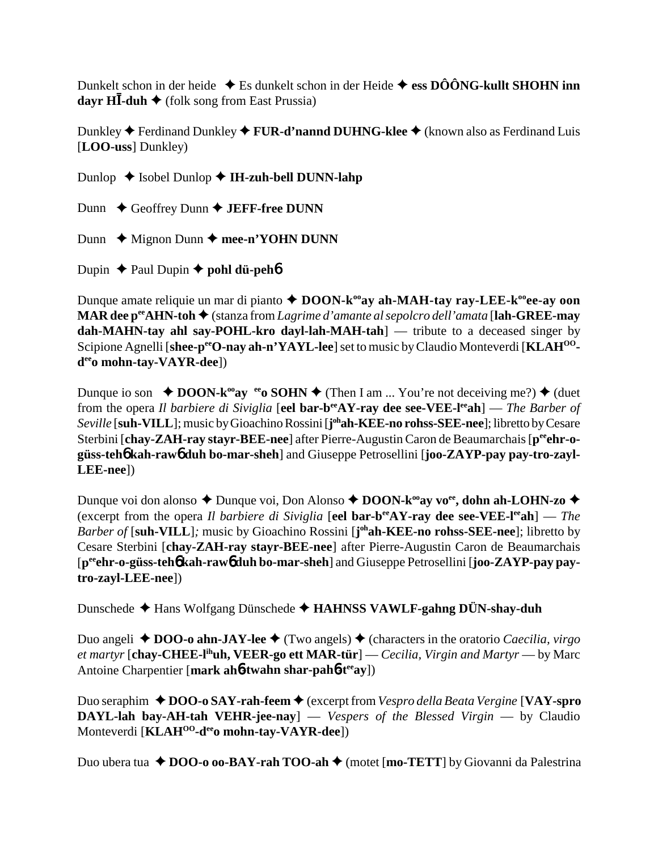Dunkelt schon in der heide  $\triangle$  Es dunkelt schon in der Heide  $\triangle$  ess DÔÔNG-kullt SHOHN inn **dayr HĪ-duh ♦** (folk song from East Prussia)

Dunkley **◆** Ferdinand Dunkley ◆ **FUR-d'nannd DUHNG-klee** ◆ (known also as Ferdinand Luis [**LOO-uss**] Dunkley)

Dunlop  $\triangle$  Isobel Dunlop  $\triangle$  **IH-zuh-bell DUNN-lahp** 

Dunn **←** Geoffrey Dunn ← **JEFF-free DUNN** 

Dunn  $\triangle$  Mignon Dunn  $\triangle$  mee-n'YOHN DUNN

Dupin  $\triangle$  Paul Dupin  $\triangle$  **pohl dü-peh**<sup>6</sup>

Dunque amate reliquie un mar di pianto **↑ DOON-k<sup>oo</sup>ay ah-MAH-tay ray-LEE-k<sup>oo</sup>ee-ay oon MAR dee peeAHN-toh** (stanza from *Lagrime d'amante al sepolcro dell'amata* [**lah-GREE-may dah-MAHN-tay ahl say-POHL-kro dayl-lah-MAH-tah**] — tribute to a deceased singer by Scipione Agnelli [shee-p<sup>ee</sup>O-nay ah-n'YAYL-lee] set to music by Claudio Monteverdi [KLAH<sup>OO</sup>**deeo mohn-tay-VAYR-dee**])

Dunque io son  $\triangle$  **DOON-k<sup>oo</sup>ay** e<sup>e</sup>o **SOHN**  $\triangle$  (Then I am ... You're not deceiving me?)  $\triangle$  (duet from the opera *Il barbiere di Siviglia* [**eel bar-b<sup>ee</sup>AY-ray dee see-VEE-l<sup>ee</sup>ah**] — *The Barber of Seville* [**suh-VILL**]; music by Gioachino Rossini [**j ohah-KEE-no rohss-SEE-nee**]; libretto by Cesare Sterbini [chay-ZAH-ray stayr-BEE-nee] after Pierre-Augustin Caron de Beaumarchais [p<sup>ee</sup>ehr-o**güss-teh**6 **kah-raw**6 **duh bo-mar-sheh**] and Giuseppe Petrosellini [**joo-ZAYP-pay pay-tro-zayl-LEE-nee**])

Dunque voi don alonso ◆ Dunque voi, Don Alonso ◆ DOON-k<sup>oo</sup>ay vo<sup>ee</sup>, dohn ah-LOHN-zo ◆ (excerpt from the opera *Il barbiere di Siviglia* [**eel bar-beeAY-ray dee see-VEE-leeah**] — *The Barber of* [suh-VILL]; music by Gioachino Rossini [j<sup>oh</sup>ah-KEE-no rohss-SEE-nee]; libretto by Cesare Sterbini [**chay-ZAH-ray stayr-BEE-nee**] after Pierre-Augustin Caron de Beaumarchais [**peeehr-o-güss-teh**6 **kah-raw**6 **duh bo-mar-sheh**] and Giuseppe Petrosellini [**joo-ZAYP-pay paytro-zayl-LEE-nee**])

Dunschede Hans Wolfgang Dünschede **HAHNSS VAWLF-gahng DÜN-shay-duh**

Duo angeli  $\triangle$  **DOO-o ahn-JAY-lee**  $\triangle$  (Two angels)  $\triangle$  (characters in the oratorio *Caecilia, virgo et martyr* [**chay-CHEE-lihuh, VEER-go ett MAR-tür**] — *Cecilia, Virgin and Martyr* — by Marc Antoine Charpentier [**mark ah**6**-twahn shar-pah**6**-teeay**])

Duo seraphim **→ DOO-o SAY-rah-feem →** (excerpt from *Vespro della Beata Vergine* [**VAY-spro DAYL-lah bay-AH-tah VEHR-jee-nay**] — *Vespers of the Blessed Virgin* — by Claudio Monteverdi [**KLAHOO-deeo mohn-tay-VAYR-dee**])

Duo ubera tua ◆ DOO-o oo-BAY-rah TOO-ah ◆ (motet [**mo-TETT**] by Giovanni da Palestrina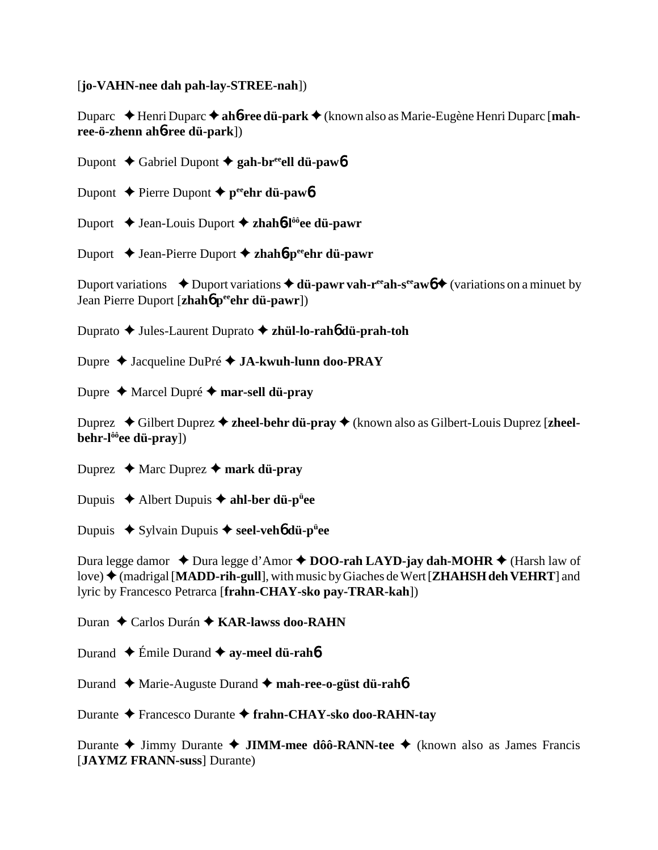[**jo-VAHN-nee dah pah-lay-STREE-nah**])

Duparc Henri Duparc **ah**6**-ree dü-park** (known also as Marie-Eugène Henri Duparc [**mahree-ö-zhenn ah**6**-ree dü-park**])

Dupont **→** Gabriel Dupont → gah-br<sup>ee</sup>ell dü-paw6

Dupont  $\triangle$  Pierre Dupont  $\triangle$  p<sup>ee</sup>ehr dü-paw<sub>6</sub>

Duport Jean-Louis Duport **zhah**6**-lôôee dü-pawr**

Duport Jean-Pierre Duport **zhah**6**-peeehr dü-pawr**

Duport variations  $\rightarrow$  Duport variations  $\rightarrow$  **dü-pawr vah-r<sup>ee</sup>ah-s<sup>ee</sup>aw<sub>0</sub>**  $\rightarrow$  (variations on a minuet by Jean Pierre Duport [**zhah**6 **peeehr dü-pawr**])

Duprato Jules-Laurent Duprato  **zhül-lo-rah**6 **dü-prah-toh**

Dupre Jacqueline DuPré **JA-kwuh-lunn doo-PRAY**

Dupre Marcel Dupré **mar-sell dü-pray**

Duprez ◆ Gilbert Duprez ◆ zheel-behr dü-pray ◆ (known also as Gilbert-Louis Duprez [zheel**behr-lôôee dü-pray**])

Duprez  $\triangle$  Marc Duprez  $\triangle$  mark dü-pray

Dupuis Albert Dupuis **ahl-ber dü-pü ee**

**Dupuis ◆ Sylvain Dupuis ◆ seel-veh6 dü-p<sup>ü</sup>ee** 

Dura legge damor  $\triangle$  Dura legge d'Amor  $\triangle$  **DOO-rah LAYD-jay dah-MOHR**  $\triangle$  (Harsh law of love) (madrigal [**MADD-rih-gull**], with music by Giaches de Wert [**ZHAHSH deh VEHRT**] and lyric by Francesco Petrarca [**frahn-CHAY-sko pay-TRAR-kah**])

Duran ◆ Carlos Durán **◆ KAR-lawss doo-RAHN** 

Durand  $\triangle$  Émile Durand  $\triangle$  **ay-meel dü-rah**6

Durand Marie-Auguste Durand **mah-ree-o-güst dü-rah**6

Durante Francesco Durante **frahn-CHAY-sko doo-RAHN-tay**

Durante Jimmy Durante **JIMM-mee dôô-RANN-tee** (known also as James Francis [**JAYMZ FRANN-suss**] Durante)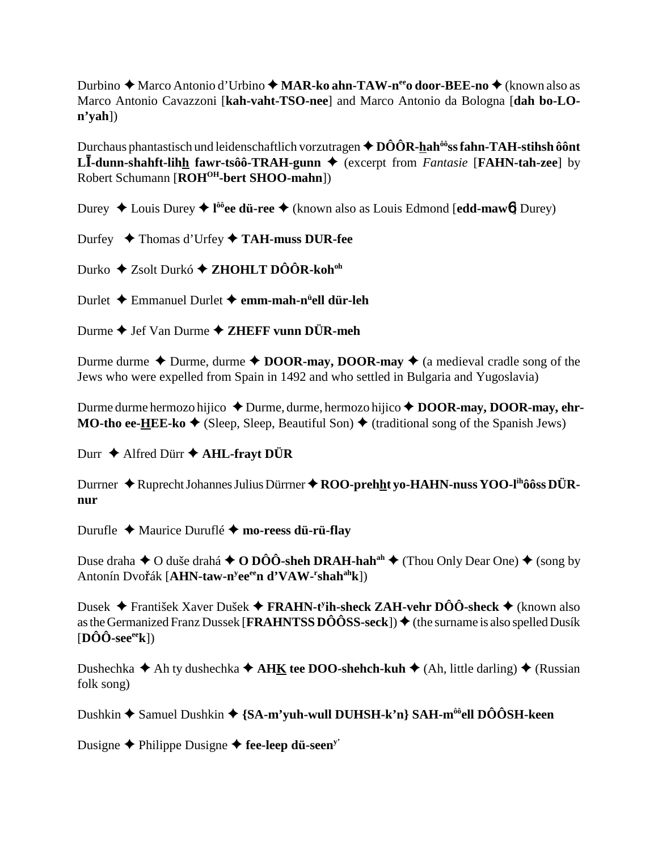Durbino ◆ Marco Antonio d'Urbino ◆ MAR-ko ahn-TAW-n<sup>ee</sup>o door-BEE-no ◆ (known also as Marco Antonio Cavazzoni [kah-vaht-TSO-nee] and Marco Antonio da Bologna [dah bo-LO- $\mathbf{n}'\mathbf{y}\mathbf{a}\mathbf{h}$ ])

Durchaus phantastisch und leidenschaftlich vorzutragen  $\triangle$  DÔÔR-hah<sup>ôô</sup>ss fahn-TAH-stihsh ôônt **LI-dunn-shahft-lihh fawr-tsôô-TRAH-gunn**  $\blacklozenge$  (excerpt from *Fantasie* [**FAHN-tah-zee**] by Robert Schumann [ROH<sup>OH</sup>-bert SHOO-mahn])

Durey  $\triangle$  Louis Durey  $\triangleq$  l<sup>ôô</sup>ee dü-ree  $\triangleq$  (known also as Louis Edmond [edd-maw6] Durey)

Durfey ◆ Thomas d'Urfey ◆ TAH-muss DUR-fee

Durko  $\triangle$  Zsolt Durkó  $\triangle$  ZHOHLT DÔÔR-koh<sup>oh</sup>

Durlet  $\triangle$  Emmanuel Durlet  $\triangle$  emm-mah-n<sup>it</sup>ell dür-leh

Durme  $\blacklozenge$  Jef Van Durme  $\blacklozenge$  ZHEFF vunn DÜR-meh

Durme durme  $\triangle$  Durme, durme  $\triangle$  DOOR-may, DOOR-may  $\triangle$  (a medieval cradle song of the Jews who were expelled from Spain in 1492 and who settled in Bulgaria and Yugoslavia)

Durme durme hermozo hijico  $\triangle$  Durme, durme, hermozo hijico  $\triangle$  DOOR-may, DOOR-may, ehr-**MO-tho ee-HEE-ko**  $\blacklozenge$  (Sleep, Sleep, Beautiful Son)  $\blacklozenge$  (traditional song of the Spanish Jews)

Durr  $\triangle$  Alfred Dürr  $\triangle$  AHL-frayt DÜR

Durrner  $\bigstar$  Ruprecht Johannes Julius Dürrner  $\bigstar$  ROO-prehht yo-HAHN-nuss YOO-l<sup>ih</sup>ôôss DÜRnur

Durufle  $\triangle$  Maurice Duruflé  $\triangle$  mo-reess dü-rü-flay

Duse draha  $\triangle$  O duše drahá  $\triangle$  O DÔÔ-sheh DRAH-hah<sup>ah</sup>  $\triangle$  (Thou Only Dear One)  $\triangle$  (song by Antonín Dvořák [AHN-taw-n<sup>y</sup>ee<sup>ee</sup>n d'VAW-'shah<sup>ah</sup>k])

Dusek ◆ František Xaver Dušek ◆ FRAHN-t<sup>y</sup>ih-sheck ZAH-vehr DÔÔ-sheck ◆ (known also as the Germanized Franz Dussek [FRAHNTSS DÔÔSS-seck])  $\blacklozenge$  (the surname is also spelled Dusík  $[{\bf D}\hat{\bf O}\hat{\bf O}$ -see<sup>ee</sup>k])

Dushechka  $\triangle$  Ah ty dushechka  $\triangle$  AHK tee DOO-shehch-kuh  $\triangle$  (Ah, little darling)  $\triangle$  (Russian folk song)

Dushkin  $\triangle$  Samuel Dushkin  $\triangle$  {SA-m'yuh-wull DUHSH-k'n} SAH-m<sup>ôô</sup>ell DÔÔSH-keen

Dusigne  $\blacklozenge$  Philippe Dusigne  $\blacklozenge$  fee-leep dü-seen<sup>y'</sup>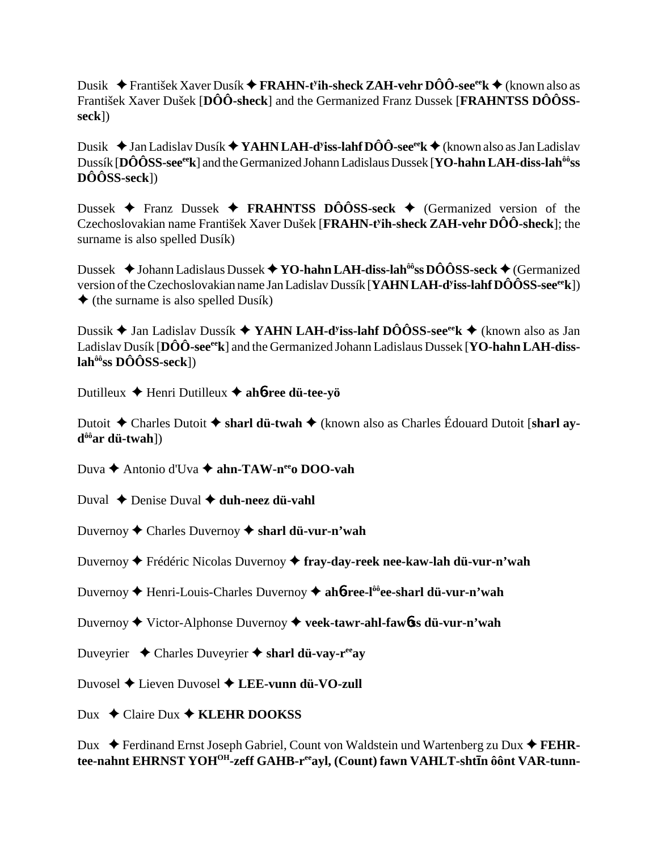Dusik František Xaver Dusík **FRAHN-ty ih-sheck ZAH-vehr DÔÔ-seeeek** (known also as František Xaver Dušek [**DÔÔ-sheck**] and the Germanized Franz Dussek [**FRAHNTSS DÔÔSSseck**])

Dusik Jan Ladislav Dusík **YAHN LAH-dy iss-lahf DÔÔ-seeeek** (known also as Jan Ladislav Dussík [**DÔÔSS-seeeek**] and the Germanized Johann Ladislaus Dussek [**YO-hahn LAH-diss-lahôôss DÔÔSS-seck**])

Dussek  $\blacklozenge$  Franz Dussek  $\blacklozenge$  **FRAHNTSS DÔÔSS-seck**  $\blacklozenge$  (Germanized version of the Czechoslovakian name František Xaver Dušek [**FRAHN-ty ih-sheck ZAH-vehr DÔÔ-sheck**]; the surname is also spelled Dusík)

Dussek **→** Johann Ladislaus Dussek → **YO-hahn LAH-diss-lah<sup>ôô</sup>ss DÔÔSS-seck →** (Germanized version of the Czechoslovakian name Jan Ladislav Dussík [**YAHN LAH-dy iss-lahf DÔÔSS-seeeek**])  $\triangle$  (the surname is also spelled Dusík)

Dussik Jan Ladislav Dussík **YAHN LAH-dy iss-lahf DÔÔSS-seeeek** (known also as Jan Ladislav Dusík [DÔÔ-see<sup>ee</sup>k] and the Germanized Johann Ladislaus Dussek [**YO-hahn LAH-disslahôôss DÔÔSS-seck**])

Dutilleux Henri Dutilleux **ah**6**-ree dü-tee-yö**

Dutoit ◆ Charles Dutoit ◆ sharl dü-twah ◆ (known also as Charles Édouard Dutoit [sharl ay**dôôar dü-twah**])

Duva **→** Antonio d'Uva **→ ahn-TAW-n<sup>ee</sup>o DOO-vah** 

- Duval **↓** Denise Duval **✦ duh-neez dü-vahl**
- Duvernoy Charles Duvernoy **sharl dü-vur-n'wah**

Duvernoy Frédéric Nicolas Duvernoy **fray-day-reek nee-kaw-lah dü-vur-n'wah**

Duvernoy Henri-Louis-Charles Duvernoy **ah**6**-ree-lôôee-sharl dü-vur-n'wah**

Duvernoy Victor-Alphonse Duvernoy **veek-tawr-ahl-faw**6**ss dü-vur-n'wah**

Duveyrier Charles Duveyrier **sharl dü-vay-reeay**

Duvosel Lieven Duvosel **LEE-vunn dü-VO-zull**

Dux **→** Claire Dux **→ KLEHR DOOKSS** 

Dux ◆ Ferdinand Ernst Joseph Gabriel, Count von Waldstein und Wartenberg zu Dux ◆ FEHR**tee-nahnt EHRNST YOHOH-zeff GAHB-reeayl, (Count) fawn VAHLT-shtn ôônt VAR-tunn-**